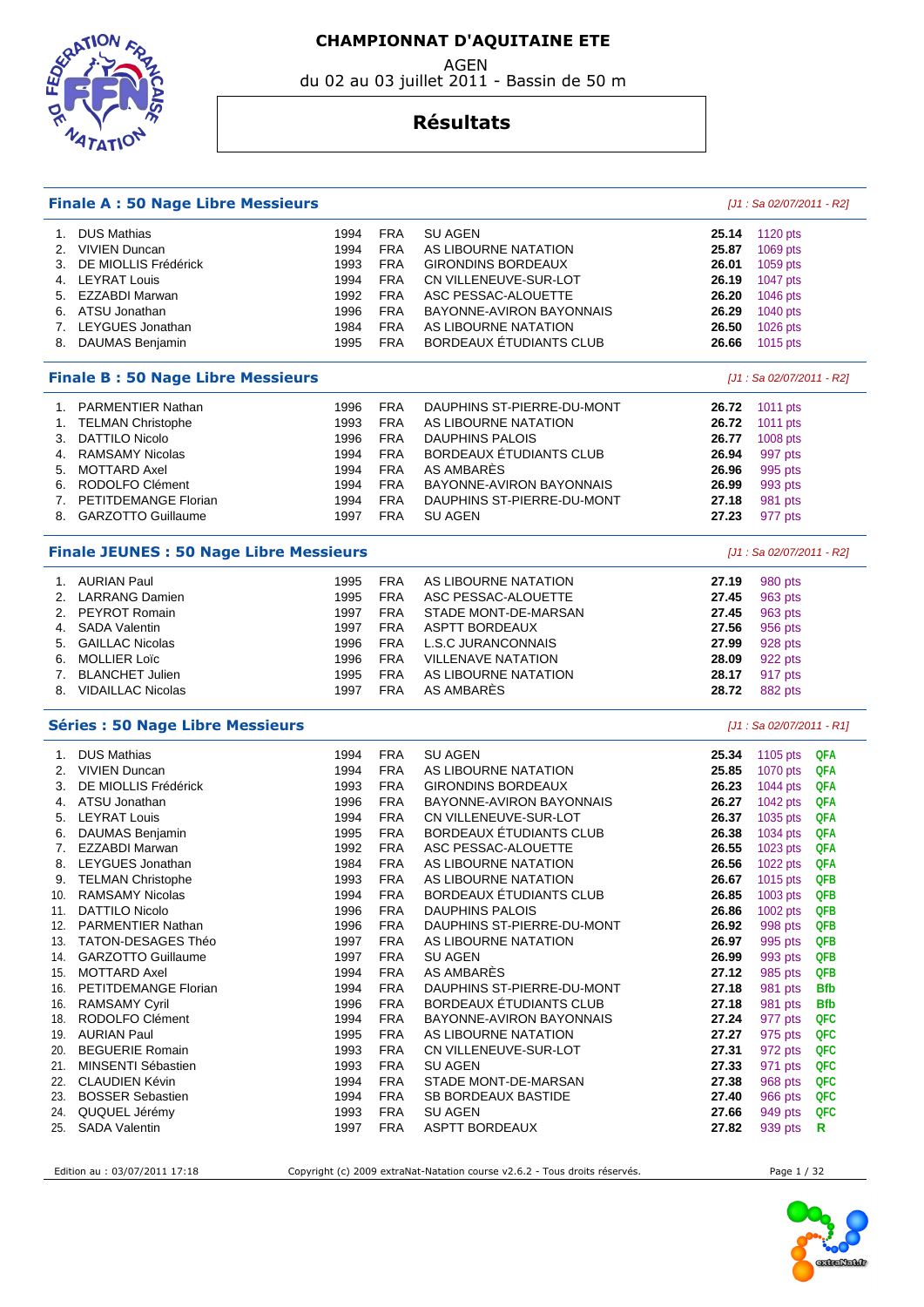



#### AGEN du 02 au 03 juillet 2011 - Bassin de 50 m

### **Résultats**

|                                                                             | <b>Finale A: 50 Nage Libre Messieurs</b>   |              |                          |                                                   |                | $[J1: Sa 02/07/2011 - R2]$ |            |  |  |
|-----------------------------------------------------------------------------|--------------------------------------------|--------------|--------------------------|---------------------------------------------------|----------------|----------------------------|------------|--|--|
| 1.                                                                          | <b>DUS Mathias</b>                         | 1994         | <b>FRA</b>               | <b>SU AGEN</b>                                    | 25.14          | 1120 pts                   |            |  |  |
| 2.                                                                          | <b>VIVIEN Duncan</b>                       | 1994         | <b>FRA</b>               | AS LIBOURNE NATATION                              | 25.87          | 1069 pts                   |            |  |  |
| 3.                                                                          | DE MIOLLIS Frédérick                       | 1993         | <b>FRA</b>               | <b>GIRONDINS BORDEAUX</b>                         | 26.01          | 1059 pts                   |            |  |  |
|                                                                             | 4. LEYRAT Louis                            | 1994         | <b>FRA</b>               | CN VILLENEUVE-SUR-LOT                             | 26.19          | 1047 pts                   |            |  |  |
| 5.                                                                          | EZZABDI Marwan                             | 1992         | <b>FRA</b>               | ASC PESSAC-ALOUETTE                               | 26.20          | 1046 pts                   |            |  |  |
|                                                                             | 6. ATSU Jonathan                           | 1996         | <b>FRA</b>               | BAYONNE-AVIRON BAYONNAIS                          | 26.29          | 1040 pts                   |            |  |  |
|                                                                             | 7. LEYGUES Jonathan                        | 1984         | <b>FRA</b>               | AS LIBOURNE NATATION                              | 26.50          | 1026 pts                   |            |  |  |
|                                                                             | 8. DAUMAS Benjamin                         | 1995         | <b>FRA</b>               | BORDEAUX ÉTUDIANTS CLUB                           | 26.66          | 1015 pts                   |            |  |  |
|                                                                             |                                            |              |                          |                                                   |                |                            |            |  |  |
| <b>Finale B: 50 Nage Libre Messieurs</b>                                    |                                            |              |                          |                                                   |                | $[J1: Sa 02/07/2011 - R2]$ |            |  |  |
| 1.                                                                          | <b>PARMENTIER Nathan</b>                   | 1996         | <b>FRA</b>               | DAUPHINS ST-PIERRE-DU-MONT                        | 26.72          | 1011 pts                   |            |  |  |
| 1.                                                                          | <b>TELMAN Christophe</b>                   | 1993         | <b>FRA</b>               | AS LIBOURNE NATATION                              | 26.72          | 1011 pts                   |            |  |  |
| 3.                                                                          | <b>DATTILO Nicolo</b>                      | 1996         | <b>FRA</b>               | <b>DAUPHINS PALOIS</b>                            | 26.77          | 1008 pts                   |            |  |  |
| 4.                                                                          | <b>RAMSAMY Nicolas</b>                     | 1994         | <b>FRA</b>               | BORDEAUX ÉTUDIANTS CLUB                           | 26.94          | 997 pts                    |            |  |  |
| 5.                                                                          | <b>MOTTARD Axel</b>                        | 1994         | <b>FRA</b>               | AS AMBARES                                        | 26.96          | 995 pts                    |            |  |  |
| 6.                                                                          | RODOLFO Clément                            | 1994         | <b>FRA</b>               | BAYONNE-AVIRON BAYONNAIS                          | 26.99          | 993 pts                    |            |  |  |
| 7.                                                                          | PETITDEMANGE Florian                       | 1994         | <b>FRA</b>               | DAUPHINS ST-PIERRE-DU-MONT                        | 27.18          | 981 pts                    |            |  |  |
| 8.                                                                          | <b>GARZOTTO Guillaume</b>                  | 1997         | <b>FRA</b>               | <b>SU AGEN</b>                                    | 27.23          | 977 pts                    |            |  |  |
| <b>Finale JEUNES : 50 Nage Libre Messieurs</b><br>[J1 : Sa 02/07/2011 - R2] |                                            |              |                          |                                                   |                |                            |            |  |  |
|                                                                             | 1. AURIAN Paul                             | 1995         | <b>FRA</b>               | AS LIBOURNE NATATION                              | 27.19          | 980 pts                    |            |  |  |
| 2.                                                                          | <b>LARRANG Damien</b>                      | 1995         | <b>FRA</b>               | ASC PESSAC-ALOUETTE                               | 27.45          | 963 pts                    |            |  |  |
| 2.                                                                          | <b>PEYROT Romain</b>                       | 1997         | <b>FRA</b>               | STADE MONT-DE-MARSAN                              | 27.45          | 963 pts                    |            |  |  |
| 4.                                                                          | <b>SADA Valentin</b>                       | 1997         | <b>FRA</b>               | <b>ASPTT BORDEAUX</b>                             | 27.56          | 956 pts                    |            |  |  |
| 5.                                                                          | <b>GAILLAC Nicolas</b>                     | 1996         | <b>FRA</b>               | <b>L.S.C JURANCONNAIS</b>                         | 27.99          | 928 pts                    |            |  |  |
| 6.                                                                          | <b>MOLLIER Loïc</b>                        | 1996         | <b>FRA</b>               | <b>VILLENAVE NATATION</b>                         | 28.09          | 922 pts                    |            |  |  |
| 7.                                                                          | <b>BLANCHET Julien</b>                     | 1995         | <b>FRA</b>               | AS LIBOURNE NATATION                              | 28.17          | 917 pts                    |            |  |  |
| 8.                                                                          | <b>VIDAILLAC Nicolas</b>                   | 1997         | <b>FRA</b>               | AS AMBARES                                        | 28.72          | 882 pts                    |            |  |  |
|                                                                             | <b>Séries : 50 Nage Libre Messieurs</b>    |              |                          |                                                   |                | [J1 : Sa 02/07/2011 - R1]  |            |  |  |
|                                                                             |                                            |              |                          |                                                   |                |                            |            |  |  |
| 1.<br>2.                                                                    | <b>DUS Mathias</b><br><b>VIVIEN Duncan</b> | 1994<br>1994 | <b>FRA</b><br><b>FRA</b> | <b>SU AGEN</b><br>AS LIBOURNE NATATION            | 25.34<br>25.85 | 1105 $pts$<br>1070 pts     | QFA<br>QFA |  |  |
|                                                                             |                                            |              |                          |                                                   |                |                            |            |  |  |
| 3.                                                                          | DE MIOLLIS Frédérick                       | 1993         | <b>FRA</b>               | <b>GIRONDINS BORDEAUX</b>                         | 26.23          | 1044 pts                   | QFA        |  |  |
|                                                                             | 4. ATSU Jonathan<br>5. LEYRAT Louis        | 1996         | <b>FRA</b>               | BAYONNE-AVIRON BAYONNAIS<br>CN VILLENEUVE-SUR-LOT | 26.27          | 1042 pts                   | <b>QFA</b> |  |  |
|                                                                             |                                            | 1994         | <b>FRA</b>               |                                                   | 26.37          | 1035 pts                   | QFA        |  |  |
| 6.                                                                          | DAUMAS Benjamin                            | 1995         | <b>FRA</b>               | BORDEAUX ETUDIANTS CLUB                           | 26.38          | 1034 pts                   | QFA        |  |  |
| 7.                                                                          | EZZABDI Marwan                             | 1992         | <b>FRA</b>               | ASC PESSAC-ALOUETTE                               | 26.55          | 1023 pts                   | <b>QFA</b> |  |  |
| 8.                                                                          | LEYGUES Jonathan                           | 1984         | <b>FRA</b>               | AS LIBOURNE NATATION                              | 26.56          | 1022 pts                   | QFA        |  |  |
| 9.                                                                          | <b>TELMAN Christophe</b>                   | 1993         | <b>FRA</b>               | AS LIBOURNE NATATION                              | 26.67          | 1015 pts                   | QFB        |  |  |
| 10.                                                                         | <b>RAMSAMY Nicolas</b>                     | 1994         | <b>FRA</b>               | BORDEAUX ÉTUDIANTS CLUB                           | 26.85          | 1003 pts                   | <b>QFB</b> |  |  |
|                                                                             | 11. DATTILO Nicolo                         | 1996         | <b>FRA</b>               | <b>DAUPHINS PALOIS</b>                            | 26.86          | 1002 pts                   | QFB        |  |  |
|                                                                             | 12. PARMENTIER Nathan                      | 1996         | <b>FRA</b>               | DAUPHINS ST-PIERRE-DU-MONT                        | 26.92          | 998 pts                    | QFB        |  |  |
|                                                                             | 13. TATON-DESAGES Théo                     | 1997         | FRA                      | AS LIBOURNE NATATION                              | 26.97          | 995 pts                    | <b>QFB</b> |  |  |
|                                                                             | 14. GARZOTTO Guillaume                     | 1997         | <b>FRA</b>               | <b>SU AGEN</b>                                    | 26.99          | 993 pts                    | QFB        |  |  |
| 15.                                                                         | <b>MOTTARD Axel</b>                        | 1994         | <b>FRA</b>               | AS AMBARES                                        | 27.12          | 985 pts                    | QFB        |  |  |
| 16.                                                                         | PETITDEMANGE Florian                       | 1994         | <b>FRA</b>               | DAUPHINS ST-PIERRE-DU-MONT                        | 27.18          | 981 pts                    | <b>Bfb</b> |  |  |
|                                                                             | 16. RAMSAMY Cyril                          | 1996         | <b>FRA</b>               | BORDEAUX ÉTUDIANTS CLUB                           | 27.18          | 981 pts                    | <b>Bfb</b> |  |  |
| 18.                                                                         | RODOLFO Clément                            | 1994         | <b>FRA</b>               | BAYONNE-AVIRON BAYONNAIS                          | 27.24          | 977 pts                    | QFC        |  |  |
|                                                                             | 19. AURIAN Paul                            | 1995         | FRA                      | AS LIBOURNE NATATION                              | 27.27          | 975 pts                    | QFC        |  |  |
|                                                                             | 20. BEGUERIE Romain                        | 1993         | FRA                      | CN VILLENEUVE-SUR-LOT                             | 27.31          | 972 pts                    | QFC        |  |  |
|                                                                             | 21. MINSENTI Sébastien                     | 1993         | <b>FRA</b>               | SU AGEN                                           | 27.33          | 971 pts                    | QFC        |  |  |
|                                                                             | 22. CLAUDIEN Kévin                         | 1994         | FRA                      | STADE MONT-DE-MARSAN                              | 27.38          | 968 pts                    | QFC        |  |  |
|                                                                             | 23. BOSSER Sebastien                       | 1994         | <b>FRA</b>               | SB BORDEAUX BASTIDE                               | 27.40          | 966 pts                    | QFC        |  |  |
|                                                                             | 24. QUQUEL Jérémy                          | 1993         | <b>FRA</b>               | SU AGEN                                           | 27.66          | 949 pts                    | QFC        |  |  |
| 25.                                                                         | <b>SADA Valentin</b>                       | 1997         | <b>FRA</b>               | <b>ASPTT BORDEAUX</b>                             | 27.82          | 939 pts                    | R          |  |  |
|                                                                             |                                            |              |                          |                                                   |                |                            |            |  |  |

Edition au : 03/07/2011 17:18 Copyright (c) 2009 extraNat-Natation course v2.6.2 - Tous droits réservés. Page 1 / 32

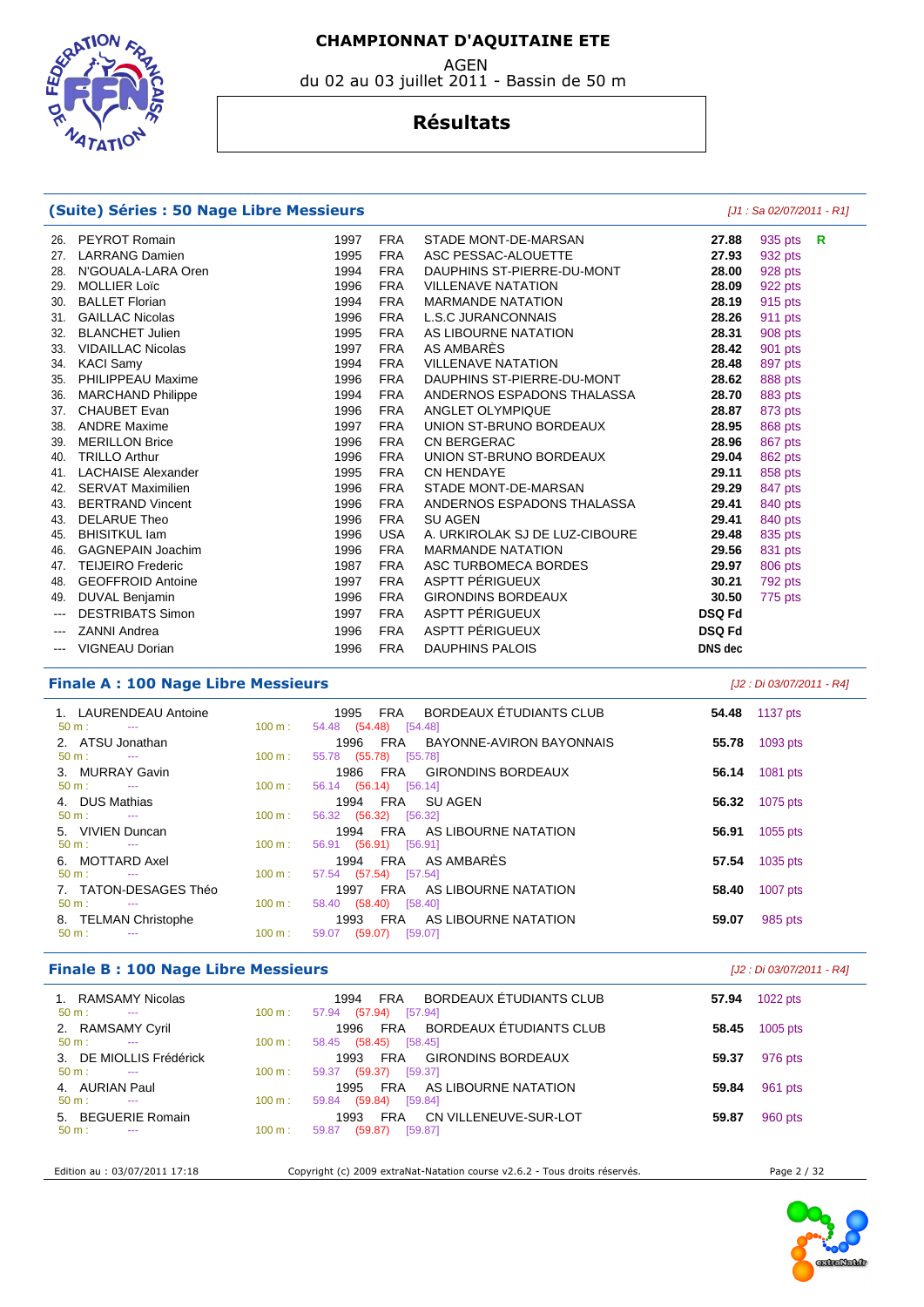du 02 au 03 juillet 2011 - Bassin de 50 m

**EDGRAT**  $47AT$ 

#### **Résultats**

#### **(Suite) Séries : 50 Nage Libre Messieurs (Suite) Séries : 50 Nage Libre Messieurs [J1 : Sa 02/07/2011 - R1]**

| 26.      | PEYROT Romain             | 1997 | <b>FRA</b> | STADE MONT-DE-MARSAN           | 27.88         | 935 pts | R |
|----------|---------------------------|------|------------|--------------------------------|---------------|---------|---|
| 27.      | <b>LARRANG Damien</b>     | 1995 | <b>FRA</b> | ASC PESSAC-ALOUETTE            | 27.93         | 932 pts |   |
| 28.      | N'GOUALA-LARA Oren        | 1994 | <b>FRA</b> | DAUPHINS ST-PIERRE-DU-MONT     | 28.00         | 928 pts |   |
| 29.      | <b>MOLLIER Loïc</b>       | 1996 | <b>FRA</b> | <b>VILLENAVE NATATION</b>      | 28.09         | 922 pts |   |
| 30.      | <b>BALLET Florian</b>     | 1994 | <b>FRA</b> | <b>MARMANDE NATATION</b>       | 28.19         | 915 pts |   |
| 31.      | <b>GAILLAC Nicolas</b>    | 1996 | <b>FRA</b> | <b>L.S.C JURANCONNAIS</b>      | 28.26         | 911 pts |   |
| 32.      | <b>BLANCHET Julien</b>    | 1995 | <b>FRA</b> | AS LIBOURNE NATATION           | 28.31         | 908 pts |   |
| 33.      | <b>VIDAILLAC Nicolas</b>  | 1997 | <b>FRA</b> | AS AMBARÈS                     | 28.42         | 901 pts |   |
| 34.      | <b>KACI Samy</b>          | 1994 | <b>FRA</b> | <b>VILLENAVE NATATION</b>      | 28.48         | 897 pts |   |
| 35.      | PHILIPPEAU Maxime         | 1996 | <b>FRA</b> | DAUPHINS ST-PIERRE-DU-MONT     | 28.62         | 888 pts |   |
| 36.      | <b>MARCHAND Philippe</b>  | 1994 | <b>FRA</b> | ANDERNOS ESPADONS THALASSA     | 28.70         | 883 pts |   |
| 37.      | <b>CHAUBET Evan</b>       | 1996 | <b>FRA</b> | ANGLET OLYMPIQUE               | 28.87         | 873 pts |   |
| 38.      | <b>ANDRE Maxime</b>       | 1997 | <b>FRA</b> | UNION ST-BRUNO BORDEAUX        | 28.95         | 868 pts |   |
| 39.      | <b>MERILLON Brice</b>     | 1996 | <b>FRA</b> | <b>CN BERGERAC</b>             | 28.96         | 867 pts |   |
| 40.      | <b>TRILLO Arthur</b>      | 1996 | <b>FRA</b> | UNION ST-BRUNO BORDEAUX        | 29.04         | 862 pts |   |
| 41.      | <b>LACHAISE Alexander</b> | 1995 | <b>FRA</b> | <b>CN HENDAYE</b>              | 29.11         | 858 pts |   |
| 42.      | <b>SERVAT Maximilien</b>  | 1996 | <b>FRA</b> | STADE MONT-DE-MARSAN           | 29.29         | 847 pts |   |
| 43.      | <b>BERTRAND Vincent</b>   | 1996 | <b>FRA</b> | ANDERNOS ESPADONS THALASSA     | 29.41         | 840 pts |   |
| 43.      | <b>DELARUE Theo</b>       | 1996 | <b>FRA</b> | <b>SU AGEN</b>                 | 29.41         | 840 pts |   |
| 45.      | <b>BHISITKUL lam</b>      | 1996 | <b>USA</b> | A. URKIROLAK SJ DE LUZ-CIBOURE | 29.48         | 835 pts |   |
| 46.      | <b>GAGNEPAIN Joachim</b>  | 1996 | <b>FRA</b> | <b>MARMANDE NATATION</b>       | 29.56         | 831 pts |   |
| 47.      | <b>TEIJEIRO Frederic</b>  | 1987 | <b>FRA</b> | ASC TURBOMECA BORDES           | 29.97         | 806 pts |   |
| 48.      | <b>GEOFFROID Antoine</b>  | 1997 | <b>FRA</b> | ASPTT PÉRIGUEUX                | 30.21         | 792 pts |   |
| 49.      | DUVAL Benjamin            | 1996 | <b>FRA</b> | <b>GIRONDINS BORDEAUX</b>      | 30.50         | 775 pts |   |
|          | <b>DESTRIBATS Simon</b>   | 1997 | <b>FRA</b> | ASPTT PÉRIGUEUX                | <b>DSQ Fd</b> |         |   |
| $---$    | <b>ZANNI Andrea</b>       | 1996 | <b>FRA</b> | ASPTT PÉRIGUEUX                | <b>DSQ Fd</b> |         |   |
| $\cdots$ | <b>VIGNEAU Dorian</b>     | 1996 | <b>FRA</b> | <b>DAUPHINS PALOIS</b>         | DNS dec       |         |   |
|          |                           |      |            |                                |               |         |   |

#### **Finale A : 100 Nage Libre Messieurs** [J2 : Di 03/07/2011 - R4]

| 1. LAURENDEAU Antoine                    |                   | BORDEAUX ÉTUDIANTS CLUB<br>FRA<br>1995 | 54.48 | 1137 pts |
|------------------------------------------|-------------------|----------------------------------------|-------|----------|
| $50 \text{ m}$ : $-$                     | $100 \text{ m}$ : | 54.48 (54.48) [54.48]                  |       |          |
| 2. ATSU Jonathan                         |                   | FRA BAYONNE-AVIRON BAYONNAIS<br>1996   | 55.78 | 1093 pts |
| $50 \text{ m}$ : $-$                     | $100 \text{ m}$ : | 55.78 (55.78) [55.78]                  |       |          |
| 3. MURRAY Gavin                          |                   | FRA GIRONDINS BORDEAUX<br>1986         | 56.14 | 1081 pts |
| $50 \text{ m}$ : $-$                     | $100 \text{ m}$ : | 56.14 (56.14) [56.14]                  |       |          |
| 4. DUS Mathias                           |                   | 1994<br>FRA SUAGEN                     | 56.32 | 1075 pts |
| $50 \text{ m}$ :<br><b>Service State</b> | $100 \text{ m}$ : | 56.32 (56.32) [56.32]                  |       |          |
| 5. VIVIEN Duncan                         |                   | 1994 FRA AS LIBOURNE NATATION          | 56.91 | 1055 pts |
| $50 \text{ m}$ : $-$                     | $100 \text{ m}$ : | 56.91 (56.91) [56.91]                  |       |          |
| 6. MOTTARD Axel                          |                   | 1994 FRA AS AMBARÈS                    | 57.54 | 1035 pts |
| $50 \text{ m}$ :<br><b>Service State</b> | $100 \text{ m}$ : | $(57.54)$ [57.54]<br>57.54             |       |          |
| 7. TATON-DESAGES Théo                    |                   | AS LIBOURNE NATATION<br>FRA<br>1997    | 58.40 | 1007 pts |
| $50 \text{ m}$ : $-$                     | $100 \text{ m}$ : | 58.40 (58.40) [58.40]                  |       |          |
| 8. TELMAN Christophe                     |                   | 1993 FRA AS LIBOURNE NATATION          | 59.07 | 985 pts  |
| $50 m$ :<br>$\sim$ $\sim$                | 100 m:            | (59.07)<br>[59.07]<br>59.07            |       |          |

#### **Finale B : 100 Nage Libre Messieurs** [J2 : Di 03/07/2011 - R4]

| 1. RAMSAMY Nicolas<br>$50 \text{ m}$ :<br>$\sim$ $\sim$      | $100 \text{ m}$ : | BORDEAUX ÉTUDIANTS CLUB<br>FRA<br>1994<br>(57.94)<br>[57.94]<br>57.94 | 57.94 | 1022 pts   |
|--------------------------------------------------------------|-------------------|-----------------------------------------------------------------------|-------|------------|
| 2. RAMSAMY Cyril<br>$50 \text{ m}$ :<br>$\sim$               | $100 \text{ m}$ : | BORDEAUX ÉTUDIANTS CLUB<br>FRA<br>1996<br>(58.45)<br>58.45<br>[58.45] | 58.45 | $1005$ pts |
| 3. DE MIOLLIS Frédérick<br>$50 \text{ m}$ :<br>$\sim$ $\sim$ | $100 \text{ m}$ : | GIRONDINS BORDEAUX<br>1993<br>FRA<br>$(59.37)$ [59.37]<br>59.37       | 59.37 | 976 pts    |
| 4. AURIAN Paul<br>$50 \text{ m}$ :<br>$\sim$ $\sim$          | 100 m:            | FRA AS LIBOURNE NATATION<br>1995<br>(59.84)<br>59.84<br>[59.84]       | 59.84 | 961 pts    |
| 5. BEGUERIE Romain<br>$50 \text{ m}$ :<br>$- - -$            | 100 m:            | CN VILLENEUVE-SUR-LOT<br>1993<br>FRA<br>(59.87)<br>[59.87]<br>59.87   | 59.87 | 960 pts    |
|                                                              |                   |                                                                       |       |            |

Edition au : 03/07/2011 17:18 Copyright (c) 2009 extraNat-Natation course v2.6.2 - Tous droits réservés. Page 2 / 32

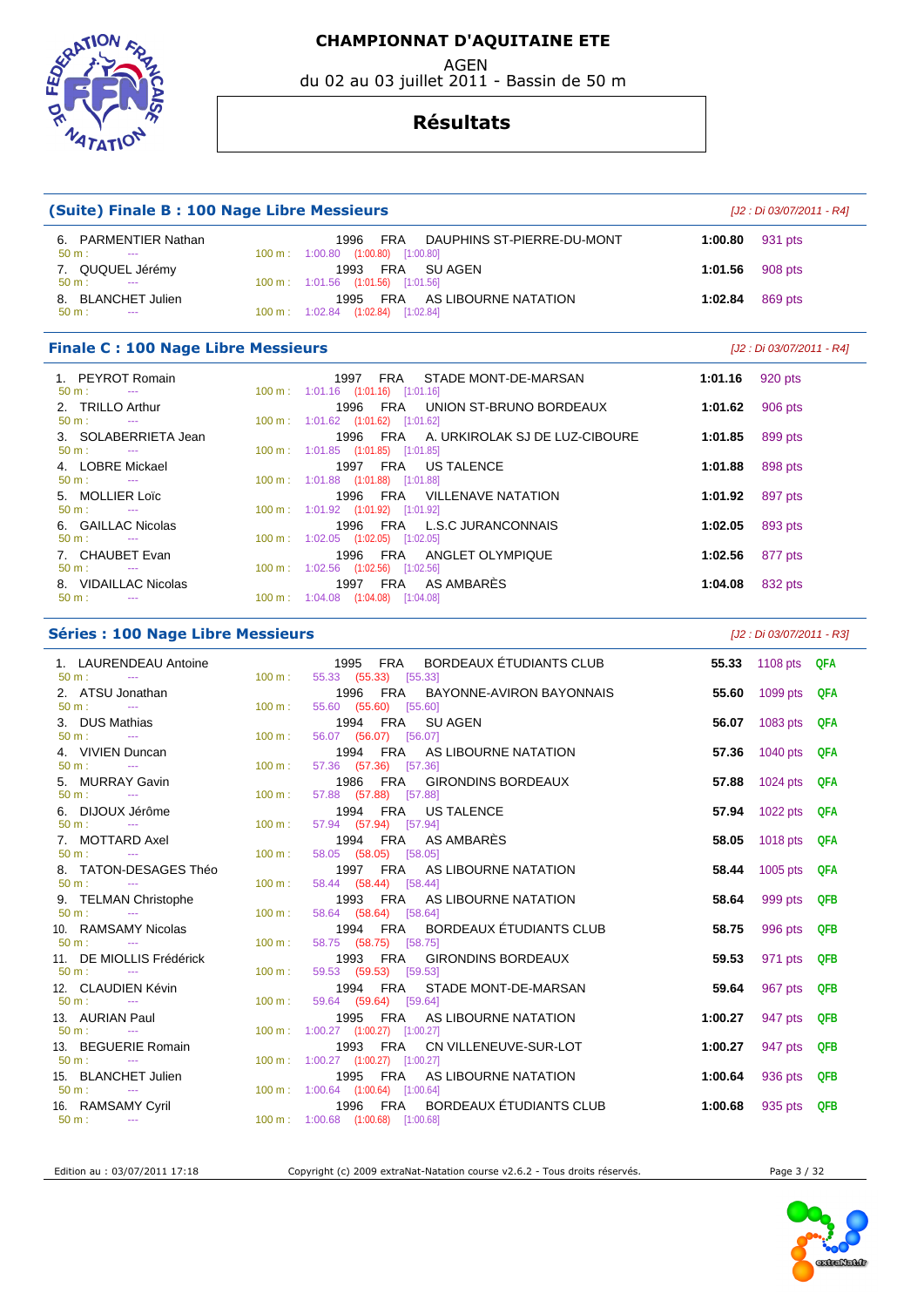EEDS ARTION **ATATI** 

#### AGEN du 02 au 03 juillet 2011 - Bassin de 50 m

#### **Résultats**

| (Suite) Finale B: 100 Nage Libre Messieurs                  |                                                                                          | [J2 : Di 03/07/2011 - R4] |                           |  |  |
|-------------------------------------------------------------|------------------------------------------------------------------------------------------|---------------------------|---------------------------|--|--|
| 6. PARMENTIER Nathan<br>50 m:<br>$\sim$ $\sim$              | 1996<br>FRA<br>DAUPHINS ST-PIERRE-DU-MONT<br>100 m: 1:00.80 (1:00.80) [1:00.80]          | 1:00.80                   | 931 pts                   |  |  |
| 7. QUQUEL Jérémy                                            | FRA<br><b>SU AGEN</b><br>1993                                                            | 1:01.56                   | 908 pts                   |  |  |
| $50 m$ :<br>$\sim$ $\sim$                                   | 100 m: 1:01.56 (1:01.56) [1:01.56]                                                       |                           |                           |  |  |
| 8. BLANCHET Julien<br>$50 m$ :<br>$\sim$ $\sim$             | 1995<br>FRA<br>AS LIBOURNE NATATION<br>100 m: 1:02.84 (1:02.84) [1:02.84]                | 1:02.84                   | 869 pts                   |  |  |
| <b>Finale C: 100 Nage Libre Messieurs</b>                   |                                                                                          |                           | [J2 : Di 03/07/2011 - R4] |  |  |
| 1. PEYROT Romain                                            | 1997<br><b>FRA</b><br>STADE MONT-DE-MARSAN                                               | 1:01.16                   | 920 pts                   |  |  |
| $50 m$ :<br>$\omega_{\rm{max}}$<br>2. TRILLO Arthur         | 100 m: 1:01.16 (1:01.16) [1:01.16]<br>1996<br>FRA<br>UNION ST-BRUNO BORDEAUX             | 1:01.62                   | 906 pts                   |  |  |
| $50 m$ :<br>$\mathbb{Z} \to \mathbb{Z}$                     | 100 m: 1:01.62 (1:01.62) [1:01.62]                                                       |                           |                           |  |  |
| 3. SOLABERRIETA Jean                                        | <b>FRA</b><br>1996<br>A. URKIROLAK SJ DE LUZ-CIBOURE                                     | 1:01.85                   | 899 pts                   |  |  |
| $50 m$ :<br>$\sim$                                          | 100 m: 1:01.85 (1:01.85) [1:01.85]                                                       |                           |                           |  |  |
| 4. LOBRE Mickael<br>$50 m$ :<br>$\mathbb{Z} \to \mathbb{Z}$ | <b>FRA</b><br>1997<br><b>US TALENCE</b><br>100 m: 1:01.88 (1:01.88) [1:01.88]            | 1:01.88                   | 898 pts                   |  |  |
| MOLLIER Loïc<br>5.                                          | 1996<br>FRA<br><b>VILLENAVE NATATION</b>                                                 | 1:01.92                   | 897 pts                   |  |  |
| $50 m$ :<br>$\mathbb{Z} \to \mathbb{Z}$                     | 100 m: 1:01.92 (1:01.92) [1:01.92]                                                       |                           |                           |  |  |
| 6. GAILLAC Nicolas<br>$50 m$ :<br>$\sim$                    | <b>FRA</b><br><b>L.S.C JURANCONNAIS</b><br>1996<br>100 m: 1:02.05 (1:02.05) [1:02.05]    | 1:02.05                   | 893 pts                   |  |  |
| 7. CHAUBET Evan                                             | 1996<br>FRA<br>ANGLET OLYMPIQUE                                                          | 1:02.56                   | 877 pts                   |  |  |
| $50 m$ :<br>$\sim$                                          | 100 m: 1:02.56 (1:02.56) [1:02.56]                                                       |                           |                           |  |  |
| 8. VIDAILLAC Nicolas<br>50 m:<br>$-$                        | AS AMBARES<br>1997<br><b>FRA</b><br>100 m: 1:04.08 (1:04.08) [1:04.08]                   | 1:04.08                   | 832 pts                   |  |  |
| <b>Séries : 100 Nage Libre Messieurs</b>                    |                                                                                          |                           | [J2 : Di 03/07/2011 - R3] |  |  |
| 1. LAURENDEAU Antoine<br>$50 m$ :<br>$\sim$                 | BORDEAUX ÉTUDIANTS CLUB<br><b>FRA</b><br>1995<br>100 m:<br>55.33 (55.33) [55.33]         | 55.33                     | 1108 $pts$<br>QFA         |  |  |
| 2. ATSU Jonathan                                            | <b>FRA</b><br>1996<br>BAYONNE-AVIRON BAYONNAIS                                           | 55.60                     | 1099 pts<br>QFA           |  |  |
| $50 m$ :<br>$\mathbb{Z} \to \mathbb{Z}$                     | 100 m:<br>55.60 (55.60)<br>[55.60]                                                       |                           |                           |  |  |
| 3. DUS Mathias                                              | <b>FRA</b><br>1994<br><b>SU AGEN</b>                                                     | 56.07                     | 1083 pts<br>QFA           |  |  |
| $50 m$ :<br>$\sim$<br>4. VIVIEN Duncan                      | 100 m:<br>56.07 (56.07) [56.07]<br><b>FRA</b><br>1994<br>AS LIBOURNE NATATION            | 57.36                     | 1040 pts<br><b>QFA</b>    |  |  |
| $50 m$ :<br>$\sim$                                          | 100 m:<br>57.36 (57.36) [57.36]                                                          |                           |                           |  |  |
| 5. MURRAY Gavin                                             | <b>FRA</b><br><b>GIRONDINS BORDEAUX</b><br>1986                                          | 57.88                     | 1024 pts<br>QFA           |  |  |
| $50 m$ :<br>$\sim$ $\sim$                                   | 100 m:<br>57.88 (57.88) [57.88]                                                          |                           |                           |  |  |
| 6. DIJOUX Jérôme<br>$50 m$ :<br>$\sim$                      | <b>FRA</b><br>1994<br><b>US TALENCE</b><br>100 m:<br>57.94 (57.94) [57.94]               | 57.94                     | 1022 pts<br><b>QFA</b>    |  |  |
| <b>MOTTARD Axel</b><br>7.                                   | AS AMBARÈS<br>1994<br><b>FRA</b>                                                         | 58.05                     | 1018 pts<br><b>QFA</b>    |  |  |
| $50 m$ :<br>$\sim$                                          | 100 m:<br>58.05 (58.05) [58.05]                                                          |                           |                           |  |  |
| 8. TATON-DESAGES Théo<br>$50 m +$                           | <b>FRA</b><br>AS LIBOURNE NATATION<br>1997<br>58.44 (58.44) [58.44]<br>$100 \text{ m}$ . | 58.44                     | 1005 pts<br>QFA           |  |  |
|                                                             |                                                                                          |                           |                           |  |  |

| 7. MUITARD AXEI                               |                   | 1994 FRA ASAMBARES                                     |         | <b>58.05</b> TUT8 DIS <b>UPA</b> |  |
|-----------------------------------------------|-------------------|--------------------------------------------------------|---------|----------------------------------|--|
| $50 \text{ m}$ : $-$                          | $100 \text{ m}$ : | 58.05 (58.05) [58.05]                                  |         |                                  |  |
| 8. TATON-DESAGES Théo<br>$50 \text{ m}$ : --- | $100 \text{ m}$ : | 1997 FRA AS LIBOURNE NATATION<br>58.44 (58.44) [58.44] |         | <b>58.44</b> 1005 pts QFA        |  |
| 9. TELMAN Christophe                          |                   | 1993 FRA AS LIBOURNE NATATION                          |         | <b>58.64</b> 999 pts QFB         |  |
| $50 \text{ m}$ : $-$                          | $100 \text{ m}$ : | 58.64 (58.64) [58.64]                                  |         |                                  |  |
| 10. RAMSAMY Nicolas                           |                   | 1994 FRA BORDEAUX ÉTUDIANTS CLUB                       |         | <b>58.75</b> 996 pts QFB         |  |
| $50 \text{ m}$ : $-$                          | $100 \text{ m}$ : | 58.75 (58.75) [58.75]                                  |         |                                  |  |
| 11. DE MIOLLIS Frédérick                      |                   | 1993 FRA GIRONDINS BORDEAUX                            |         | <b>59.53</b> 971 pts QFB         |  |
| $50 \text{ m}$ : ---                          | $100 \text{ m}$ : | 59.53 (59.53) [59.53]                                  |         |                                  |  |
| 12. CLAUDIEN Kévin                            |                   | 1994 FRA STADE MONT-DE-MARSAN                          |         | <b>59.64</b> 967 pts QFB         |  |
| $50 \text{ m}$ : $-$                          | $100 \text{ m}$ : | 59.64 (59.64) [59.64]                                  |         |                                  |  |
| 13. AURIAN Paul                               |                   | 1995 FRA AS LIBOURNE NATATION                          | 1:00.27 | 947 pts QFB                      |  |
| $50 \text{ m}$ : $-$                          |                   | 100 m : $1:00.27$ (1:00.27) [1:00.27]                  |         |                                  |  |
| 13. BEGUERIE Romain                           |                   | 1993 FRA CN VILLENEUVE-SUR-LOT                         | 1:00.27 | 947 pts QFB                      |  |
| $50 \text{ m}$ : $-$                          |                   | 100 m: $1:00.27$ (1:00.27) [1:00.27]                   |         |                                  |  |
| 15. BLANCHET Julien                           |                   | 1995 FRA AS LIBOURNE NATATION                          | 1:00.64 | 936 pts QFB                      |  |
| $50 \text{ m}$ : ---                          |                   | $100 \text{ m}$ : $1:00.64$ $(1:00.64)$ $[1:00.64]$    |         |                                  |  |
| 16. RAMSAMY Cyril                             |                   | 1996 FRA BORDEAUX ÉTUDIANTS CLUB                       |         | 1:00.68 935 pts QFB              |  |
| $50 m:$ --                                    |                   | $100 \text{ m}$ : $1:00.68$ $(1:00.68)$ $[1:00.68]$    |         |                                  |  |

Edition au : 03/07/2011 17:18 Copyright (c) 2009 extraNat-Natation course v2.6.2 - Tous droits réservés. Page 3 / 32

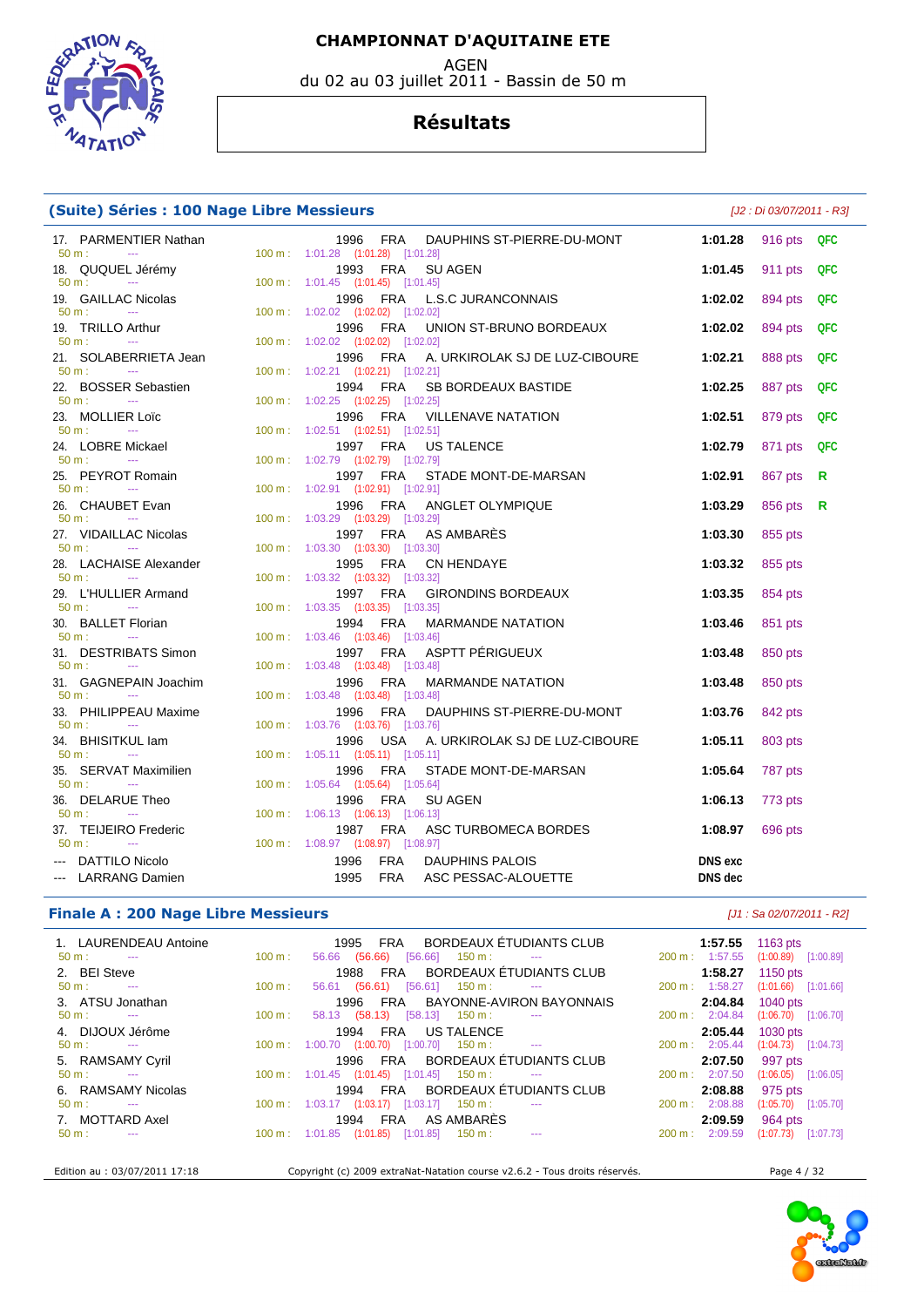AGEN

du 02 au 03 juillet 2011 - Bassin de 50 m



#### **Résultats**

| (Suite) Séries : 100 Nage Libre Messieurs                             | [J2 : Di 03/07/2011 - R3]                                                                  |                |         |     |
|-----------------------------------------------------------------------|--------------------------------------------------------------------------------------------|----------------|---------|-----|
| 17. PARMENTIER Nathan<br>50 m:<br>$\sim 100$ mass $^{-1}$             | FRA<br>DAUPHINS ST-PIERRE-DU-MONT<br>1996<br>100 m: 1:01.28 (1:01.28) [1:01.28]            | 1:01.28        | 916 pts | QFC |
| 18. QUQUEL Jérémy                                                     | 1993 FRA<br>SU AGEN                                                                        | 1:01.45        | 911 pts | QFC |
| 50 m:<br><b>Service</b><br>19. GAILLAC Nicolas                        | 100 m: 1:01.45 (1:01.45) [1:01.45]<br>1996<br>FRA<br><b>L.S.C JURANCONNAIS</b>             | 1:02.02        | 894 pts | QFC |
| 50 m:<br>$\sim$<br>19. TRILLO Arthur                                  | 100 m: 1:02.02 (1:02.02) [1:02.02]<br>1996<br>FRA<br>UNION ST-BRUNO BORDEAUX               | 1:02.02        | 894 pts | QFC |
| $50 m$ :<br>$\sim$ 100 $\mu$<br>21. SOLABERRIETA Jean                 | 100 m: 1:02.02 (1:02.02) [1:02.02]<br>A. URKIROLAK SJ DE LUZ-CIBOURE<br>1996<br>FRA        | 1:02.21        | 888 pts | QFC |
| $50 m$ :<br>$\sim 100$ mass $^{-1}$<br>22. BOSSER Sebastien           | 100 m: 1:02.21 (1:02.21) [1:02.21]<br>1994<br>FRA<br>SB BORDEAUX BASTIDE                   | 1:02.25        | 887 pts | QFC |
| 50 m:<br><b>Continued</b><br>23. MOLLIER Loïc                         | 100 m: 1:02.25 (1:02.25) [1:02.25]<br>1996<br>FRA<br>VILLENAVE NATATION                    | 1:02.51        | 879 pts | QFC |
| 50 m:<br><b>Continued</b><br>24. LOBRE Mickael                        | 100 m: 1:02.51 (1:02.51) [1:02.51]<br>1997 FRA<br><b>US TALENCE</b>                        | 1:02.79        | 871 pts | QFC |
| $50 m$ :<br><b>Contract Contract</b><br>25. PEYROT Romain             | 100 m: 1:02.79 (1:02.79) [1:02.79]<br>STADE MONT-DE-MARSAN<br>1997 FRA                     | 1:02.91        | 867 pts | R   |
| 50 m:<br>$\sim 100$ mass $^{-1}$<br>26. CHAUBET Evan                  | 100 m: 1:02.91 (1:02.91) [1:02.91]<br>1996<br>FRA<br>ANGLET OLYMPIQUE                      | 1:03.29        | 856 pts | R   |
| 50 m:<br><b>Contract</b><br>27. VIDAILLAC Nicolas                     | 100 m: 1:03.29 (1:03.29) [1:03.29]<br>1997 FRA<br>AS AMBARES                               | 1:03.30        | 855 pts |     |
| $50 m$ :<br>$\sim 100$ mass $^{-1}$<br>28. LACHAISE Alexander         | 100 m: 1:03.30 (1:03.30) [1:03.30]<br>1995<br>FRA<br><b>CN HENDAYE</b>                     | 1:03.32        | 855 pts |     |
| $50 \text{ m}$ :<br><b>Contractor</b><br>29. L'HULLIER Armand         | 100 m: 1:03.32 (1:03.32) [1:03.32]<br>1997 FRA<br><b>GIRONDINS BORDEAUX</b>                | 1:03.35        | 854 pts |     |
| $50 m$ :<br><b>Continued State</b><br>30. BALLET Florian              | 100 m: 1:03.35 (1:03.35) [1:03.35]<br>1994 FRA<br><b>MARMANDE NATATION</b>                 | 1:03.46        | 851 pts |     |
| $50 m$ :<br>$\sim 100$ mass $^{-1}$<br>31. DESTRIBATS Simon           | 100 m: 1:03.46 (1:03.46) [1:03.46]<br>1997 FRA<br>ASPTT PÉRIGUEUX                          | 1:03.48        | 850 pts |     |
| 50 m:<br><b>Contract</b><br>31. GAGNEPAIN Joachim                     | 100 m: 1:03.48 (1:03.48) [1:03.48]<br><b>FRA</b><br><b>MARMANDE NATATION</b><br>1996       | 1:03.48        | 850 pts |     |
| $50 m$ :<br>$\sim$<br>33. PHILIPPEAU Maxime                           | 100 m: 1:03.48 (1:03.48) [1:03.48]<br><b>FRA</b><br>DAUPHINS ST-PIERRE-DU-MONT<br>1996     | 1:03.76        | 842 pts |     |
| $50 m$ :<br><b>Continued</b><br>34. BHISITKUL lam                     | 100 m: 1:03.76 (1:03.76) [1:03.76]<br>1996<br><b>USA</b><br>A. URKIROLAK SJ DE LUZ-CIBOURE | 1:05.11        | 803 pts |     |
| $50 m$ :<br><b>State State</b><br>35. SERVAT Maximilien               | 100 m: 1:05.11 (1:05.11) [1:05.11]<br><b>FRA</b><br>STADE MONT-DE-MARSAN<br>1996           | 1:05.64        | 787 pts |     |
| $50 m$ :<br>$\sim$<br>36. DELARUE Theo                                | 100 m: 1:05.64 (1:05.64) [1:05.64]<br>1996<br><b>FRA</b><br><b>SU AGEN</b>                 | 1:06.13        | 773 pts |     |
| $50 \text{ m}$ :<br><b>Contract Contract</b><br>37. TEIJEIRO Frederic | 100 m: 1:06.13 (1:06.13) [1:06.13]<br>1987 FRA<br>ASC TURBOMECA BORDES                     | 1:08.97        | 696 pts |     |
| $50 m$ :<br>$\sim$ 1000 $\pm$<br>--- DATTILO Nicolo                   | 100 m: 1:08.97 (1:08.97) [1:08.97]<br>1996<br><b>FRA</b><br>DAUPHINS PALOIS                | <b>DNS</b> exc |         |     |
| --- LARRANG Damien                                                    | 1995<br><b>FRA</b><br>ASC PESSAC-ALOUETTE                                                  | DNS dec        |         |     |

#### **Finale A : 200 Nage Libre Messieurs Exercía Exercípio A de 2007/2011 - R2**  $[J1: Sa 02/07/2011 - R2]$

| 1. LAURENDEAU Antoine                        |                   | 1995 FRA BORDEAUX ETUDIANTS CLUB                                                        | 1:57.55 $1163 \text{ pts}$                           |
|----------------------------------------------|-------------------|-----------------------------------------------------------------------------------------|------------------------------------------------------|
| 50 m :<br><b>Contract Contract</b>           | $100 \text{ m}$ : | 56.66 (56.66) [56.66] 150 m : ---                                                       | $200 \text{ m}: 1:57.55$<br>$(1:00.89)$ $[1:00.89]$  |
| 2. BEI Steve                                 |                   | FRA BORDEAUX ÉTUDIANTS CLUB<br>1988                                                     | 1:58.27 1150 pts                                     |
| $50 \text{ m}$ :<br><b>Service Contracts</b> | $100 \text{ m}$ : | 56.61 (56.61) [56.61] 150 m :<br>$\sim$                                                 | $200 \text{ m}: 1:58.27$<br>$(1:01.66)$ [1:01.66]    |
| 3. ATSU Jonathan                             |                   | FRA BAYONNE-AVIRON BAYONNAIS<br>1996                                                    | 2:04.84<br>$1040$ pts                                |
| $50 \text{ m}$ : $-$                         | $100 \text{ m}$ : | 58.13 (58.13) [58.13] 150 m :<br>$\sim$ $\sim$                                          | $200 \text{ m}: 2:04.84$<br>$(1:06.70)$ [1:06.70]    |
| 4. DIJOUX Jérôme                             |                   | 1994 FRA US TALENCE                                                                     | 2:05.44<br>1030 pts                                  |
| $50 \text{ m}$ : $-$                         |                   | $100 \text{ m}$ : $1:00.70$ $(1:00.70)$ $[1:00.70]$ $150 \text{ m}$ : ---               | $200 \text{ m}$ : 2:05.44<br>$(1:04.73)$ $[1:04.73]$ |
| 5. RAMSAMY Cyril                             |                   | 1996 FRA BORDEAUX ÉTUDIANTS CLUB                                                        | 2:07.50<br>997 pts                                   |
| $50 \text{ m}$ : $-$                         |                   | $100 \text{ m}$ : $1:01.45$ $(1:01.45)$ $[1:01.45]$ $150 \text{ m}$ : ---               | 200 m: 2:07.50<br>$(1:06.05)$ $[1:06.05]$            |
| 6. RAMSAMY Nicolas                           |                   | 1994 FRA BORDEAUX ÉTUDIANTS CLUB                                                        | 2:08.88<br>975 pts                                   |
| $50 \text{ m}$ : $-$                         |                   | 100 m: 1:03.17 (1:03.17) [1:03.17] 150 m:                                               | $(1:05.70)$ $[1:05.70]$<br>$200 \text{ m}$ : 2:08.88 |
| 7. MOTTARD Axel                              |                   | 1994 FRA AS AMBARES                                                                     | 2:09.59<br>964 pts                                   |
| $50 \text{ m}$ :                             |                   | $100 \text{ m}$ : $1:01.85$ $(1:01.85)$ $[1:01.85]$ $150 \text{ m}$ :<br><b>Section</b> | $200 \text{ m}$ : 2:09.59<br>$(1:07.73)$ $[1:07.73]$ |
|                                              |                   |                                                                                         |                                                      |

Edition au : 03/07/2011 17:18 Copyright (c) 2009 extraNat-Natation course v2.6.2 - Tous droits réservés. Page 4 / 32



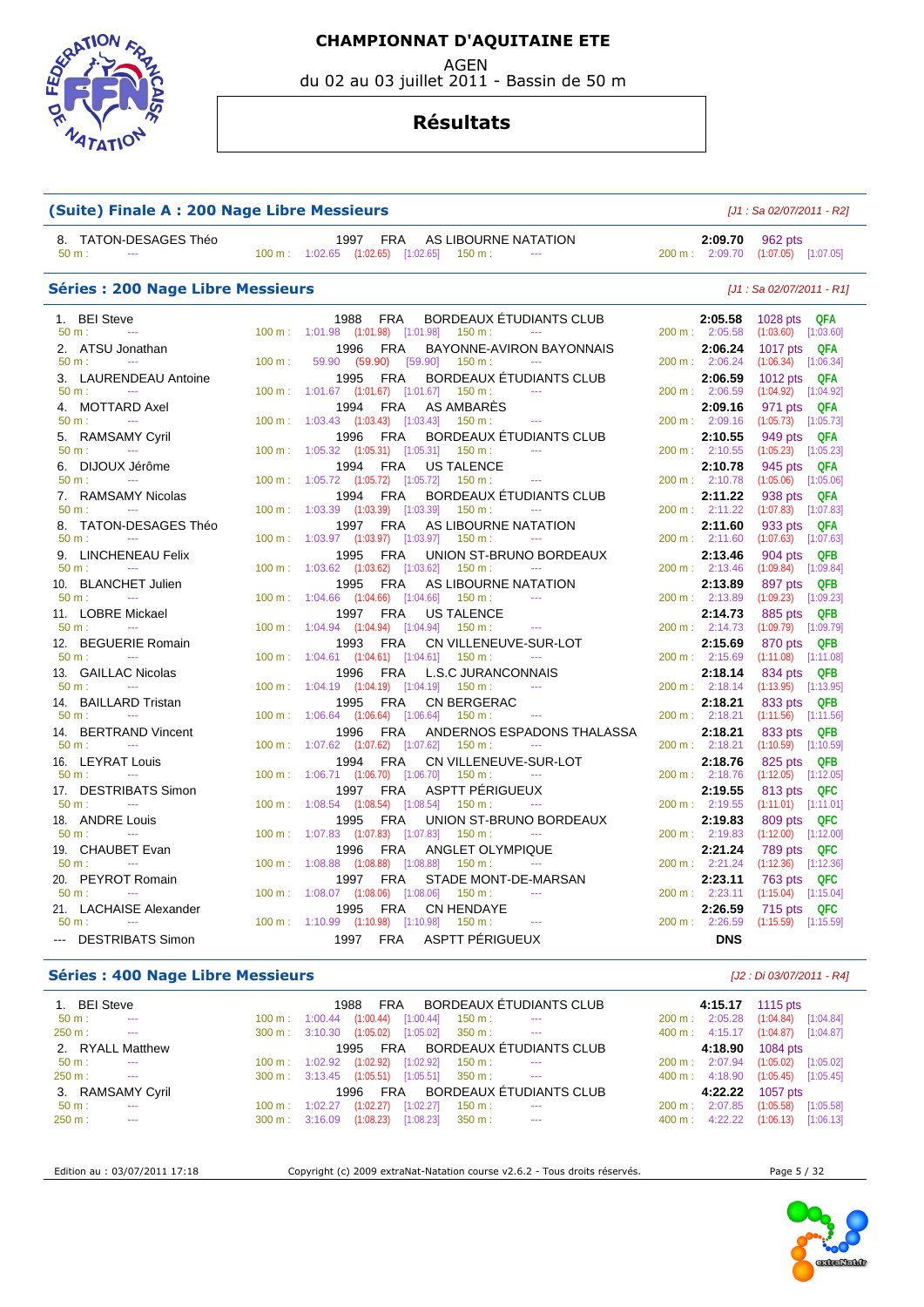AGEN

du 02 au 03 juillet 2011 - Bassin de 50 m

#### **Résultats**

| (Suite) Finale A : 200 Nage Libre Messieurs            | $[J1: Sa 02/07/2011 - R2]$ |                                                                                                                                   |                            |                                         |  |  |
|--------------------------------------------------------|----------------------------|-----------------------------------------------------------------------------------------------------------------------------------|----------------------------|-----------------------------------------|--|--|
| 8. TATON-DESAGES Théo<br>50 m:<br>$\sim$               |                            | <b>FRA</b><br>1997<br>AS LIBOURNE NATATION<br>$100 \text{ m}$ : $1:02.65$ $(1:02.65)$ $[1:02.65]$<br>$150 m$ :<br><b>Contract</b> | 2:09.70<br>200 m: 2:09.70  | 962 pts<br>$(1:07.05)$ [1:07.05]        |  |  |
| <b>Séries: 200 Nage Libre Messieurs</b>                |                            |                                                                                                                                   | $[J1: Sa 02/07/2011 - R1]$ |                                         |  |  |
| 1. BEI Steve                                           |                            | BORDEAUX ÉTUDIANTS CLUB<br><b>FRA</b><br>1988                                                                                     | 2:05.58                    | 1028 pts QFA                            |  |  |
| $50 m$ :<br>$\sim$                                     |                            | 100 m: 1:01.98 (1:01.98) [1:01.98]<br>150 m:<br>$\sim$                                                                            | 200 m: 2:05.58             | $(1:03.60)$ $[1:03.60]$                 |  |  |
| 2. ATSU Jonathan                                       |                            | 1996<br><b>FRA</b><br>BAYONNE-AVIRON BAYONNAIS                                                                                    | 2:06.24                    | 1017 pts QFA                            |  |  |
| $50 m$ :                                               | 100 m:                     | 59.90 (59.90)<br>[59.90]<br>150 m:                                                                                                | 200 m: 2:06.24             | $(1:06.34)$ $[1:06.34]$                 |  |  |
| LAURENDEAU Antoine<br>3.<br>$-$                        |                            | <b>FRA</b><br>BORDEAUX ETUDIANTS CLUB<br>1995                                                                                     | 2:06.59                    | 1012 pts QFA                            |  |  |
| 50 m:                                                  | 100 m:                     | $1:01.67$ $(1:01.67)$ $[1:01.67]$<br>150 m:                                                                                       | 200 m: 2:06.59             | $(1:04.92)$ $[1:04.92]$                 |  |  |
| <b>MOTTARD Axel</b><br>4.<br>$50 m$ :<br>$\sim$ $\sim$ | 100 m:                     | <b>FRA</b><br>AS AMBARES<br>1994<br>$1:03.43$ $(1:03.43)$ $[1:03.43]$<br>150 m:<br>$-$                                            | 2:09.16<br>200 m: 2:09.16  | 971 pts<br>QFA<br>$(1:05.73)$ [1:05.73] |  |  |
| <b>RAMSAMY Cyril</b><br>5.                             |                            | <b>FRA</b><br>BORDEAUX ETUDIANTS CLUB<br>1996                                                                                     | 2:10.55                    | 949 pts<br>QFA                          |  |  |
| 50 m:                                                  | 100 m:                     | 1:05.32 (1:05.31) [1:05.31]<br>$150 m$ :                                                                                          | 200 m: 2:10.55             | $(1:05.23)$ $[1:05.23]$                 |  |  |
| 6. DIJOUX Jérôme                                       |                            | <b>FRA</b><br><b>US TALENCE</b><br>1994                                                                                           | 2:10.78                    | 945 pts<br>QFA                          |  |  |
| 50 m:                                                  | 100 m:                     | 1:05.72 (1:05.72) [1:05.72]<br>150 m :<br>$\sim$                                                                                  | 200 m: 2:10.78             | $(1:05.06)$ $[1:05.06]$                 |  |  |
| <b>RAMSAMY Nicolas</b><br>7.                           |                            | 1994<br><b>FRA</b><br><b>BORDEAUX ETUDIANTS CLUB</b>                                                                              | 2:11.22                    | 938 pts<br>QFA                          |  |  |
| $50 m$ :<br>$\sim$                                     | 100 m:                     | 1:03.39 (1:03.39) [1:03.39]<br>150 m:                                                                                             | 200 m: 2:11.22             | $(1:07.83)$ [1:07.83]                   |  |  |
| 8. TATON-DESAGES Théo                                  |                            | 1997<br><b>FRA</b><br>AS LIBOURNE NATATION                                                                                        | 2:11.60                    | 933 pts<br>QFA                          |  |  |
| $50 m$ :<br>$\sim$                                     | $100 \text{ m}$ :          | 1:03.97 (1:03.97) [1:03.97]<br>150 m:<br>$\sim$                                                                                   | 200 m: 2:11.60             | $(1:07.63)$ $[1:07.63]$                 |  |  |
| <b>LINCHENEAU Felix</b><br>9.                          |                            | <b>FRA</b><br>UNION ST-BRUNO BORDEAUX<br>1995                                                                                     | 2:13.46                    | 904 pts<br><b>QFB</b>                   |  |  |
| $50 m$ :                                               |                            | 100 m: 1:03.62 (1:03.62) [1:03.62]<br>150 m:                                                                                      | 200 m: 2:13.46             | $(1:09.84)$ $[1:09.84]$                 |  |  |
| <b>BLANCHET Julien</b><br>10.                          |                            | <b>FRA</b><br>AS LIBOURNE NATATION<br>1995                                                                                        | 2:13.89                    | 897 pts<br><b>QFB</b>                   |  |  |
| 50 m:<br>$\sim$                                        | 100 m:                     | 1:04.66 (1:04.66) [1:04.66]<br>150 m:                                                                                             | 200 m: 2:13.89             | $(1:09.23)$ [1:09.23]                   |  |  |
| <b>LOBRE Mickael</b><br>11.                            |                            | 1997<br><b>FRA</b><br><b>US TALENCE</b>                                                                                           | 2:14.73                    | <b>QFB</b><br>885 pts                   |  |  |
| $50 m$ :<br>$\sim$ $\sim$                              | 100 m:                     | 1:04.94 (1:04.94) [1:04.94]<br>150 m:<br>$\sim$                                                                                   | 200 m: 2:14.73             | $(1:09.79)$ $[1:09.79]$                 |  |  |
| <b>BEGUERIE Romain</b><br>12.<br>50 m:<br>$-$          | 100 m:                     | 1993<br><b>FRA</b><br>CN VILLENEUVE-SUR-LOT                                                                                       | 2:15.69<br>200 m: 2:15.69  | 870 pts<br><b>QFB</b>                   |  |  |
|                                                        |                            | $1:04.61$ $(1:04.61)$ $[1:04.61]$<br>150 m:                                                                                       |                            | $(1:11.08)$ $[1:11.08]$                 |  |  |
| <b>GAILLAC Nicolas</b><br>13.<br>$50 m$ :<br>$\sim$    | 100 m:                     | 1996<br>FRA<br>L.S.C JURANCONNAIS<br>$1:04.19$ $(1:04.19)$ $[1:04.19]$<br>150 m :                                                 | 2:18.14<br>200 m: 2:18.14  | 834 pts QFB<br>$(1:13.95)$ $[1:13.95]$  |  |  |
| <b>BAILLARD Tristan</b><br>14.                         |                            | <b>FRA</b><br>1995<br><b>CN BERGERAC</b>                                                                                          | 2:18.21                    | 833 pts<br><b>QFB</b>                   |  |  |
| 50 m:<br>$\sim$ $\sim$                                 | 100 m:                     | $1:06.64$ $(1:06.64)$ $[1:06.64]$<br>150 m :<br>$\sim$                                                                            | 200 m: 2:18.21             | $(1:11.56)$ [1:11.56]                   |  |  |
| <b>BERTRAND Vincent</b><br>14.                         |                            | <b>FRA</b><br>1996<br>ANDERNOS ESPADONS THALASSA                                                                                  | 2:18.21                    | 833 pts QFB                             |  |  |
| 50 m:                                                  | 100 m:                     | 1:07.62 (1:07.62) [1:07.62]<br>150 m:                                                                                             | 200 m: 2:18.21             | $(1:10.59)$ $[1:10.59]$                 |  |  |
| 16. LEYRAT Louis                                       |                            | <b>FRA</b><br>CN VILLENEUVE-SUR-LOT<br>1994                                                                                       | 2:18.76                    | 825 pts QFB                             |  |  |
| 50 m:<br>$\sim$ $\sim$                                 | 100 m:                     | $1:06.71$ $(1:06.70)$ $[1:06.70]$<br>150 m:<br>$\sim$                                                                             | 200 m: 2:18.76             | $(1:12.05)$ $[1:12.05]$                 |  |  |
| 17. DESTRIBATS Simon                                   |                            | ASPTT PERIGUEUX<br>1997<br><b>FRA</b>                                                                                             | 2:19.55                    | 813 pts<br>QFC                          |  |  |
| 50 m:<br>$\sim$ $\sim$                                 | 100 m:                     | $1:08.54$ $(1:08.54)$ $[1:08.54]$<br>$150 m$ :                                                                                    | 200 m: 2:19.55             | $(1:11.01)$ [1:11.01]                   |  |  |
| <b>ANDRE Louis</b><br>18.                              |                            | 1995<br><b>FRA</b><br>UNION ST-BRUNO BORDEAUX                                                                                     | 2:19.83                    | 809 pts<br>QFC                          |  |  |
| $50 m$ :<br>$\sim$                                     | 100 m:                     | $1:07.83$ $(1:07.83)$ $[1:07.83]$<br>150 m:<br>$\cdots$                                                                           | 200 m: 2:19.83             | $(1:12.00)$ [1:12.00]                   |  |  |
| CHAUBET Evan<br>19.                                    |                            | <b>FRA</b><br>1996<br>ANGLET OLYMPIQUE                                                                                            | 2:21.24                    | 789 pts<br>QFC                          |  |  |
| $50 m$ :<br>$-$                                        | $100 m$ :                  | 1:08.88 (1:08.88) [1:08.88]<br>150 m:<br>$\sim$ $\sim$ $\sim$                                                                     | 200 m: 2:21.24             | $(1:12.36)$ $[1:12.36]$                 |  |  |
| PEYROT Romain<br>20.                                   |                            | <b>FRA</b><br>1997<br>STADE MONT-DE-MARSAN                                                                                        | 2:23.11                    | 763 pts<br>QFC                          |  |  |
| 50 m:                                                  | 100 m:                     | $1:08.07$ $(1:08.06)$ $[1:08.06]$<br>150 m:                                                                                       | 200 m: 2:23.11             | $(1:15.04)$ [1:15.04]                   |  |  |
| 21. LACHAISE Alexander<br>$50 m$ :<br>$\sim$           |                            | 1995<br><b>FRA</b><br><b>CN HENDAYE</b><br>100 m: 1:10.99 (1:10.98) [1:10.98]<br>150 m:<br>$\sim$                                 | 2:26.59<br>200 m: 2:26.59  | QFC<br>715 pts<br>$(1:15.59)$ [1:15.59] |  |  |
|                                                        |                            |                                                                                                                                   |                            |                                         |  |  |
| --- DESTRIBATS Simon                                   |                            | ASPTT PÉRIGUEUX<br>1997<br><b>FRA</b>                                                                                             | <b>DNS</b>                 |                                         |  |  |

#### **Séries : 400 Nage Libre Messieurs** [J2 : Di 03/07/2011 - R4]

| 1. BEI Steve                      |                   |                                    | <b>FRA</b><br>1988               |                                    |                       | BORDEAUX ÉTUDIANTS CLUB |                             | 4:15.17 | 1115 $pts$            |            |  |
|-----------------------------------|-------------------|------------------------------------|----------------------------------|------------------------------------|-----------------------|-------------------------|-----------------------------|---------|-----------------------|------------|--|
| $50 \text{ m}$ :<br>$\frac{1}{2}$ | $100 \text{ m}$ : | $1:00.44$ $(1:00.44)$              |                                  | [1:00.44]                          | 150 m :               | $\scriptstyle\cdots$    | 200 m: 2:05.28              |         | (1:04.84)             | [1:04.84]  |  |
| 250 m:<br>$\sim$ $\sim$           |                   | $300 \text{ m}: 3:10.30 (1:05.02)$ |                                  | [1:05.02]                          | $350 \text{ m}$ : $-$ |                         | 400 m: 4:15.17              |         | $(1:04.87)$ [1:04.87] |            |  |
| 2. RYALL Matthew                  |                   |                                    | 1995 FRA BORDEAUX ÉTUDIANTS CLUB |                                    | 4:18.90               | $1084$ pts              |                             |         |                       |            |  |
| $50 \text{ m}$ :<br>$\sim$ $\sim$ | $100 \text{ m}$ : | 1:02.92 (1:02.92)                  |                                  | [1:02.92]                          | 150 m :               | $- - -$                 | $200 \text{ m}$ : $2:07.94$ |         | (1:05.02)             | [1:05.02]  |  |
| 250 m:<br>$\sim$ $\sim$           |                   |                                    |                                  | 300 m: 3:13.45 (1:05.51) [1:05.51] | 350 m :               | <b>State State</b>      | $400 \text{ m}: 4:18.90$    |         | (1:05.45)             | [1:05.45]  |  |
| 3. RAMSAMY Cyril                  |                   |                                    | FRA<br>1996                      |                                    |                       | BORDEAUX ÉTUDIANTS CLUB |                             | 4:22.22 |                       | 1057 $pts$ |  |
| $50 \text{ m}$ :<br>$\sim$        | $100 \text{ m}$ : | 1:02.27                            | (1:02.27)                        | [1:02.27]                          | 150 m :               | $-$                     | $200 \text{ m}$ :           | 2:07.85 | (1:05.58)             | [1:05.58]  |  |
| 250 m:<br>$\sim$ $\sim$           |                   | $300 \text{ m}: 3:16.09$           | (1:08.23)                        | [1:08.23]                          | $350 \text{ m}$ :     | $\sim$ $\sim$           | 400 m:                      | 4:22.22 | (1:06.13)             | [1:06.13]  |  |

EDSTATION

 $47$ ATI

Edition au : 03/07/2011 17:18 Copyright (c) 2009 extraNat-Natation course v2.6.2 - Tous droits réservés. Page 5 / 32

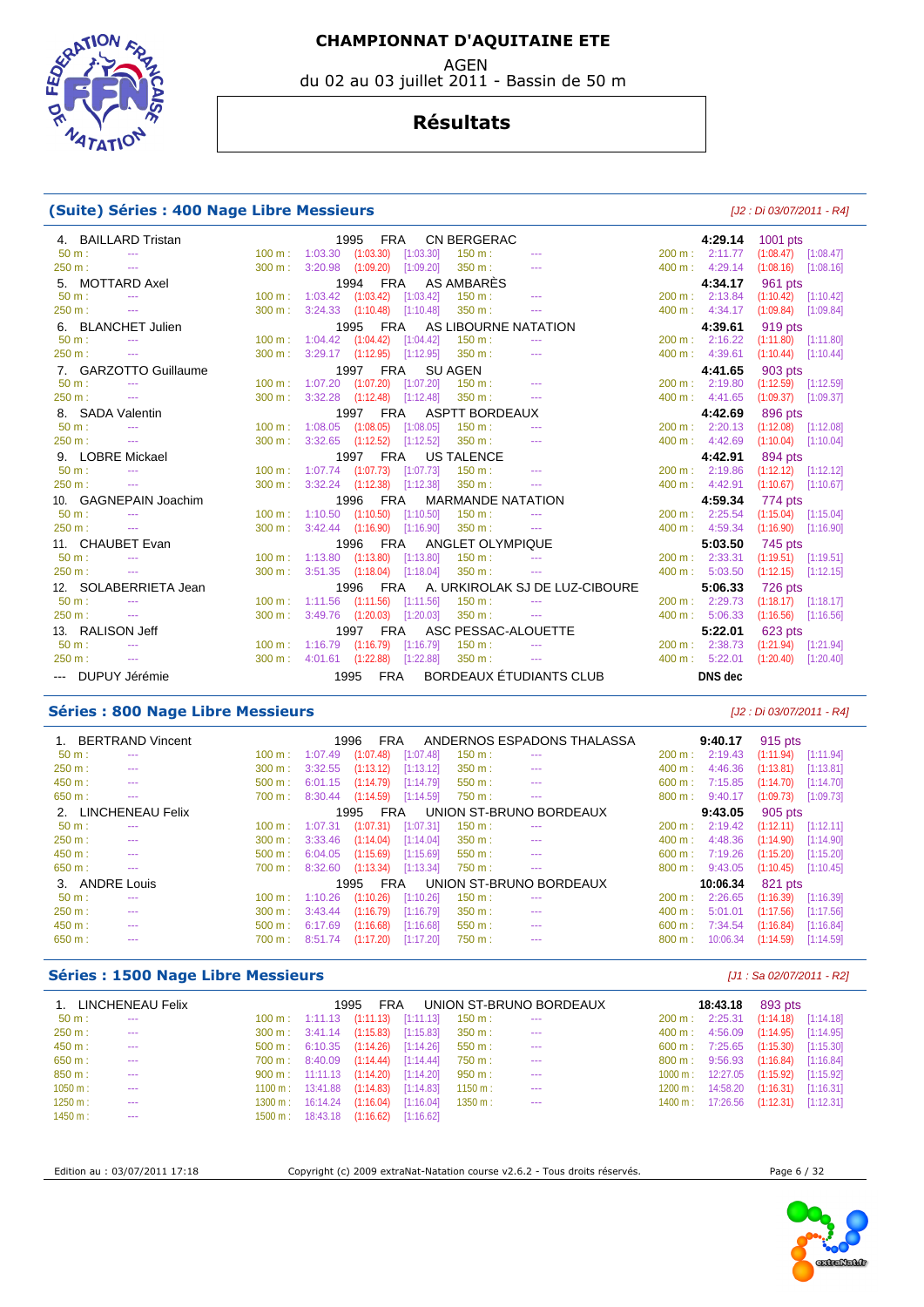**EDGRAT**  $47AT$ 

#### **Résultats**

du 02 au 03 juillet 2011 - Bassin de 50 m

#### **(Suite) Séries : 400 Nage Libre Messieurs** [J2 : Di 03/07/2011 - R4]

| 4. BAILLARD Tristan               |                   |         | 1995               | FRA                               | <b>CN BERGERAC</b>        |                                    |                    | 4:29.14                   | 1001 pts  |                         |
|-----------------------------------|-------------------|---------|--------------------|-----------------------------------|---------------------------|------------------------------------|--------------------|---------------------------|-----------|-------------------------|
| $50 m$ :<br>$\sim$ $\sim$         | $100 \text{ m}$ : |         |                    | 1:03.30 (1:03.30) [1:03.30]       | 150 m:                    | $- - -$                            |                    | 200 m : 2:11.77           |           | $(1:08.47)$ $[1:08.47]$ |
| 250 m:<br>$\sim$ $\sim$           | 300 m:            |         |                    | 3:20.98 (1:09.20) [1:09.20]       | 350 m:                    | $- - -$                            |                    | 400 m: 4:29.14            | (1:08.16) | [1:08.16]               |
| 5. MOTTARD Axel                   |                   |         |                    |                                   | 1994 FRA AS AMBARÈS       |                                    |                    | 4:34.17                   | 961 pts   |                         |
| $50 m$ :<br>$\sim$ $\sim$         | $100 \text{ m}$ : | 1:03.42 |                    | $(1:03.42)$ [1:03.42]             | 150 m:                    | $\cdots$                           | $200 \text{ m}$ :  | 2:13.84                   | (1:10.42) | [1:10.42]               |
| 250 m:<br>$  \sim$                | 300 m:            |         |                    | $3:24.33$ $(1:10.48)$ $[1:10.48]$ | 350 m:                    | $\cdots$                           |                    | 400 m: 4:34.17            | (1:09.84) | [1:09.84]               |
| 6. BLANCHET Julien                |                   |         | 1995               |                                   |                           | FRA AS LIBOURNE NATATION           |                    | 4:39.61                   | 919 pts   |                         |
| $50 m$ :<br>$\sim$ $\sim$         | 100 m:            |         |                    | 1:04.42 (1:04.42) [1:04.42]       | 150 m:                    |                                    |                    | 200 m : 2:16.22           | (1:11.80) | [1:11.80]               |
| 250 m:<br>$\sim$ $\sim$           | 300 m:            |         |                    | $3:29.17$ $(1:12.95)$ $[1:12.95]$ | 350 m:                    | $-$                                |                    | 400 m: 4:39.61            | (1:10.44) | [1:10.44]               |
| 7. GARZOTTO Guillaume             |                   |         | 1997               | <b>FRA</b>                        | <b>SU AGEN</b>            |                                    |                    | 4:41.65                   | 903 pts   |                         |
| $50 m$ :<br>$\sim$ $\sim$         | 100 m:            |         |                    | 1:07.20 (1:07.20) [1:07.20]       | $150 m$ :                 | $\sim$ $\sim$                      |                    | 200 m : 2:19.80           |           | $(1:12.59)$ $[1:12.59]$ |
| 250 m:<br>$\sim$                  | 300 m:            |         |                    | $3:32.28$ $(1:12.48)$ $[1:12.48]$ | 350 m:                    | $\sim$ $\sim$                      |                    | 400 m: 4:41.65            |           | $(1:09.37)$ $[1:09.37]$ |
| 8. SADA Valentin                  |                   |         | 1997               | <b>FRA</b>                        | ASPTT BORDEAUX            |                                    |                    | 4:42.69                   | 896 pts   |                         |
| $50 m$ :                          | $100 m$ :         |         |                    | $1:08.05$ $(1:08.05)$ $[1:08.05]$ | 150 m:                    | $\frac{1}{2}$                      | 200 m:             | 2:20.13                   |           | $(1:12.08)$ $[1:12.08]$ |
| 250 m:<br>$\sim$ $\sim$           | 300 m:            |         |                    | 3:32.65 (1:12.52) [1:12.52]       | 350 m:                    | $- - -$                            |                    | 400 m: 4:42.69            |           | $(1:10.04)$ [1:10.04]   |
| 9. LOBRE Mickael                  |                   |         | 1997<br><b>FRA</b> |                                   | <b>US TALENCE</b>         |                                    |                    | 4:42.91                   | 894 pts   |                         |
| $50 \text{ m}$ :<br>$\sim$ $\sim$ | $100 \text{ m}$ : |         |                    | 1:07.74 (1:07.73) [1:07.73]       | $150 \text{ m}$ :         |                                    |                    | $200 \text{ m}: 2:19.86$  |           | $(1:12.12)$ [1:12.12]   |
| 250 m:<br>$\sim$ $\sim$           | 300 m:            |         |                    | 3:32.24 (1:12.38) [1:12.38]       | 350 m:                    | $\cdots$                           |                    | 400 m: 4:42.91            |           | $(1:10.67)$ [1:10.67]   |
| 10. GAGNEPAIN Joachim             |                   |         | 1996 FRA           |                                   |                           | <b>MARMANDE NATATION</b>           | 4:59.34<br>774 pts |                           |           |                         |
| $50 m$ :<br>$\frac{1}{2}$         | 100 m:            |         |                    | $1:10.50$ $(1:10.50)$ $[1:10.50]$ | 150 m:                    | $\frac{1}{2}$                      | $200 \text{ m}$ :  | 2:25.54                   |           | $(1:15.04)$ [1:15.04]   |
| 250 m:<br>$\sim$ $\sim$           | 300 m:            |         |                    | $3:42.44$ $(1:16.90)$ $[1:16.90]$ | 350 m:                    |                                    |                    | 400 m: 4:59.34            | (1:16.90) | [1:16.90]               |
| 11. CHAUBET Evan                  |                   |         |                    |                                   | 1996 FRA ANGLET OLYMPIQUE |                                    |                    | 5:03.50                   | 745 pts   |                         |
| $50 m$ :                          | $100 \text{ m}$ : |         |                    | $1:13.80$ $(1:13.80)$ $[1:13.80]$ | 150 m:                    | $- - -$                            |                    | $200 \text{ m}$ : 2:33.31 |           | $(1:19.51)$ $[1:19.51]$ |
| 250 m:<br>$  \sim$                | 300 m:            |         |                    | $3:51.35$ $(1:18.04)$ $[1:18.04]$ | 350 m:                    | $\cdots$                           | 400 m:             | 5:03.50                   | (1:12.15) | [1:12.15]               |
| 12. SOLABERRIETA Jean             |                   |         | 1996               |                                   |                           | FRA A. URKIROLAK SJ DE LUZ-CIBOURE |                    | 5:06.33                   | 726 pts   |                         |
| $50 m$ :                          | 100 m:            | 1:11.56 | (1:11.56)          | [1:11.56]                         | 150 m:                    |                                    | 200 m:             | 2:29.73                   | (1:18.17) | [1:18.17]               |
| 250 m:<br>$\sim$ $\sim$           | 300 m:            |         |                    | 3:49.76 (1:20.03) [1:20.03]       | 350 m:                    | $\scriptstyle\cdots$               | 400 m:             | 5:06.33                   | (1:16.56) | [1:16.56]               |
| 13. RALISON Jeff                  |                   |         | 1997               |                                   |                           | FRA ASC PESSAC-ALOUETTE            |                    | 5:22.01                   | 623 pts   |                         |
| $50 m$ :<br>$\sim$ $\sim$         | $100 \text{ m}$ : | 1:16.79 |                    | $(1:16.79)$ $[1:16.79]$           | 150 m:                    | $\sim$ $\sim$                      | 200 m:             | 2:38.73                   |           | $(1:21.94)$ $[1:21.94]$ |
| 250 m:<br>$\sim$                  | $300 \text{ m}$ : |         |                    | 4:01.61 (1:22.88) [1:22.88]       | 350 m:                    | $\sim$ $\sim$                      |                    | 400 m: 5:22.01            | (1:20.40) | [1:20.40]               |
| --- DUPUY Jérémie                 |                   |         | 1995<br>FRA        |                                   |                           | BORDEAUX ÉTUDIANTS CLUB            |                    | <b>DNS</b> dec            |           |                         |

#### **Séries : 800 Nage Libre Messieurs** [J2 : Di 03/07/2011 - R4]

|                | 1. BERTRAND Vincent |                   |         | 1996<br><b>FRA</b> |           |           | ANDERNOS ESPADONS THALASSA |                   | 9:40.17                   | 915 pts   |           |
|----------------|---------------------|-------------------|---------|--------------------|-----------|-----------|----------------------------|-------------------|---------------------------|-----------|-----------|
| $50 m$ :       | ---                 | $100 \text{ m}$ : | 1:07.49 | (1:07.48)          | [1:07.48] | 150 m:    | ---                        | $200 \text{ m}$ : | 2:19.43                   | (1:11.94) | [1:11.94] |
| 250 m:         |                     | 300 m:            | 3:32.55 | (1:13.12)          | [1:13.12] | 350 m:    | $- - -$                    | 400 m:            | 4:46.36                   | (1:13.81) | [1:13.81] |
| 450 m:         | ---                 | 500 m:            | 6:01.15 | (1:14.79)          | [1:14.79] | $550 m$ : | ---                        | 600 m:            | 7:15.85                   | (1:14.70) | [1:14.70] |
| 650 m:         | ---                 | 700 m:            | 8:30.44 | (1:14.59)          | [1:14.59] | 750 m:    | ---                        | $800 \text{ m}$ : | 9:40.17                   | (1:09.73) | [1:09.73] |
|                | 2. LINCHENEAU Felix |                   |         | FRA<br>1995        |           |           | UNION ST-BRUNO BORDEAUX    |                   | 9:43.05                   | 905 pts   |           |
| $50 m$ :       | ---                 | $100 \text{ m}$ : | 1:07.31 | (1:07.31)          | [1:07.31] | 150 m:    | $\frac{1}{2}$              | $200 \text{ m}$ : | 2:19.42                   | (1:12.11) | [1:12.11] |
| 250 m:         | ---                 | 300 m:            | 3:33.46 | (1:14.04)          | [1:14.04] | 350 m:    | $\frac{1}{2}$              | 400 m:            | 4:48.36                   | (1:14.90) | [1:14.90] |
| 450 m:         | ---                 | $500 \text{ m}$ : | 6:04.05 | (1:15.69)          | [1:15.69] | $550 m$ : | $\frac{1}{2}$              | 600 m:            | 7:19.26                   | (1:15.20) | [1:15.20] |
| 650 m:         | ---                 | 700 m:            | 8:32.60 | (1:13.34)          | [1:13.34] | 750 m :   | ---                        |                   | $800 \text{ m}$ : 9:43.05 | (1:10.45) | [1:10.45] |
| 3. ANDRE Louis |                     |                   |         | <b>FRA</b><br>1995 |           |           | UNION ST-BRUNO BORDEAUX    |                   | 10:06.34                  | 821 pts   |           |
| $50 m$ :       | ---                 | $100 \text{ m}$ : | 1:10.26 | (1:10.26)          | [1:10.26] | 150 m:    | $\frac{1}{2}$              | 200 m:            | 2:26.65                   | (1:16.39) | [1:16.39] |
| 250 m:         | ---                 | 300 m:            | 3:43.44 | (1:16.79)          | [1:16.79] | 350 m:    | $- - -$                    | 400 m:            | 5:01.01                   | (1:17.56) | [1:17.56] |
| 450 m:         | ---                 | $500 \text{ m}$ : | 6:17.69 | (1:16.68)          | [1:16.68] | $550 m$ : | $- - -$                    | 600 m:            | 7:34.54                   | (1:16.84) | [1:16.84] |
| 650 m:         | ---                 | 700 m:            | 8:51.74 | (1:17.20)          | [1:17.20] | 750 m:    | ---                        | 800 m:            | 10:06.34                  | (1:14.59) | [1:14.59] |

#### **Séries : 1500 Nage Libre Messieurs Séries : 1500 Nage Libre Messieurs Exercía de 2007/2011 - R2**

|           | 1. LINCHENEAU Felix |                                                  | 1995<br><b>FRA</b> |                                     |                    | UNION ST-BRUNO BORDEAUX |                   | 18:43.18                             | 893 pts                 |  |
|-----------|---------------------|--------------------------------------------------|--------------------|-------------------------------------|--------------------|-------------------------|-------------------|--------------------------------------|-------------------------|--|
| $50 m$ :  | $\sim$ $\sim$       | $100 \text{ m}: 1:11.13$ $(1:11.13)$ $[1:11.13]$ |                    |                                     | 150 m:             | $\cdots$                | $200 \text{ m}$ : | 2:25.31                              | $(1:14.18)$ $[1:14.18]$ |  |
| $250 m$ : | $- - -$             |                                                  |                    | 300 m: 3:41.14 (1:15.83) [1:15.83]  | $350 \text{ m}$ :  | $\cdots$                |                   | $400 \text{ m}: 4:56.09$             | $(1:14.95)$ $[1:14.95]$ |  |
| 450 m:    | $- - -$             |                                                  |                    | 500 m: 6:10.35 (1:14.26) [1:14.26]  | 550 m :            | $\cdots$                |                   | 600 m: 7:25.65 (1:15.30) [1:15.30]   |                         |  |
| 650 m:    | $- - -$             | 700 m : 8:40.09 (1:14.44) [1:14.44]              |                    |                                     | 750 m :            | $- - -$                 |                   | 800 m : 9:56.93                      | $(1:16.84)$ $[1:16.84]$ |  |
| 850 m:    | $- - -$             |                                                  |                    | 900 m: 11:11.13 (1:14.20) [1:14.20] | 950 m :            | $- - -$                 |                   | $1000 \text{ m}: 12:27.05$           | $(1:15.92)$ [1:15.92]   |  |
| 1050 m:   | $- - -$             | 1100 m: 13:41.88 (1:14.83) [1:14.83]             |                    |                                     | 1150 m :           | $- - -$                 |                   | $1200 \text{ m}: 14:58.20$           | $(1:16.31)$ $[1:16.31]$ |  |
| 1250 m:   | ---                 | 1300 m: 16:14.24 (1:16.04) [1:16.04]             |                    |                                     | $1350 \text{ m}$ : | $- - -$                 |                   | 1400 m: 17:26.56 (1:12.31) [1:12.31] |                         |  |
| 1450 m:   | ---                 | 1500 m: 18:43.18 (1:16.62) [1:16.62]             |                    |                                     |                    |                         |                   |                                      |                         |  |

Edition au : 03/07/2011 17:18 Copyright (c) 2009 extraNat-Natation course v2.6.2 - Tous droits réservés. Page 6 / 32

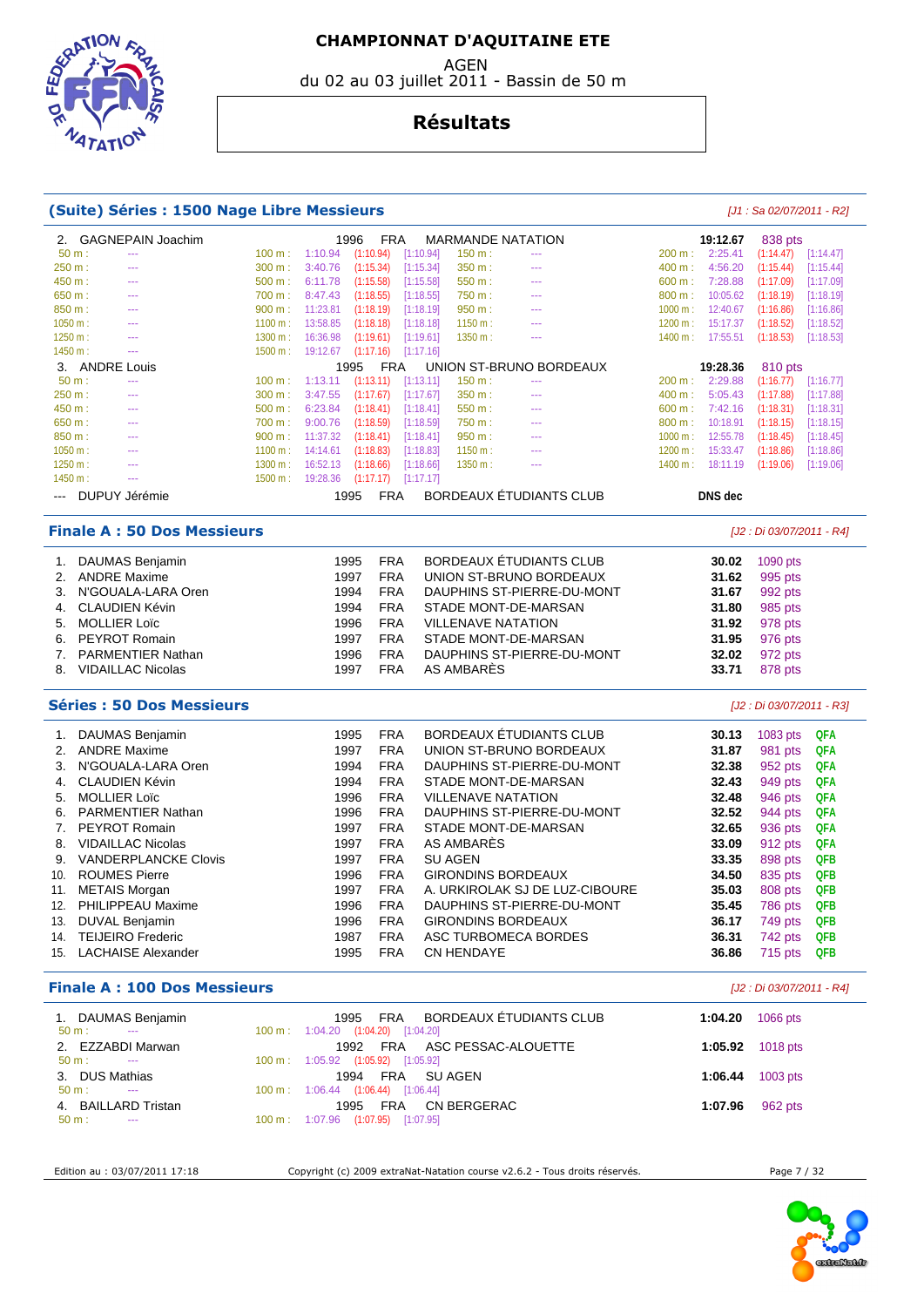**EPIRATIO** 

 $47AT$ 

# **Résultats**

du 02 au 03 juillet 2011 - Bassin de 50 m

#### **(Suite) Séries : 1500 Nage Libre Messieurs** [J1 : Sa 02/07/2011 - R2]

| 2.       |                      | <b>GAGNEPAIN Joachim</b> |         |          | 1996<br><b>FRA</b> |           |         | <b>MARMANDE NATATION</b> |         | 19:12.67       | 838 pts   |           |
|----------|----------------------|--------------------------|---------|----------|--------------------|-----------|---------|--------------------------|---------|----------------|-----------|-----------|
| 50 m:    |                      |                          | 100 m:  | 1:10.94  | (1:10.94)          | [1:10.94] | 150 m:  |                          | 200 m:  | 2:25.41        | (1:14.47) | [1:14.47] |
| 250 m:   |                      | ---                      | 300 m:  | 3:40.76  | (1:15.34)          | [1:15.34] | 350 m:  | $\cdots$                 | 400 m:  | 4:56.20        | (1:15.44) | [1:15.44] |
| 450 m:   |                      | ---                      | 500 m:  | 6:11.78  | (1:15.58)          | [1:15.58] | 550 m:  | $- - -$                  | 600 m:  | 7:28.88        | (1:17.09) | [1:17.09] |
| 650 m:   |                      | ---                      | 700 m:  | 8:47.43  | (1:18.55)          | [1:18.55] | 750 m:  | $- - -$                  | 800 m:  | 10:05.62       | (1:18.19) | [1:18.19] |
| 850 m:   |                      | ---                      | 900 m:  | 11:23.81 | (1:18.19)          | [1:18.19] | 950 m:  | $- - -$                  | 1000 m: | 12:40.67       | (1:16.86) | [1:16.86] |
| 1050 m:  |                      |                          | 1100 m: | 13:58.85 | (1:18.18)          | [1:18.18] | 1150 m: | ---                      | 1200 m: | 15:17.37       | (1:18.52) | [1:18.52] |
| 1250 m:  |                      | ---                      | 1300 m: | 16:36.98 | (1:19.61)          | [1:19.61] | 1350 m: | $- - -$                  | 1400 m: | 17:55.51       | (1:18.53) | [1:18.53] |
| 1450 m:  |                      |                          | 1500 m: | 19:12.67 | (1:17.16)          | [1:17.16] |         |                          |         |                |           |           |
|          | 3. ANDRE Louis       |                          |         |          | <b>FRA</b><br>1995 |           |         | UNION ST-BRUNO BORDEAUX  |         | 19:28.36       | 810 pts   |           |
| $50 m$ : |                      | ---                      | 100 m:  | 1:13.11  | (1:13.11)          | [1:13.11] | 150 m:  | $- - -$                  | 200 m:  | 2:29.88        | (1:16.77) | [1:16.77] |
| 250 m:   |                      | ---                      | 300 m:  | 3:47.55  | (1:17.67)          | [1:17.67] | 350 m:  | $- - -$                  | 400 m:  | 5:05.43        | (1:17.88) | [1:17.88] |
| 450 m:   |                      | ---                      | 500 m:  | 6:23.84  | (1:18.41)          | [1:18.41] | 550 m:  | $- - -$                  | 600 m:  | 7:42.16        | (1:18.31) | [1:18.31] |
| 650 m:   |                      | ---                      | 700 m:  | 9:00.76  | (1:18.59)          | [1:18.59] | 750 m:  | $- - -$                  | 800 m:  | 10:18.91       | (1:18.15) | [1:18.15] |
| 850 m:   |                      | ---                      | 900 m:  | 11:37.32 | (1:18.41)          | [1:18.41] | 950 m:  | $- - -$                  | 1000 m: | 12:55.78       | (1:18.45) | [1:18.45] |
| 1050 m:  |                      | ---                      | 1100 m: | 14:14.61 | (1:18.83)          | [1:18.83] | 1150 m: | $\cdots$                 | 1200 m: | 15:33.47       | (1:18.86) | [1:18.86] |
| 1250 m:  |                      |                          | 1300 m: | 16:52.13 | (1:18.66)          | [1:18.66] | 1350 m: | ---                      | 1400 m: | 18:11.19       | (1:19.06) | [1:19.06] |
| 1450 m:  |                      | ---                      | 1500 m: | 19:28.36 | (1:17.17)          | [1:17.17] |         |                          |         |                |           |           |
|          | <b>DUPUY Jérémie</b> |                          |         |          | <b>FRA</b><br>1995 |           |         | BORDEAUX ÉTUDIANTS CLUB  |         | <b>DNS</b> dec |           |           |

#### **Finale A : 50 Dos Messieurs** [J2 : Di 03/07/2011 - R4]

| 1. | DAUMAS Benjamin          | 1995 | <b>FRA</b> | BORDEAUX ÉTUDIANTS CLUB    | 30.02 | 1090 pts |
|----|--------------------------|------|------------|----------------------------|-------|----------|
|    | 2. ANDRE Maxime          | 1997 | <b>FRA</b> | UNION ST-BRUNO BORDEAUX    | 31.62 | 995 pts  |
|    | 3. N'GOUALA-LARA Oren    | 1994 | <b>FRA</b> | DAUPHINS ST-PIERRE-DU-MONT | 31.67 | 992 pts  |
|    | 4. CLAUDIEN Kévin        | 1994 | <b>FRA</b> | STADE MONT-DE-MARSAN       | 31.80 | 985 pts  |
|    | 5. MOLLIER Loïc          | 1996 | <b>FRA</b> | <b>VILLENAVE NATATION</b>  | 31.92 | 978 pts  |
|    | 6. PEYROT Romain         | 1997 | <b>FRA</b> | STADE MONT-DE-MARSAN       | 31.95 | 976 pts  |
|    | 7. PARMENTIER Nathan     | 1996 | <b>FRA</b> | DAUPHINS ST-PIERRE-DU-MONT | 32.02 | 972 pts  |
| 8. | <b>VIDAILLAC Nicolas</b> | 1997 | <b>FRA</b> | AS AMBARÈS                 | 33.71 | 878 pts  |

#### **Séries : 50 Dos Messieurs** [J2 : Di 03/07/2011 - R3]

|     | DAUMAS Benjamin             | 1995 | <b>FRA</b> | BORDEAUX ÉTUDIANTS CLUB        | 30.13 | 1083 pts | QFA        |
|-----|-----------------------------|------|------------|--------------------------------|-------|----------|------------|
| 2.  | <b>ANDRE Maxime</b>         | 1997 | <b>FRA</b> | UNION ST-BRUNO BORDEAUX        | 31.87 | 981 pts  | <b>QFA</b> |
| 3.  | N'GOUALA-LARA Oren          | 1994 | <b>FRA</b> | DAUPHINS ST-PIERRE-DU-MONT     | 32.38 | 952 pts  | <b>QFA</b> |
| 4.  | <b>CLAUDIEN Kévin</b>       | 1994 | <b>FRA</b> | STADE MONT-DE-MARSAN           | 32.43 | 949 pts  | <b>QFA</b> |
| 5.  | <b>MOLLIER Loïc</b>         | 1996 | <b>FRA</b> | <b>VILLENAVE NATATION</b>      | 32.48 | 946 pts  | <b>QFA</b> |
| 6.  | <b>PARMENTIER Nathan</b>    | 1996 | <b>FRA</b> | DAUPHINS ST-PIERRE-DU-MONT     | 32.52 | 944 pts  | QFA        |
| 7.  | PEYROT Romain               | 1997 | <b>FRA</b> | STADE MONT-DE-MARSAN           | 32.65 | 936 pts  | <b>QFA</b> |
| 8.  | <b>VIDAILLAC Nicolas</b>    | 1997 | <b>FRA</b> | AS AMBARÈS                     | 33.09 | 912 pts  | <b>QFA</b> |
| 9.  | <b>VANDERPLANCKE Clovis</b> | 1997 | <b>FRA</b> | <b>SU AGEN</b>                 | 33.35 | 898 pts  | <b>QFB</b> |
| 10. | <b>ROUMES Pierre</b>        | 1996 | <b>FRA</b> | <b>GIRONDINS BORDEAUX</b>      | 34.50 | 835 pts  | <b>QFB</b> |
| 11. | <b>METAIS Morgan</b>        | 1997 | <b>FRA</b> | A. URKIROLAK SJ DE LUZ-CIBOURE | 35.03 | 808 pts  | <b>QFB</b> |
| 12. | PHILIPPEAU Maxime           | 1996 | <b>FRA</b> | DAUPHINS ST-PIERRE-DU-MONT     | 35.45 | 786 pts  | <b>QFB</b> |
| 13. | DUVAL Benjamin              | 1996 | <b>FRA</b> | <b>GIRONDINS BORDEAUX</b>      | 36.17 | 749 pts  | <b>QFB</b> |
| 14. | <b>TEIJEIRO Frederic</b>    | 1987 | <b>FRA</b> | ASC TURBOMECA BORDES           | 36.31 | 742 pts  | <b>QFB</b> |
| 15. | <b>LACHAISE Alexander</b>   | 1995 | <b>FRA</b> | <b>CN HENDAYE</b>              | 36.86 | 715 pts  | <b>QFB</b> |
|     |                             |      |            |                                |       |          |            |

#### **Finale A : 100 Dos Messieurs** [J2 : Di 03/07/2011 - R4]

| 1. DAUMAS Benjamin<br>$50 \text{ m}$ :<br>$\sim$  | BORDEAUX ETUDIANTS CLUB<br>FRA<br>1995<br>100 m: 1:04.20 (1:04.20) [1:04.20] | 1:04.20 | 1066 pts                   |
|---------------------------------------------------|------------------------------------------------------------------------------|---------|----------------------------|
| 2. EZZABDI Marwan<br>50 m :<br>$\sim$             | FRA ASC PESSAC-ALOUETTE<br>1992<br>100 m: 1:05.92 (1:05.92) [1:05.92]        |         | 1:05.92 1018 pts           |
| 3. DUS Mathias<br>$50 \text{ m}$ :<br>$\sim$      | FRA SUAGEN<br>1994<br>100 m: 1:06.44 (1:06.44) [1:06.44]                     |         | 1:06.44 $1003 \text{ pts}$ |
| 4. BAILLARD Tristan<br>$50 \text{ m}$ :<br>$\sim$ | CN BERGERAC<br><b>FRA</b><br>1995<br>100 m: 1:07.96 (1:07.95) [1:07.95]      | 1:07.96 | 962 pts                    |
|                                                   |                                                                              |         |                            |

Edition au : 03/07/2011 17:18 Copyright (c) 2009 extraNat-Natation course v2.6.2 - Tous droits réservés. Page 7 / 32

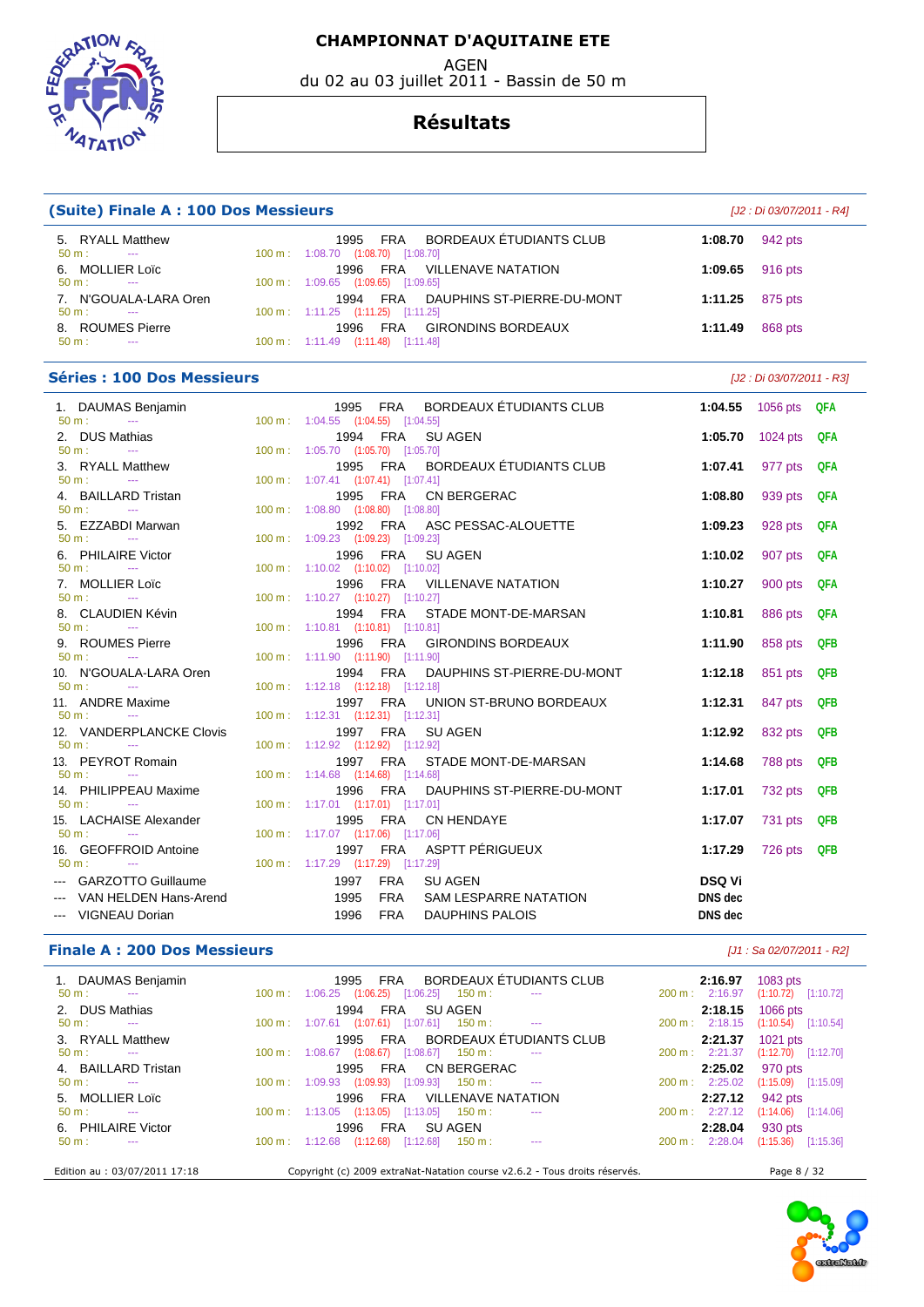AGEN

du 02 au 03 juillet 2011 - Bassin de 50 m

#### **Résultats**

| <b>(Suite) Finale A: 100 Dos Messieurs</b>                      |  |                                                                                            |                          | [J2 : Di 03/07/2011 - R4] |            |  |  |  |
|-----------------------------------------------------------------|--|--------------------------------------------------------------------------------------------|--------------------------|---------------------------|------------|--|--|--|
| 5. RYALL Matthew<br>$50 \text{ m}$ :<br>$\sim$ $\sim$           |  | 1995 FRA<br>BORDEAUX ETUDIANTS CLUB<br>100 m: 1:08.70 (1:08.70) [1:08.70]                  | 1:08.70                  | 942 pts                   |            |  |  |  |
| 6. MOLLIER Loïc<br>$50 m$ :<br>$\sim$ 100 $\mu$                 |  | 1996<br>FRA<br><b>VILLENAVE NATATION</b><br>100 m: 1:09.65 (1:09.65) [1:09.65]             | 1:09.65                  | 916 pts                   |            |  |  |  |
| 7. N'GOUALA-LARA Oren<br>$50 m$ :                               |  | 1994<br><b>FRA</b><br>DAUPHINS ST-PIERRE-DU-MONT<br>100 m: 1:11.25 (1:11.25) [1:11.25]     | 1:11.25                  | 875 pts                   |            |  |  |  |
| 8. ROUMES Pierre<br>$50 m$ :<br>$\sim 100$ mass $^{-1}$         |  | FRA<br><b>GIRONDINS BORDEAUX</b><br>1996<br>100 m: 1:11.49 (1:11.48) [1:11.48]             | 1:11.49                  | 868 pts                   |            |  |  |  |
| <b>Séries: 100 Dos Messieurs</b><br>[J2 : Di 03/07/2011 - R3]   |  |                                                                                            |                          |                           |            |  |  |  |
| 1. DAUMAS Benjamin<br>$50 \text{ m}$ :<br>$\sim$ $\sim$         |  | BORDEAUX ÉTUDIANTS CLUB<br>1995 FRA<br>100 m: 1:04.55 (1:04.55) [1:04.55]                  | 1:04.55                  | 1056 pts QFA              |            |  |  |  |
| 2. DUS Mathias<br>50 m:<br>$\sim$ $\sim$                        |  | 1994 FRA<br><b>SU AGEN</b><br>100 m: 1:05.70 (1:05.70) [1:05.70]                           | 1:05.70                  | 1024 pts                  | QFA        |  |  |  |
| 3. RYALL Matthew<br>$50 m$ :<br>$\sim$                          |  | BORDEAUX ÉTUDIANTS CLUB<br>1995<br>FRA<br>100 m: 1:07.41 (1:07.41) [1:07.41]               | 1:07.41                  | 977 pts                   | QFA        |  |  |  |
| 4. BAILLARD Tristan<br>$50 m$ :<br>$\sim 100$ and $\sim 100$    |  | 1995<br>FRA<br>CN BERGERAC<br>100 m: 1:08.80 (1:08.80) [1:08.80]                           | 1:08.80                  | 939 pts                   | QFA        |  |  |  |
| 5. EZZABDI Marwan<br>$50 m$ :<br>$\sim 100$ mass $^{-1}$        |  | 1992 FRA<br>ASC PESSAC-ALOUETTE<br>100 m: 1:09.23 (1:09.23) [1:09.23]                      | 1:09.23                  | 928 pts                   | QFA        |  |  |  |
| 6. PHILAIRE Victor<br>$50 \text{ m}$ :<br>$- - -$               |  | 1996<br>FRA<br><b>SU AGEN</b><br>100 m: 1:10.02 (1:10.02) [1:10.02]                        | 1:10.02                  | 907 pts                   | QFA        |  |  |  |
| 7. MOLLIER Loïc<br>$50 m$ :<br><b>Service</b>                   |  | 1996<br><b>FRA</b><br><b>VILLENAVE NATATION</b><br>100 m: 1:10.27 (1:10.27) [1:10.27]      | 1:10.27                  | 900 pts                   | QFA        |  |  |  |
| 8. CLAUDIEN Kévin<br>$50 m$ :<br>$\sim$                         |  | 1994 FRA<br>STADE MONT-DE-MARSAN<br>100 m: 1:10.81 (1:10.81) [1:10.81]                     | 1:10.81                  | 886 pts                   | QFA        |  |  |  |
| 9. ROUMES Pierre<br>$50 m$ :<br>$\sim$ 100 $\mu$                |  | 1996<br>FRA<br><b>GIRONDINS BORDEAUX</b><br>100 m: 1:11.90 (1:11.90) [1:11.90]             | 1:11.90                  | 858 pts                   | <b>QFB</b> |  |  |  |
| 10. N'GOUALA-LARA Oren<br>$50 m$ :                              |  | 1994<br>FRA<br>DAUPHINS ST-PIERRE-DU-MONT<br>100 m: 1:12.18 (1:12.18) [1:12.18]            | 1:12.18                  | 851 pts                   | <b>QFB</b> |  |  |  |
| 11. ANDRE Maxime<br>$50 m$ :<br>$\sim$ 100 $\mu$                |  | 1997 FRA<br>UNION ST-BRUNO BORDEAUX<br>100 m: 1:12.31 (1:12.31) [1:12.31]                  | 1:12.31                  | 847 pts                   | QFB        |  |  |  |
| 12. VANDERPLANCKE Clovis<br>$50 m$ :<br>$\sim 100$ mass $^{-1}$ |  | 1997 FRA<br><b>SU AGEN</b><br>100 m: 1:12.92 (1:12.92) [1:12.92]                           | 1:12.92                  | 832 pts                   | QFB        |  |  |  |
| 13. PEYROT Romain<br>$50 \text{ m}$ :<br>$\sim$                 |  | 1997 FRA<br>STADE MONT-DE-MARSAN<br>100 m: 1:14.68 (1:14.68) [1:14.68]                     | 1:14.68                  | 788 pts                   | QFB        |  |  |  |
| 14. PHILIPPEAU Maxime<br>50 m:<br>$\sim 100$ mass $^{-1}$       |  | 1996<br><b>FRA</b><br>DAUPHINS ST-PIERRE-DU-MONT<br>100 m: 1:17.01 (1:17.01) [1:17.01]     | 1:17.01                  | 732 pts                   | QFB        |  |  |  |
| 15. LACHAISE Alexander<br>50 m:<br>$\sim$ $\sim$                |  | FRA<br><b>CN HENDAYE</b><br>1995<br>100 m: 1:17.07 (1:17.06) [1:17.06]                     | 1:17.07                  | 731 pts                   | QFB        |  |  |  |
| 16. GEOFFROID Antoine<br>$50 m$ :<br>$\cdots$                   |  | ASPTT PÉRIGUEUX<br><b>FRA</b><br>1997<br>100 m: 1:17.29 (1:17.29) [1:17.29]                | 1:17.29                  | 726 pts                   | <b>QFB</b> |  |  |  |
| --- GARZOTTO Guillaume<br>--- VAN HELDEN Hans-Arend             |  | <b>FRA</b><br>1997<br><b>SU AGEN</b><br>1995<br><b>FRA</b><br><b>SAM LESPARRE NATATION</b> | <b>DSQ Vi</b><br>DNS dec |                           |            |  |  |  |

#### --- VIGNEAU Dorian 1996 FRA DAUPHINS PALOIS **DNS dec**

#### **Finale A : 200 Dos Messieurs** *Let us a 02/07/2011 - R2] Let us a 02/07/2011 - R2]*

| 1. DAUMAS Benjamin<br>$50 m$ :<br>$\sim$                | FRA BORDEAUX ETUDIANTS CLUB<br>1995<br>$100 \text{ m}$ :<br>$1:06.25$ $(1:06.25)$ $[1:06.25]$ $150 \text{ m}$ :<br>$\cdots$ | 2:16.97<br>200 m: 2:16.97 | 1083 pts<br>$(1:10.72)$ $[1:10.72]$ |
|---------------------------------------------------------|-----------------------------------------------------------------------------------------------------------------------------|---------------------------|-------------------------------------|
| 2. DUS Mathias                                          | FRA SUAGEN<br>1994                                                                                                          | 2:18.15                   | 1066 pts                            |
| $50 \text{ m}$ :<br>$\sim$                              | $100 \text{ m}: 1:07.61$ $(1:07.61)$ $[1:07.61]$ $150 \text{ m}:$ ---                                                       | 200 m: 2:18.15            | $(1:10.54)$ [1:10.54]               |
| 3. RYALL Matthew                                        | 1995 FRA BORDEAUX ETUDIANTS CLUB                                                                                            | 2:21.37                   | 1021 pts                            |
| $50 \text{ m}$ :<br>$\sim$                              | 100 m: 1:08.67 (1:08.67) [1:08.67] 150 m:<br>$\frac{1}{2}$                                                                  | 200 m: 2:21.37            | $(1:12.70)$ [1:12.70]               |
| 4. BAILLARD Tristan<br>$50 m$ :<br><b>Service State</b> | CN BERGERAC<br>FRA<br>1995<br>$1:09.93$ $(1:09.93)$ $[1:09.93]$ $150 \text{ m}$ :<br>$100 \text{ m}$ :<br>$\sim$ $\sim$     | 2:25.02<br>200 m: 2:25.02 | 970 pts<br>$(1:15.09)$ $[1:15.09]$  |
| 5. MOLLIER Loïc                                         | FRA VILLENAVE NATATION<br>1996                                                                                              | 2:27.12                   | 942 pts                             |
| $50 m$ :<br><b>State College State</b>                  | $100 \text{ m}$ : $1:13.05$ $(1:13.05)$ $[1:13.05]$ $150 \text{ m}$ :<br>$- - -$                                            | 200 m: 2:27.12            | $(1:14.06)$ $[1:14.06]$             |
| 6. PHILAIRE Victor                                      | FRA<br>1996<br>SU AGEN                                                                                                      | 2:28.04                   | 930 pts                             |
| $50 \text{ m}$ :                                        | 100 m: 1:12.68 (1:12.68) [1:12.68]<br>$150 \text{ m}$ :<br>$\sim$ $\sim$                                                    | $200 \text{ m}: 2:28.04$  | $(1:15.36)$ $[1:15.36]$             |
| Edition au : 03/07/2011 17:18                           | Copyright (c) 2009 extraNat-Natation course v2.6.2 - Tous droits réservés.                                                  |                           | Page 8 / 32                         |



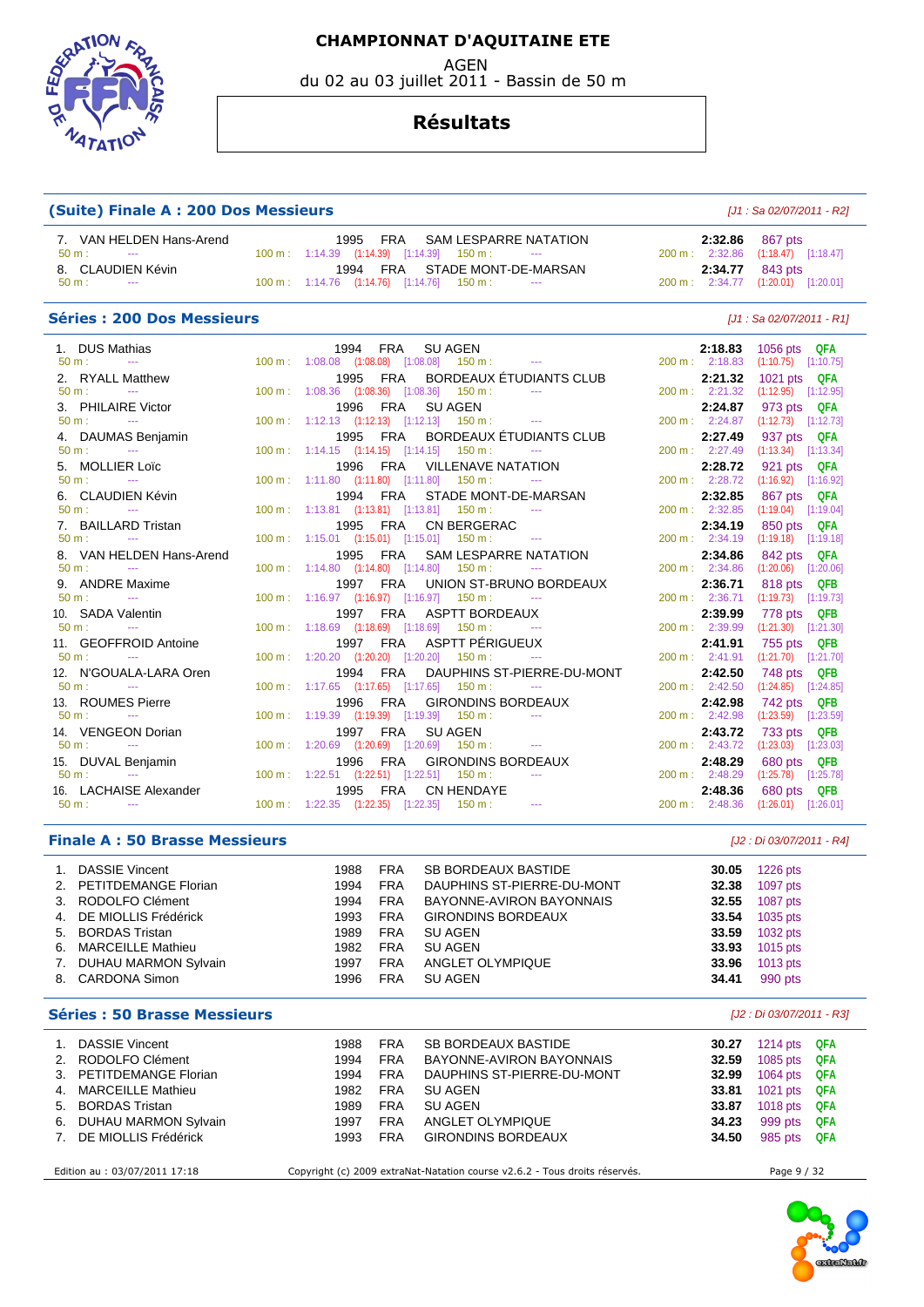**EPARTION**  $47AT$ 

#### **CHAMPIONNAT D'AQUITAINE ETE**

AGEN

du 02 au 03 juillet 2011 - Bassin de 50 m

#### **Résultats**

#### **(Suite) Finale A : 200 Dos Messieurs**

|  | [J1 : Sa 02/07/2011 - R2] |  |
|--|---------------------------|--|
|--|---------------------------|--|

| 7. VAN HELDEN Hans-Arend               | 1995 FRA SAM LESPARRE NATATION                                            | <b>2:32.86</b> 867 pts             |
|----------------------------------------|---------------------------------------------------------------------------|------------------------------------|
| 50 m :<br><b>Service State</b>         | $100 \text{ m}: 1:14.39$ $(1:14.39)$ $[1:14.39]$ $150 \text{ m}: 1:14.39$ | 200 m: 2:32.86 (1:18.47) [1:18.47] |
| 8. CLAUDIEN Kévin                      | 1994 FRA STADE MONT-DE-MARSAN                                             | <b>2:34.77</b> 843 pts             |
| $50 \text{ m}$ :<br><b>State State</b> | $100 \text{ m}: 1:14.76$ $(1:14.76)$ $[1:14.76]$ $150 \text{ m}: 1:14.76$ | 200 m: 2:34.77 (1:20.01) [1:20.01] |

#### Séries : 200 Dos Messieurs **Séries : 200 Dos Messieurs Exercía Exercía Exercía El antichet Estado El 2012/2011 - R1]**

| $100 \text{ m}$ : $1:08.08$ $(1:08.08)$ $[1:08.08]$ $150 \text{ m}$ : ---<br>$(1:10.75)$ $[1:10.75]$<br>200 m: 2:18.83<br>1995 FRA BORDEAUX ÉTUDIANTS CLUB<br>2. RYALL Matthew<br>2:21.32<br>1021 pts QFA<br>$100 \text{ m}$ : $1:08.36$ $(1:08.36)$ $[1:08.36]$ $150 \text{ m}$ : ---<br>200 m: 2:21.32<br>$(1:12.95)$ $[1:12.95]$<br>$50 \text{ m}$ : $-$ |  |
|-------------------------------------------------------------------------------------------------------------------------------------------------------------------------------------------------------------------------------------------------------------------------------------------------------------------------------------------------------------|--|
|                                                                                                                                                                                                                                                                                                                                                             |  |
|                                                                                                                                                                                                                                                                                                                                                             |  |
|                                                                                                                                                                                                                                                                                                                                                             |  |
| 3. PHILAIRE Victor<br>1996 FRA<br><b>SU AGEN</b><br>2:24.87<br>973 pts QFA                                                                                                                                                                                                                                                                                  |  |
| $100 \text{ m}: 1:12.13$ $(1:12.13)$ $[1:12.13]$ $150 \text{ m}: 1:12.13$<br>$50 m$ :<br>200 m: 2:24.87<br>$(1:12.73)$ $[1:12.73]$<br>and the season of the season                                                                                                                                                                                          |  |
| 1995 FRA BORDEAUX ÉTUDIANTS CLUB<br>4. DAUMAS Benjamin<br>2:27.49<br>937 pts QFA                                                                                                                                                                                                                                                                            |  |
| 100 m: 1:14.15 (1:14.15) [1:14.15] 150 m: ---<br>200 m: 2:27.49<br>$(1:13.34)$ $[1:13.34]$<br>$50 \text{ m}$ : $-$                                                                                                                                                                                                                                          |  |
| 5. MOLLIER Loïc<br>1996 FRA VILLENAVE NATATION<br>2:28.72<br>921 pts QFA                                                                                                                                                                                                                                                                                    |  |
| $100 \text{ m}: 1:11.80$ $(1:11.80)$ $[1:11.80]$ $150 \text{ m}: 1:11.80$<br>200 m : 2:28.72<br>$(1:16.92)$ $[1:16.92]$<br>$50 \text{ m}$ : $-$                                                                                                                                                                                                             |  |
| 6. CLAUDIEN Kévin<br>1994 FRA STADE MONT-DE-MARSAN<br>2:32.85<br>867 pts QFA                                                                                                                                                                                                                                                                                |  |
| $100 \text{ m}: 1:13.81$ $(1:13.81)$ $[1:13.81]$ $150 \text{ m}:$<br>200 m: 2:32.85<br>$(1:19.04)$ [1:19.04]<br>$50 m:$ ---                                                                                                                                                                                                                                 |  |
| 7. BAILLARD Tristan<br>1995 FRA CN BERGERAC<br>850 pts QFA<br>2:34.19                                                                                                                                                                                                                                                                                       |  |
| 100 m: 1:15.01 (1:15.01) [1:15.01] 150 m: ---<br>$50 m:$ ---<br>200 m: 2:34.19<br>$(1:19.18)$ [1:19.18]                                                                                                                                                                                                                                                     |  |
| 8. VAN HELDEN Hans-Arend<br>1995 FRA SAM LESPARRE NATATION<br>2:34.86<br>842 pts QFA                                                                                                                                                                                                                                                                        |  |
| $50 m:$ ---<br>$100 \text{ m}$ : $1:14.80$ $(1:14.80)$ $[1:14.80]$ $150 \text{ m}$ : ---<br>200 m: 2:34.86<br>$(1:20.06)$ [1:20.06]                                                                                                                                                                                                                         |  |
| 9. ANDRE Maxime<br>1997 FRA UNION ST-BRUNO BORDEAUX<br>818 pts QFB<br>2:36.71                                                                                                                                                                                                                                                                               |  |
| $100 \text{ m}$ : $1:16.97$ $(1:16.97)$ $[1:16.97]$ $150 \text{ m}$ : ---<br>$(1:19.73)$ [1:19.73]<br>$50 m$ :<br>200 m : 2:36.71<br><b>State State</b>                                                                                                                                                                                                     |  |
| 1997 FRA ASPTT BORDEAUX<br>10. SADA Valentin<br>2:39.99<br>778 pts QFB                                                                                                                                                                                                                                                                                      |  |
| $100 \text{ m}: 1:18.69$ $(1:18.69)$ $[1:18.69]$ $150 \text{ m}: 1:18.69$<br>200 m: 2:39.99<br>$(1:21.30)$ $[1:21.30]$<br>$50 \text{ m}$ : $-$                                                                                                                                                                                                              |  |
| 1997 FRA ASPTT PÉRIGUEUX<br>11. GEOFFROID Antoine<br>2:41.91<br>755 pts QFB                                                                                                                                                                                                                                                                                 |  |
| $100 \text{ m}$ : $1:20.20$ $(1:20.20)$ $[1:20.20]$ $150 \text{ m}$ : ---<br>200 m: 2:41.91<br>$(1:21.70)$ $[1:21.70]$<br>$50 m:$ ---                                                                                                                                                                                                                       |  |
| 12. N'GOUALA-LARA Oren<br>1994 FRA DAUPHINS ST-PIERRE-DU-MONT<br>2:42.50<br>748 pts QFB                                                                                                                                                                                                                                                                     |  |
| 100 m: 1:17.65 (1:17.65) [1:17.65] 150 m: ---<br>200 m: 2:42.50<br>$(1:24.85)$ $[1:24.85]$<br>$50 \text{ m}$ : $-$                                                                                                                                                                                                                                          |  |
| 13. ROUMES Pierre<br>1996<br>FRA GIRONDINS BORDEAUX<br>2:42.98<br>742 pts QFB                                                                                                                                                                                                                                                                               |  |
| 100 m: 1:19.39 (1:19.39) [1:19.39] 150 m: ---<br>200 m: 2:42.98<br>$(1:23.59)$ $[1:23.59]$<br>$50 \text{ m}$ :<br><b>State State</b>                                                                                                                                                                                                                        |  |
| 14. VENGEON Dorian<br>1997 FRA SUAGEN<br>733 pts QFB<br>2:43.72                                                                                                                                                                                                                                                                                             |  |
| $100 \text{ m}$ : $1:20.69$ $(1:20.69)$ $[1:20.69]$ $150 \text{ m}$ : ---<br>200 m: 2:43.72<br>$(1:23.03)$ $[1:23.03]$<br>$50 m:$ $-$                                                                                                                                                                                                                       |  |
| 15. DUVAL Benjamin<br>1996 FRA GIRONDINS BORDEAUX<br>2:48.29<br>680 pts QFB                                                                                                                                                                                                                                                                                 |  |
| $50 \text{ m}$ : $-$<br>100 m: 1:22.51 (1:22.51) [1:22.51] 150 m:<br>$(1:25.78)$ $[1:25.78]$<br>200 m: 2:48.29                                                                                                                                                                                                                                              |  |
| 16. LACHAISE Alexander<br>1995 FRA CN HENDAYE<br>2:48.36<br>680 pts QFB                                                                                                                                                                                                                                                                                     |  |
| $100 \text{ m}: 1:22.35$ $(1:22.35)$ $[1:22.35]$ $150 \text{ m}: 1:21.35$<br>200 m: 2:48.36<br>$(1:26.01)$ $[1:26.01]$<br>$50 \text{ m}$ :<br><b>Contract Contract</b>                                                                                                                                                                                      |  |

#### **Finale A : 50 Brasse Messieurs** [J2 : Di 03/07/2011 - R4]

|    | <b>DASSIE Vincent</b>    | 1988 | FRA        | SB BORDEAUX BASTIDE        | 30.05 | 1226 pts   |
|----|--------------------------|------|------------|----------------------------|-------|------------|
|    | 2. PETITDEMANGE Florian  | 1994 | <b>FRA</b> | DAUPHINS ST-PIERRE-DU-MONT | 32.38 | 1097 pts   |
| 3. | RODOLFO Clément          | 1994 | <b>FRA</b> | BAYONNE-AVIRON BAYONNAIS   | 32.55 | 1087 pts   |
|    | 4. DE MIOLLIS Frédérick  | 1993 | <b>FRA</b> | <b>GIRONDINS BORDEAUX</b>  | 33.54 | 1035 pts   |
|    | 5. BORDAS Tristan        | 1989 | <b>FRA</b> | SU AGEN                    | 33.59 | 1032 pts   |
| 6. | <b>MARCEILLE Mathieu</b> | 1982 | <b>FRA</b> | <b>SU AGEN</b>             | 33.93 | $1015$ pts |
| 7. | DUHAU MARMON Sylvain     | 1997 | <b>FRA</b> | ANGLET OLYMPIQUE           | 33.96 | $1013$ pts |
|    | 8. CARDONA Simon         | 1996 | <b>FRA</b> | SU AGEN                    | 34.41 | 990 pts    |
|    |                          |      |            |                            |       |            |

#### **Séries : 50 Brasse Messieurs** [J2 : Di 03/07/2011 - R3]

| 1. | <b>DASSIE Vincent</b><br>2. RODOLFO Clément<br>3. PETITDEMANGE Florian<br>4. MARCEILLE Mathieu<br>5. BORDAS Tristan<br>6. DUHAU MARMON Sylvain | 1988<br>1994<br>1994<br>1982<br>1989<br>1997 | <b>FRA</b><br><b>FRA</b><br><b>FRA</b><br><b>FRA</b><br><b>FRA</b><br><b>FRA</b> | SB BORDEAUX BASTIDE<br>BAYONNE-AVIRON BAYONNAIS<br>DAUPHINS ST-PIERRE-DU-MONT<br>SU AGEN<br>SU AGEN<br>ANGLET OLYMPIQUE | 30.27<br>32.59<br>32.99<br>33.81<br>33.87<br>34.23 | 1214 pts<br>$1085$ pts<br>1064 pts<br>$1021$ pts<br>$1018$ pts<br>999 pts | QFA<br>QFA<br>QFA<br>QFA<br>QFA<br>QFA |  |
|----|------------------------------------------------------------------------------------------------------------------------------------------------|----------------------------------------------|----------------------------------------------------------------------------------|-------------------------------------------------------------------------------------------------------------------------|----------------------------------------------------|---------------------------------------------------------------------------|----------------------------------------|--|
|    | 7. DE MIOLLIS Frédérick                                                                                                                        | 1993                                         | <b>FRA</b>                                                                       | <b>GIRONDINS BORDEAUX</b>                                                                                               | 34.50                                              | 985 pts                                                                   | QFA                                    |  |

Edition au : 03/07/2011 17:18 Copyright (c) 2009 extraNat-Natation course v2.6.2 - Tous droits réservés. Page 9 / 32

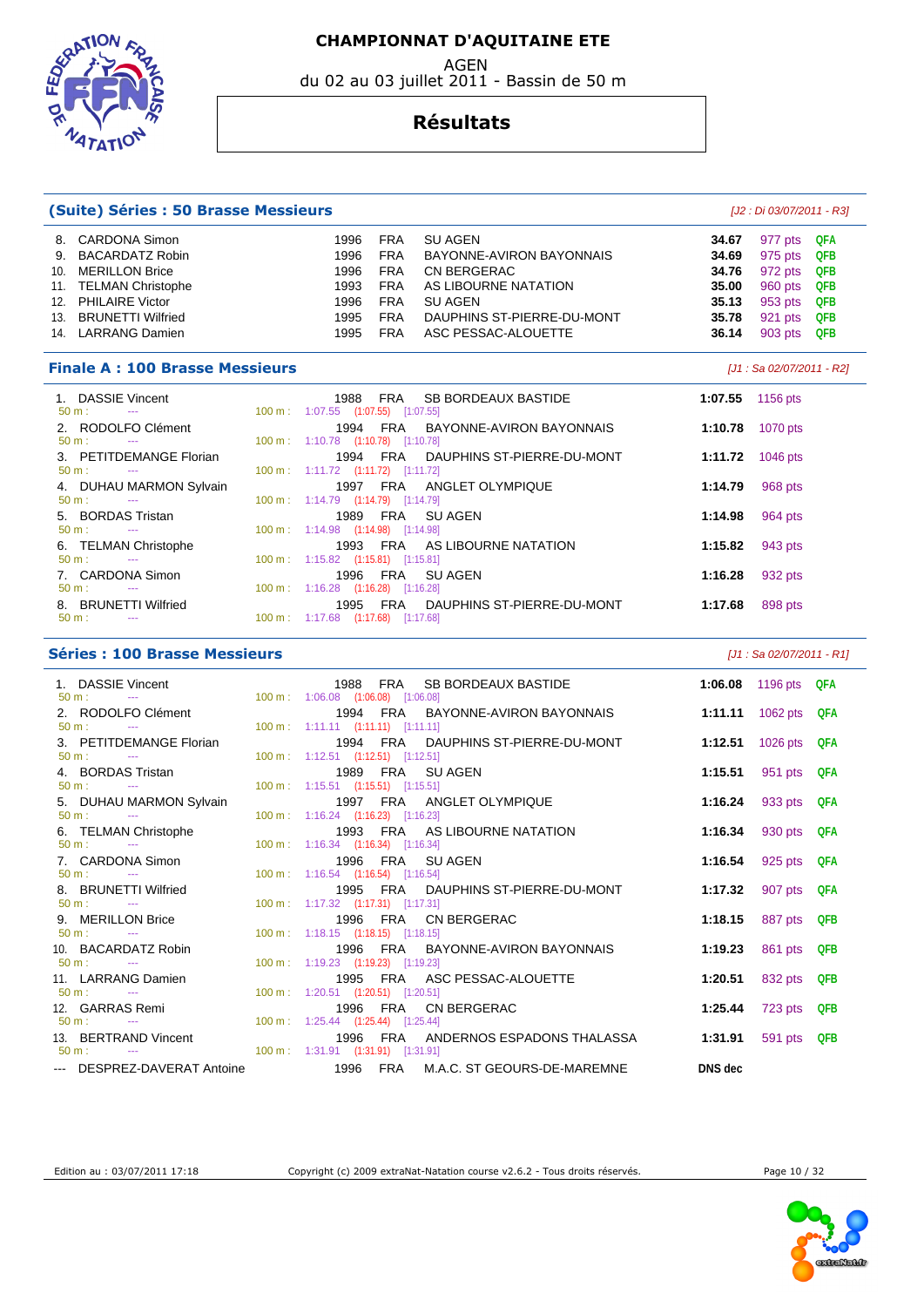du 02 au 03 juillet 2011 - Bassin de 50 m

FEOGRAT

 $47AT$ 

#### **Résultats**

| (Suite) Séries : 50 Brasse Messieurs   |                                                                         |                  | [J2 : Di 03/07/2011 - R3] |
|----------------------------------------|-------------------------------------------------------------------------|------------------|---------------------------|
| 8. CARDONA Simon                       | SU AGEN<br>1996<br><b>FRA</b>                                           | 34.67            | QFA<br>977 pts            |
| <b>BACARDATZ Robin</b><br>9.           | <b>FRA</b><br>1996<br>BAYONNE-AVIRON BAYONNAIS                          | 34.69            | 975 pts<br>QFB            |
| <b>MERILLON Brice</b><br>10.           | CN BERGERAC<br>1996<br><b>FRA</b>                                       | 34.76            | QFB<br>972 pts            |
| <b>TELMAN Christophe</b><br>11.        | <b>FRA</b><br>AS LIBOURNE NATATION<br>1993                              | 35.00            | <b>QFB</b><br>960 pts     |
| <b>PHILAIRE Victor</b><br>12.          | <b>FRA</b><br>SU AGEN<br>1996                                           | 35.13            | 953 pts<br><b>QFB</b>     |
| 13. BRUNETTI Wilfried                  | 1995<br><b>FRA</b><br>DAUPHINS ST-PIERRE-DU-MONT                        | 35.78            | 921 pts<br><b>QFB</b>     |
| 14. LARRANG Damien                     | ASC PESSAC-ALOUETTE<br>1995<br><b>FRA</b>                               | 36.14            | 903 pts<br>QFB            |
| <b>Finale A: 100 Brasse Messieurs</b>  |                                                                         |                  | [J1 : Sa 02/07/2011 - R2] |
| 1. DASSIE Vincent                      | 1988<br>FRA SB BORDEAUX BASTIDE                                         | 1:07.55          | 1156 pts                  |
| $50 m$ :<br>$\sim 100$ and $\sim 100$  | 100 m: 1:07.55 (1:07.55) [1:07.55]                                      |                  |                           |
| 2. RODOLFO Clément<br>$50 m:$ ---      | 1994 FRA BAYONNE-AVIRON BAYONNAIS<br>100 m: 1:10.78 (1:10.78) [1:10.78] | 1:10.78          | 1070 pts                  |
| 3. PETITDEMANGE Florian                | 1994 FRA<br>DAUPHINS ST-PIERRE-DU-MONT                                  | 1:11.72 1046 pts |                           |
| $50 m:$ ---                            | 100 m: 1:11.72 (1:11.72) [1:11.72]                                      |                  |                           |
| 4. DUHAU MARMON Sylvain                | 1997 FRA ANGLET OLYMPIQUE                                               | 1:14.79          | 968 pts                   |
| $50 m$ :<br>$\sim 100$ and $\sim 100$  | 100 m: 1:14.79 (1:14.79) [1:14.79]                                      |                  |                           |
| 5. BORDAS Tristan                      | 1989 FRA<br><b>SU AGEN</b>                                              | 1:14.98          | 964 pts                   |
| $50 m$ :                               | 100 m: 1:14.98 (1:14.98) [1:14.98]                                      |                  |                           |
| 6. TELMAN Christophe                   | 1993 FRA AS LIBOURNE NATATION                                           | 1:15.82          | 943 pts                   |
| $50 \text{ m}$ :<br><b>State State</b> | 100 m: 1:15.82 (1:15.81) [1:15.81]                                      |                  |                           |
| 7. CARDONA Simon                       | 1996 FRA<br><b>SU AGEN</b>                                              | 1:16.28          | 932 pts                   |
| $50 \text{ m}$ :<br>$\sim$             | 100 m: 1:16.28 (1:16.28) [1:16.28]                                      |                  |                           |
| 8. BRUNETTI Wilfried                   | 1995 FRA DAUPHINS ST-PIERRE-DU-MONT                                     | 1:17.68          | 898 pts                   |
| $50 m$ :<br>$\sim$                     | 100 m: 1:17.68 (1:17.68) [1:17.68]                                      |                  |                           |

| <b>Séries : 100 Brasse Messieurs</b>                                    |                                                                                                                    | [J1 : Sa 02/07/2011 - R1]          |
|-------------------------------------------------------------------------|--------------------------------------------------------------------------------------------------------------------|------------------------------------|
| 1. DASSIE Vincent<br>$50 \text{ m}$ : $-$                               | 1988 FRA SB BORDEAUX BASTIDE<br>100 m: 1:06.08 (1:06.08) [1:06.08]                                                 | 1:06.08 1196 pts QFA               |
| 2. RODOLFO Clément<br>$50 \text{ m}$ : $-$                              | 1994 FRA BAYONNE-AVIRON BAYONNAIS<br>100 m: 1:11.11 (1:11.11) [1:11.11]                                            | 1:11.11 1062 pts QFA               |
| 3. PETITDEMANGE Florian<br>$50 \text{ m}$ : $\frac{1}{2}$               | 1994 FRA DAUPHINS ST-PIERRE-DU-MONT<br>1:12.51<br>$100 \text{ m}: 1:12.51$ $(1:12.51)$ $[1:12.51]$                 | 1026 pts QFA                       |
| 4. BORDAS Tristan<br>$50 \text{ m}$ : $-$                               | 1989 FRA SUAGEN<br>1:15.51<br>100 m: 1:15.51 (1:15.51) [1:15.51]                                                   | 951 pts QFA                        |
| 5. DUHAU MARMON Sylvain<br>$50 \text{ m}$ :<br>$\sim$ $\sim$            | 1997 FRA ANGLET OLYMPIQUE<br>100 m: 1:16.24 (1:16.23) [1:16.23]                                                    | 1:16.24 933 pts QFA                |
| 6. TELMAN Christophe<br>$50 \text{ m}$ : $-$                            | 1993 FRA AS LIBOURNE NATATION<br>1:16.34<br>100 m: 1:16.34 (1:16.34) [1:16.34]                                     | 930 pts QFA                        |
| 7. CARDONA Simon<br>$50 \text{ m}$ : $-$                                | 1996 FRA SUAGEN<br>100 m: 1:16.54 (1:16.54) [1:16.54]                                                              | 1:16.54 925 pts QFA                |
| 8. BRUNETTI Wilfried<br>$50 \text{ m}$ : $-$                            | 1995 FRA DAUPHINS ST-PIERRE-DU-MONT<br>1:17.32<br>100 m: 1:17.32 (1:17.31) [1:17.31]                               | 907 pts QFA                        |
| 9. MERILLON Brice<br>$50 m:$ ---                                        | 1996 FRA CN BERGERAC<br>1:18.15<br>100 m: 1:18.15 (1:18.15) [1:18.15]                                              | 887 pts QFB                        |
| 10. BACARDATZ Robin<br>$50 \text{ m}$ : $-$                             | 1996 FRA BAYONNE-AVIRON BAYONNAIS<br>1:19.23<br>100 m: 1:19.23 (1:19.23) [1:19.23]                                 | 861 pts QFB                        |
| 11. LARRANG Damien<br>$50 \text{ m}$ : $\frac{1}{2}$<br>12. GARRAS Remi | 1995 FRA ASC PESSAC-ALOUETTE<br>1:20.51<br>100 m: 1:20.51 (1:20.51) [1:20.51]<br>1996 FRA CN BERGERAC              | 832 pts QFB<br>1:25.44 723 pts QFB |
| 50 m : --- 100 m : 1:25.44 (1:25.44) [1:25.44]<br>13. BERTRAND Vincent  | 1996 FRA ANDERNOS ESPADONS THALASSA<br>1:31.91                                                                     | 591 pts QFB                        |
| $50 \text{ m}$ : $-$                                                    | 100 m : 1:31.91 (1:31.91) [1:31.91]<br>--- DESPREZ-DAVERAT Antoine 1996 FRA M.A.C. ST GEOURS-DE-MAREMNE<br>DNS dec |                                    |
|                                                                         |                                                                                                                    |                                    |



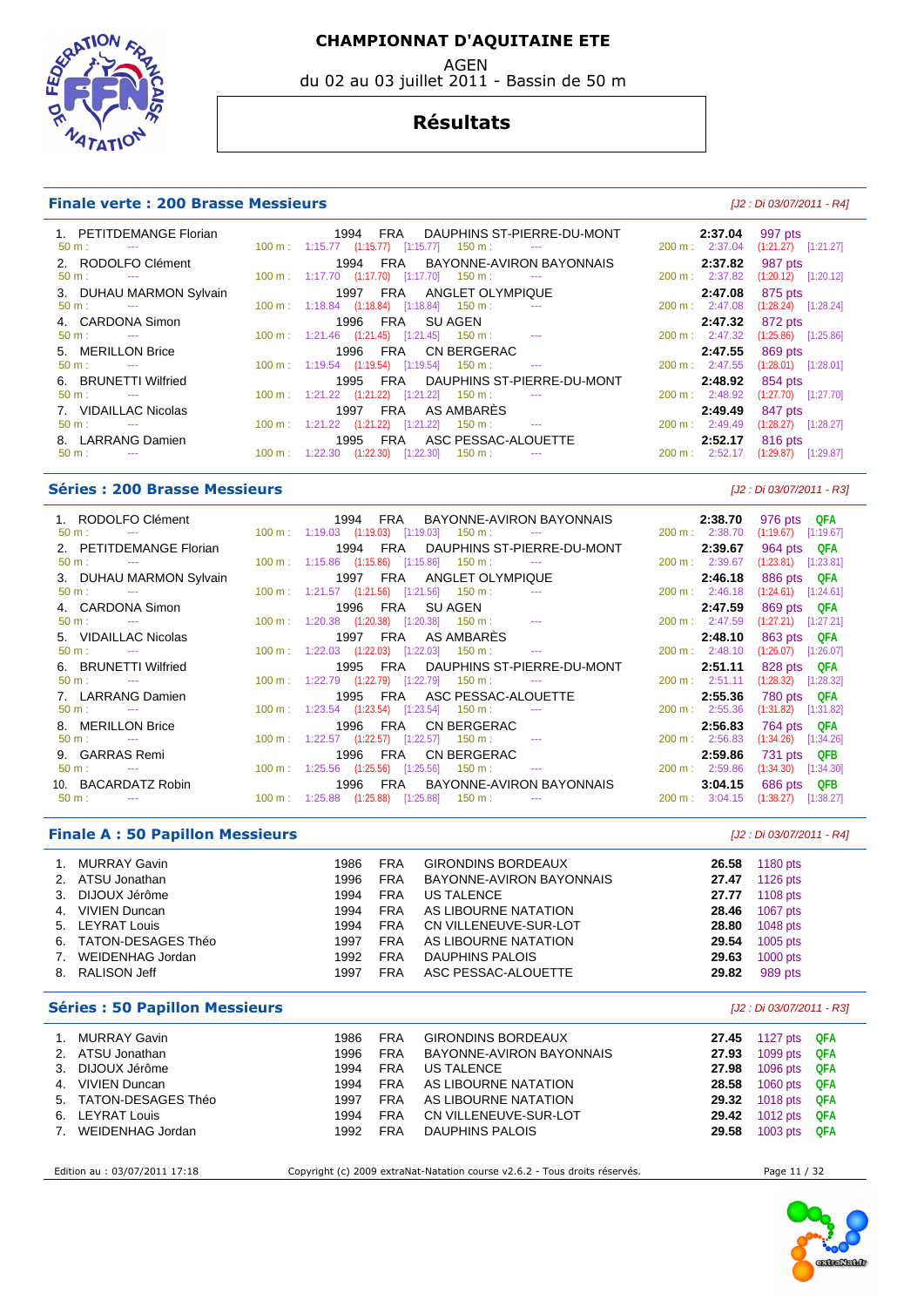AGEN

du 02 au 03 juillet 2011 - Bassin de 50 m

# TAT

#### **Résultats**

#### **Finale verte : 200 Brasse Messieurs Exercía Exercípio Article 12: Di 03/07/2011 - R4]**

| 1. PETITDEMANGE Florian<br>$50 \text{ m}$ : $-$                   | 1994<br>FRA DAUPHINS ST-PIERRE-DU-MONT<br>$100 \text{ m}: 1:15.77$ $(1:15.77)$ $[1:15.77]$ $150 \text{ m}:$ --- | 2:37.04<br>200 m: 2:37.04           | 997 pts<br>$(1:21.27)$ [1:21.27]   |
|-------------------------------------------------------------------|-----------------------------------------------------------------------------------------------------------------|-------------------------------------|------------------------------------|
| 2. RODOLFO Clément                                                | FRA BAYONNE-AVIRON BAYONNAIS<br>1994                                                                            | 2:37.82                             | 987 pts                            |
| 50 m:<br><b>Service Contracts</b><br>3. DUHAU MARMON Sylvain      | $100 \text{ m}$ : 1:17.70 $(1:17.70)$ $[1:17.70]$ 150 m :<br>1997 FRA ANGLET OLYMPIQUE                          | $200 \text{ m}: 2:37.82$<br>2:47.08 | $(1:20.12)$ $[1:20.12]$<br>875 pts |
| $50 \text{ m}$ : $-$                                              | 100 m: 1:18.84 (1:18.84) [1:18.84] 150 m:                                                                       | 200 m: 2:47.08                      | $(1:28.24)$ [1:28.24]              |
| 4. CARDONA Simon<br>$50 \text{ m}$ : $-$                          | 1996 FRA SUAGEN<br>$100 \text{ m}: 1:21.46$ $(1:21.45)$ $[1:21.45]$ $150 \text{ m}: 1:21.46$                    | 2:47.32<br>200 m: 2:47.32           | 872 pts<br>$(1:25.86)$ [1:25.86]   |
| 5. MERILLON Brice<br>$50 \text{ m}$ :<br><b>Contract Contract</b> | 1996 FRA CN BERGERAC<br>$100 \text{ m}$ : 1:19.54 (1:19.54) [1:19.54] 150 m :<br>$\sim$ $\sim$                  | 2:47.55<br>200 m: 2:47.55           | 869 pts<br>$(1:28.01)$ [1:28.01]   |
| 6. BRUNETTI Wilfried<br>$50 \text{ m}$ : $-$                      | 1995 FRA DAUPHINS ST-PIERRE-DU-MONT<br>$100 \text{ m}$ : $1:21.22$ $(1:21.22)$ $[1:21.22]$ $150 \text{ m}$ : -- | 2:48.92<br>$200 \text{ m}: 2:48.92$ | 854 pts<br>$(1:27.70)$ $[1:27.70]$ |
| 7. VIDAILLAC Nicolas                                              | FRA AS AMBARÈS<br>1997                                                                                          | 2:49.49                             | 847 pts                            |
| $50 \text{ m}$ : $-$<br>8. LARRANG Damien                         | $100 \text{ m}: 1:21.22$ $(1:21.22)$ $[1:21.22]$ $150 \text{ m}:$ ---<br>FRA ASC PESSAC-ALOUETTE<br>1995        | 200 m: 2:49.49<br>2:52.17           | $(1:28.27)$ [1:28.27]<br>816 pts   |
| $50 \text{ m}$ : $-$                                              | 100 m: 1:22.30 (1:22.30) [1:22.30]<br>150 m :<br>$\sim$ $\sim$                                                  | 200 m: 2:52.17                      | $(1:29.87)$ $[1:29.87]$            |

#### **Séries : 200 Brasse Messieurs** [J2 : Di 03/07/2011 - R3]

| 1. RODOLFO Clément 1994 FRA BAYONNE-AVIRON BAYONNAIS                                        |                                                                                                                                                                                                                                                                                                                                                            |  |                      |                                                                                                                                     | 2:38.70        | 976 pts QFA                         |
|---------------------------------------------------------------------------------------------|------------------------------------------------------------------------------------------------------------------------------------------------------------------------------------------------------------------------------------------------------------------------------------------------------------------------------------------------------------|--|----------------------|-------------------------------------------------------------------------------------------------------------------------------------|----------------|-------------------------------------|
| $50 \text{ m}:$ --- $100 \text{ m}:$ $1:19.03$ $(1:19.03)$ $[1:19.03]$ $150 \text{ m}:$ --- |                                                                                                                                                                                                                                                                                                                                                            |  |                      |                                                                                                                                     |                | 200 m: 2:38.70 (1:19.67) [1:19.67]  |
| 2. PETITDEMANGE Florian                                                                     |                                                                                                                                                                                                                                                                                                                                                            |  |                      | 1994 FRA DAUPHINS ST-PIERRE-DU-MONT                                                                                                 | 2:39.67        | 964 pts QFA                         |
| $50 \text{ m}:$ --- 2.100 m : 1:15.86 (1:15.86) [1:15.86] 150 m : ---                       |                                                                                                                                                                                                                                                                                                                                                            |  |                      |                                                                                                                                     |                | 200 m: 2:39.67 (1:23.81) [1:23.81]  |
| 3. DUHAU MARMON Sylvain                                                                     | 1997 FRA ANGLET OLYMPIQUE                                                                                                                                                                                                                                                                                                                                  |  |                      |                                                                                                                                     | 2:46.18        | 886 pts QFA                         |
| $50 \text{ m}$ : $\qquad -\frac{1}{2}$                                                      | $100 \text{ m}: 1:21.57$ $(1:21.56)$ $[1:21.56]$ $150 \text{ m}:$ ---                                                                                                                                                                                                                                                                                      |  |                      |                                                                                                                                     |                | 200 m: 2:46.18 (1:24.61) [1:24.61]  |
| 4. CARDONA Simon                                                                            |                                                                                                                                                                                                                                                                                                                                                            |  |                      | 1996 FRA SU AGEN NATURE AND THE STATE OF THE SUBSET OF THE STATE OF THE STATE OF THE STATE OF THE ST                                | 2:47.59        | 869 pts QFA                         |
| $50 m:$ $-$                                                                                 | $100 \text{ m}: 1:20.38$ $(1:20.38)$ $[1:20.38]$ $150 \text{ m}: 1:20.38$                                                                                                                                                                                                                                                                                  |  |                      |                                                                                                                                     |                | 200 m: 2:47.59 (1:27.21) [1:27.21]  |
| 5. VIDAILLAC Nicolas                                                                        | 1997 FRA AS AMBARÈS                                                                                                                                                                                                                                                                                                                                        |  |                      | 1997 FRA AS AMBARÈS 2 <b>:48.10</b> 863 pts QFA<br>100 m: 1:22.03 (1:22.03) [1:22.03] 150 m: --- 200 m: 2:48.10 (1:26.07) [1:26.07] |                |                                     |
| $50 \text{ m}$ : $-$                                                                        |                                                                                                                                                                                                                                                                                                                                                            |  |                      |                                                                                                                                     |                |                                     |
| 6. BRUNETTI Wilfried                                                                        |                                                                                                                                                                                                                                                                                                                                                            |  |                      | 1995 FRA DAUPHINS ST-PIERRE-DU-MONT                                                                                                 |                | 2:51.11 828 pts QFA                 |
| $50 \text{ m}: \quad -1$                                                                    | $100 \text{ m}: 1:22.79$ $(1:22.79)$ $[1:22.79]$ $150 \text{ m}:$ ---                                                                                                                                                                                                                                                                                      |  |                      |                                                                                                                                     |                | 200 m: 2:51.11 (1:28.32) [1:28.32]  |
| 7. LARRANG Damien                                                                           |                                                                                                                                                                                                                                                                                                                                                            |  |                      | 1995 FRA ASC PESSAC-ALOUETTE                                                                                                        |                | 2:55.36 780 pts QFA                 |
| $50 \text{ m}$ : $-$                                                                        | $100 \text{ m}: 1:23.54$ $(1:23.54)$ $[1:23.54]$ $150 \text{ m}:$ ---                                                                                                                                                                                                                                                                                      |  |                      |                                                                                                                                     |                | 200 m: 2:55.36 (1:31.82) [1:31.82]  |
| 8. MERILLON Brice                                                                           |                                                                                                                                                                                                                                                                                                                                                            |  | 1996 FRA CN BERGERAC |                                                                                                                                     | 2:56.83        | 764 pts QFA                         |
| $50 \text{ m}$ : $-$                                                                        | $100 \text{ m}: 1:22.57$ $(1:22.57)$ $[1:22.57]$ $150 \text{ m}:$ ---                                                                                                                                                                                                                                                                                      |  |                      |                                                                                                                                     | 200 m: 2:56.83 | $(1:34.26)$ $[1:34.26]$             |
| 9. GARRAS Remi                                                                              |                                                                                                                                                                                                                                                                                                                                                            |  | 1996 FRA CNBERGERAC  |                                                                                                                                     |                | 2:59.86 731 pts QFB                 |
| $50 \text{ m}$ : $-$                                                                        | $100 \text{ m}: 1:25.56$ $(1:25.56)$ $[1:25.56]$ $150 \text{ m}: 1:25.56$                                                                                                                                                                                                                                                                                  |  |                      |                                                                                                                                     |                | 200 m : 2:59.86 (1:34.30) [1:34.30] |
| 10. BACARDATZ Robin                                                                         |                                                                                                                                                                                                                                                                                                                                                            |  |                      | 1996 FRA BAYONNE-AVIRON BAYONNAIS                                                                                                   |                | 3:04.15 686 pts QFB                 |
| $50 \text{ m}$ : $-$                                                                        | $100 \text{ m}: 1:25.88$ $(1:25.88)$ $[1:25.88]$ $150 \text{ m}: 150 \text{ m}: 150 \text{ m}: 150 \text{ m}: 150 \text{ m}: 150 \text{ m}: 150 \text{ m}: 150 \text{ m}: 150 \text{ m}: 150 \text{ m}: 150 \text{ m}: 150 \text{ m}: 150 \text{ m}: 150 \text{ m}: 150 \text{ m}: 150 \text{ m}: 150 \text{ m}: 150 \text{ m}: 150 \text{ m}: 150 \text{$ |  |                      |                                                                                                                                     |                | 200 m : 3:04.15 (1:38.27) [1:38.27] |

#### **Finale A : 50 Papillon Messieurs** [J2 : Di 03/07/2011 - R4]

| 1. | MURRAY Gavin          | 1986 | <b>FRA</b> | <b>GIRONDINS BORDEAUX</b> | 26.58 | 1180 pts   |
|----|-----------------------|------|------------|---------------------------|-------|------------|
|    | 2. ATSU Jonathan      | 1996 | <b>FRA</b> | BAYONNE-AVIRON BAYONNAIS  | 27.47 | $1126$ pts |
|    | 3. DIJOUX Jérôme      | 1994 | <b>FRA</b> | US TALENCE                | 27.77 | 1108 pts   |
| 4. | VIVIEN Duncan         | 1994 | <b>FRA</b> | AS LIBOURNE NATATION      | 28.46 | 1067 pts   |
|    | 5. LEYRAT Louis       | 1994 | <b>FRA</b> | CN VILLENEUVE-SUR-LOT     | 28.80 | 1048 pts   |
|    | 6. TATON-DESAGES Théo | 1997 | <b>FRA</b> | AS LIBOURNE NATATION      | 29.54 | $1005$ pts |
| 7. | WEIDENHAG Jordan      | 1992 | <b>FRA</b> | DAUPHINS PALOIS           | 29.63 | 1000 pts   |
|    | 8. RALISON Jeff       | 1997 | <b>FRA</b> | ASC PESSAC-ALOUETTE       | 29.82 | 989 pts    |
|    |                       |      |            |                           |       |            |

#### **Séries : 50 Papillon Messieurs** [J2 : Di 03/07/2011 - R3]

|    | MURRAY Gavin          | 1986 | <b>FRA</b> | <b>GIRONDINS BORDEAUX</b> | 27.45 | 1127 pts $QFA$ |  |
|----|-----------------------|------|------------|---------------------------|-------|----------------|--|
|    | 2. ATSU Jonathan      | 1996 | <b>FRA</b> | BAYONNE-AVIRON BAYONNAIS  | 27.93 | 1099 pts QFA   |  |
| 3. | DIJOUX Jérôme         | 1994 | <b>FRA</b> | US TALENCE                | 27.98 | 1096 pts QFA   |  |
|    | 4. VIVIEN Duncan      | 1994 | FRA        | AS LIBOURNE NATATION      | 28.58 | 1060 pts QFA   |  |
|    | 5. TATON-DESAGES Théo | 1997 | <b>FRA</b> | AS LIBOURNE NATATION      | 29.32 | 1018 pts QFA   |  |
|    | 6. LEYRAT Louis       | 1994 | <b>FRA</b> | CN VILLENEUVE-SUR-LOT     | 29.42 | 1012 pts QFA   |  |
| 7. | WEIDENHAG Jordan      | 1992 | <b>FRA</b> | DAUPHINS PALOIS           | 29.58 | 1003 pts QFA   |  |
|    |                       |      |            |                           |       |                |  |

Edition au : 03/07/2011 17:18 Copyright (c) 2009 extraNat-Natation course v2.6.2 - Tous droits réservés. Page 11 / 32

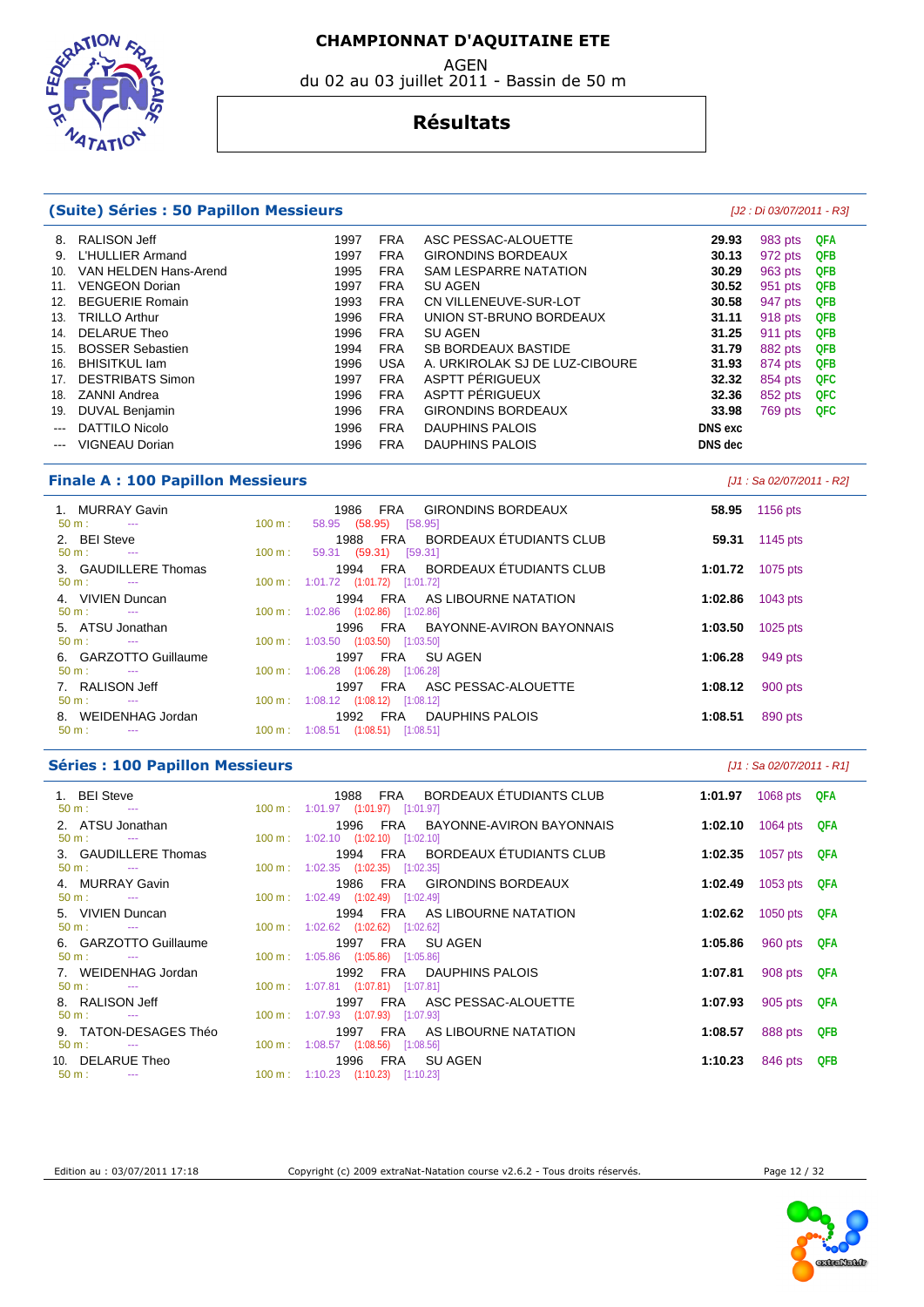**EDGRAT TAT** 

# du 02 au 03 juillet 2011 - Bassin de 50 m

#### **Résultats**

|                           | (Suite) Séries : 50 Papillon Messieurs |      |            |                                |                | [J2 : Di 03/07/2011 - R3] |            |
|---------------------------|----------------------------------------|------|------------|--------------------------------|----------------|---------------------------|------------|
| 8.                        | <b>RALISON Jeff</b>                    | 1997 | <b>FRA</b> | ASC PESSAC-ALOUETTE            | 29.93          | 983 pts                   | QFA        |
| 9.                        | L'HULLIER Armand                       | 1997 | <b>FRA</b> | <b>GIRONDINS BORDEAUX</b>      | 30.13          | 972 pts                   | <b>QFB</b> |
| 10.                       | VAN HELDEN Hans-Arend                  | 1995 | <b>FRA</b> | <b>SAM LESPARRE NATATION</b>   | 30.29          | 963 pts                   | QFB        |
| 11.                       | <b>VENGEON Dorian</b>                  | 1997 | <b>FRA</b> | <b>SU AGEN</b>                 | 30.52          | 951 pts                   | <b>QFB</b> |
| 12.                       | <b>BEGUERIE Romain</b>                 | 1993 | <b>FRA</b> | CN VILLENEUVE-SUR-LOT          | 30.58          | 947 pts                   | <b>QFB</b> |
| 13.                       | <b>TRILLO Arthur</b>                   | 1996 | <b>FRA</b> | UNION ST-BRUNO BORDEAUX        | 31.11          | 918 pts                   | QFB        |
| 14.                       | <b>DELARUE Theo</b>                    | 1996 | <b>FRA</b> | <b>SU AGEN</b>                 | 31.25          | 911 pts                   | QFB        |
| 15.                       | <b>BOSSER Sebastien</b>                | 1994 | <b>FRA</b> | <b>SB BORDEAUX BASTIDE</b>     | 31.79          | 882 pts                   | <b>QFB</b> |
| 16.                       | <b>BHISITKUL lam</b>                   | 1996 | <b>USA</b> | A. URKIROLAK SJ DE LUZ-CIBOURE | 31.93          | 874 pts                   | QFB        |
| 17.                       | <b>DESTRIBATS Simon</b>                | 1997 | <b>FRA</b> | ASPTT PERIGUEUX                | 32.32          | 854 pts                   | QFC        |
| 18.                       | <b>ZANNI Andrea</b>                    | 1996 | <b>FRA</b> | ASPTT PÉRIGUEUX                | 32.36          | 852 pts                   | QFC        |
| 19.                       | DUVAL Benjamin                         | 1996 | <b>FRA</b> | <b>GIRONDINS BORDEAUX</b>      | 33.98          | 769 pts                   | <b>QFC</b> |
| $\sim$ $\sim$             | DATTILO Nicolo                         | 1996 | <b>FRA</b> | DAUPHINS PALOIS                | <b>DNS</b> exc |                           |            |
| $\qquad \qquad -\qquad -$ | VIGNEAU Dorian                         | 1996 | <b>FRA</b> | DAUPHINS PALOIS                | DNS dec        |                           |            |
|                           |                                        |      |            |                                |                |                           |            |

#### **Finale A : 100 Papillon Messieurs Example 2012 02/07/2011 - R2** *LM : Sa 02/07/2011 - R2*

| 1. MURRAY Gavin<br>$50 \text{ m}$ : $-$                  | FRA GIRONDINS BORDEAUX<br>1986<br>58.95 (58.95) [58.95]<br>$100 \text{ m}$ :     |         | 58.95 1156 pts |
|----------------------------------------------------------|----------------------------------------------------------------------------------|---------|----------------|
| 2. BEI Steve<br>$50 \text{ m}$ :<br><b>Service State</b> | 1988 FRA BORDEAUX ÉTUDIANTS CLUB<br>100 m :                                      | 59.31   | 1145 pts       |
| 3. GAUDILLERE Thomas                                     | 59.31 (59.31) [59.31]<br>1994 FRA BORDEAUX ÉTUDIANTS CLUB                        | 1:01.72 | 1075 pts       |
| $50 \text{ m}$ : $-$<br>4. VIVIEN Duncan                 | 100 m: 1:01.72 (1:01.72) [1:01.72]<br>FRA AS LIBOURNE NATATION<br>1994           | 1:02.86 | 1043 pts       |
| $50 \text{ m}$ : $-$<br>5. ATSU Jonathan                 | 100 m : 1:02.86 $(1:02.86)$ $[1:02.86]$<br>1996 FRA BAYONNE-AVIRON BAYONNAIS     | 1:03.50 | 1025 pts       |
| $50 \text{ m}$ : $-$<br>6. GARZOTTO Guillaume            | 100 m: 1:03.50 (1:03.50) [1:03.50]<br>FRA SUAGEN<br>1997                         | 1:06.28 | 949 pts        |
| $50 \text{ m}$ : $-$<br>7. RALISON Jeff                  | 100 m: 1:06.28 (1:06.28) [1:06.28]<br>FRA ASC PESSAC-ALOUETTE<br>1997            | 1:08.12 | 900 pts        |
| 50 m :<br>and the state of the state.                    | 100 m: 1:08.12 (1:08.12) [1:08.12]                                               |         |                |
| 8. WEIDENHAG Jordan<br>$50 \text{ m}$ :<br>$- - -$       | FRA DAUPHINS PALOIS<br>1992<br>$100 \text{ m}: 1:08.51$<br>$(1:08.51)$ [1:08.51] | 1:08.51 | 890 pts        |

#### **Séries : 100 Papillon Messieurs Contract Contract Contract Contract Contract Contract Contract Contract Contract Contract Contract Contract Contract Contract Contract Contract Contract Contract Contract Contract Contrac**

| 1. BEI Steve              | 1988 FRA BORDEAUX ÉTUDIANTS CLUB                    |         | <b>1:01.97</b> 1068 pts QFA |  |
|---------------------------|-----------------------------------------------------|---------|-----------------------------|--|
| $50 \text{ m}$ : $-$      | $100 \text{ m}: 1:01.97$ $(1:01.97)$ $[1:01.97]$    |         |                             |  |
| 2. ATSU Jonathan          | 1996 FRA BAYONNE-AVIRON BAYONNAIS                   |         | 1:02.10 1064 pts QFA        |  |
|                           | $100 \text{ m}$ : $1:02.10$ $(1:02.10)$ $[1:02.10]$ |         |                             |  |
| 3. GAUDILLERE Thomas      | 1994 FRA BORDEAUX ÉTUDIANTS CLUB                    |         | <b>1:02.35</b> 1057 pts QFA |  |
| $50 \text{ m}$ : $-$      | $100 \text{ m}: 1:02.35$ $(1:02.35)$ $[1:02.35]$    |         |                             |  |
| 4. MURRAY Gavin           | 1986 FRA GIRONDINS BORDEAUX                         |         | <b>1:02.49</b> 1053 pts QFA |  |
| $50 \text{ m}$ : $-$      | 100 m: 1:02.49 (1:02.49) [1:02.49]                  |         |                             |  |
|                           |                                                     |         |                             |  |
| 5. VIVIEN Duncan          | 1994 FRA AS LIBOURNE NATATION                       |         | <b>1:02.62</b> 1050 pts QFA |  |
| $50 \text{ m}$ : $ -$     | 100 m: 1:02.62 (1:02.62) [1:02.62]                  |         |                             |  |
| 6. GARZOTTO Guillaume     | 1997 FRA SUAGEN                                     | 1:05.86 | 960 pts QFA                 |  |
| $50 \text{ m}$ : $-$      | 100 m: 1:05.86 (1:05.86) [1:05.86]                  |         |                             |  |
| 7. WEIDENHAG Jordan       | 1992 FRA DAUPHINS PALOIS                            | 1:07.81 | 908 pts QFA                 |  |
| $50 \text{ m}$ : $-$      | 100 m: 1:07.81 (1:07.81) [1:07.81]                  |         |                             |  |
| 8. RALISON Jeff           | 1997 FRA ASC PESSAC-ALOUETTE                        | 1:07.93 | 905 pts QFA                 |  |
| $50 \text{ m}$ : $\cdots$ | 100 m: 1:07.93 (1:07.93) [1:07.93]                  |         |                             |  |
| 9. TATON-DESAGES Théo     | 1997 FRA AS LIBOURNE NATATION                       | 1:08.57 | 888 pts QFB                 |  |
|                           |                                                     |         |                             |  |
| $50 \text{ m}$ : $-$      | 100 m: 1:08.57 (1:08.56) [1:08.56]                  |         |                             |  |
| 10. DELARUE Theo          | 1996 FRA SUAGEN                                     | 1:10.23 | 846 pts QFB                 |  |
| $50 \text{ m}: \quad -1$  | $100 \text{ m}: 1:10.23$ $(1:10.23)$ $[1:10.23]$    |         |                             |  |



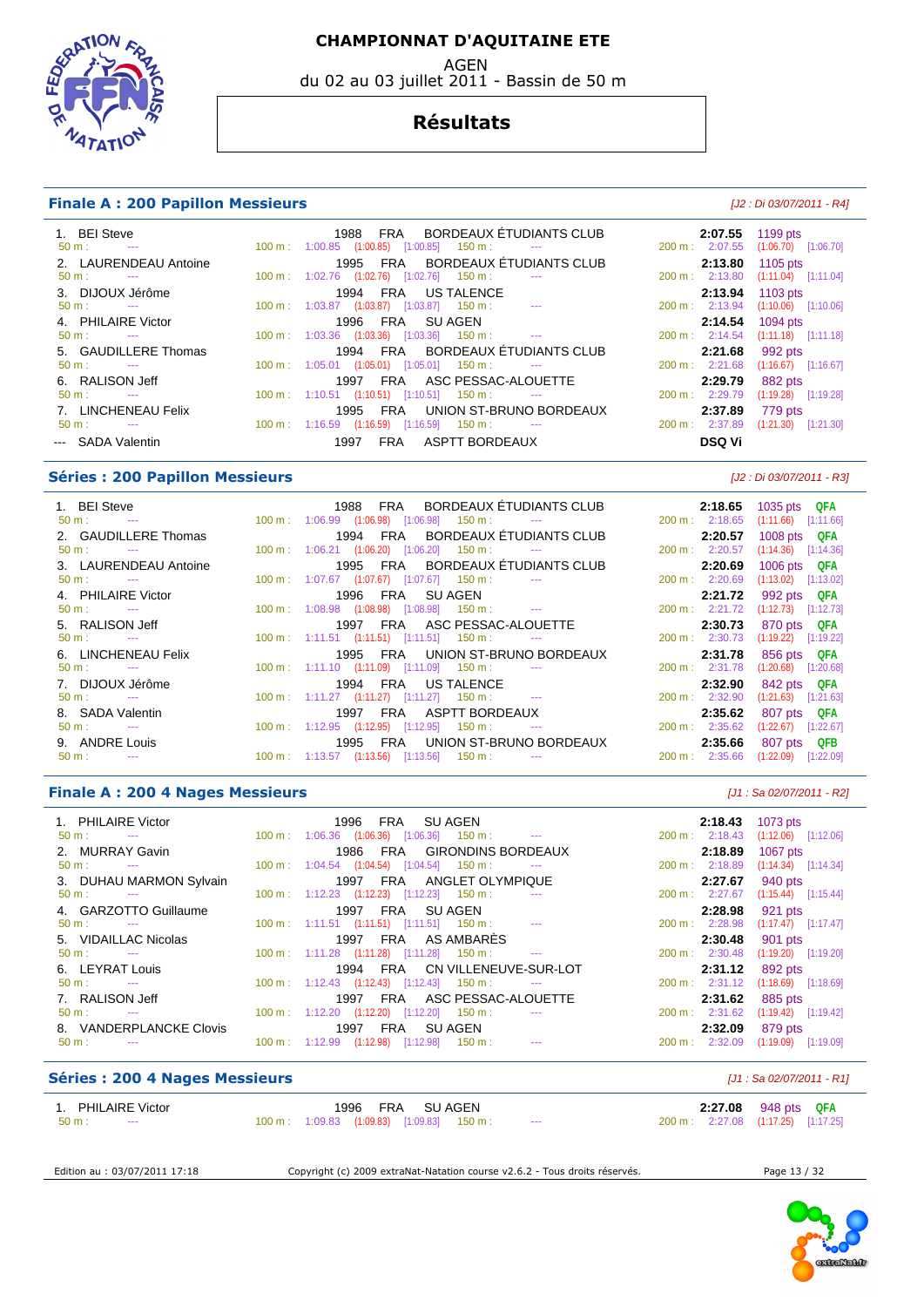AGEN

du 02 au 03 juillet 2011 - Bassin de 50 m

#### **Résultats**

#### **Finale A : 200 Papillon Messieurs** [J2 : Di 03/07/2011 - R4]

ТАТ

| 1. BEI Steve<br>$50 \text{ m}$ :<br><b>Service Contracts</b><br>2. LAURENDEAU Antoine | 1988 FRA BORDEAUX ÉTUDIANTS CLUB<br>$100 \text{ m}: 1:00.85$ $(1:00.85)$ $[1:00.85]$ $150 \text{ m}:$ ---<br>1995 FRA BORDEAUX ÉTUDIANTS CLUB                                                                                                                                                                                                              | 2:07.55<br>1199 pts<br>200 m: 2:07.55 (1:06.70) [1:06.70]<br>2:13.80<br>1105 pts |
|---------------------------------------------------------------------------------------|------------------------------------------------------------------------------------------------------------------------------------------------------------------------------------------------------------------------------------------------------------------------------------------------------------------------------------------------------------|----------------------------------------------------------------------------------|
| $50 \text{ m}$ : $-$                                                                  | 100 m: 1:02.76 (1:02.76) [1:02.76] 150 m:                                                                                                                                                                                                                                                                                                                  | 200 m: 2:13.80<br>$(1:11.04)$ $[1:11.04]$                                        |
| 3. DIJOUX Jérôme<br>$50 \text{ m}$ : $-$                                              | 1994 FRA US TALENCE<br>100 m: 1:03.87 (1:03.87) [1:03.87] 150 m:<br><b>Contract Contract Contract</b>                                                                                                                                                                                                                                                      | 2:13.94 1103 pts<br>200 m: 2:13.94 (1:10.06) [1:10.06]                           |
| 4. PHILAIRE Victor<br>$50 \text{ m}$ : $-$                                            | FRA SUAGEN<br>1996<br>$100 \text{ m}: 1:03.36$ $(1:03.36)$ $[1:03.36]$ $150 \text{ m}: 1:011 \text{ m}: 1:021 \text{ m}: 1:031 \text{ m}: 1:031 \text{ m}: 1:031 \text{ m}: 1:031 \text{ m}: 1:031 \text{ m}: 1:031 \text{ m}: 1:031 \text{ m}: 1:031 \text{ m}: 1:031 \text{ m}: 1:031 \text{ m}: 1:031 \text{ m}: 1:031 \text{ m}: 1:031 \text{ m}: 1:0$ | 2:14.54<br>1094 pts<br>200 m: 2:14.54 (1:11.18) [1:11.18]                        |
| 5. GAUDILLERE Thomas<br>$50 \text{ m}$ : $-$                                          | 1994 FRA BORDEAUX ÉTUDIANTS CLUB<br>$100 \text{ m}: 1:05.01$ $(1:05.01)$ $[1:05.01]$ $150 \text{ m}:$                                                                                                                                                                                                                                                      | 2:21.68<br>992 pts<br>$200 \text{ m}: 2:21.68$<br>$(1:16.67)$ [1:16.67]          |
| 6. RALISON Jeff<br>$50 \text{ m}$ : $-$                                               | FRA ASC PESSAC-ALOUETTE<br>1997<br>$100 \text{ m}: 1:10.51$ $(1:10.51)$ $[1:10.51]$ $150 \text{ m}:$                                                                                                                                                                                                                                                       | 2:29.79<br>882 pts<br>$200 \text{ m}$ : 2:29.79<br>$(1:19.28)$ [1:19.28]         |
| 7. LINCHENEAU Felix<br>$50 \text{ m}$ : $-$                                           | FRA UNION ST-BRUNO BORDEAUX<br>1995<br>$100 \text{ m}: 1:16.59$ $(1:16.59)$ $[1:16.59]$ $150 \text{ m}:$                                                                                                                                                                                                                                                   | 2:37.89<br>779 pts<br>$200 \text{ m}: 2:37.89$<br>$(1:21.30)$ $[1:21.30]$        |
| --- SADA Valentin                                                                     | ASPTT BORDEAUX<br>1997<br>FRA                                                                                                                                                                                                                                                                                                                              | DSQ Vi                                                                           |

#### **Séries : 200 Papillon Messieurs** [J2 : Di 03/07/2011 - R3]

| 1. BEI Steve          |                                                                   | 1988 FRA BORDEAUX ETUDIANTS CLUB                                          |                | 2:18.65 1035 pts QFA    |
|-----------------------|-------------------------------------------------------------------|---------------------------------------------------------------------------|----------------|-------------------------|
| $50 \text{ m}$ : $-$  |                                                                   | $100 \text{ m}: 1:06.99$ $(1:06.98)$ $[1:06.98]$ $150 \text{ m}:$ ---     | 200 m: 2:18.65 | $(1:11.66)$ $[1:11.66]$ |
| 2. GAUDILLERE Thomas  |                                                                   | 1994 FRA BORDEAUX ÉTUDIANTS CLUB                                          | 2:20.57        | 1008 pts QFA            |
| $50 \text{ m}$ : $-$  |                                                                   | $100 \text{ m}$ : $1:06.21$ $(1:06.20)$ $[1:06.20]$ $150 \text{ m}$ : --- | 200 m: 2:20.57 | $(1:14.36)$ $[1:14.36]$ |
| 3. LAURENDEAU Antoine |                                                                   | 1995 FRA BORDEAUX ÉTUDIANTS CLUB                                          | 2:20.69        | 1006 pts QFA            |
| $50 \text{ m}$ : $-$  | 100 m: 1:07.67 (1:07.67) [1:07.67] 150 m:                         |                                                                           | 200 m: 2:20.69 | $(1:13.02)$ [1:13.02]   |
| 4. PHILAIRE Victor    | 1996 FRA SUAGEN                                                   |                                                                           | 2:21.72        | 992 pts QFA             |
| $50 \text{ m}$ : $-$  |                                                                   | $100 \text{ m}$ : $1:08.98$ $(1:08.98)$ $[1:08.98]$ $150 \text{ m}$ : --- | 200 m: 2:21.72 | $(1:12.73)$ $[1:12.73]$ |
| 5. RALISON Jeff       |                                                                   | 1997 FRA ASC PESSAC-ALOUETTE                                              | 2:30.73        | 870 pts QFA             |
| $50 \text{ m}$ : $-$  |                                                                   | $100 \text{ m}: 1:11.51$ $(1:11.51)$ $[1:11.51]$ $150 \text{ m}:$ ---     | 200 m: 2:30.73 | $(1:19.22)$ [1:19.22]   |
| 6. LINCHENEAU Felix   |                                                                   | 1995 FRA UNION ST-BRUNO BORDEAUX                                          | 2:31.78        | 856 pts QFA             |
| $50 \text{ m}$ : $-$  | 100 m : 1:11.10 (1:11.09) [1:11.09] 150 m :                       |                                                                           | 200 m: 2:31.78 | $(1:20.68)$ [1:20.68]   |
| 7. DIJOUX Jérôme      | 1994 FRA US TALENCE                                               |                                                                           | 2:32.90        | 842 pts QFA             |
| $50 \text{ m}$ : $-$  |                                                                   | $100 \text{ m}$ : $1:11.27$ $(1:11.27)$ $[1:11.27]$ $150 \text{ m}$ : --- | 200 m: 2:32.90 | $(1:21.63)$ $[1:21.63]$ |
| 8. SADA Valentin      |                                                                   | 1997 FRA ASPTT BORDEAUX                                                   | 2:35.62        | 807 pts QFA             |
| $50 \text{ m}$ : $-$  | $100 \text{ m}: 1:12.95$ $(1:12.95)$ $[1:12.95]$ $150 \text{ m}:$ |                                                                           | 200 m: 2:35.62 | (1:22.67)<br>[1:22.67]  |
| 9. ANDRE Louis        |                                                                   | 1995 FRA UNION ST-BRUNO BORDEAUX                                          | 2:35.66        | 807 pts QFB             |
| $50 \text{ m}$ :      | $100 \text{ m}$ : 1:13.57 (1:13.56) [1:13.56] 150 m :             | $\sim$ $\sim$                                                             | 200 m: 2:35.66 | (1:22.09)<br>[1:22.09]  |

#### **Finale A : 200 4 Nages Messieurs Contract Contract Contract Contract Contract Contract Contract Contract Contract Contract Contract Contract Contract Contract Contract Contract Contract Contract Contract Contract Contra**

| 1. PHILAIRE Victor                            | 1996 FRA SUAGEN                                                                                                                                                                                                                                                                                                                                            | $200 \text{ m}: 2:18.43$            | <b>2:18.43</b> 1073 pts            |
|-----------------------------------------------|------------------------------------------------------------------------------------------------------------------------------------------------------------------------------------------------------------------------------------------------------------------------------------------------------------------------------------------------------------|-------------------------------------|------------------------------------|
| $50 \text{ m}$ : $-$                          | $100 \text{ m}: 1:06.36$ $(1:06.36)$ $[1:06.36]$ $150 \text{ m}: 100 \text{ m}: 100 \text{ m}: 100 \text{ m}: 100 \text{ m}: 100 \text{ m}: 100 \text{ m}: 100 \text{ m}: 100 \text{ m}: 100 \text{ m}: 100 \text{ m}: 100 \text{ m}: 100 \text{ m}: 100 \text{ m}: 100 \text{ m}: 100 \text{ m}: 100 \text{ m}: 100 \text{ m}: 100 \text{ m}: 100 \text{$ |                                     | $(1:12.06)$ [1:12.06]              |
| 2. MURRAY Gavin                               | 1986 FRA GIRONDINS BORDEAUX                                                                                                                                                                                                                                                                                                                                | 2:18.89                             | 1067 pts                           |
| $50 \text{ m}$ : $-$                          | 100 m: 1:04.54 (1:04.54) [1:04.54] 150 m:                                                                                                                                                                                                                                                                                                                  | $200 \text{ m}: 2:18.89$            | $(1:14.34)$ [1:14.34]              |
| 3. DUHAU MARMON Sylvain                       | 1997 FRA ANGLET OLYMPIQUE                                                                                                                                                                                                                                                                                                                                  | 2:27.67                             | 940 pts                            |
| $50 \text{ m}$ : $-$                          | $100 \text{ m}: 1:12.23$ $(1:12.23)$ $[1:12.23]$ $150 \text{ m}:$                                                                                                                                                                                                                                                                                          | 200 m : 2:27.67                     | $(1:15.44)$ [1:15.44]              |
| 4. GARZOTTO Guillaume<br>$50 \text{ m}$ : $-$ | FRA SUAGEN<br>1997<br>$100 \text{ m}$ : 1:11.51 (1:11.51) [1:11.51] 150 m : ---                                                                                                                                                                                                                                                                            | 2:28.98<br>200 m: 2:28.98           | 921 pts<br>$(1:17.47)$ [1:17.47]   |
| 5. VIDAILLAC Nicolas<br>$50 \text{ m}$ : $-$  | FRA AS AMBARÈS<br>1997<br>$100 \text{ m}: 1:11.28$ $(1:11.28)$ $[1:11.28]$ $150 \text{ m}:$<br><b>Contract Contract</b>                                                                                                                                                                                                                                    | 2:30.48<br>200 m: 2:30.48           | 901 pts<br>$(1:19.20)$ [1:19.20]   |
| 6. LEYRAT Louis                               | 1994 FRA CN VILLENEUVE-SUR-LOT                                                                                                                                                                                                                                                                                                                             | 2:31.12                             | 892 pts                            |
| $50 \text{ m}$ : $-$                          | $100 \text{ m}$ : $1:12.43$ $(1:12.43)$ $[1:12.43]$ $150 \text{ m}$ :                                                                                                                                                                                                                                                                                      | $200 \text{ m}: 2:31.12$            | $(1:18.69)$ [1:18.69]              |
| 7. RALISON Jeff<br>$50 \text{ m}$ : $-$       | FRA ASC PESSAC-ALOUETTE<br>1997<br>$100 \text{ m}: 1:12.20$ $(1:12.20)$ $[1:12.20]$ $150 \text{ m}:$                                                                                                                                                                                                                                                       | 2:31.62<br>200 m: 2:31.62           | 885 pts<br>$(1:19.42)$ [1:19.42]   |
| 8. VANDERPLANCKE Clovis<br>$50 m$ :<br>$\sim$ | 1997<br>FRA<br>SU AGEN<br>$100 \text{ m}: 1:12.99$<br>$(1:12.98)$ $[1:12.98]$<br>$150 \text{ m}$ :<br><b>State College State</b>                                                                                                                                                                                                                           | 2:32.09<br>$200 \text{ m}: 2:32.09$ | 879 pts<br>$(1:19.09)$ $[1:19.09]$ |

#### **Séries : 200 4 Nages Messieurs Contract Contract Contract Contract Contract Contract Contract Contract Contract Contract Contract Contract Contract Contract Contract Contract Contract Contract Contract Contract Contract**

| 1. PHILAIRE Victor         | 1996 FRA<br>SU AGEN                                                                    | 2:27.08 948 pts QFA                 |
|----------------------------|----------------------------------------------------------------------------------------|-------------------------------------|
| $50 \text{ m}$ :<br>$\sim$ | $100 \text{ m}$ : $1:09.83$ $(1:09.83)$ $[1:09.83]$ $150 \text{ m}$ :<br>$\sim$ $\sim$ | 200 m : 2:27.08 (1:17.25) [1:17.25] |
|                            |                                                                                        |                                     |
|                            |                                                                                        |                                     |

Edition au : 03/07/2011 17:18 Copyright (c) 2009 extraNat-Natation course v2.6.2 - Tous droits réservés. Page 13 / 32



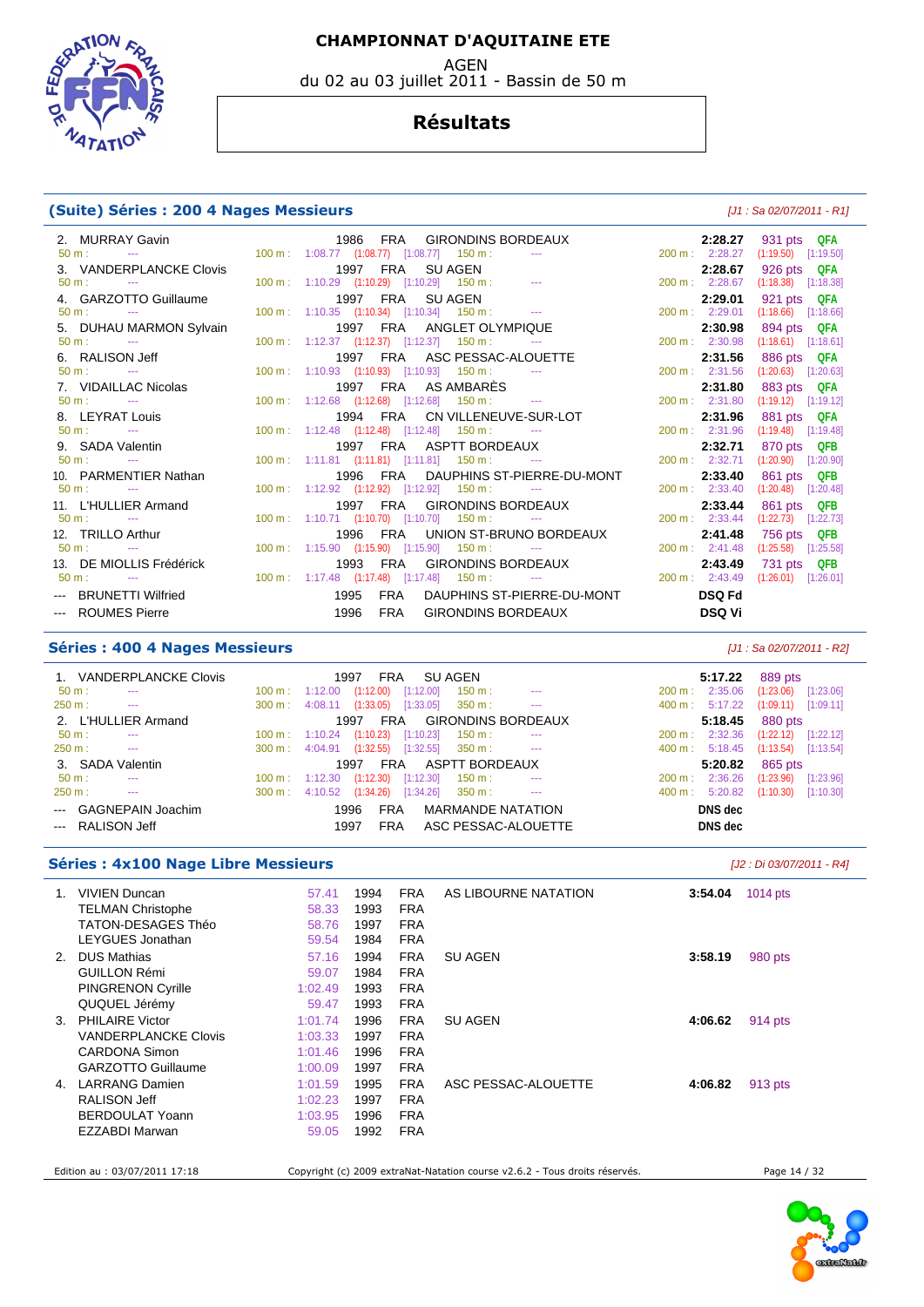**SORATI**  $47AT$ 

# du 02 au 03 juillet 2011 - Bassin de 50 m

#### **Résultats**

#### **(Suite) Séries : 200 4 Nages Messieurs** [J1 : Sa 02/07/2011 - R1]

|                           |                                                                                                                                                                                                                                                                                                                                      |                                    | 2:28.27 931 pts QFA     |
|---------------------------|--------------------------------------------------------------------------------------------------------------------------------------------------------------------------------------------------------------------------------------------------------------------------------------------------------------------------------------|------------------------------------|-------------------------|
|                           |                                                                                                                                                                                                                                                                                                                                      | 200 m: 2:28.27 (1:19.50) [1:19.50] |                         |
| 3. VANDERPLANCKE Clovis   | 1997 FRA SU AGEN                                                                                                                                                                                                                                                                                                                     |                                    | 2:28.67 926 pts QFA     |
| $50 \text{ m}$ : $-$      | $100 \text{ m}: 1:10.29$ $(1:10.29)$ $[1:10.29]$ $150 \text{ m}: 1:10.29$                                                                                                                                                                                                                                                            | 200 m: 2:28.67 (1:18.38) [1:18.38] |                         |
| 4. GARZOTTO Guillaume     | 1997 FRA SUAGEN                                                                                                                                                                                                                                                                                                                      | 2:29.01                            | 921 pts QFA             |
| $50 \text{ m}$ : $-$      | $100 \text{ m}: 1:10.35$ $(1:10.34)$ $[1:10.34]$ $150 \text{ m}: 1:10.35$                                                                                                                                                                                                                                                            | 200 m: 2:29.01                     | $(1:18.66)$ $[1:18.66]$ |
| 5. DUHAU MARMON Sylvain   | 1997 FRA ANGLET OLYMPIQUE                                                                                                                                                                                                                                                                                                            | 2:30.98                            | 894 pts QFA             |
| $50 m$ : $\qquad -\qquad$ | $100 \text{ m}: 1:12.37$ $(1:12.37)$ $[1:12.37]$ $150 \text{ m}:$                                                                                                                                                                                                                                                                    | $200 \text{ m}: 2:30.98$           | $(1:18.61)$ $[1:18.61]$ |
| 6. RALISON Jeff           | 1997 FRA ASC PESSAC-ALOUETTE                                                                                                                                                                                                                                                                                                         | 2:31.56                            | 886 pts QFA             |
| $50 \text{ m}$ : $-$      | $100 \text{ m}: 1:10.93$ $(1:10.93)$ $[1:10.93]$ $150 \text{ m}: 1:100 \text{ m}: 1:100 \text{ m}: 1:100 \text{ m}: 1:100 \text{ m}: 1:100 \text{ m}: 1:100 \text{ m}: 1:100 \text{ m}: 1:100 \text{ m}: 1:100 \text{ m}: 1:100 \text{ m}: 1:100 \text{ m}: 1:100 \text{ m}: 1:100 \text{ m}: 1:100 \text{ m}: 1:100 \text{ m}: 1:1$ | $200 \text{ m}$ : 2:31.56          | $(1:20.63)$ $[1:20.63]$ |
| 7. VIDAILLAC Nicolas      | 1997 FRA ASAMBARËS                                                                                                                                                                                                                                                                                                                   | 2:31.80                            | 883 pts QFA             |
| $50 \text{ m}$ : $-$      | $100 \text{ m}: 1:12.68$ $(1:12.68)$ $[1:12.68]$ $150 \text{ m}: 1:12.68$                                                                                                                                                                                                                                                            | 200 m: 2:31.80                     | $(1:19.12)$ [1:19.12]   |
| 8. LEYRAT Louis           | 1994 FRA CN VILLENEUVE-SUR-LOT                                                                                                                                                                                                                                                                                                       | 2:31.96                            | 881 pts QFA             |
| $50 \text{ m}$ : $-$      | 100 m: 1:12.48 (1:12.48) [1:12.48] 150 m: ---                                                                                                                                                                                                                                                                                        | 200 m: 2:31.96                     | $(1:19.48)$ [1:19.48]   |
| 9. SADA Valentin          | 1997 FRA ASPTT BORDEAUX                                                                                                                                                                                                                                                                                                              | 2:32.71                            | 870 pts QFB             |
| $50 \text{ m}$ : $-$      | $100 \text{ m}: 1:11.81$ $(1:11.81)$ $[1:11.81]$ $150 \text{ m}:$ ---                                                                                                                                                                                                                                                                | 200 m: 2:32.71                     | $(1:20.90)$ $[1:20.90]$ |
| 10. PARMENTIER Nathan     | 1996 FRA DAUPHINS ST-PIERRE-DU-MONT                                                                                                                                                                                                                                                                                                  | 2:33.40                            | 861 pts QFB             |
| $50 \text{ m}$ : $-$      | 100 m: 1:12.92 (1:12.92) [1:12.92] 150 m: ---                                                                                                                                                                                                                                                                                        | $200 \text{ m}$ : 2:33.40          | $(1:20.48)$ $[1:20.48]$ |
| 11. L'HULLIER Armand      | 1997 FRA GIRONDINS BORDEAUX                                                                                                                                                                                                                                                                                                          | 2:33.44                            | 861 pts QFB             |
| $50 m:$ ---               | $100 \text{ m}: 1:10.71$ $(1:10.70)$ $[1:10.70]$ $150 \text{ m}:$ ---                                                                                                                                                                                                                                                                | 200 m: 2:33.44                     | $(1:22.73)$ [1:22.73]   |
| 12. TRILLO Arthur         | 1996 FRA UNION ST-BRUNO BORDEAUX                                                                                                                                                                                                                                                                                                     | 2:41.48                            | 756 pts QFB             |
| $50 \text{ m}$ : $-$      | $100 \text{ m}: 1:15.90$ $(1:15.90)$ $[1:15.90]$ $150 \text{ m}: 1:150 \text{ m}: 1:150 \text{ m}: 1:150 \text{ m}: 1:150 \text{ m}: 1:150 \text{ m}: 1:150 \text{ m}: 1:150 \text{ m}: 1:150 \text{ m}: 1:150 \text{ m}: 1:150 \text{ m}: 1:150 \text{ m}: 1:150 \text{ m}: 1:150 \text{ m}: 1:150 \text{ m}: 1:150 \text{ m}: 1:1$ | 200 m: 2:41.48                     | $(1:25.58)$ $[1:25.58]$ |
| 13. DE MIOLLIS Frédérick  |                                                                                                                                                                                                                                                                                                                                      |                                    | 731 pts QFB             |
| $50 \text{ m}$ : $-$      | 1993 FRA GIRONDINS BORDEAUX 2 <b>:43.49</b><br>100 m: 1:17.48 (1:17.48) [1:17.48] 150 m: --- 200 m: 2:43.49                                                                                                                                                                                                                          |                                    | $(1:26.01)$ $[1:26.01]$ |
| --- BRUNETTI Wilfried     | FRA DAUPHINS ST-PIERRE-DU-MONT<br>1995                                                                                                                                                                                                                                                                                               | <b>DSQ Fd</b>                      |                         |
| --- ROUMES Pierre         | FRA GIRONDINS BORDEAUX<br>1996                                                                                                                                                                                                                                                                                                       | DSQ Vi                             |                         |

#### **Séries : 400 4 Nages Messieurs** [J1 : Sa 02/07/2011 - R2]

| 1. VANDERPLANCKE Clovis     |                           | 1997                 | FRA                             | SU AGEN                  |                           |                   | 5:17.22 | 889 pts                 |           |
|-----------------------------|---------------------------|----------------------|---------------------------------|--------------------------|---------------------------|-------------------|---------|-------------------------|-----------|
| $50 \text{ m}$ :<br>$- - -$ | $100 \text{ m}: 1:12.00$  | (1:12.00)            | [1:12.00]                       | 150 m:                   | $\cdots$                  | 200 m:            | 2:35.06 | (1:23.06)               | [1:23.06] |
| 250 m:<br>$\sim$ $\sim$     | 300 m:                    | (1:33.05)<br>4:08.11 | [1:33.05]                       | 350 m:                   | $\sim$ $\sim$ $\sim$      | 400 m: 5:17.22    |         | (1:09.11)               | [1:09.11] |
| 2. L'HULLIER Armand         |                           | 1997                 | <b>FRA</b>                      |                          | <b>GIRONDINS BORDEAUX</b> |                   | 5:18.45 | 880 pts                 |           |
| $50 m$ :<br>$- - -$         | $100 \text{ m}$ : 1:10.24 | (1:10.23)            | [1:10.23]                       | $150 \text{ m}$ :        | $- - -$                   | 200 m:            | 2:32.36 | (1:22.12)               | [1:22.12] |
| $250 m$ :<br>$\sim$ $\sim$  | $300 \text{ m}$ :         | 4:04.91              | $(1:32.55)$ $[1:32.55]$ 350 m : |                          | $\sim$ $\sim$ $\sim$      | $400 \text{ m}$ : | 5:18.45 | $(1:13.54)$ $[1:13.54]$ |           |
| 3. SADA Valentin            |                           | 1997                 | <b>FRA</b>                      | ASPTT BORDEAUX           |                           |                   | 5:20.82 | 865 pts                 |           |
| $50 m$ :<br>---             | $100 \text{ m}: 1:12.30$  | (1:12.30)            | [1:12.30]                       | $150 \text{ m}$ :        | $\cdots$                  | 200 m:            | 2:36.26 | (1:23.96)               | [1:23.96] |
| 250 m:<br>$- - -$           | $300 \text{ m}$ :         | 4:10.52<br>(1:34.26) | [1:34.26]                       | $350 \text{ m}$ :        | $\sim$                    | $400 \text{ m}$ : | 5:20.82 | (1:10.30)               | [1:10.30] |
| --- GAGNEPAIN Joachim       |                           | 1996                 | <b>FRA</b>                      | <b>MARMANDE NATATION</b> |                           |                   | DNS dec |                         |           |
| --- RALISON Jeff            |                           | 1997                 | FRA                             |                          | ASC PESSAC-ALOUETTE       |                   | DNS dec |                         |           |

#### **Séries : 4x100 Nage Libre Messieurs** [J2 : Di 03/07/2011 - R4]

| $1_{-}$        | <b>VIVIEN Duncan</b><br>57.41        | 1994 | <b>FRA</b> | AS LIBOURNE NATATION | 3:54.04 | $1014$ pts |
|----------------|--------------------------------------|------|------------|----------------------|---------|------------|
|                | <b>TELMAN Christophe</b><br>58.33    | 1993 | <b>FRA</b> |                      |         |            |
|                | TATON-DESAGES Théo<br>58.76          | 1997 | <b>FRA</b> |                      |         |            |
|                | LEYGUES Jonathan<br>59.54            | 1984 | <b>FRA</b> |                      |         |            |
| 2.             | DUS Mathias<br>57.16                 | 1994 | <b>FRA</b> | <b>SU AGEN</b>       | 3:58.19 | 980 pts    |
|                | <b>GUILLON Rémi</b><br>59.07         | 1984 | <b>FRA</b> |                      |         |            |
|                | <b>PINGRENON Cyrille</b><br>1:02.49  | 1993 | <b>FRA</b> |                      |         |            |
|                | QUQUEL Jérémy<br>59.47               | 1993 | <b>FRA</b> |                      |         |            |
|                | 3. PHILAIRE Victor<br>1:01.74        | 1996 | <b>FRA</b> | <b>SU AGEN</b>       | 4:06.62 | 914 pts    |
|                | VANDERPLANCKE Clovis<br>1:03.33      | 1997 | <b>FRA</b> |                      |         |            |
|                | CARDONA Simon<br>1:01.46             | 1996 | <b>FRA</b> |                      |         |            |
|                | <b>GARZOTTO Guillaume</b><br>1:00.09 | 1997 | <b>FRA</b> |                      |         |            |
| 4 <sup>1</sup> | <b>LARRANG Damien</b><br>1:01.59     | 1995 | <b>FRA</b> | ASC PESSAC-ALOUETTE  | 4:06.82 | 913 pts    |
|                | <b>RALISON Jeff</b><br>1:02.23       | 1997 | <b>FRA</b> |                      |         |            |
|                | BERDOULAT Yoann<br>1:03.95           | 1996 | <b>FRA</b> |                      |         |            |
|                | EZZABDI Marwan<br>59.05              | 1992 | <b>FRA</b> |                      |         |            |
|                |                                      |      |            |                      |         |            |
|                |                                      |      |            |                      |         |            |

Edition au : 03/07/2011 17:18 Copyright (c) 2009 extraNat-Natation course v2.6.2 - Tous droits réservés. Page 14 / 32

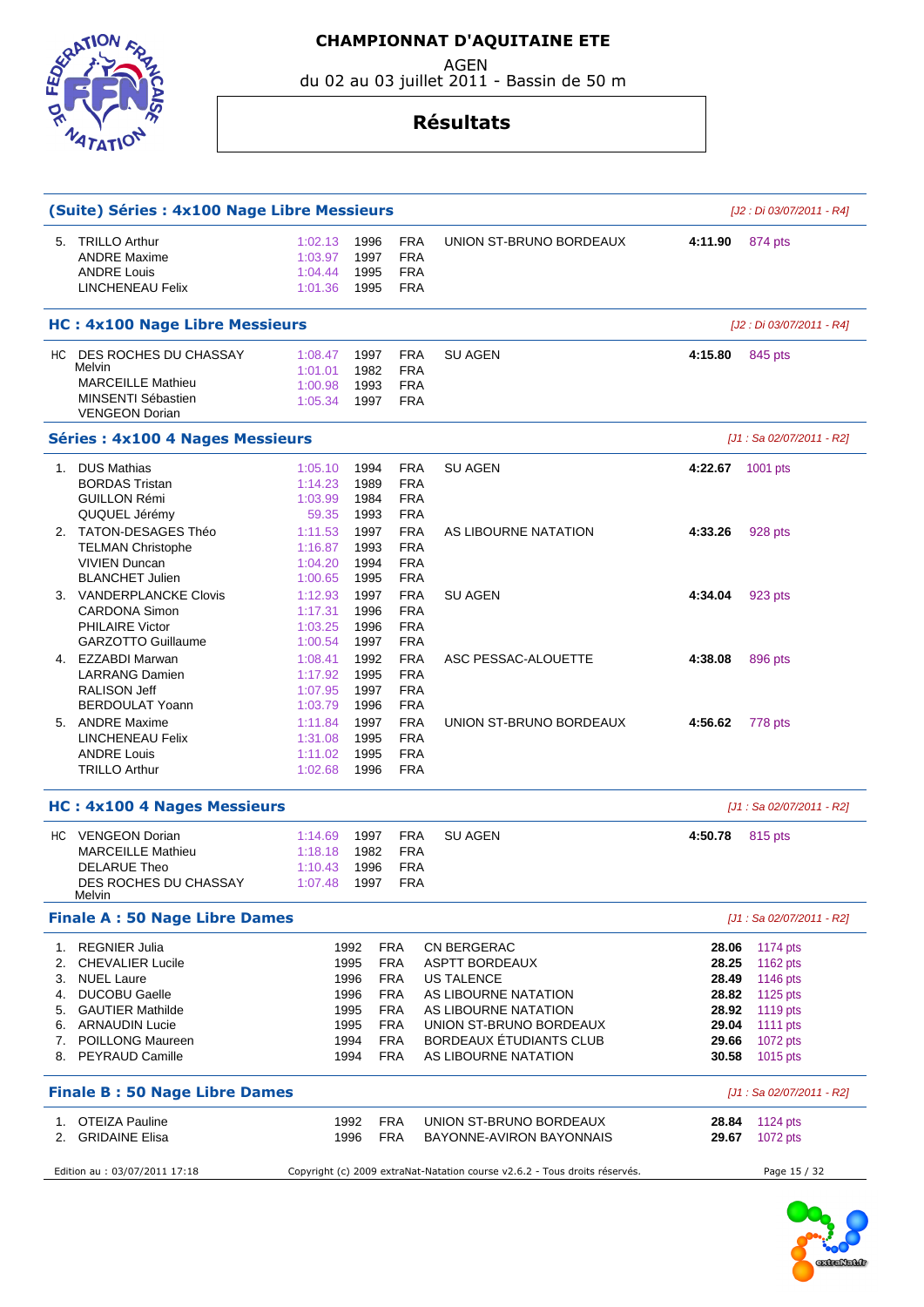AGEN

du 02 au 03 juillet 2011 - Bassin de 50 m



## **Résultats**

|                                              | (Suite) Séries : 4x100 Nage Libre Messieurs                                                                                                                                                           |                                                              |                              |                                                                                                       |                                                                                                                                                                                  |                                                                      | [J2 : Di 03/07/2011 - R4]                                                                    |
|----------------------------------------------|-------------------------------------------------------------------------------------------------------------------------------------------------------------------------------------------------------|--------------------------------------------------------------|------------------------------|-------------------------------------------------------------------------------------------------------|----------------------------------------------------------------------------------------------------------------------------------------------------------------------------------|----------------------------------------------------------------------|----------------------------------------------------------------------------------------------|
| 5.                                           | <b>TRILLO Arthur</b><br><b>ANDRE Maxime</b><br><b>ANDRE Louis</b><br><b>LINCHENEAU Felix</b>                                                                                                          | 1:02.13<br>1:03.97<br>1:04.44<br>1:01.36                     | 1996<br>1997<br>1995<br>1995 | <b>FRA</b><br><b>FRA</b><br><b>FRA</b><br><b>FRA</b>                                                  | UNION ST-BRUNO BORDEAUX                                                                                                                                                          | 4:11.90                                                              | 874 pts                                                                                      |
|                                              | <b>HC: 4x100 Nage Libre Messieurs</b>                                                                                                                                                                 |                                                              |                              |                                                                                                       |                                                                                                                                                                                  |                                                                      | [J2 : Di 03/07/2011 - R4]                                                                    |
|                                              | HC DES ROCHES DU CHASSAY<br>Melvin<br><b>MARCEILLE Mathieu</b><br>MINSENTI Sébastien<br><b>VENGEON Dorian</b>                                                                                         | 1:08.47<br>1:01.01<br>1:00.98<br>1:05.34                     | 1997<br>1982<br>1993<br>1997 | <b>FRA</b><br><b>FRA</b><br><b>FRA</b><br><b>FRA</b>                                                  | <b>SU AGEN</b>                                                                                                                                                                   | 4:15.80                                                              | 845 pts                                                                                      |
|                                              | <b>Séries: 4x100 4 Nages Messieurs</b>                                                                                                                                                                |                                                              |                              |                                                                                                       |                                                                                                                                                                                  |                                                                      | [J1 : Sa 02/07/2011 - R2]                                                                    |
| 1.                                           | <b>DUS Mathias</b><br><b>BORDAS Tristan</b><br><b>GUILLON Rémi</b><br>QUQUEL Jérémy                                                                                                                   | 1:05.10<br>1:14.23<br>1:03.99<br>59.35                       | 1994<br>1989<br>1984<br>1993 | <b>FRA</b><br><b>FRA</b><br><b>FRA</b><br><b>FRA</b>                                                  | <b>SU AGEN</b>                                                                                                                                                                   | 4:22.67 1001 pts                                                     |                                                                                              |
|                                              | 2. TATON-DESAGES Théo<br><b>TELMAN Christophe</b><br><b>VIVIEN Duncan</b><br><b>BLANCHET Julien</b>                                                                                                   | 1:11.53<br>1:16.87<br>1:04.20<br>1:00.65                     | 1997<br>1993<br>1994<br>1995 | <b>FRA</b><br><b>FRA</b><br><b>FRA</b><br><b>FRA</b>                                                  | AS LIBOURNE NATATION                                                                                                                                                             | 4:33.26                                                              | 928 pts                                                                                      |
|                                              | 3. VANDERPLANCKE Clovis<br><b>CARDONA Simon</b><br><b>PHILAIRE Victor</b><br><b>GARZOTTO Guillaume</b>                                                                                                | 1:12.93<br>1:17.31<br>1:03.25<br>1:00.54                     | 1997<br>1996<br>1996<br>1997 | <b>FRA</b><br><b>FRA</b><br><b>FRA</b><br><b>FRA</b>                                                  | <b>SU AGEN</b>                                                                                                                                                                   | 4:34.04                                                              | 923 pts                                                                                      |
|                                              | 4. EZZABDI Marwan<br><b>LARRANG Damien</b><br><b>RALISON Jeff</b><br><b>BERDOULAT Yoann</b>                                                                                                           | 1:08.41<br>1:17.92<br>1:07.95<br>1:03.79                     | 1992<br>1995<br>1997<br>1996 | <b>FRA</b><br><b>FRA</b><br><b>FRA</b><br><b>FRA</b>                                                  | ASC PESSAC-ALOUETTE                                                                                                                                                              | 4:38.08                                                              | 896 pts                                                                                      |
|                                              | 5. ANDRE Maxime<br><b>LINCHENEAU Felix</b><br><b>ANDRE Louis</b><br><b>TRILLO Arthur</b>                                                                                                              | 1:11.84<br>1:31.08<br>1:11.02<br>1:02.68                     | 1997<br>1995<br>1995<br>1996 | <b>FRA</b><br><b>FRA</b><br><b>FRA</b><br><b>FRA</b>                                                  | UNION ST-BRUNO BORDEAUX                                                                                                                                                          | 4:56.62                                                              | 778 pts                                                                                      |
|                                              | <b>HC: 4x100 4 Nages Messieurs</b>                                                                                                                                                                    |                                                              |                              |                                                                                                       |                                                                                                                                                                                  |                                                                      | [J1 : Sa 02/07/2011 - R2]                                                                    |
|                                              | HC VENGEON Dorian<br><b>MARCEILLE Mathieu</b><br><b>DELARUE Theo</b><br><b>DES ROCHES DU CHASSAY</b><br><b>Melvin</b>                                                                                 | 1:14.69<br>1:18.18<br>1:10.43<br>1:07.48                     | 1997<br>1982<br>1996<br>1997 | <b>FRA</b><br><b>FRA</b><br><b>FRA</b><br><b>FRA</b>                                                  | <b>SU AGEN</b>                                                                                                                                                                   | 4:50.78                                                              | 815 pts                                                                                      |
|                                              | <b>Finale A: 50 Nage Libre Dames</b>                                                                                                                                                                  |                                                              |                              |                                                                                                       |                                                                                                                                                                                  |                                                                      | [J1 : Sa 02/07/2011 - R2]                                                                    |
| 1.<br>2.<br>3.<br>4.<br>5.<br>6.<br>7.<br>8. | <b>REGNIER Julia</b><br><b>CHEVALIER Lucile</b><br><b>NUEL Laure</b><br><b>DUCOBU Gaelle</b><br><b>GAUTIER Mathilde</b><br><b>ARNAUDIN Lucie</b><br><b>POILLONG Maureen</b><br><b>PEYRAUD Camille</b> | 1992<br>1995<br>1996<br>1996<br>1995<br>1995<br>1994<br>1994 |                              | FRA<br><b>FRA</b><br><b>FRA</b><br><b>FRA</b><br><b>FRA</b><br><b>FRA</b><br><b>FRA</b><br><b>FRA</b> | CN BERGERAC<br>ASPTT BORDEAUX<br><b>US TALENCE</b><br>AS LIBOURNE NATATION<br>AS LIBOURNE NATATION<br>UNION ST-BRUNO BORDEAUX<br>BORDEAUX ÉTUDIANTS CLUB<br>AS LIBOURNE NATATION | 28.06<br>28.25<br>28.49<br>28.82<br>28.92<br>29.04<br>29.66<br>30.58 | 1174 pts<br>1162 pts<br>1146 pts<br>1125 pts<br>1119 pts<br>1111 pts<br>1072 pts<br>1015 pts |
|                                              | <b>Finale B: 50 Nage Libre Dames</b>                                                                                                                                                                  |                                                              |                              |                                                                                                       |                                                                                                                                                                                  |                                                                      | [J1 : Sa 02/07/2011 - R2]                                                                    |
| 1.<br>2.                                     | <b>OTEIZA Pauline</b><br><b>GRIDAINE Elisa</b>                                                                                                                                                        |                                                              | 1992<br>1996                 | <b>FRA</b><br><b>FRA</b>                                                                              | UNION ST-BRUNO BORDEAUX<br>BAYONNE-AVIRON BAYONNAIS                                                                                                                              | 28.84<br>29.67                                                       | 1124 pts<br>1072 pts                                                                         |
|                                              | Edition au : 03/07/2011 17:18                                                                                                                                                                         |                                                              |                              |                                                                                                       | Copyright (c) 2009 extraNat-Natation course v2.6.2 - Tous droits réservés.                                                                                                       |                                                                      | Page 15 / 32                                                                                 |

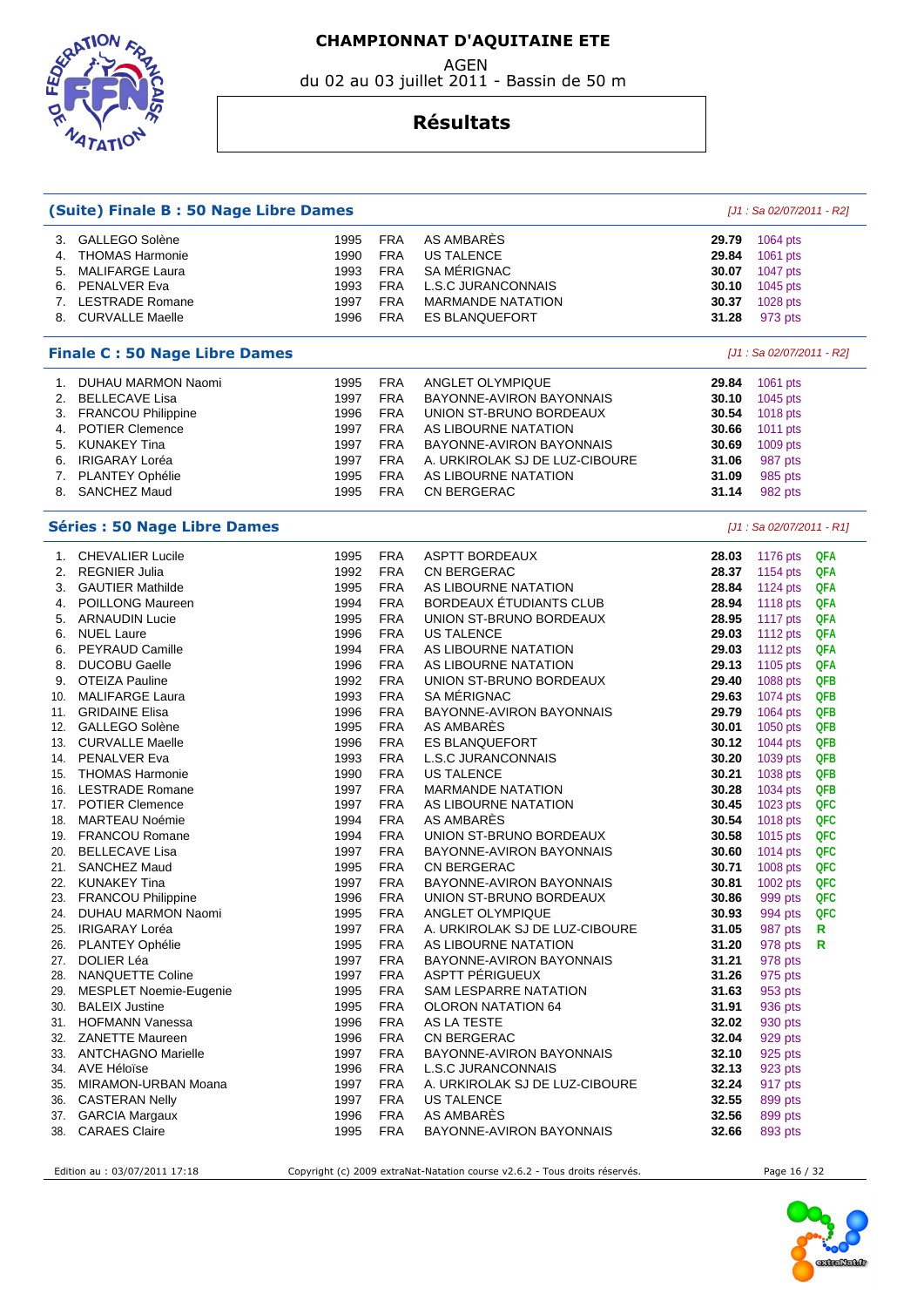AGEN

du 02 au 03 juillet 2011 - Bassin de 50 m



#### **Résultats**

|     | (Suite) Finale B: 50 Nage Libre Dames |      |            |                                |       | $[J1: Sa 02/07/2011 - R2]$ |     |
|-----|---------------------------------------|------|------------|--------------------------------|-------|----------------------------|-----|
| З.  | GALLEGO Solène                        | 1995 | <b>FRA</b> | AS AMBARES                     | 29.79 | 1064 pts                   |     |
| 4.  | <b>THOMAS Harmonie</b>                | 1990 | <b>FRA</b> | <b>US TALENCE</b>              | 29.84 | 1061 pts                   |     |
| 5.  | <b>MALIFARGE Laura</b>                | 1993 | <b>FRA</b> | SA MÉRIGNAC                    | 30.07 | 1047 pts                   |     |
| 6.  | PENALVER Eva                          | 1993 | <b>FRA</b> | <b>L.S.C JURANCONNAIS</b>      | 30.10 | 1045 pts                   |     |
|     | 7. LESTRADE Romane                    | 1997 | <b>FRA</b> | <b>MARMANDE NATATION</b>       | 30.37 | 1028 pts                   |     |
| 8.  | <b>CURVALLE Maelle</b>                | 1996 | <b>FRA</b> | <b>ES BLANQUEFORT</b>          | 31.28 | 973 pts                    |     |
|     |                                       |      |            |                                |       |                            |     |
|     | <b>Finale C: 50 Nage Libre Dames</b>  |      |            |                                |       | [J1 : Sa 02/07/2011 - R2]  |     |
| 1.  | <b>DUHAU MARMON Naomi</b>             | 1995 | <b>FRA</b> | ANGLET OLYMPIQUE               | 29.84 | 1061 pts                   |     |
| 2.  | <b>BELLECAVE Lisa</b>                 | 1997 | <b>FRA</b> | BAYONNE-AVIRON BAYONNAIS       | 30.10 | 1045 pts                   |     |
| 3.  | FRANCOU Philippine                    | 1996 | <b>FRA</b> | UNION ST-BRUNO BORDEAUX        | 30.54 | 1018 pts                   |     |
| 4.  | <b>POTIER Clemence</b>                | 1997 | <b>FRA</b> | AS LIBOURNE NATATION           | 30.66 | 1011 pts                   |     |
| 5.  | <b>KUNAKEY Tina</b>                   | 1997 | <b>FRA</b> | BAYONNE-AVIRON BAYONNAIS       | 30.69 | 1009 pts                   |     |
| 6.  | <b>IRIGARAY Loréa</b>                 | 1997 | <b>FRA</b> | A. URKIROLAK SJ DE LUZ-CIBOURE | 31.06 | 987 pts                    |     |
| 7.  | PLANTEY Ophélie                       | 1995 | <b>FRA</b> | AS LIBOURNE NATATION           | 31.09 | 985 pts                    |     |
| 8.  | <b>SANCHEZ Maud</b>                   | 1995 | <b>FRA</b> | CN BERGERAC                    | 31.14 | 982 pts                    |     |
|     | <b>Séries : 50 Nage Libre Dames</b>   |      |            |                                |       | [J1 : Sa 02/07/2011 - R1]  |     |
| 1.  | <b>CHEVALIER Lucile</b>               | 1995 | <b>FRA</b> | <b>ASPTT BORDEAUX</b>          | 28.03 | 1176 pts                   | QFA |
| 2.  | <b>REGNIER Julia</b>                  | 1992 | <b>FRA</b> | <b>CN BERGERAC</b>             | 28.37 | 1154 pts                   | QFA |
| 3.  | <b>GAUTIER Mathilde</b>               | 1995 | <b>FRA</b> | AS LIBOURNE NATATION           | 28.84 | 1124 pts                   | QFA |
| 4.  | <b>POILLONG Maureen</b>               | 1994 | <b>FRA</b> | BORDEAUX ÉTUDIANTS CLUB        | 28.94 | 1118 pts                   | QFA |
| 5.  | <b>ARNAUDIN Lucie</b>                 | 1995 | <b>FRA</b> | UNION ST-BRUNO BORDEAUX        | 28.95 | 1117 pts                   | QFA |
| 6.  | <b>NUEL Laure</b>                     | 1996 | <b>FRA</b> | <b>US TALENCE</b>              | 29.03 | 1112 pts                   | QFA |
| 6.  | <b>PEYRAUD Camille</b>                | 1994 | <b>FRA</b> | AS LIBOURNE NATATION           | 29.03 | 1112 $pts$                 | QFA |
| 8.  | <b>DUCOBU Gaelle</b>                  | 1996 | <b>FRA</b> | AS LIBOURNE NATATION           | 29.13 | 1105 pts                   | QFA |
| 9.  | <b>OTEIZA Pauline</b>                 | 1992 | <b>FRA</b> | UNION ST-BRUNO BORDEAUX        | 29.40 | 1088 pts                   | QFB |
| 10. | <b>MALIFARGE Laura</b>                | 1993 | <b>FRA</b> | SA MÉRIGNAC                    | 29.63 | 1074 pts                   | QFB |
| 11. | <b>GRIDAINE Elisa</b>                 | 1996 | <b>FRA</b> | BAYONNE-AVIRON BAYONNAIS       | 29.79 | 1064 pts                   | QFB |
| 12. | GALLEGO Solène                        | 1995 | <b>FRA</b> | AS AMBARES                     | 30.01 | 1050 pts                   | QFB |
|     | 13. CURVALLE Maelle                   | 1996 | <b>FRA</b> | <b>ES BLANQUEFORT</b>          | 30.12 | 1044 pts                   | QFB |
| 14. | PENALVER Eva                          | 1993 | <b>FRA</b> | L.S.C JURANCONNAIS             | 30.20 | 1039 pts                   | QFB |
| 15. | <b>THOMAS Harmonie</b>                | 1990 | <b>FRA</b> | <b>US TALENCE</b>              | 30.21 | 1038 pts                   | QFB |
|     | 16. LESTRADE Romane                   | 1997 | <b>FRA</b> | <b>MARMANDE NATATION</b>       | 30.28 | 1034 pts                   | QFB |
|     | <b>POTIER Clemence</b>                |      | <b>FRA</b> | AS LIBOURNE NATATION           |       |                            | QFC |
| 17. |                                       | 1997 |            |                                | 30.45 | 1023 pts                   |     |
| 18. | <b>MARTEAU Noémie</b>                 | 1994 | <b>FRA</b> | <b>AS AMBARES</b>              | 30.54 | 1018 pts                   | QFC |
|     | 19. FRANCOU Romane                    | 1994 | <b>FRA</b> | UNION ST-BRUNO BORDEAUX        | 30.58 | 1015 pts                   | QFC |
| 20. | <b>BELLECAVE Lisa</b>                 | 1997 | <b>FRA</b> | BAYONNE-AVIRON BAYONNAIS       | 30.60 | 1014 $pts$                 | QFC |
| 21. | <b>SANCHEZ Maud</b>                   | 1995 | <b>FRA</b> | CN BERGERAC                    | 30.71 | $1008$ pts                 | QFC |
| 22. | <b>KUNAKEY Tina</b>                   | 1997 | <b>FRA</b> | BAYONNE-AVIRON BAYONNAIS       | 30.81 | 1002 pts                   | QFC |
| 23. | FRANCOU Philippine                    | 1996 | <b>FRA</b> | UNION ST-BRUNO BORDEAUX        | 30.86 | 999 pts                    | QFC |
| 24. | DUHAU MARMON Naomi                    | 1995 | <b>FRA</b> | ANGLET OLYMPIQUE               | 30.93 | 994 pts                    | QFC |
| 25. | IRIGARAY Loréa                        | 1997 | <b>FRA</b> | A. URKIROLAK SJ DE LUZ-CIBOURE | 31.05 | 987 pts                    | R   |
| 26. | <b>PLANTEY Ophélie</b>                | 1995 | <b>FRA</b> | AS LIBOURNE NATATION           | 31.20 | 978 pts                    | R   |
| 27. | DOLIER Léa                            | 1997 | <b>FRA</b> | BAYONNE-AVIRON BAYONNAIS       | 31.21 | 978 pts                    |     |
| 28. | NANQUETTE Coline                      | 1997 | <b>FRA</b> | ASPTT PERIGUEUX                | 31.26 | 975 pts                    |     |
| 29. | MESPLET Noemie-Eugenie                | 1995 | <b>FRA</b> | SAM LESPARRE NATATION          | 31.63 | 953 pts                    |     |
| 30. | <b>BALEIX Justine</b>                 | 1995 | <b>FRA</b> | OLORON NATATION 64             | 31.91 | 936 pts                    |     |
|     | 31. HOFMANN Vanessa                   | 1996 | <b>FRA</b> | AS LA TESTE                    | 32.02 | 930 pts                    |     |
| 32. | <b>ZANETTE Maureen</b>                | 1996 | <b>FRA</b> | CN BERGERAC                    | 32.04 | 929 pts                    |     |
| 33. | <b>ANTCHAGNO Marielle</b>             | 1997 | <b>FRA</b> | BAYONNE-AVIRON BAYONNAIS       | 32.10 | 925 pts                    |     |
| 34. | AVE Héloïse                           | 1996 | <b>FRA</b> | <b>L.S.C JURANCONNAIS</b>      | 32.13 | 923 pts                    |     |
| 35. | MIRAMON-URBAN Moana                   | 1997 | <b>FRA</b> | A. URKIROLAK SJ DE LUZ-CIBOURE | 32.24 | 917 pts                    |     |
| 36. | <b>CASTERAN Nelly</b>                 | 1997 | <b>FRA</b> | <b>US TALENCE</b>              | 32.55 | 899 pts                    |     |
|     | 37. GARCIA Margaux                    | 1996 | <b>FRA</b> | AS AMBARES                     | 32.56 | 899 pts                    |     |
| 38. | <b>CARAES Claire</b>                  | 1995 | <b>FRA</b> | BAYONNE-AVIRON BAYONNAIS       | 32.66 | 893 pts                    |     |
|     |                                       |      |            |                                |       |                            |     |

Edition au : 03/07/2011 17:18 Copyright (c) 2009 extraNat-Natation course v2.6.2 - Tous droits réservés. Page 16 / 32

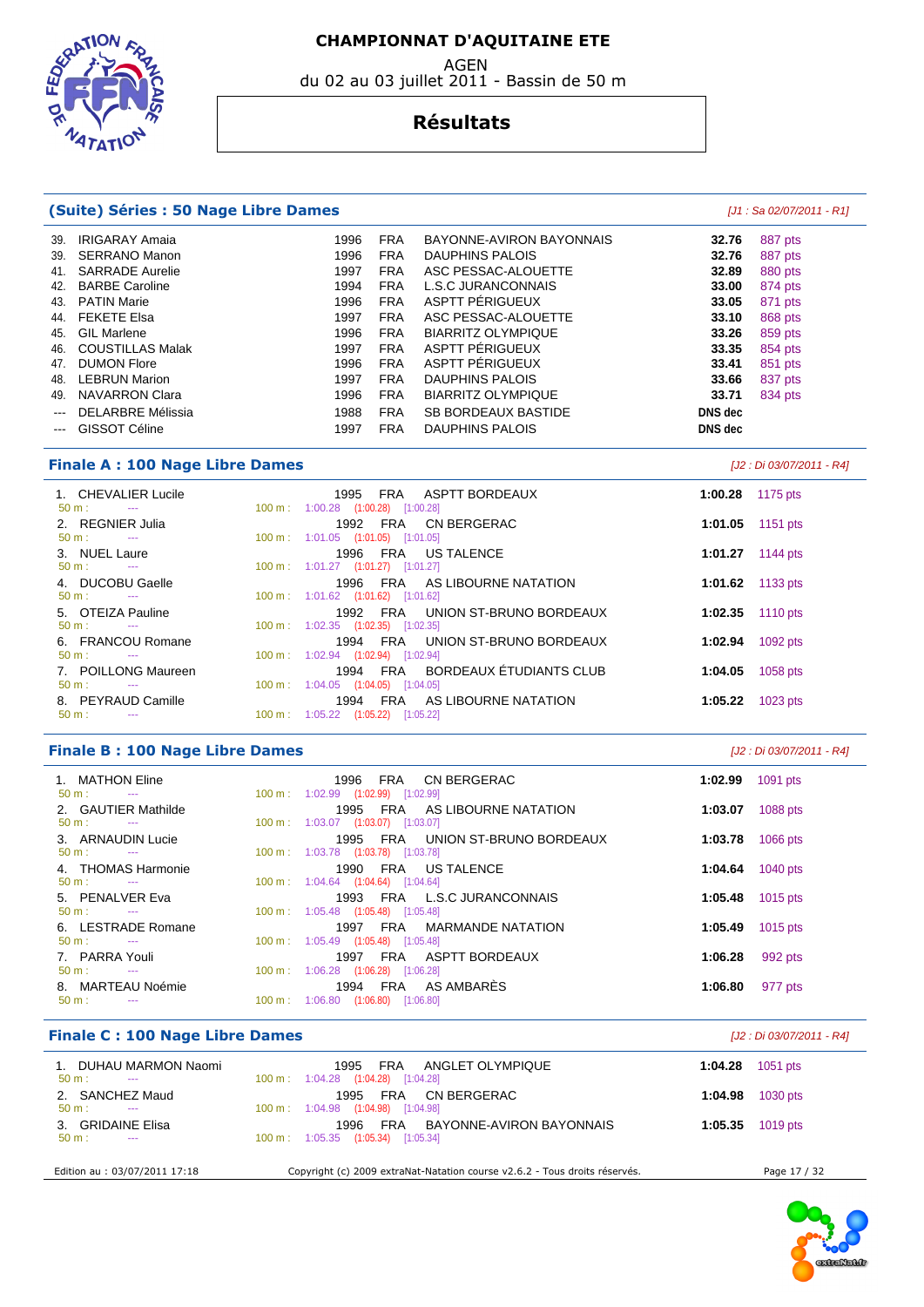EDSTRATION VATATIC

## **Résultats**

du 02 au 03 juillet 2011 - Bassin de 50 m

| (Suite) Séries : 50 Nage Libre Dames                     |                                                                           | $[J1: Sa 02/07/2011 - R1]$ |
|----------------------------------------------------------|---------------------------------------------------------------------------|----------------------------|
| 39. IRIGARAY Amaia                                       | 1996<br><b>FRA</b><br>BAYONNE-AVIRON BAYONNAIS                            | 887 pts<br>32.76           |
| <b>SERRANO Manon</b><br>39.                              | <b>FRA</b><br>1996<br><b>DAUPHINS PALOIS</b>                              | 32.76<br>887 pts           |
| 41. SARRADE Aurelie                                      | 1997<br><b>FRA</b><br>ASC PESSAC-ALOUETTE                                 | 32.89<br>880 pts           |
| <b>BARBE Caroline</b><br>42.                             | <b>FRA</b><br><b>L.S.C JURANCONNAIS</b><br>1994                           | 33.00<br>874 pts           |
| <b>PATIN Marie</b><br>43.                                | ASPTT PÉRIGUEUX<br><b>FRA</b><br>1996                                     | 33.05<br>871 pts           |
| 44. FEKETE Elsa                                          | 1997<br><b>FRA</b><br>ASC PESSAC-ALOUETTE                                 | 33.10<br>868 pts           |
| <b>GIL Marlene</b><br>45.                                | <b>FRA</b><br>1996<br><b>BIARRITZ OLYMPIQUE</b>                           | 33.26<br>859 pts           |
| <b>COUSTILLAS Malak</b><br>46.                           | ASPTT PÉRIGUEUX<br>1997<br><b>FRA</b>                                     | 33.35<br>854 pts           |
| 47. DUMON Flore                                          | ASPTT PÉRIGUEUX<br>1996<br><b>FRA</b>                                     | 33.41<br>851 pts           |
| <b>LEBRUN Marion</b><br>48.                              | 1997<br><b>FRA</b><br><b>DAUPHINS PALOIS</b>                              | 33.66<br>837 pts           |
| 49. NAVARRON Clara                                       | 1996<br><b>FRA</b><br><b>BIARRITZ OLYMPIQUE</b>                           | 33.71<br>834 pts           |
| <b>DELARBRE Mélissia</b>                                 | 1988<br><b>FRA</b><br>SB BORDEAUX BASTIDE                                 | DNS dec                    |
| GISSOT Céline<br>$\cdots$                                | 1997<br><b>FRA</b><br><b>DAUPHINS PALOIS</b>                              | DNS dec                    |
| <b>Finale A: 100 Nage Libre Dames</b>                    |                                                                           | [J2 : Di 03/07/2011 - R4]  |
| 1. CHEVALIER Lucile                                      | 1995<br><b>FRA</b><br>ASPTT BORDEAUX                                      | 1:00.28<br>1175 pts        |
| 50 m:<br>$\sim$ $\sim$                                   | 100 m: 1:00.28 (1:00.28) [1:00.28]                                        |                            |
| 2. REGNIER Julia                                         | <b>FRA</b><br>1992<br>CN BERGERAC                                         | 1:01.05<br>1151 pts        |
| 50 m:<br>$\sim$                                          | 100 m: 1:01.05 (1:01.05) [1:01.05]                                        |                            |
| 3. NUEL Laure<br>$50 m$ :<br>$\sim$                      | 1996<br>FRA<br><b>US TALENCE</b><br>100 m: 1:01.27 (1:01.27) [1:01.27]    | 1:01.27<br>1144 pts        |
| 4. DUCOBU Gaelle                                         | 1996<br><b>FRA</b><br>AS LIBOURNE NATATION                                | 1:01.62<br>1133 pts        |
| $50 m$ :<br>$\sim$                                       | 100 m: 1:01.62 (1:01.62) [1:01.62]                                        |                            |
| 5. OTEIZA Pauline                                        | <b>FRA</b><br>UNION ST-BRUNO BORDEAUX<br>1992                             | 1:02.35<br>1110 pts        |
| $50 m$ :<br>$\sim$ $\sim$                                | 100 m: 1:02.35 (1:02.35) [1:02.35]                                        |                            |
| 6. FRANCOU Romane                                        | 1994<br>FRA<br>UNION ST-BRUNO BORDEAUX                                    | 1:02.94<br>1092 pts        |
| $50 m$ :<br>$\sim$ $\sim$                                | 100 m: 1:02.94 (1:02.94) [1:02.94]                                        |                            |
| 7. POILLONG Maureen                                      | BORDEAUX ÉTUDIANTS CLUB<br>1994<br><b>FRA</b>                             | 1:04.05<br>1058 pts        |
| 50 m:<br>$\sim$                                          | 100 m: 1:04.05 (1:04.05) [1:04.05]                                        |                            |
| 8. PEYRAUD Camille                                       | FRA<br>AS LIBOURNE NATATION<br>1994                                       | 1:05.22<br>1023 pts        |
| 50 m:<br>$\sim$ $\sim$                                   | 100 m: 1:05.22 (1:05.22) [1:05.22]                                        |                            |
| <b>Finale B: 100 Nage Libre Dames</b>                    |                                                                           | [J2 : Di 03/07/2011 - R4]  |
| 1. MATHON Eline<br>$\sim$                                | CN BERGERAC<br>1996<br>FRA                                                | 1:02.99<br>1091 pts        |
| $50 m$ :<br>2. GAUTIER Mathilde                          | 100 m: 1:02.99 (1:02.99) [1:02.99]<br>1995<br>FRA<br>AS LIBOURNE NATATION | 1:03.07                    |
| $50 m$ :<br>$\sim$ $\sim$                                | 100 m: 1:03.07 (1:03.07) [1:03.07]                                        | 1088 pts                   |
| 3. ARNAUDIN Lucie                                        | 1995<br><b>FRA</b><br>UNION ST-BRUNO BORDEAUX                             | 1:03.78<br>1066 pts        |
| $50 m$ :<br>$\sim$                                       | 100 m: 1:03.78 (1:03.78) [1:03.78]                                        |                            |
| <b>THOMAS Harmonie</b><br>4.                             | FRA<br><b>US TALENCE</b><br>1990                                          | 1:04.64<br>1040 pts        |
| 50 m:<br>$\sim$                                          | 100 m: 1:04.64 (1:04.64) [1:04.64]                                        |                            |
| 5. PENALVER Eva                                          | 1993 FRA L.S.C JURANCONNAIS                                               | 1:05.48 1015 pts           |
| $50 m$ :<br><b>Service</b>                               | 100 m: 1:05.48 (1:05.48) [1:05.48]                                        |                            |
| 6. LESTRADE Romane                                       | 1997 FRA<br><b>MARMANDE NATATION</b>                                      | 1:05.49<br>1015 pts        |
| 50 m:<br>$\sim 100$ mass $^{-1}$                         | 100 m: 1:05.49 (1:05.48) [1:05.48]                                        |                            |
| 7. PARRA Youli                                           | ASPTT BORDEAUX<br>1997 FRA                                                | 1:06.28<br>992 pts         |
| 50 m:<br>$\sim 100$ mass $^{-1}$                         | 100 m: 1:06.28 (1:06.28) [1:06.28]<br>AS AMBARÈS                          |                            |
|                                                          |                                                                           | 1:06.80<br>977 pts         |
| 8. MARTEAU Noémie<br>$50 m$ :<br>$\sim 100$ mass $^{-1}$ | 1994 FRA<br>100 m: 1:06.80 (1:06.80) [1:06.80]                            |                            |

| <b>Finale C: 100 Nage Libre Dames</b>            |                                                                                                       |         | [J2 : Di 03/07/2011 - R4] |
|--------------------------------------------------|-------------------------------------------------------------------------------------------------------|---------|---------------------------|
| DUHAU MARMON Naomi<br>$50 m$ :<br>$\sim$ $\sim$  | <b>FRA</b><br>ANGLET OLYMPIQUE<br>1995<br>$100 \text{ m}: 1:04.28$ $(1:04.28)$ $[1:04.28]$            | 1:04.28 | 1051 pts                  |
| 2. SANCHEZ Maud<br>$50 \text{ m}$ :<br>$- - -$   | CN BERGERAC<br><b>FRA</b><br>1995<br>100 m : 1:04.98 (1:04.98) [1:04.98]                              | 1:04.98 | 1030 pts                  |
| 3. GRIDAINE Elisa<br>$50 \text{ m}$ :<br>$- - -$ | BAYONNE-AVIRON BAYONNAIS<br><b>FRA</b><br>1996<br>$100 \text{ m}$ : $1:05.35$ $(1:05.34)$ $[1:05.34]$ | 1:05.35 | 1019 pts                  |
| Edition au : 03/07/2011 17:18                    | Copyright (c) 2009 extraNat-Natation course v2.6.2 - Tous droits réservés.                            |         | Page 17 / 32              |

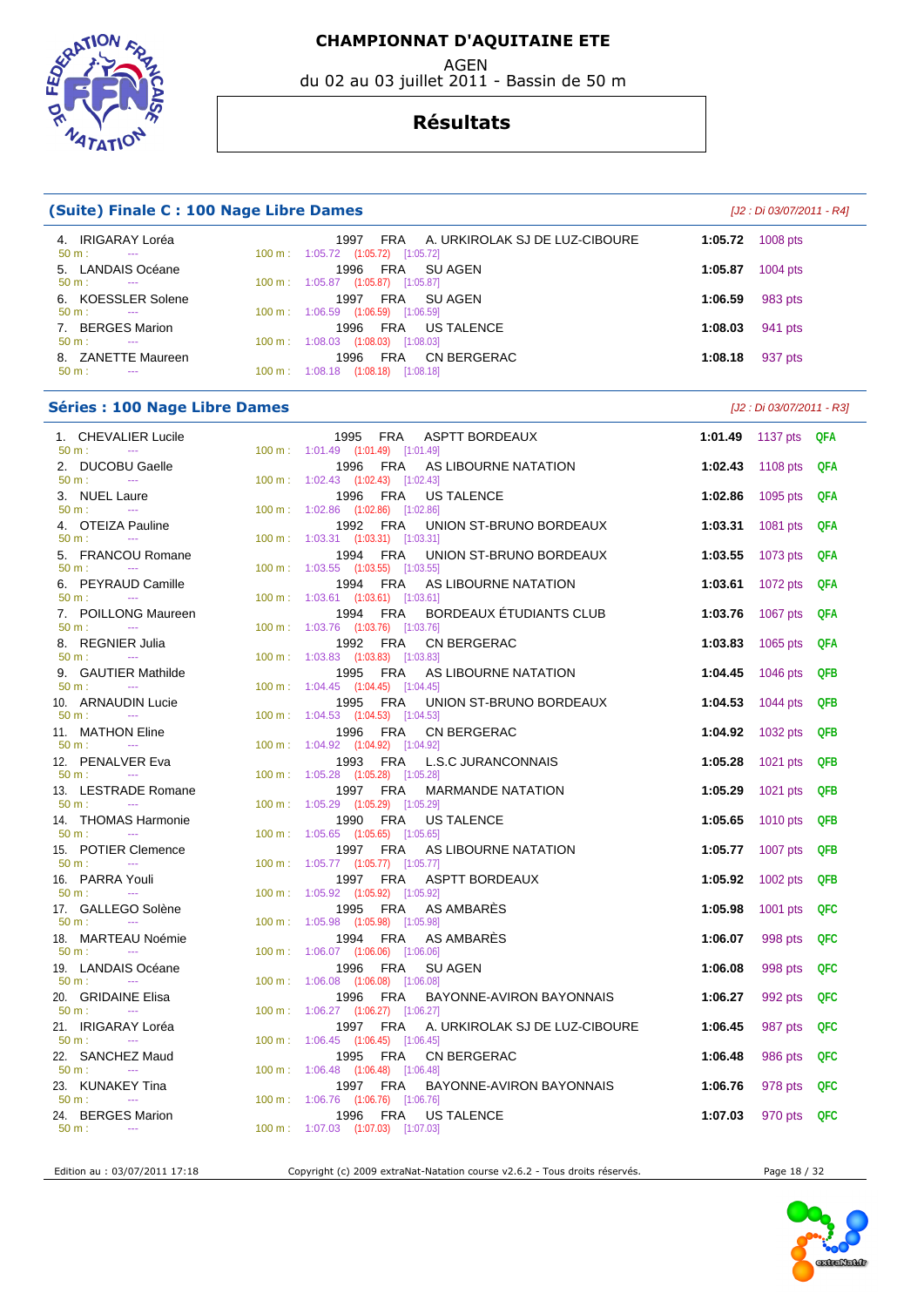

du 02 au 03 juillet 2011 - Bassin de 50 m



#### **Résultats**

| (Suite) Finale C : 100 Nage Libre Dames<br>[J2 : Di 03/07/2011 - R4]      |  |                                                                                                                        |         |                           |            |  |  |  |  |
|---------------------------------------------------------------------------|--|------------------------------------------------------------------------------------------------------------------------|---------|---------------------------|------------|--|--|--|--|
| 4. IRIGARAY Loréa<br>50 m:<br>$\sim$                                      |  | FRA<br>A. URKIROLAK SJ DE LUZ-CIBOURE<br>1997<br>100 m: 1:05.72 (1:05.72) [1:05.72]                                    | 1:05.72 | 1008 pts                  |            |  |  |  |  |
| 5. LANDAIS Océane<br>50 m:<br>$\sim$                                      |  | 1996<br>FRA<br>SU AGEN<br>100 m: 1:05.87 (1:05.87) [1:05.87]                                                           | 1:05.87 | 1004 pts                  |            |  |  |  |  |
| 6. KOESSLER Solene<br>50 m:<br>$\sim$                                     |  | FRA<br>1997<br>SU AGEN<br>100 m: 1:06.59 (1:06.59) [1:06.59]                                                           | 1:06.59 | 983 pts                   |            |  |  |  |  |
| 7. BERGES Marion<br>50 m:<br>$\sim$                                       |  | 1996<br>FRA<br>US TALENCE<br>100 m: 1:08.03 (1:08.03) [1:08.03]                                                        | 1:08.03 | 941 pts                   |            |  |  |  |  |
| 8. ZANETTE Maureen<br>50 m:<br>$\sim$                                     |  | 1996<br>FRA<br><b>CN BERGERAC</b><br>100 m: 1:08.18 (1:08.18) [1:08.18]                                                | 1:08.18 | 937 pts                   |            |  |  |  |  |
|                                                                           |  |                                                                                                                        |         |                           |            |  |  |  |  |
| <b>Séries : 100 Nage Libre Dames</b>                                      |  |                                                                                                                        |         | [J2 : Di 03/07/2011 - R3] |            |  |  |  |  |
| 1. CHEVALIER Lucile<br>50 m:<br>$\sim$                                    |  | 1995 FRA<br>ASPTT BORDEAUX<br>100 m : 1:01.49 (1:01.49) [1:01.49]                                                      | 1:01.49 | 1137 pts $QFA$            |            |  |  |  |  |
| 2. DUCOBU Gaelle<br>50 m:<br>$\sim$ 100 $\mu$                             |  | FRA<br>AS LIBOURNE NATATION<br>1996<br>100 m: 1:02.43 (1:02.43) [1:02.43]                                              | 1:02.43 | 1108 pts                  | QFA        |  |  |  |  |
| 3. NUEL Laure<br>$\sim$<br>50 m:                                          |  | 1996<br>FRA<br>US TALENCE<br>100 m: 1:02.86 (1:02.86) [1:02.86]                                                        | 1:02.86 | 1095 pts                  | QFA        |  |  |  |  |
| 4. OTEIZA Pauline<br>$50 m$ :<br>$\sim$ $\sim$                            |  | 1992<br>FRA<br>UNION ST-BRUNO BORDEAUX<br>100 m: 1:03.31 (1:03.31) [1:03.31]                                           | 1:03.31 | 1081 pts                  | QFA        |  |  |  |  |
| 5. FRANCOU Romane<br>50 m:<br>$\sim 100$ m $^{-1}$                        |  | <b>FRA</b><br>1994<br>UNION ST-BRUNO BORDEAUX<br>100 m: 1:03.55 (1:03.55) [1:03.55]                                    | 1:03.55 | 1073 pts                  | QFA        |  |  |  |  |
| 6. PEYRAUD Camille<br>$\sim$ $\sim$                                       |  | FRA<br>AS LIBOURNE NATATION<br>1994                                                                                    | 1:03.61 | 1072 pts                  | QFA        |  |  |  |  |
| 50 m:<br>7. POILLONG Maureen                                              |  | 100 m: 1:03.61 (1:03.61) [1:03.61]<br>FRA<br>BORDEAUX ETUDIANTS CLUB<br>1994                                           | 1:03.76 | 1067 pts                  | QFA        |  |  |  |  |
| $50 m$ :<br>$\sim$<br>8. REGNIER Julia                                    |  | 100 m : 1:03.76 (1:03.76) [1:03.76]<br>FRA<br>CN BERGERAC<br>1992                                                      | 1:03.83 | 1065 pts                  | <b>QFA</b> |  |  |  |  |
| $50 m$ :<br>$-$<br>9. GAUTIER Mathilde                                    |  | 100 m: 1:03.83 (1:03.83) [1:03.83]<br>FRA<br>1995<br>AS LIBOURNE NATATION                                              | 1:04.45 | 1046 pts                  | <b>QFB</b> |  |  |  |  |
| 50 m:<br>$\sim$<br>10. ARNAUDIN Lucie                                     |  | 100 m: 1:04.45 (1:04.45) [1:04.45]<br>1995<br>FRA<br>UNION ST-BRUNO BORDEAUX                                           | 1:04.53 | 1044 pts                  | <b>QFB</b> |  |  |  |  |
| 50 m:<br><b>Service Contracts</b><br>11. MATHON Eline                     |  | 100 m: 1:04.53 (1:04.53) [1:04.53]<br>FRA<br>CN BERGERAC<br>1996                                                       | 1:04.92 | 1032 pts                  | <b>QFB</b> |  |  |  |  |
| 50 m:<br>$\sim$<br>12. PENALVER Eva                                       |  | 100 m: 1:04.92 (1:04.92) [1:04.92]<br>FRA<br><b>L.S.C JURANCONNAIS</b><br>1993                                         | 1:05.28 | 1021 pts                  | <b>QFB</b> |  |  |  |  |
| 50 m:<br>$\sim$                                                           |  | 100 m: 1:05.28 (1:05.28) [1:05.28]<br>FRA                                                                              |         |                           |            |  |  |  |  |
| 13. LESTRADE Romane<br>$50 m$ :<br>$\sim$ $\sim$                          |  | 1997<br><b>MARMANDE NATATION</b><br>$100 \text{ m}$ : $1:05.29$ $(1:05.29)$ $[1:05.29]$                                | 1:05.29 | 1021 pts                  | <b>QFB</b> |  |  |  |  |
| 14. THOMAS Harmonie<br>$50 m$ :<br>$\sim$ $\sim$                          |  | <b>FRA</b><br>1990<br>US TALENCE<br>100 m: 1:05.65 (1:05.65) [1:05.65]                                                 | 1:05.65 | 1010 pts                  | <b>QFB</b> |  |  |  |  |
| 15. POTIER Clemence<br>50 m:<br>$\scriptstyle\cdots$                      |  | 1997<br>FRA<br>AS LIBOURNE NATATION<br>100 m: 1:05.77 (1:05.77) [1:05.77]                                              | 1:05.77 | 1007 pts                  | <b>QFB</b> |  |  |  |  |
| 16. PARRA Youli<br>50 m:                                                  |  | <b>ASPTT BORDEAUX</b><br>1997 FRA<br>100 m: 1:05.92 (1:05.92) [1:05.92]                                                | 1:05.92 | 1002 pts                  | QFB        |  |  |  |  |
| 17. GALLEGO Solène<br>50 m:<br>$\sim$                                     |  | 1995 FRA AS AMBARES<br>100 m: 1:05.98 (1:05.98) [1:05.98]                                                              | 1:05.98 | 1001 pts                  | QFC        |  |  |  |  |
| 18. MARTEAU Noémie<br>$50 m$ :<br>$\sim$                                  |  | 1994 FRA<br>AS AMBARES<br>100 m: 1:06.07 (1:06.06) [1:06.06]                                                           | 1:06.07 | 998 pts                   | <b>QFC</b> |  |  |  |  |
| 19. LANDAIS Océane<br>50 m:<br>$\sim$ 1000 $\mu$                          |  | 1996<br>FRA<br>SU AGEN<br>100 m: 1:06.08 (1:06.08) [1:06.08]                                                           | 1:06.08 | 998 pts                   | QFC        |  |  |  |  |
| 20. GRIDAINE Elisa                                                        |  | FRA<br>1996<br>BAYONNE-AVIRON BAYONNAIS                                                                                | 1:06.27 | 992 pts                   | <b>QFC</b> |  |  |  |  |
| 50 m:<br>$\sim$ $\sim$<br>21. IRIGARAY Loréa<br>$\sim 100$ and $\sim 100$ |  | 100 m: 1:06.27 (1:06.27) [1:06.27]<br>A. URKIROLAK SJ DE LUZ-CIBOURE<br>1997 FRA<br>100 m: 1:06.45 (1:06.45) [1:06.45] | 1:06.45 | 987 pts                   | <b>QFC</b> |  |  |  |  |
| 50 m:<br>22. SANCHEZ Maud                                                 |  | 1995<br>FRA<br>CN BERGERAC                                                                                             | 1:06.48 | 986 pts                   | <b>QFC</b> |  |  |  |  |
| $50 m$ :<br><b>State Street</b><br>23. KUNAKEY Tina                       |  | 100 m: 1:06.48 (1:06.48) [1:06.48]<br>1997 FRA<br>BAYONNE-AVIRON BAYONNAIS                                             | 1:06.76 | 978 pts                   | <b>QFC</b> |  |  |  |  |
| 50 m:<br>$\sim$ $-$<br>24. BERGES Marion                                  |  | 100 m: 1:06.76 (1:06.76) [1:06.76]<br>1996 FRA<br>US TALENCE                                                           | 1:07.03 | 970 pts                   | QFC        |  |  |  |  |
| $50 m$ :<br>$\sim$                                                        |  | 100 m: 1:07.03 (1:07.03) [1:07.03]                                                                                     |         |                           |            |  |  |  |  |

Edition au : 03/07/2011 17:18 Copyright (c) 2009 extraNat-Natation course v2.6.2 - Tous droits réservés. Page 18 / 32

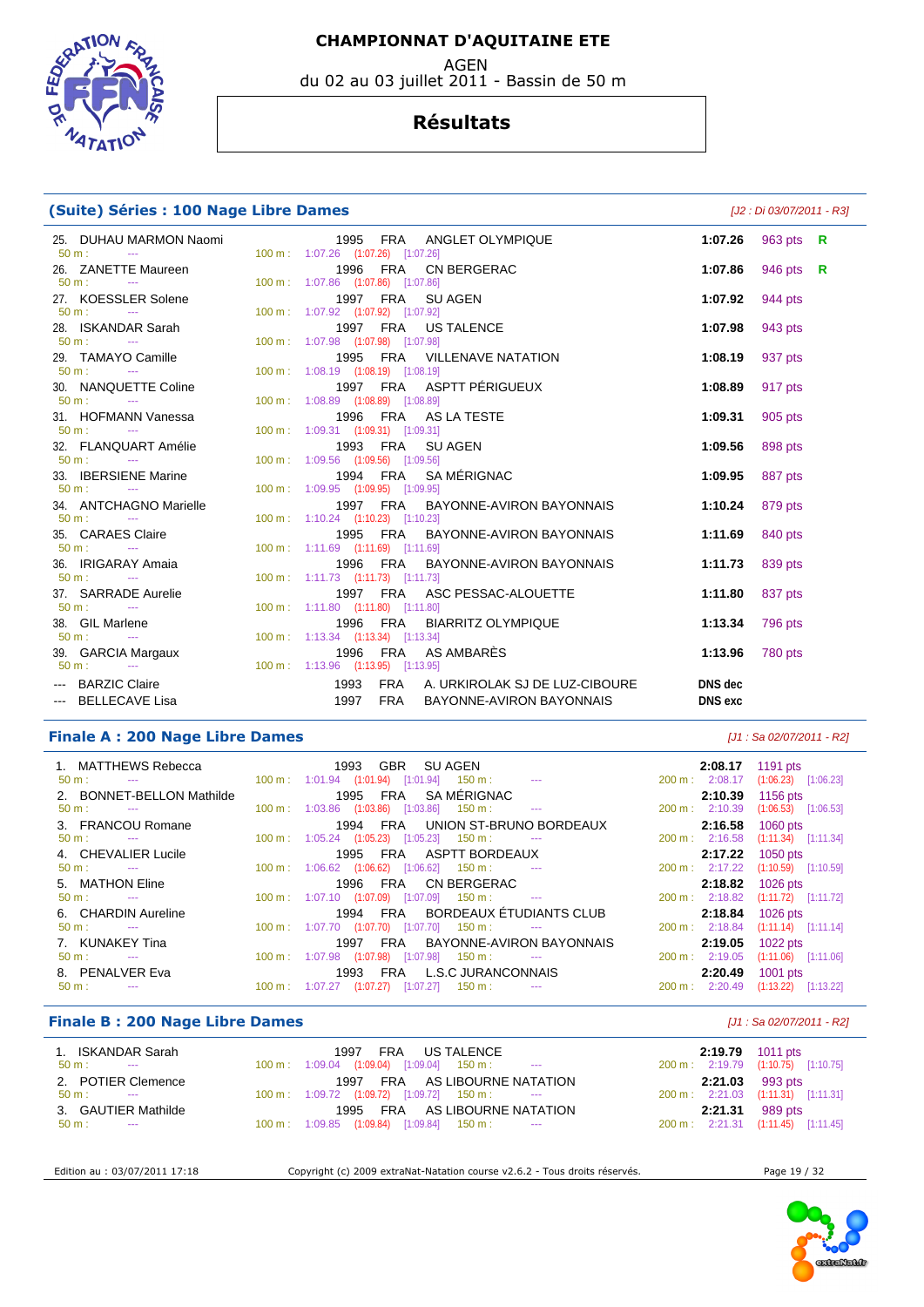AGEN

du 02 au 03 juillet 2011 - Bassin de 50 m



#### **Résultats**

|  | (Suite) Séries : 100 Nage Libre Dames |  |  |  |  |  |
|--|---------------------------------------|--|--|--|--|--|
|--|---------------------------------------|--|--|--|--|--|

**(Suite) Séries : 100 Nage Libre Dames** [J2 : Di 03/07/2011 - R3]

| 25. DUHAU MARMON Naomi<br>$50 \text{ m}$ : $-$ | 1995 FRA ANGLET OLYMPIQUE<br>100 m: 1:07.26 (1:07.26) [1:07.26]                 |                           | 1:07.26 $963 \text{ pts} \text{ R}$ |  |
|------------------------------------------------|---------------------------------------------------------------------------------|---------------------------|-------------------------------------|--|
| 26. ZANETTE Maureen<br>$50 m:$ ---             | 1996 FRA CN BERGERAC<br>100 m: 1:07.86 (1:07.86) [1:07.86]                      | 1:07.86                   | 946 pts $\,$ R                      |  |
| 27. KOESSLER Solene<br>$50 \text{ m}$ : $-$    | 1997 FRA SUAGEN<br>100 m: 1:07.92 (1:07.92) [1:07.92]                           | 1:07.92                   | 944 pts                             |  |
| 28. ISKANDAR Sarah<br>$50 \text{ m}$ : $-$     | 1997 FRA US TALENCE<br>100 m: 1:07.98 (1:07.98) [1:07.98]                       | 1:07.98 943 pts           |                                     |  |
| 29. TAMAYO Camille<br>$50 \text{ m}$ : $-$     | 1995 FRA VILLENAVE NATATION<br>100 m: 1:08.19 (1:08.19) [1:08.19]               | 1:08.19                   | 937 pts                             |  |
| 30. NANQUETTE Coline<br>$50 \text{ m}$ : $-$   | 1997 FRA ASPTT PÉRIGUEUX<br>100 m: 1:08.89 (1:08.89) [1:08.89]                  | 1:08.89                   | 917 pts                             |  |
| 31. HOFMANN Vanessa<br>$50 \text{ m}$ : $-$    | 1996 FRA AS LA TESTE<br>100 m: 1:09.31 (1:09.31) [1:09.31]                      | 1:09.31                   | 905 pts                             |  |
| 32. FLANQUART Amélie<br>$50 \text{ m}$ : $-$   | 1993 FRA SUAGEN<br>100 m: 1:09.56 (1:09.56) [1:09.56]                           | 1:09.56                   | 898 pts                             |  |
| 33. IBERSIENE Marine<br>$50 m:$ ---            | 1994 FRA SAMÉRIGNAC<br>100 m: 1:09.95 (1:09.95) [1:09.95]                       | 1:09.95                   | 887 pts                             |  |
| 34. ANTCHAGNO Marielle<br>$50 \text{ m}$ : $-$ | 1997 FRA BAYONNE-AVIRON BAYONNAIS<br>100 m: 1:10.24 (1:10.23) [1:10.23]         | 1:10.24 879 pts           |                                     |  |
| 35. CARAES Claire<br>$50 \text{ m}$ : $-$      | 1995 FRA BAYONNE-AVIRON BAYONNAIS<br>100 m: 1:11.69 (1:11.69) [1:11.69]         | 1:11.69                   | 840 pts                             |  |
| 36. IRIGARAY Amaia<br>$50 \text{ m}$ : $-$     | 1996 FRA BAYONNE-AVIRON BAYONNAIS<br>100 m: 1:11.73 (1:11.73) [1:11.73]         | 1:11.73                   | 839 pts                             |  |
| 37. SARRADE Aurelie<br>$50 \text{ m}$ : $-$    | 1997 FRA ASC PESSAC-ALOUETTE<br>100 m: 1:11.80 (1:11.80) [1:11.80]              | 1:11.80                   | 837 pts                             |  |
| 38. GIL Marlene<br>$50 m:$ $---$               | 1996 FRA BIARRITZ OLYMPIQUE<br>100 m: 1:13.34 (1:13.34) [1:13.34]               | 1:13.34 796 pts           |                                     |  |
| 39. GARCIA Margaux<br>$50 m:$ $-$              | 1996 FRA AS AMBARÈS<br>100 m: 1:13.96 (1:13.95) [1:13.95]                       | 1:13.96 780 pts           |                                     |  |
| --- BARZIC Claire<br>--- BELLECAVE Lisa        | 1993 FRA A. URKIROLAK SJ DE LUZ-CIBOURE<br>1997<br>FRA BAYONNE-AVIRON BAYONNAIS | DNS dec<br><b>DNS</b> exc |                                     |  |

#### **Finale A : 200 Nage Libre Dames** [J1 : Sa 02/07/2011 - R2]

| 1. MATTHEWS Rebecca<br>$50 m$ :<br><b>Service State</b><br>2. BONNET-BELLON Mathilde |                   |         |                       | 1993 GBR SUAGEN<br>$100 \text{ m}$ : $1:01.94$ $(1:01.94)$ $[1:01.94]$ $150 \text{ m}$ : ---<br>1995 FRA SAMÉRIGNAC |                                  | 2:08.17<br>$200 \text{ m}: 2:08.17$<br>2:10.39 | 1191 $pts$<br>$(1:06.23)$ $[1:06.23]$<br>1156 pts |
|--------------------------------------------------------------------------------------|-------------------|---------|-----------------------|---------------------------------------------------------------------------------------------------------------------|----------------------------------|------------------------------------------------|---------------------------------------------------|
| $50 \text{ m}$ :<br><b>State College</b>                                             |                   |         |                       | 100 m: 1:03.86 (1:03.86) [1:03.86] 150 m:                                                                           | $\sim$ 100 $\pm$ 0.00 $\pm$      | 200 m: 2:10.39                                 | $(1:06.53)$ [1:06.53]                             |
| 3. FRANCOU Romane                                                                    |                   |         |                       |                                                                                                                     | 1994 FRA UNION ST-BRUNO BORDEAUX | 2:16.58                                        | 1060 pts                                          |
| $50 \text{ m}$ :<br>and the state of the state.                                      |                   |         |                       | $100 \text{ m}$ : $1:05.24$ $(1:05.23)$ $[1:05.23]$ $150 \text{ m}$ :                                               |                                  | 200 m: 2:16.58                                 | $(1:11.34)$ $[1:11.34]$                           |
| 4. CHEVALIER Lucile                                                                  |                   |         |                       | 1995 FRA ASPTT BORDEAUX                                                                                             |                                  | 2:17.22                                        | $1050$ pts                                        |
| $50 \text{ m}$ : $-$                                                                 |                   |         |                       | $100 \text{ m}$ : $1:06.62$ $(1:06.62)$ $[1:06.62]$ $150 \text{ m}$ :                                               |                                  | 200 m: 2:17.22                                 | $(1:10.59)$ $[1:10.59]$                           |
| 5. MATHON Eline                                                                      |                   |         |                       | 1996 FRA CN BERGERAC                                                                                                |                                  | 2:18.82                                        | 1026 pts                                          |
| $50 m$ :<br><b>Contract Contract</b>                                                 |                   |         |                       | $100 \text{ m}$ : $1:07.10$ $(1:07.09)$ $[1:07.09]$ $150 \text{ m}$ : ---                                           |                                  | 200 m: 2:18.82                                 | $(1:11.72)$ [1:11.72]                             |
| 6. CHARDIN Aureline                                                                  |                   |         |                       |                                                                                                                     | 1994 FRA BORDEAUX ÉTUDIANTS CLUB | 2:18.84                                        | 1026 pts                                          |
| $50 \text{ m}$ : $-$                                                                 |                   |         |                       | $100 \text{ m}$ : $1:07.70$ $(1:07.70)$ $[1:07.70]$ $150 \text{ m}$ :                                               |                                  | 200 m: 2:18.84                                 | $(1:11.14)$ [1:11.14]                             |
| 7. KUNAKEY Tina                                                                      |                   | 1997    |                       |                                                                                                                     | FRA BAYONNE-AVIRON BAYONNAIS     | 2:19.05                                        | 1022 pts                                          |
| $50 m$ :<br><b>Service State</b>                                                     |                   |         |                       | 100 m : 1:07.98 (1:07.98) [1:07.98] 150 m :                                                                         |                                  | $200 \text{ m}$ : 2:19.05                      | $(1:11.06)$ [1:11.06]                             |
| 8. PENALVER Eva                                                                      |                   | 1993    |                       | FRA L.S.C JURANCONNAIS                                                                                              |                                  | 2:20.49                                        | 1001 $pts$                                        |
| $50 \text{ m}$ :                                                                     | $100 \text{ m}$ : | 1:07.27 | $(1:07.27)$ [1:07.27] | $150 \text{ m}$ :                                                                                                   |                                  | $200 \text{ m}: 2:20.49$                       | (1:13.22)<br>[1:13.22]                            |

#### **Finale B : 200 Nage Libre Dames Example 200 Nage Libre Dames Example 200 Nage 1 : Sa 02/07/2011 - R2]**

| 1. ISKANDAR Sarah    | 1997 FRA US TALENCE                                                                                                                                                                                                                                                                                                                             | 2:19.79 1011 pts                   |
|----------------------|-------------------------------------------------------------------------------------------------------------------------------------------------------------------------------------------------------------------------------------------------------------------------------------------------------------------------------------------------|------------------------------------|
| $50 \text{ m}$ : --- | $100 \text{ m}$ : $1:09.04$ $(1:09.04)$ $[1:09.04]$ $150 \text{ m}$ : --                                                                                                                                                                                                                                                                        | 200 m: 2:19.79 (1:10.75) [1:10.75] |
| 2. POTIER Clemence   | 1997 FRA AS LIBOURNE NATATION                                                                                                                                                                                                                                                                                                                   | $2:21.03$ 993 pts                  |
| $50 \text{ m}$ : $-$ | $100 \text{ m}: 1:09.72$ $(1:09.72)$ $[1:09.72]$ $150 \text{ m}: 1:00 \text{ m}: 1:00 \text{ m}: 1:00 \text{ m}: 1:00 \text{ m}: 1:00 \text{ m}: 1:00 \text{ m}: 1:00 \text{ m}: 1:00 \text{ m}: 1:00 \text{ m}: 1:00 \text{ m}: 1:00 \text{ m}: 1:00 \text{ m}: 1:00 \text{ m}: 1:00 \text{ m}: 1:00 \text{ m}: 1:00 \text{ m}: 1:00 \text{ m$ | 200 m: 2:21.03 (1:11.31) [1:11.31] |
| 3. GAUTIER Mathilde  | 1995 FRA AS LIBOURNE NATATION                                                                                                                                                                                                                                                                                                                   | 2:21.31 989 pts                    |
| $50 \text{ m}$ : $-$ | 100 m: 1:09.85 (1:09.84) [1:09.84] 150 m: ---                                                                                                                                                                                                                                                                                                   | 200 m: 2:21.31 (1:11.45) [1:11.45] |

Edition au : 03/07/2011 17:18 Copyright (c) 2009 extraNat-Natation course v2.6.2 - Tous droits réservés. Page 19 / 32

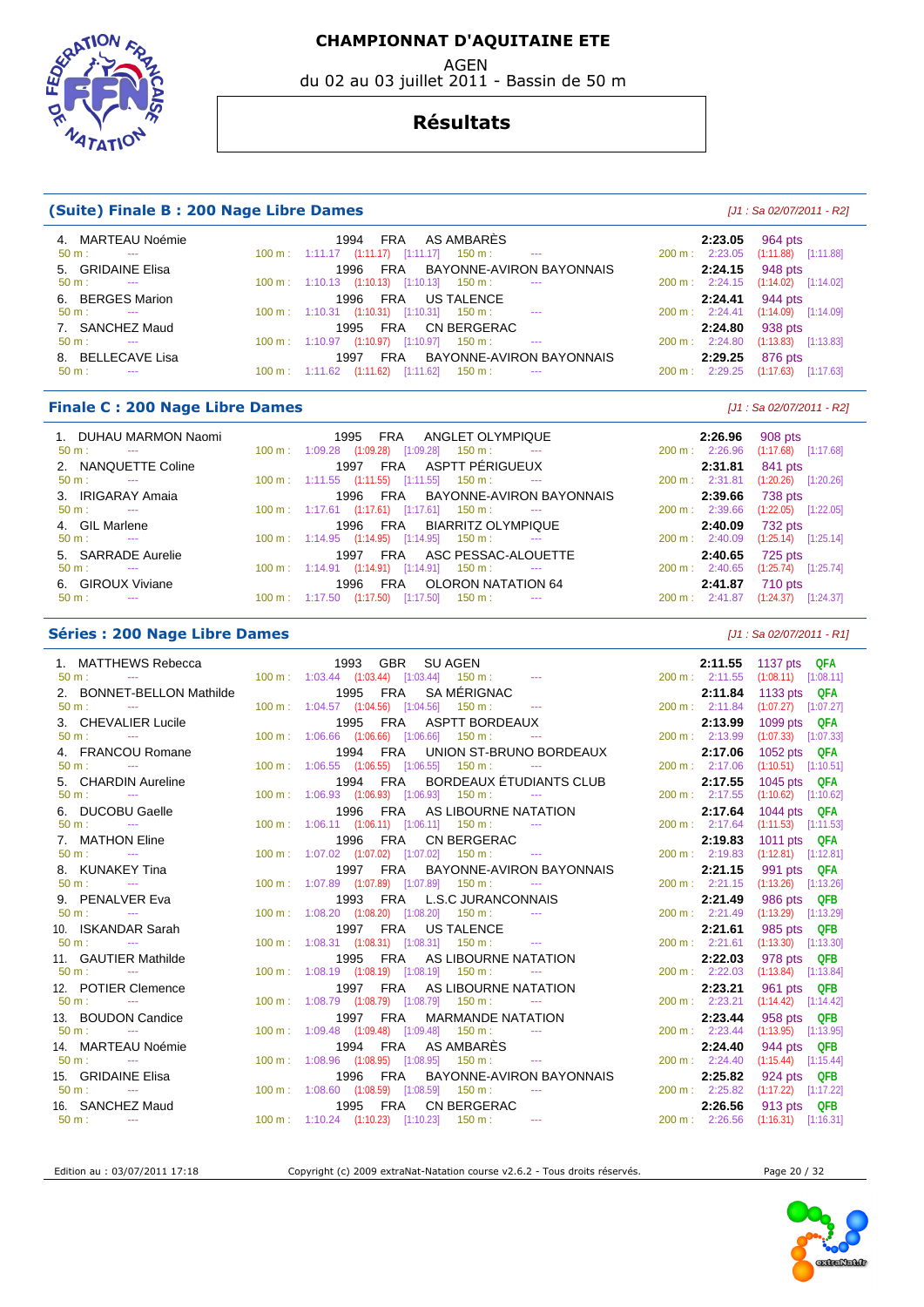AGEN

du 02 au 03 juillet 2011 - Bassin de 50 m



#### **Résultats**

#### **(Suite) Finale B : 200 Nage Libre Dames and Suite Algebra 200 and Suite Algebra 2011 - R2** (J1: Sa 02/07/2011 - R2)

| 4. MARTEAU Noémie<br>$50 \text{ m}$ :<br>$\sim$ | AS AMBARÈS<br><b>FRA</b><br>1994<br>$100 \text{ m}$ : 1:11.17 $(1:11.17)$ $[1:11.17]$ 150 m : ---  | 2:23.05 964 pts<br>200 m: 2:23.05 (1:11.88) [1:11.88] |
|-------------------------------------------------|----------------------------------------------------------------------------------------------------|-------------------------------------------------------|
| 5. GRIDAINE Elisa                               | BAYONNE-AVIRON BAYONNAIS<br>FRA<br>1996                                                            | 2:24.15 948 pts                                       |
| $50 \text{ m}$ :<br>$\sim$                      | $100 \text{ m}: 1:10.13$ $(1:10.13)$ $[1:10.13]$ $150 \text{ m}:$<br>$\sim$ $\sim$                 | 200 m: 2:24.15 (1:14.02) [1:14.02]                    |
| 6. BERGES Marion                                | FRA US TALENCE<br>1996                                                                             | 2:24.41 944 pts                                       |
| $50 \text{ m}$ : $-$                            | $100 \text{ m}$ : $1:10.31$ $(1:10.31)$ $[1:10.31]$ $150 \text{ m}$ : ---                          | 200 m: 2:24.41 (1:14.09) [1:14.09]                    |
| 7. SANCHEZ Maud                                 | CN BERGERAC<br>FRA<br>1995                                                                         | 938 pts<br>2:24.80                                    |
| $50 \text{ m}$ :<br>$\sim$                      | $(1:10.97)$ $[1:10.97]$ 150 m :<br>$100 \text{ m}: 1:10.97$<br><b>State State</b>                  | $(1:13.83)$ $[1:13.83]$<br>$200 \text{ m}: 2:24.80$   |
| 8. BELLECAVE Lisa                               | BAYONNE-AVIRON BAYONNAIS<br><b>FRA</b><br>1997                                                     | 876 pts<br>2:29.25                                    |
| $50 \text{ m}$ :<br>$\sim$ $\sim$               | [1:11.62]<br>(1:11.62)<br>$150 \text{ m}$ :<br>$100 \text{ m}: 1:11.62$<br>$\sim 100$ mass $^{-1}$ | $(1:17.63)$ $[1:17.63]$<br>2:29.25<br>200 m:          |

#### **Finale C : 200 Nage Libre Dames** [J1 : Sa 02/07/2011 - R2]

 1. DUHAU MARMON Naomi 1995 FRA ANGLET OLYMPIQUE **2:26.96** 908 pts  $100 \text{ m}$  :  $1:09.28$   $(1:09.28)$   $[1:09.28]$   $150 \text{ m}$  : 2. NANQUETTE Coline 1997 FRA ASPTT PÉRIGUEUX **2:31.81** 841 pts 50 m : --- 100 m : 1:11.55 (1:11.55) [1:11.55] 150 m : --- 200 m : 2:31.81 (1:20.26) [1:20.26] 3. IRIGARAY Amaia 1996 FRA BAYONNE-AVIRON BAYONNAIS **2:39.66** 738 pts  $1:17.61$   $(1:17.61)$   $[1:17.61]$  150 m : 4. GIL Marlene 1996 FRA BIARRITZ OLYMPIQUE **2:40.09** 732 pts 100 m : 1:14.95 (1:14.95) [1:14.95] 5. SARRADE Aurelie 1997 FRA ASC PESSAC-ALOUETTE **2:40.65** 725 pts 50 m : --- 100 m : 1:14.91 (1:14.91) [1:14.91] 150 m : --- 200 m : 2:40.65 (1:25.74) [1:25.74] 6. GIROUX Viviane 1996 FRA OLORON NATATION 64 **2:41.87** 710 pts 50 m : --- 100 m : 1:17.50 (1:17.50) [1:17.50] 150 m :

#### **Séries : 200 Nage Libre Dames Community Community Community Community Community Community Community Community Community Community Community Community Community Community Community Community Community Community Community**

| 1. MATTHEWS Rebecca                                                                                                                                                                                                                                                                                           |  | 1993 GBR SUAGEN                                                           |                                                                        |                 | 2:11.55 1137 pts QFA               |
|---------------------------------------------------------------------------------------------------------------------------------------------------------------------------------------------------------------------------------------------------------------------------------------------------------------|--|---------------------------------------------------------------------------|------------------------------------------------------------------------|-----------------|------------------------------------|
| $50 m$ :<br>the company of the company of the company                                                                                                                                                                                                                                                         |  |                                                                           |                                                                        |                 | 200 m: 2:11.55 (1:08.11) [1:08.11] |
| 2. BONNET-BELLON Mathilde                                                                                                                                                                                                                                                                                     |  | 1995 FRA SAMÉRIGNAC                                                       |                                                                        | 2:11.84         | 1133 pts $QFA$                     |
| $50 \text{ m}$ : $100 \text{ m}$ is $100 \text{ m}$ in $100 \text{ m}$ in $100 \text{ m}$ in $100 \text{ m}$ in $100 \text{ m}$ in $100 \text{ m}$ in $100 \text{ m}$ in $100 \text{ m}$ in $100 \text{ m}$ in $100 \text{ m}$ in $100 \text{ m}$ in $100 \text{ m}$ in $100 \text{ m}$ in $100 \text{ m}$ in |  | 100 m: 1:04.57 (1:04.56) [1:04.56] 150 m: ---                             |                                                                        |                 | 200 m: 2:11.84 (1:07.27) [1:07.27] |
| 3. CHEVALIER Lucile                                                                                                                                                                                                                                                                                           |  | 1995 FRA ASPTT BORDEAUX                                                   |                                                                        | 2:13.99         | 1099 pts QFA                       |
| $50 m$ :<br>and the season of the control                                                                                                                                                                                                                                                                     |  | 100 m: 1:06.66 (1:06.66) [1:06.66] 150 m: ---                             |                                                                        | 200 m: 2:13.99  | $(1:07.33)$ $[1:07.33]$            |
| 4. FRANCOU Romane                                                                                                                                                                                                                                                                                             |  |                                                                           | 1994 FRA UNION ST-BRUNO BORDEAUX                                       | 2:17.06         | 1052 pts $QFA$                     |
| $50 m:$ ---                                                                                                                                                                                                                                                                                                   |  | 100 m: 1:06.55 (1:06.55) [1:06.55] 150 m: ---                             |                                                                        | 200 m: 2:17.06  | $(1:10.51)$ $[1:10.51]$            |
| 5. CHARDIN Aureline                                                                                                                                                                                                                                                                                           |  |                                                                           | 1994 FRA BORDEAUX ÉTUDIANTS CLUB                                       | 2:17.55         | 1045 pts QFA                       |
| $50 \text{ m}$ : $-$                                                                                                                                                                                                                                                                                          |  | $100 \text{ m}$ : $1:06.93$ $(1:06.93)$ $[1:06.93]$ $150 \text{ m}$ : --- |                                                                        | 200 m: 2:17.55  | $(1:10.62)$ $[1:10.62]$            |
| 6. DUCOBU Gaelle                                                                                                                                                                                                                                                                                              |  |                                                                           | 1996 FRA AS LIBOURNE NATATION                                          | 2:17.64         | 1044 pts QFA                       |
| $50 m$ :<br><b>State State</b>                                                                                                                                                                                                                                                                                |  | $100 \text{ m}: 1:06.11 (1:06.11) [1:06.11] 150 \text{ m}:$               |                                                                        | 200 m: 2:17.64  | $(1:11.53)$ $[1:11.53]$            |
| 7. MATHON Eline                                                                                                                                                                                                                                                                                               |  | 1996 FRA CN BERGERAC                                                      |                                                                        | 2:19.83         | 1011 pts QFA                       |
| $50 m:$ ---                                                                                                                                                                                                                                                                                                   |  | 100 m: 1:07.02 (1:07.02) [1:07.02] 150 m: ---                             |                                                                        |                 | 200 m: 2:19.83 (1:12.81) [1:12.81] |
| 8. KUNAKEY Tina                                                                                                                                                                                                                                                                                               |  |                                                                           | 1997 FRA BAYONNE-AVIRON BAYONNAIS                                      | 2:21.15         | 991 pts QFA                        |
| $50 \text{ m}$ : $-$                                                                                                                                                                                                                                                                                          |  | 100 m: 1:07.89 (1:07.89) [1:07.89] 150 m: ---                             |                                                                        |                 | 200 m: 2:21.15 (1:13.26) [1:13.26] |
| 9. PENALVER Eva                                                                                                                                                                                                                                                                                               |  |                                                                           |                                                                        |                 | 986 pts QFB                        |
| 50 m:<br><b>State State</b>                                                                                                                                                                                                                                                                                   |  |                                                                           |                                                                        |                 | $(1:13.29)$ $[1:13.29]$            |
| 10. ISKANDAR Sarah                                                                                                                                                                                                                                                                                            |  |                                                                           | 1997 FRA US TALENCE                                                    | 2:21.61         | 985 pts QFB                        |
| $50 m:$ $\cdots$                                                                                                                                                                                                                                                                                              |  | 100 m: 1:08.31 (1:08.31) [1:08.31] 150 m: ---                             |                                                                        |                 | 200 m: 2:21.61 (1:13.30) [1:13.30] |
| 11. GAUTIER Mathilde                                                                                                                                                                                                                                                                                          |  | 1995 FRA AS LIBOURNE NATATION                                             |                                                                        | 2:22.03         | 978 pts QFB                        |
| $50 \text{ m}$ : $\frac{1}{2}$                                                                                                                                                                                                                                                                                |  | 100 m: 1:08.19 (1:08.19) [1:08.19] 150 m: ---                             |                                                                        | 200 m: 2:22.03  | $(1:13.84)$ [1:13.84]              |
| 12. POTIER Clemence                                                                                                                                                                                                                                                                                           |  | 1997 FRA AS LIBOURNE NATATION                                             |                                                                        | 2:23.21         | 961 pts QFB                        |
| $50 m:$ ---                                                                                                                                                                                                                                                                                                   |  | 100 m: 1:08.79 (1:08.79) [1:08.79] 150 m: ---                             |                                                                        | 200 m: 2:23.21  | $(1:14.42)$ [1:14.42]              |
| 13. BOUDON Candice                                                                                                                                                                                                                                                                                            |  |                                                                           | 1997 FRA MARMANDE NATATION                                             | 2:23.44         | 958 pts QFB                        |
| $50 \text{ m}$ : $-$                                                                                                                                                                                                                                                                                          |  | 100 m: 1:09.48 (1:09.48) [1:09.48] 150 m: ---                             |                                                                        | 200 m : 2:23.44 | $(1:13.95)$ $[1:13.95]$            |
| 14. MARTEAU Noémie                                                                                                                                                                                                                                                                                            |  | 1994 FRA ASAMBARÈS                                                        |                                                                        | 2:24.40         | 944 pts QFB                        |
| $50 \text{ m}$ : $-$                                                                                                                                                                                                                                                                                          |  | 100 m: 1:08.96 (1:08.95) [1:08.95] 150 m: ---                             |                                                                        |                 | 200 m: 2:24.40 (1:15.44) [1:15.44] |
| 15. GRIDAINE Elisa                                                                                                                                                                                                                                                                                            |  |                                                                           | 1996 FRA BAYONNE-AVIRON BAYONNAIS<br>00 (1:08.59) [1:08.59] 150 m: --- | 2:25.82         | 924 pts QFB                        |
| $50 \text{ m}$ : $-$                                                                                                                                                                                                                                                                                          |  | $100 \text{ m}$ : $1:08.60$ $(1:08.59)$ $[1:08.59]$ $150 \text{ m}$ : --  |                                                                        |                 | 200 m: 2:25.82 (1:17.22) [1:17.22] |
| 16. SANCHEZ Maud                                                                                                                                                                                                                                                                                              |  | 1995 FRA CN BERGERAC                                                      | <b>2:26.56</b> 913 pts QFB<br>200 m : 2:26.56 (1:16.31) [1:16.31]      |                 |                                    |
| $50 \text{ m}$ : $-$                                                                                                                                                                                                                                                                                          |  | $100 \text{ m}$ : 1:10.24 (1:10.23) [1:10.23] 150 m : --                  |                                                                        |                 |                                    |

Edition au : 03/07/2011 17:18 Copyright (c) 2009 extraNat-Natation course v2.6.2 - Tous droits réservés. Page 20 / 32

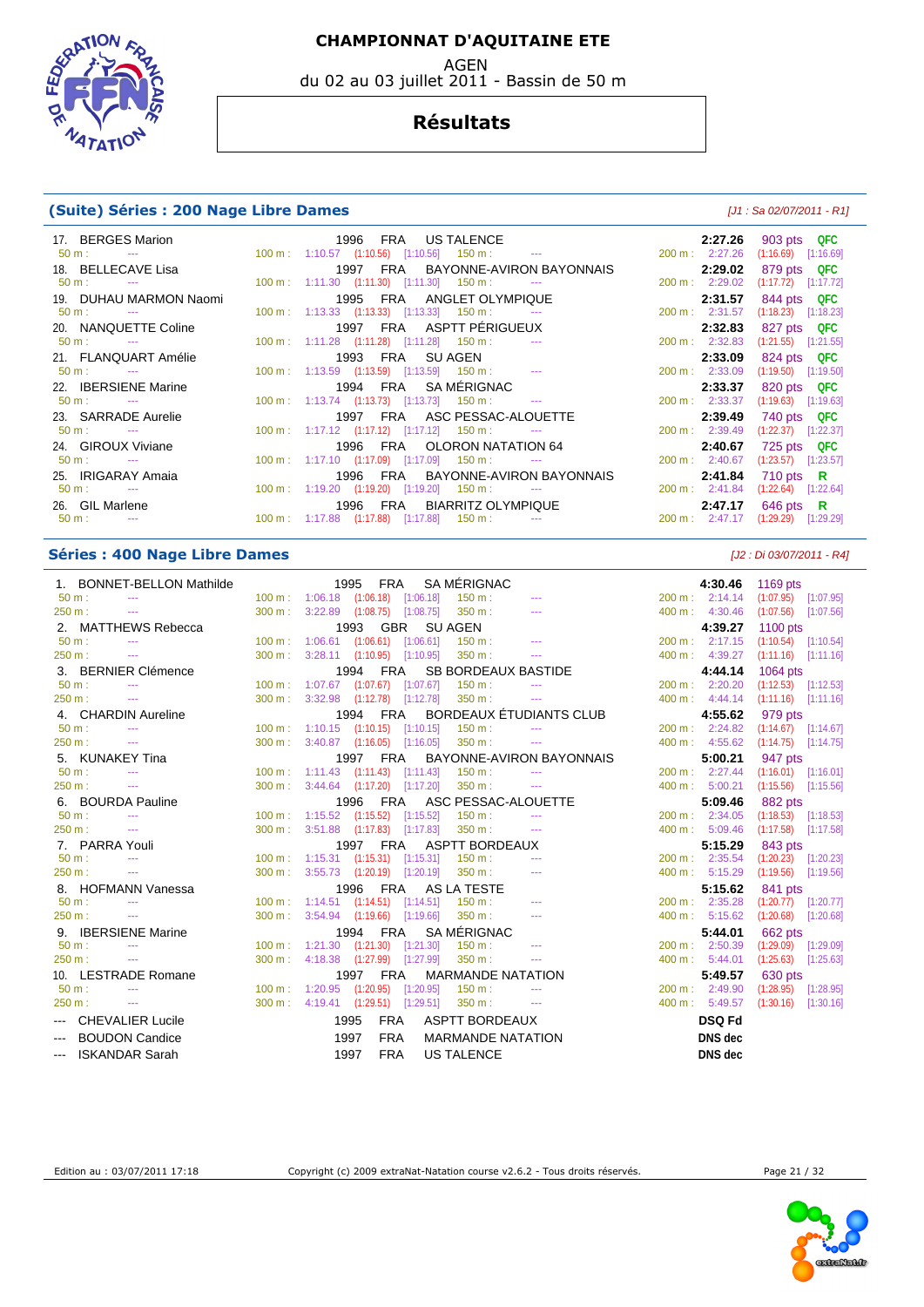AGEN

du 02 au 03 juillet 2011 - Bassin de 50 m



#### **Résultats**

#### **(Suite) Séries : 200 Nage Libre Dames (Suite)**  $[J1: Sa 02/07/2011 - R1]$

| 17. BERGES Marion<br>50 m : $\qquad \qquad$ --- $\qquad \qquad$ 100 m : 1:10.57 (1:10.56) [1:10.56] 150 m : --- | 1996 FRA US TALENCE                                                                                                                                                                                                                                                                                                                                        |                 |  |                                   | 2:27.26<br>200 m: 2:27.26 | 903 pts QFC<br>$(1:16.69)$ $[1:16.69]$ |
|-----------------------------------------------------------------------------------------------------------------|------------------------------------------------------------------------------------------------------------------------------------------------------------------------------------------------------------------------------------------------------------------------------------------------------------------------------------------------------------|-----------------|--|-----------------------------------|---------------------------|----------------------------------------|
|                                                                                                                 |                                                                                                                                                                                                                                                                                                                                                            |                 |  |                                   |                           |                                        |
| 18. BELLECAVE Lisa<br>$50 \text{ m}$ : $-$                                                                      |                                                                                                                                                                                                                                                                                                                                                            |                 |  | 1997 FRA BAYONNE-AVIRON BAYONNAIS | 2:29.02<br>200 m: 2:29.02 | 879 pts QFC                            |
|                                                                                                                 | $100 \text{ m}: 1:11.30$ $(1:11.30)$ $[1:11.30]$ $150 \text{ m}:$ ---                                                                                                                                                                                                                                                                                      |                 |  |                                   |                           | $(1:17.72)$ [1:17.72]                  |
| 19. DUHAU MARMON Naomi                                                                                          | 1995 FRA ANGLET OLYMPIQUE                                                                                                                                                                                                                                                                                                                                  |                 |  |                                   | 2:31.57                   | 844 pts QFC                            |
| $50 \text{ m}$ : $-$                                                                                            | $100 \text{ m}: 1:13.33$ $(1:13.33)$ $[1:13.33]$ $150 \text{ m}:$ ---                                                                                                                                                                                                                                                                                      |                 |  |                                   | 200 m: 2:31.57            | $(1:18.23)$ [1:18.23]                  |
| 20. NANQUETTE Coline                                                                                            | 1997 FRA ASPTT-PÉRIGUEUX                                                                                                                                                                                                                                                                                                                                   |                 |  |                                   | 2:32.83                   | 827 pts QFC                            |
| $50 \text{ m}$ : $-$                                                                                            | $100 \text{ m}: 1:11.28$ $(1:11.28)$ $[1:11.28]$ $150 \text{ m}: 1:11.28$                                                                                                                                                                                                                                                                                  |                 |  |                                   | 200 m: 2:32.83            | $(1:21.55)$ $[1:21.55]$                |
| 21. FLANQUART Amélie                                                                                            |                                                                                                                                                                                                                                                                                                                                                            | 1993 FRA SUAGEN |  |                                   | 2:33.09                   | 824 pts QFC                            |
| $50 \text{ m}$ : $-$                                                                                            | $100 \text{ m}: 1:13.59$ $(1:13.59)$ $[1:13.59]$ $150 \text{ m}: 1:13.59$                                                                                                                                                                                                                                                                                  |                 |  |                                   | 200 m: 2:33.09            | $(1:19.50)$ [1:19.50]                  |
| 22. <b>IBERSIENE</b> Marine                                                                                     | 1994 FRA SAMÉRIGNAC                                                                                                                                                                                                                                                                                                                                        |                 |  |                                   | 2:33.37                   | 820 pts QFC                            |
| $50 \text{ m}$ : $-$                                                                                            | $100 \text{ m}: 1:13.74$ $(1:13.73)$ $[1:13.73]$ $150 \text{ m}:$ ---                                                                                                                                                                                                                                                                                      |                 |  |                                   | 200 m: 2:33.37            | $(1:19.63)$ [1:19.63]                  |
| 23. SARRADE Aurelie                                                                                             |                                                                                                                                                                                                                                                                                                                                                            |                 |  | 1997 FRA ASC PESSAC-ALOUETTE      | 2:39.49                   | 740 pts QFC                            |
| $50 \text{ m}$ : $-$                                                                                            | $100 \text{ m}$ : $1:17.12$ $(1:17.12)$ $[1:17.12]$ $150 \text{ m}$ : ---                                                                                                                                                                                                                                                                                  |                 |  |                                   | 200 m: 2:39.49            | $(1:22.37)$ [1:22.37]                  |
| 24. GIROUX Viviane                                                                                              |                                                                                                                                                                                                                                                                                                                                                            |                 |  | 1996 FRA OLORON NATATION 64       | 2:40.67                   | 725 pts QFC                            |
| $50 \text{ m}$ : $-$                                                                                            | $100 \text{ m}$ : 1:17.10 $(1:17.09)$ $[1:17.09]$ 150 m : ---                                                                                                                                                                                                                                                                                              |                 |  |                                   | 200 m: 2:40.67            | $(1:23.57)$ $[1:23.57]$                |
| 25. IRIGARAY Amaia                                                                                              |                                                                                                                                                                                                                                                                                                                                                            |                 |  | 1996 FRA BAYONNE-AVIRON BAYONNAIS | 2:41.84                   | 710 pts $\,$ R                         |
| $50 \text{ m}$ : ---                                                                                            | $100 \text{ m}: 1:19.20$ $(1:19.20)$ $[1:19.20]$ $150 \text{ m}:$ ---                                                                                                                                                                                                                                                                                      |                 |  |                                   | 200 m: 2:41.84            | $(1:22.64)$ $[1:22.64]$                |
| 26. GIL Marlene                                                                                                 |                                                                                                                                                                                                                                                                                                                                                            |                 |  | 1996 FRA BIARRITZ OLYMPIQUE       | 2:47.17                   | 646 pts $\,$ R                         |
| $50 \text{ m}$ : $-$                                                                                            | $100 \text{ m}: 1:17.88$ $(1:17.88)$ $[1:17.88]$ $150 \text{ m}: 100 \text{ m}: 100 \text{ m}: 100 \text{ m}: 100 \text{ m}: 100 \text{ m}: 100 \text{ m}: 100 \text{ m}: 100 \text{ m}: 100 \text{ m}: 100 \text{ m}: 100 \text{ m}: 100 \text{ m}: 100 \text{ m}: 100 \text{ m}: 100 \text{ m}: 100 \text{ m}: 100 \text{ m}: 100 \text{ m}: 100 \text{$ |                 |  |                                   | 200 m: 2:47.17            | $(1:29.29)$ $[1:29.29]$                |
|                                                                                                                 |                                                                                                                                                                                                                                                                                                                                                            |                 |  |                                   |                           |                                        |

#### **Séries : 400 Nage Libre Dames** [J2 : Di 03/07/2011 - R4]

| 1. BONNET-BELLON Mathilde                                                                                                                                                                                                                                                                                                                                                                                                                                                                           |                   | 1995                               | FRA                |                                               | SA MÉRIGNAC                |                          |        | 4:30.46                   | 1169 pts                |
|-----------------------------------------------------------------------------------------------------------------------------------------------------------------------------------------------------------------------------------------------------------------------------------------------------------------------------------------------------------------------------------------------------------------------------------------------------------------------------------------------------|-------------------|------------------------------------|--------------------|-----------------------------------------------|----------------------------|--------------------------|--------|---------------------------|-------------------------|
| $50 m$ :                                                                                                                                                                                                                                                                                                                                                                                                                                                                                            |                   | 100 m: 1:06.18 (1:06.18) [1:06.18] |                    |                                               | $150 \text{ m}$ :          |                          |        | $200 \text{ m}: 2:14.14$  | $(1:07.95)$ $[1:07.95]$ |
| 250 m:<br>---                                                                                                                                                                                                                                                                                                                                                                                                                                                                                       | $300 \text{ m}$ : |                                    |                    | $3:22.89$ $(1:08.75)$ $[1:08.75]$             | 350 m:                     | $- - -$                  |        | 400 m: 4:30.46            | $(1:07.56)$ [1:07.56]   |
| 2. MATTHEWS Rebecca                                                                                                                                                                                                                                                                                                                                                                                                                                                                                 |                   |                                    | 1993 GBR           |                                               | <b>SU AGEN</b>             |                          |        | 4:39.27                   | 1100 pts                |
| $50 m$ :<br>$\cdots$                                                                                                                                                                                                                                                                                                                                                                                                                                                                                | $100 \text{ m}$ : |                                    |                    | $1:06.61$ $(1:06.61)$ $[1:06.61]$             | $150 m$ :                  | $- - -$                  |        | 200 m : 2:17.15           | $(1:10.54)$ $[1:10.54]$ |
| 250 m:<br>$\cdots$                                                                                                                                                                                                                                                                                                                                                                                                                                                                                  | 300 m:            |                                    |                    | $3:28.11$ $(1:10.95)$ $[1:10.95]$             | 350 m:                     | $\sim$ $\sim$            |        | 400 m: 4:39.27            | (1:11.16)<br>[1:11.16]  |
| 3. BERNIER Clémence                                                                                                                                                                                                                                                                                                                                                                                                                                                                                 |                   |                                    | 1994<br><b>FRA</b> |                                               | <b>SB BORDEAUX BASTIDE</b> |                          |        | 4:44.14                   | 1064 pts                |
| 50 m:<br>$\frac{1}{2}$                                                                                                                                                                                                                                                                                                                                                                                                                                                                              | 100 m:            |                                    |                    | $1:07.67$ $(1:07.67)$ $[1:07.67]$             | 150 m:                     |                          |        | 200 m: 2:20.20            | $(1:12.53)$ [1:12.53]   |
| 250 m:<br>$\cdots$                                                                                                                                                                                                                                                                                                                                                                                                                                                                                  | 300 m:            |                                    |                    | $3:32.98$ $(1:12.78)$ $[1:12.78]$             | 350 m:                     | $\sim$ $\sim$            |        | 400 m: 4:44.14            | $(1:11.16)$ [1:11.16]   |
| 4. CHARDIN Aureline                                                                                                                                                                                                                                                                                                                                                                                                                                                                                 |                   |                                    | 1994 FRA           |                                               |                            | BORDEAUX ÉTUDIANTS CLUB  |        | 4:55.62                   | 979 pts                 |
| $50 m$ :<br>$\sim$ $\sim$                                                                                                                                                                                                                                                                                                                                                                                                                                                                           |                   |                                    |                    | $100 \text{ m}$ : 1:10.15 (1:10.15) [1:10.15] | $150 \text{ m}$ :          |                          |        | $200 \text{ m}: 2:24.82$  | $(1:14.67)$ [1:14.67]   |
| 250 m:<br>$  \sim$                                                                                                                                                                                                                                                                                                                                                                                                                                                                                  | 300 m:            |                                    |                    | $3:40.87$ $(1:16.05)$ $[1:16.05]$             | 350 m:                     | $\cdots$                 |        | 400 m: 4:55.62            | (1:14.75)<br>[1:14.75]  |
| 5. KUNAKEY Tina                                                                                                                                                                                                                                                                                                                                                                                                                                                                                     |                   |                                    | <b>FRA</b><br>1997 |                                               |                            | BAYONNE-AVIRON BAYONNAIS |        | 5:00.21                   | 947 pts                 |
| $50 m$ :<br>$- - -$                                                                                                                                                                                                                                                                                                                                                                                                                                                                                 |                   | 100 m: 1:11.43 (1:11.43) [1:11.43] |                    |                                               | 150 m:                     | $\sim$ $\sim$            |        | $200 \text{ m}: 2:27.44$  | $(1:16.01)$ [1:16.01]   |
| 250 m:<br>$\cdots$                                                                                                                                                                                                                                                                                                                                                                                                                                                                                  | 300 m:            |                                    |                    | $3:44.64$ $(1:17.20)$ $[1:17.20]$             | 350 m:                     | $\cdots$                 |        | 400 m: 5:00.21            | (1:15.56)<br>[1:15.56]  |
| 6. BOURDA Pauline                                                                                                                                                                                                                                                                                                                                                                                                                                                                                   |                   |                                    | 1996 FRA           |                                               | ASC PESSAC-ALOUETTE        |                          |        | 5:09.46                   | 882 pts                 |
| $50 m$ :<br>$- - -$                                                                                                                                                                                                                                                                                                                                                                                                                                                                                 | 100 m:            |                                    |                    | $1:15.52$ $(1:15.52)$ $[1:15.52]$             | 150 m:                     | $\sim$                   |        | 200 m: 2:34.05            | $(1:18.53)$ $[1:18.53]$ |
| 250 m:<br>$\sim$                                                                                                                                                                                                                                                                                                                                                                                                                                                                                    | $300 \text{ m}$ : |                                    |                    | 3:51.88 (1:17.83) [1:17.83]                   | 350 m:                     |                          |        | 400 m: 5:09.46            | (1:17.58)<br>[1:17.58]  |
| 7. PARRA Youli                                                                                                                                                                                                                                                                                                                                                                                                                                                                                      |                   |                                    | 1997 FRA           |                                               | <b>ASPTT BORDEAUX</b>      |                          |        | 5:15.29                   | 843 pts                 |
| $50 m$ :<br>$- - -$                                                                                                                                                                                                                                                                                                                                                                                                                                                                                 | 100 m:            |                                    |                    | $1:15.31$ $(1:15.31)$ $[1:15.31]$             | 150 m:                     |                          |        | 200 m: 2:35.54            | $(1:20.23)$ $[1:20.23]$ |
| 250 m:<br>$\cdots$                                                                                                                                                                                                                                                                                                                                                                                                                                                                                  | 300 m:            |                                    |                    | 3:55.73 (1:20.19) [1:20.19]                   | 350 m:                     | $\cdots$                 | 400 m: | 5:15.29                   | (1:19.56)<br>[1:19.56]  |
| 8. HOFMANN Vanessa                                                                                                                                                                                                                                                                                                                                                                                                                                                                                  |                   |                                    | 1996               |                                               | FRA AS LA TESTE            |                          |        | 5:15.62                   | 841 pts                 |
| $50 m$ :<br>$- - -$                                                                                                                                                                                                                                                                                                                                                                                                                                                                                 |                   |                                    |                    | 100 m: 1:14.51 (1:14.51) [1:14.51]            | $150 \text{ m}$ :          |                          |        | $200 \text{ m}$ : 2:35.28 | $(1:20.77)$ $[1:20.77]$ |
| 250 m:                                                                                                                                                                                                                                                                                                                                                                                                                                                                                              | 300 m:            |                                    |                    | $3:54.94$ $(1:19.66)$ $[1:19.66]$             | 350 m:                     | $\sim$ $\sim$            |        | 400 m: 5:15.62            | (1:20.68)<br>[1:20.68]  |
| 9. <b>IBERSIENE Marine</b>                                                                                                                                                                                                                                                                                                                                                                                                                                                                          |                   |                                    | 1994 FRA           |                                               | <b>SA MÉRIGNAC</b>         |                          |        | 5:44.01                   | 662 pts                 |
| $50 m$ :                                                                                                                                                                                                                                                                                                                                                                                                                                                                                            | $100 \text{ m}$ : |                                    |                    | 1:21.30 (1:21.30) [1:21.30]                   | 150 m:                     |                          |        | 200 m: 2:50.39            | (1:29.09)<br>[1:29.09]  |
| 250 m:<br>$\sim$                                                                                                                                                                                                                                                                                                                                                                                                                                                                                    | 300 m:            |                                    |                    | 4:18.38 (1:27.99) [1:27.99]                   | 350 m:                     | $\sim$ $\sim$            |        | 400 m: 5:44.01            | (1:25.63)<br>[1:25.63]  |
| 10. LESTRADE Romane                                                                                                                                                                                                                                                                                                                                                                                                                                                                                 |                   |                                    | 1997 FRA           |                                               | <b>MARMANDE NATATION</b>   |                          |        | 5:49.57                   | 630 pts                 |
| $50 m$ :                                                                                                                                                                                                                                                                                                                                                                                                                                                                                            | $100 \text{ m}$ : | 1:20.95                            |                    | $(1:20.95)$ $[1:20.95]$                       | $150 m$ :                  |                          |        | $200 \text{ m}$ : 2:49.90 | (1:28.95)<br>[1:28.95]  |
| 250 m:<br>$\sim$ $\sim$                                                                                                                                                                                                                                                                                                                                                                                                                                                                             | 300 m:            |                                    |                    | 4:19.41 (1:29.51) [1:29.51]                   | $350 m$ :                  | $\sim$ $\sim$ $\sim$     |        | $400 \text{ m}$ : 5:49.57 | (1:30.16)<br>[1:30.16]  |
| --- CHEVALIER Lucile                                                                                                                                                                                                                                                                                                                                                                                                                                                                                |                   | 1995                               | <b>FRA</b>         |                                               | <b>ASPTT BORDEAUX</b>      |                          |        | <b>DSQ Fd</b>             |                         |
| <b>BOUDON Candice</b><br>$\frac{1}{2} \left( \frac{1}{2} \right) \left( \frac{1}{2} \right) \left( \frac{1}{2} \right) \left( \frac{1}{2} \right) \left( \frac{1}{2} \right) \left( \frac{1}{2} \right) \left( \frac{1}{2} \right) \left( \frac{1}{2} \right) \left( \frac{1}{2} \right) \left( \frac{1}{2} \right) \left( \frac{1}{2} \right) \left( \frac{1}{2} \right) \left( \frac{1}{2} \right) \left( \frac{1}{2} \right) \left( \frac{1}{2} \right) \left( \frac{1}{2} \right) \left( \frac$ |                   | 1997                               | <b>FRA</b>         |                                               | <b>MARMANDE NATATION</b>   |                          |        | <b>DNS</b> dec            |                         |
| --- ISKANDAR Sarah                                                                                                                                                                                                                                                                                                                                                                                                                                                                                  |                   | 1997                               | <b>FRA</b>         |                                               | <b>US TALENCE</b>          |                          |        | DNS dec                   |                         |
|                                                                                                                                                                                                                                                                                                                                                                                                                                                                                                     |                   |                                    |                    |                                               |                            |                          |        |                           |                         |

|                   | 4:30.46 | 1169 pts  |           |
|-------------------|---------|-----------|-----------|
| $200 \text{ m}$ : | 2:14.14 | (1:07.95) | [1:07.95] |
| 400 m:            | 4:30.46 | (1:07.56) | [1:07.56] |
|                   | 4:39.27 | 1100 pts  |           |
| $200 m$ :         | 2:17.15 | (1:10.54) | [1:10.54] |
| 400 m:            | 4:39.27 | (1:11.16) | [1:11.16] |
|                   | 4:44.14 | 1064 pts  |           |
| $200 \text{ m}$ : | 2:20.20 | (1:12.53) | [1:12.53] |
| 400 m:            | 4:44.14 | (1:11.16) | [1:11.16] |
|                   | 4:55.62 | 979 pts   |           |
| $200 \text{ m}$ : | 2:24.82 | (1:14.67) | [1:14.67] |
| 400 m:            | 4:55.62 | (1:14.75) | [1:14.75] |
|                   | 5:00.21 | 947 pts   |           |
| $200 \text{ m}$ : | 2:27.44 | (1:16.01) | [1:16.01] |
| $400 \text{ m}$ : | 5:00.21 | (1:15.56) | [1:15.56] |
|                   | 5:09.46 | 882 pts   |           |
| $200 \text{ m}$ : | 2:34.05 | (1:18.53) | [1:18.53] |
| 400 m:            | 5:09.46 | (1:17.58) | [1:17.58] |
|                   | 5:15.29 | 843 pts   |           |
| $200 \text{ m}$ : | 2:35.54 | (1:20.23) | [1:20.23] |
| 400 m:            | 5:15.29 | (1:19.56) | [1:19.56] |
|                   | 5:15.62 | 841 pts   |           |
| $200 \text{ m}$ : | 2:35.28 | (1:20.77) | [1:20.77] |
| 400 m:            | 5:15.62 | (1:20.68) | [1:20.68] |
|                   | 5:44.01 | 662 pts   |           |
| $200 \text{ m}$ : | 2:50.39 | (1:29.09) | [1:29.09] |
| 400 m:            | 5:44.01 | (1:25.63) | [1:25.63] |
|                   | 5:49.57 | 630 pts   |           |
| $200 \text{ m}$ : | 2:49.90 | (1:28.95) | [1:28.95] |
| 400 m:            | 5:49.57 | (1:30.16) | [1:30.16] |
|                   | DSQ Fd  |           |           |
|                   | DNS dec |           |           |
|                   | DNS dec |           |           |
|                   |         |           |           |



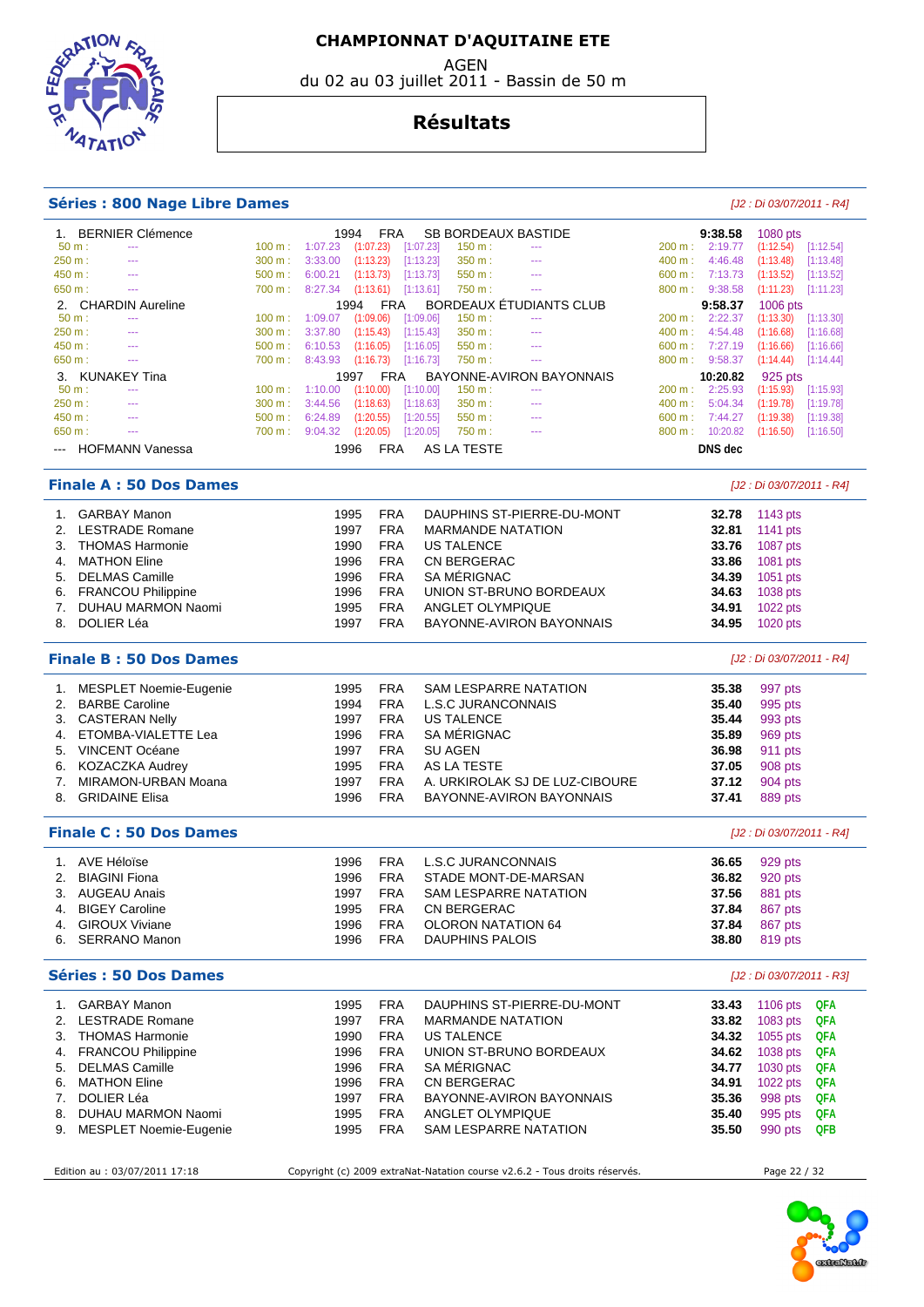AGEN

du 02 au 03 juillet 2011 - Bassin de 50 m



#### **Résultats**

#### **Séries : 800 Nage Libre Dames and the contract of the contract of the contract of the contract of the contract of the contract of the contract of the contract of the contract of the contract of the contract of the contr**

#### 1. BERNIER Clémence 1994 FRA SB BORDEAUX BASTIDE **9:38.58** 1080 pts 50 m : --- 100 m : 1:07.23 (1:07.23) [1:07.23] 150 m : --- 200 m : 2:19.77 (1:12.54) 250 m : --- 300 m : 3:33.00 (1:13.23) [1:13.23] 350 m : --- 400 m : 4:46.48 (1:13.48) [1:13.48] 450 m : --- 500 m : 6:00.21 (1:13.73) [1:13.73] 550 m : --- 600 m : 7:13.73 (1:13.52) [1:13.52] 650 m : --- 700 m : 8:27.34 (1:13.61) [1:13.61] 750 m : --- 800 m : 9:38.58 (1:11.23) [1:11.23] 2. CHARDIN Aureline **1994 FRA BORDEAUX ÉTUDIANTS CLUB 9:58.37** 1006 pts<br>
50 m : --- 100 m : 1:09.07 (1:09.06) [1:09.06] 150 m : --- 200 m : 2:22.37 (1:13.30) [1:13.30] 50 m : --- 100 m : 1:09.07 (1:09.06) [1:09.06] 150 m : -- 200 m : 2:22.37 (1:13.30) [1:13.30] 250 m : --- 300 m : 3:37.80 (1:15.43) [1:15.43] 350 m : --- 400 m : 4:54.48 (1:16.68) [1:16.68] 450 m : --- 500 m : 6:10.53 (1:16.05) [1:16.05] 550 m : --- 600 m : 7:27.19 (1:16.66) [1:16.66] 650 m : --- 700 m : 8:43.93 (1:16.73) [1:16.73] 750 m : -- 800 m : 9:58.37 (1:14.44) [1:14.44] 3. KUNAKEY Tina 1997 FRA BAYONNE-AVIRON BAYONNAIS **10:20.82** 925 pts 50 m : --- 100 m : 1:10.00 (1:10.00) [1:10.00] 150 m : -- 200 m : 2:25.93 (1:15.93) [1:15.93] 250 m : --- 250 m : 300 m : 3:44.56 (1:18.63) [1:18.63] 350 m : --- 250 m : 5:04.34 (1:19.78) [1:19.78] 250 m :<br>250 m : --- 2500 m : 6:24.89 (1:20.55) [1:20.55] 550 m : --- 250 m : 7:44.27 (1:19.38) [1:19.38] 450 m : --- 500 m : 6:24.89 (1:20.55) [1:20.55] 550 m : --- 600 m : 7:44.27 (1:19.38) [1:19.38] 650 m : --- 700 m : 9:04.32 (1:20.05) [1:20.05] 750 m : --- 800 m : 10:20.82 (1:16.50) [1:16.50] --- HOFMANN Vanessa 1996 FRA AS LA TESTE **DNS dec Finale A : 50 Dos Dames** [J2 : Di 03/07/2011 - R4] 1. GARBAY Manon 1995 FRA DAUPHINS ST-PIERRE-DU-MONT **32.78** 1143 pts 2. LESTRADE Romane 1997 FRA MARMANDE NATATION **32.81** 1141 pts 3. THOMAS Harmonie 1990 FRA US TALENCE **33.76** 1087 pts 4. MATHON Eline 1996 FRA CN BERGERAC **33.86** 1081 pts 5. DELMAS Camille 1996 FRA SA MÉRIGNAC **34.39** 1051 pts 6. FRANCOU Philippine 1996 FRA UNION ST-BRUNO BORDEAUX **34.63** 1038 pts 7. DUHAU MARMON Naomi 1995 FRA ANGLET OLYMPIQUE **34.91** 1022 pts 8. DOLIER Léa 1997 FRA BAYONNE-AVIRON BAYONNAIS **34.95** 1020 pts **Finale B : 50 Dos Dames** [J2 : Di 03/07/2011 - R4] 1. MESPLET Noemie-Eugenie 1995 FRA SAM LESPARRE NATATION **35.38** 997 pts 2. BARBE Caroline 1994 FRA L.S.C JURANCONNAIS **35.40** 995 pts 3. CASTERAN Nelly 1997 FRA US TALENCE **35.44** 993 pts 4. ETOMBA-VIALETTE Lea 1996 FRA SA MÉRIGNAC **35.89** 969 pts 5. VINCENT Océane 1997 FRA SU AGEN **36.98** 911 pts 6. KOZACZKA Audrey 1995 FRA AS LA TESTE **37.05** 908 pts 7. MIRAMON-URBAN Moana 1997 FRA A. URKIROLAK SJ DE LUZ-CIBOURE **37.12** 904 pts 8. GRIDAINE Elisa 1996 FRA BAYONNE-AVIRON BAYONNAIS **37.41** 889 pts **Finale C : 50 Dos Dames** [J2 : Di 03/07/2011 - R4] 1. AVE Héloïse 1996 FRA L.S.C JURANCONNAIS **36.65** 929 pts 2. BIAGINI Fiona 1996 FRA STADE MONT-DE-MARSAN **36.82** 920 pts 3. AUGEAU Anais 1997 FRA SAM LESPARRE NATATION **37.56** 881 pts 4. BIGEY Caroline 1995 FRA CN BERGERAC **37.84** 867 pts 4. GIROUX Viviane 1996 FRA OLORON NATATION 64 **37.84** 867 pts 6. SERRANO Manon 1996 FRA DAUPHINS PALOIS **38.80** 819 pts **Séries : 50 Dos Dames** [J2 : Di 03/07/2011 - R3] 1. GARBAY Manon 1995 FRA DAUPHINS ST-PIERRE-DU-MONT **33.43** 1106 pts **QFA**  2. LESTRADE Romane 1997 FRA MARMANDE NATATION **33.82** 1083 pts **QFA**  3. THOMAS Harmonie 1990 FRA US TALENCE **34.32** 1055 pts **QFA**  4. FRANCOU Philippine 1996 FRA UNION ST-BRUNO BORDEAUX **34.62** 1038 pts **QFA**  5. DELMAS Camille 1996 FRA SA MÉRIGNAC **34.77** 1030 pts **QFA**  6. MATHON Eline 1996 FRA CN BERGERAC **34.91** 1022 pts **QFA**  7. DOLIER Léa 1997 FRA BAYONNE-AVIRON BAYONNAIS **35.36** 998 pts **QFA**  8. DUHAU MARMON Naomi 1995 FRA ANGLET OLYMPIQUE **35.40** 995 pts **QFA**  9. MESPLET Noemie-Eugenie 1995 FRA SAM LESPARRE NATATION

Edition au : 03/07/2011 17:18 Copyright (c) 2009 extraNat-Natation course v2.6.2 - Tous droits réservés. Page 22 / 32

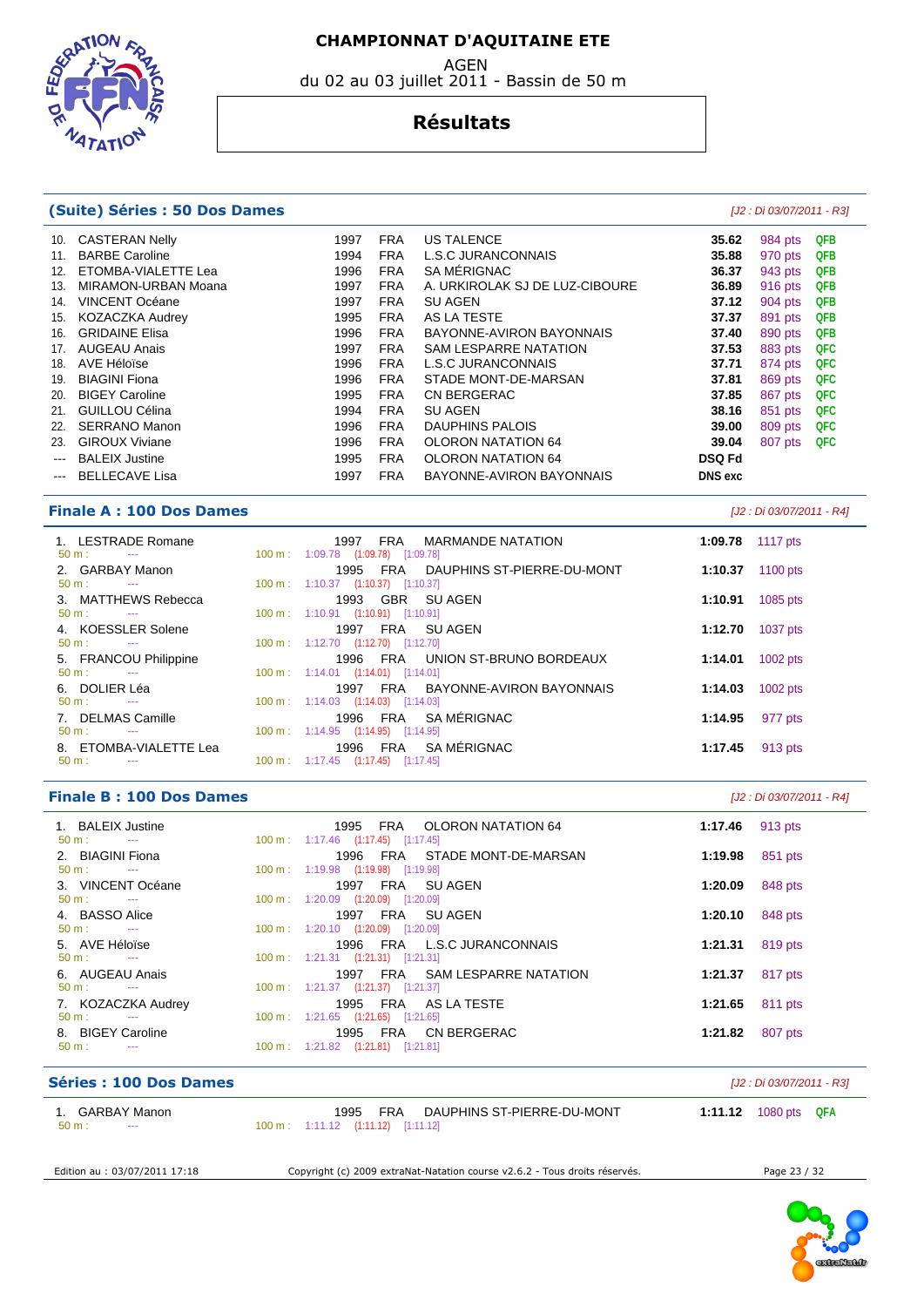**EDGRAT**  $47AT$ 

#### AGEN du 02 au 03 juillet 2011 - Bassin de 50 m

#### **Résultats**

#### **(Suite) Séries : 50 Dos Dames** [J2 : Di 03/07/2011 - R3]

| 10.<br>11.<br>12.<br>13.<br>14.<br>15.<br>16.<br>17.<br>18.<br>19.<br>20.<br>21.<br>22.<br>23.<br>$\sim$ $\sim$ | <b>CASTERAN Nelly</b><br><b>BARBE Caroline</b><br>ETOMBA-VIALETTE Lea<br>MIRAMON-URBAN Moana<br><b>VINCENT Océane</b><br><b>KOZACZKA Audrey</b><br><b>GRIDAINE Elisa</b><br><b>AUGEAU Anais</b><br>AVE Héloïse<br><b>BIAGINI Fiona</b><br><b>BIGEY Caroline</b><br>GUILLOU Célina<br><b>SERRANO Manon</b><br><b>GIROUX Viviane</b><br><b>BALEIX Justine</b> | 1997<br>1994<br>1996<br>1997<br>1997<br>1995<br>1996<br>1997<br>1996<br>1996<br>1995<br>1994<br>1996<br>1996<br>1995 | <b>FRA</b><br><b>FRA</b><br><b>FRA</b><br><b>FRA</b><br><b>FRA</b><br><b>FRA</b><br><b>FRA</b><br><b>FRA</b><br><b>FRA</b><br><b>FRA</b><br><b>FRA</b><br><b>FRA</b><br><b>FRA</b><br><b>FRA</b><br><b>FRA</b> | <b>US TALENCE</b><br>L.S.C JURANCONNAIS<br>SA MÉRIGNAC<br>A. URKIROLAK SJ DE LUZ-CIBOURE<br><b>SU AGEN</b><br>AS LA TESTE<br>BAYONNE-AVIRON BAYONNAIS<br><b>SAM LESPARRE NATATION</b><br>L.S.C JURANCONNAIS<br>STADE MONT-DE-MARSAN<br><b>CN BERGERAC</b><br><b>SU AGEN</b><br><b>DAUPHINS PALOIS</b><br><b>OLORON NATATION 64</b><br><b>OLORON NATATION 64</b> | 35.62<br>35.88<br>36.37<br>36.89<br>37.12<br>37.37<br>37.40<br>37.53<br>37.71<br>37.81<br>37.85<br>38.16<br>39.00<br>39.04<br><b>DSQ Fd</b> | 984 pts<br>970 pts<br>943 pts<br>916 pts<br>904 pts<br>891 pts<br>890 pts<br>883 pts<br>874 pts<br>869 pts<br>867 pts<br>851 pts<br>809 pts<br>807 pts | <b>QFB</b><br><b>QFB</b><br>QFB<br><b>QFB</b><br><b>QFB</b><br><b>QFB</b><br><b>QFB</b><br><b>QFC</b><br><b>QFC</b><br><b>QFC</b><br><b>QFC</b><br><b>QFC</b><br><b>QFC</b><br><b>QFC</b> |
|-----------------------------------------------------------------------------------------------------------------|-------------------------------------------------------------------------------------------------------------------------------------------------------------------------------------------------------------------------------------------------------------------------------------------------------------------------------------------------------------|----------------------------------------------------------------------------------------------------------------------|----------------------------------------------------------------------------------------------------------------------------------------------------------------------------------------------------------------|-----------------------------------------------------------------------------------------------------------------------------------------------------------------------------------------------------------------------------------------------------------------------------------------------------------------------------------------------------------------|---------------------------------------------------------------------------------------------------------------------------------------------|--------------------------------------------------------------------------------------------------------------------------------------------------------|-------------------------------------------------------------------------------------------------------------------------------------------------------------------------------------------|
| $---$                                                                                                           | <b>BELLECAVE Lisa</b>                                                                                                                                                                                                                                                                                                                                       | 1997                                                                                                                 | <b>FRA</b>                                                                                                                                                                                                     | BAYONNE-AVIRON BAYONNAIS                                                                                                                                                                                                                                                                                                                                        | <b>DNS</b> exc                                                                                                                              |                                                                                                                                                        |                                                                                                                                                                                           |
|                                                                                                                 |                                                                                                                                                                                                                                                                                                                                                             |                                                                                                                      |                                                                                                                                                                                                                |                                                                                                                                                                                                                                                                                                                                                                 |                                                                                                                                             |                                                                                                                                                        |                                                                                                                                                                                           |

#### **Finale A : 100 Dos Dames** [J2 : Di 03/07/2011 - R4]

| 1. LESTRADE Romane<br>$50 \text{ m}$ : $-$    | 1997 FRA<br>MARMANDE NATATION<br>100 m : 1:09.78 (1:09.78) [1:09.78]                       | 1:09.78 1117 pts |            |
|-----------------------------------------------|--------------------------------------------------------------------------------------------|------------------|------------|
| 2. GARBAY Manon<br>$50 \text{ m}$ : $-$       | 1995<br>FRA DAUPHINS ST-PIERRE-DU-MONT<br>$100 \text{ m}: 1:10.37$ $(1:10.37)$ $[1:10.37]$ | 1:10.37          | 1100 pts   |
| 3. MATTHEWS Rebecca<br>$50 \text{ m}$ : $-$   | 1993 GBR SUAGEN<br>100 m: 1:10.91 (1:10.91) [1:10.91]                                      | 1:10.91          | 1085 pts   |
| 4. KOESSLER Solene<br>$50 \text{ m}$ : $-$    | FRA SUAGEN<br>1997<br>100 m: 1:12.70 (1:12.70) [1:12.70]                                   | 1:12.70          | 1037 pts   |
| 5. FRANCOU Philippine<br>$50 m$ :<br>$\sim$   | FRA UNION ST-BRUNO BORDEAUX<br>1996<br>$100 \text{ m}: 1:14.01$ $(1:14.01)$ $[1:14.01]$    | 1:14.01          | $1002$ pts |
| 6. DOLIER Léa<br>$50 \text{ m}$ : $-$         | FRA BAYONNE-AVIRON BAYONNAIS<br>1997<br>100 m: 1:14.03 (1:14.03) [1:14.03]                 | 1:14.03          | $1002$ pts |
| 7. DELMAS Camille<br>$50 m$ :                 | FRA SA MÉRIGNAC<br>1996<br>100 m: 1:14.95 (1:14.95) [1:14.95]                              | 1:14.95          | 977 pts    |
| 8. ETOMBA-VIALETTE Lea<br>$50 m$ :<br>$- - -$ | 1996 FRA SAMÉRIGNAC<br>$100 \text{ m}: 1:17.45$ $(1:17.45)$ $[1:17.45]$                    | 1:17.45          | 913 pts    |
|                                               |                                                                                            |                  |            |

#### **Finale B : 100 Dos Dames** [J2 : Di 03/07/2011 - R4]

| 1. BALEIX Justine<br>$50 \text{ m}$ : $-$  | 1995 FRA OLORON NATATION 64<br>100 m : 1:17.46 $(1:17.45)$ $[1:17.45]$  | 1:17.46 $913 \text{ pts}$ |
|--------------------------------------------|-------------------------------------------------------------------------|---------------------------|
| 2. BIAGINI Fiona                           | 1996 FRA STADE MONT-DE-MARSAN                                           | 851 pts<br>1:19.98        |
| $50 \text{ m}$ : $-$<br>3. VINCENT Océane  | 100 m: 1:19.98 (1:19.98) [1:19.98]<br>1997 FRA SUAGEN                   | 848 pts<br>1:20.09        |
| $50 \text{ m}$ : $-$<br>4. BASSO Alice     | 100 m: 1:20.09 (1:20.09) [1:20.09]<br>FRA SUAGEN<br>1997                | 1:20.10<br>848 pts        |
| $50 \text{ m}$ : $-$<br>5. AVE Héloïse     | 100 m: 1:20.10 (1:20.09) [1:20.09]<br>1996 FRA L.S.C. JURANCONNAIS      | 819 pts<br>1:21.31        |
| $50 \text{ m}$ : $-$                       | 100 m: 1:21.31 (1:21.31) [1:21.31]                                      |                           |
| 6. AUGEAU Anais<br>$50 \text{ m}$ : $-$    | FRA SAM LESPARRE NATATION<br>1997<br>100 m: 1:21.37 (1:21.37) [1:21.37] | 817 pts<br>1:21.37        |
| 7. KOZACZKA Audrey<br>$50 \text{ m}$ : $-$ | 1995 FRA AS LATESTE<br>$100 \text{ m}: 1:21.65$ $(1:21.65)$ $[1:21.65]$ | 1:21.65<br>811 pts        |
| 8. BIGEY Caroline                          | 1995 FRA CN BERGERAC                                                    | 807 pts<br>1:21.82        |
| $50 \text{ m}$ :<br>$\sim$ $\sim$          | 100 m: 1:21.82 (1:21.81) [1:21.81]                                      |                           |

| Séries: 100 Dos Dames                             |                                                                                               | [J2 : Di 03/07/2011 - R3]   |
|---------------------------------------------------|-----------------------------------------------------------------------------------------------|-----------------------------|
| GARBAY Manon<br>$50 \text{ m}$ :<br>$\sim$ $\sim$ | DAUPHINS ST-PIERRE-DU-MONT<br>FRA<br>1995<br>$100 \text{ m}: 1:11.12$ $(1:11.12)$ $[1:11.12]$ | <b>1:11.12</b> 1080 pts QFA |

Edition au : 03/07/2011 17:18 Copyright (c) 2009 extraNat-Natation course v2.6.2 - Tous droits réservés. Page 23 / 32

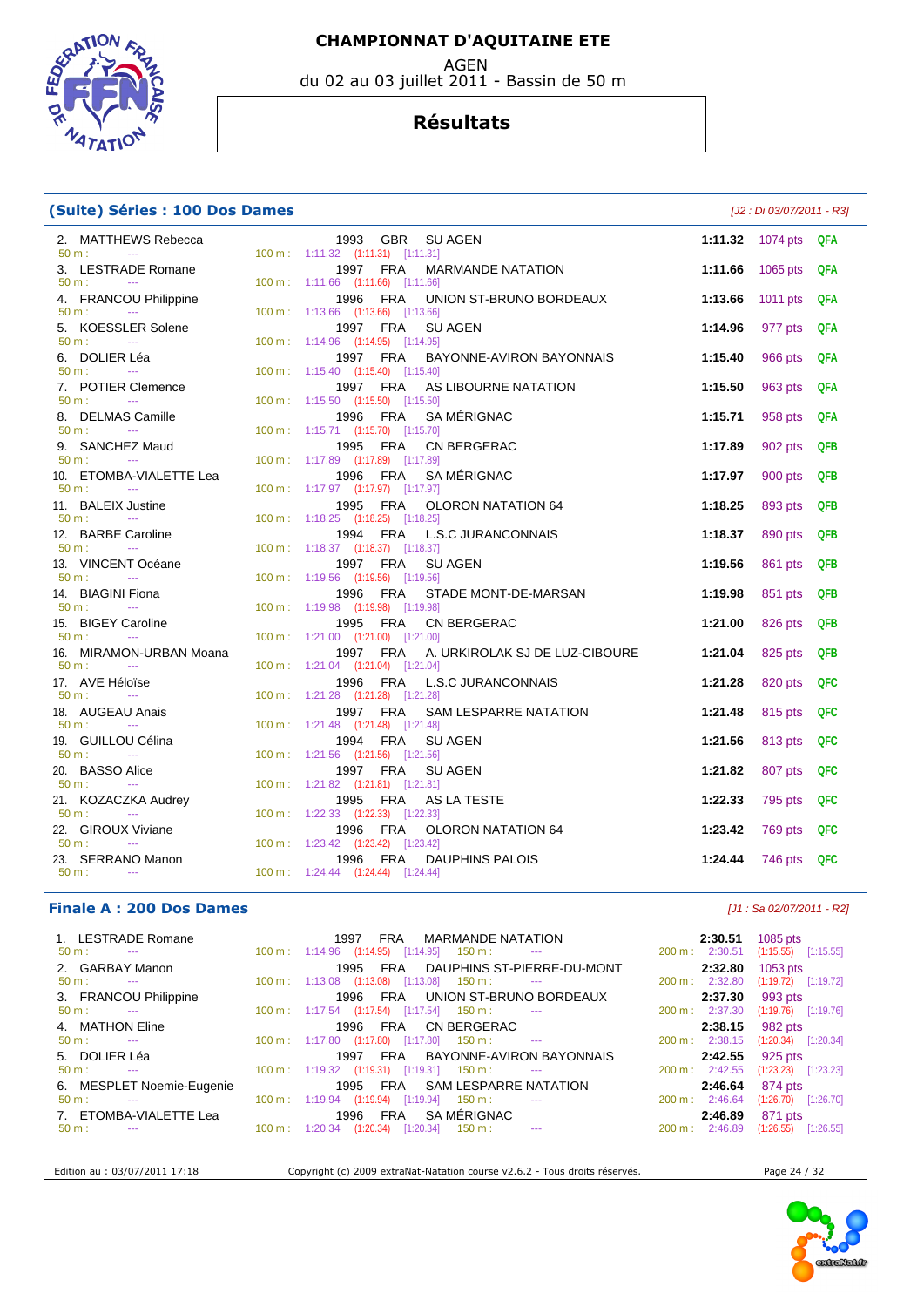**ELECTRICAL ATATIO** 

# du 02 au 03 juillet 2011 - Bassin de 50 m

#### **Résultats**

 2. MATTHEWS Rebecca 1993 GBR SU AGEN **1:11.32** 1074 pts **QFA**  50 m : --- 100 m : 1:11.32 (1:11.31) [1:11.31] 3. LESTRADE Romane 1997 FRA MARMANDE NATATION **1:11.66** 1065 pts **QFA**  100 m : 1:11.66 (1:11.66) [1:11.66] 4. FRANCOU Philippine 1996 FRA UNION ST-BRUNO BORDEAUX **1:13.66** 1011 pts **QFA**  50 m : --- 100 m : 1:13.66 (1:13.66) [1:13.66] 5. KOESSLER Solene 1997 FRA SU AGEN **1:14.96** 977 pts **QFA**  50 m : --- 100 m : 1:14.96 (1:14.95) [1:14.95] 6. DOLIER Léa 1997 FRA BAYONNE-AVIRON BAYONNAIS **1:15.40** 966 pts **QFA**  100 m : 1:15.40 (1:15.40) [1:15.40] 7. POTIER Clemence 1997 FRA AS LIBOURNE NATATION **1:15.50** 963 pts **QFA**  50 m : --- 100 m : 1:15.50 (1:15.50) [1:15.50] 8. DELMAS Camille 1996 FRA SA MÉRIGNAC **1:15.71** 958 pts **QFA**  100 m : 1:15.71 (1:15.70) [1:15.70] 9. SANCHEZ Maud 1995 FRA CN BERGERAC **1:17.89** 902 pts **QFB**  50 m : --- 100 m : 1:17.89 (1:17.89) [1:17.89] 10. ETOMBA-VIALETTE Lea 1996 FRA SA MÉRIGNAC **1:17.97** 900 pts **QFB**  50 m : --- 100 m : 1:17.97 (1:17.97) [1:17.97] 11. BALEIX Justine 1995 FRA OLORON NATATION 64 **1:18.25** 893 pts **QFB**  100 m : 1:18.25 (1:18.25) [1:18.25] 12. BARBE Caroline 1994 FRA L.S.C JURANCONNAIS **1:18.37** 890 pts **QFB**  100 m : 1:18.37 (1:18.37) [1:18.37] 13. VINCENT Océane 1997 FRA SU AGEN **1:19.56** 861 pts **QFB**  50 m : --- 100 m : 1:19.56 (1:19.56) [1:19.56] 14. BIAGINI Fiona 1996 FRA STADE MONT-DE-MARSAN **1:19.98** 851 pts **QFB**  50 m : --- 100 m : 1:19.98 (1:19.98) [1:19.98] 15. BIGEY Caroline 1995 FRA CN BERGERAC **1:21.00** 826 pts **QFB**  100 m : 1:21.00 (1:21.00) [1:21.00] 16. MIRAMON-URBAN Moana 1997 FRA A. URKIROLAK SJ DE LUZ-CIBOURE **1:21.04** 825 pts **QFB**  50 m : --- 100 m : 1:21.04 (1:21.04) [1:21.04] 17. AVE Héloïse 1996 FRA L.S.C JURANCONNAIS **1:21.28** 820 pts **QFC**  1:21.28 (1:21.28) [1:21.28] 18. AUGEAU Anais 1997 FRA SAM LESPARRE NATATION **1:21.48** 815 pts **QFC**  50 m : --- 100 m : 1:21.48 (1:21.48) [1:21.48] 19. GUILLOU Célina 1994 FRA SU AGEN **1:21.56** 813 pts **QFC**  50 m : --- 100 m : 1:21.56 (1:21.56) [1:21.56] 20. BASSO Alice 1997 FRA SU AGEN **1:21.82** 807 pts **QFC**  1:21.82 (1:21.81) [1:21.81] 21. KOZACZKA Audrey 1995 FRA AS LA TESTE **1:22.33** 795 pts **QFC**  100 m : 1:22.33 (1:22.33) [1:22.33] 22. GIROUX Viviane 1996 FRA OLORON NATATION 64 **1:23.42** 769 pts **QFC**  50 m : --- 100 m : 1:23.42 (1:23.42) [1:23.42] 23. SERRANO Manon 1996 FRA DAUPHINS PALOIS **1:24.44** 746 pts **QFC**  50 m : --- 100 m : 1:24.44 (1:24.44) [1:24.44]

#### **Finale A : 200 Dos Dames** *Maximum - R2 Let us a set of the set of the set of the set of the set of the set of the set of the set of the set of the set of the set of the set of the set of the set of the set of the se*

**(Suite) Séries : 100 Dos Dames** [J2 : Di 03/07/2011 - R3]

| 1. LESTRADE Romane<br>$50 \text{ m}$ :<br><b>State State</b> |                           | FRA MARMANDE NATATION<br>1997<br>$100 \text{ m}: 1:14.96$ $(1:14.95)$ $[1:14.95]$ $150 \text{ m}:$<br><b>Contract Contract</b>              | 2:30.51<br>$200 \text{ m}$ : 2:30.51 | 1085 pts<br>$(1:15.55)$ $[1:15.55]$ |
|--------------------------------------------------------------|---------------------------|---------------------------------------------------------------------------------------------------------------------------------------------|--------------------------------------|-------------------------------------|
| 2. GARBAY Manon                                              |                           | DAUPHINS ST-PIERRE-DU-MONT<br>FRA<br>1995                                                                                                   | 2:32.80                              | $1053$ pts                          |
| $50 \text{ m}$ :<br><b>State State</b>                       |                           | $100 \text{ m}$ : $1:13.08$ $(1:13.08)$ $[1:13.08]$ $150 \text{ m}$ :<br><b>Contract Contract</b><br>UNION ST-BRUNO BORDEAUX<br>FRA<br>1996 | 200 m: 2:32.80<br>2:37.30            | $(1:19.72)$ [1:19.72]               |
| 3. FRANCOU Philippine<br>$50 \text{ m}$ : $-$                |                           | 100 m: 1:17.54 (1:17.54) [1:17.54] 150 m:<br><b>Service Contracts</b>                                                                       | 200 m: 2:37.30                       | 993 pts<br>$(1:19.76)$ [1:19.76]    |
| 4. MATHON Eline                                              |                           | CN BERGERAC<br>FRA<br>1996                                                                                                                  | 2:38.15                              | 982 pts                             |
| $50 \text{ m}$ :<br><b>State State</b>                       |                           | $100 \text{ m}$ : 1:17.80 $(1:17.80)$ $[1:17.80]$ 150 m :<br><b>Service State</b>                                                           | $200 \text{ m}: 2:38.15$             | $(1:20.34)$ $[1:20.34]$             |
| 5. DOLIER Léa                                                |                           | FRA BAYONNE-AVIRON BAYONNAIS<br>1997                                                                                                        | 2:42.55                              | 925 pts                             |
| $50 \text{ m}$ :<br><b>State State</b>                       |                           | 100 m: 1:19.32 (1:19.31) [1:19.31] 150 m: ---                                                                                               | 200 m: 2:42.55                       | (1:23.23)<br>[1:23.23]              |
| 6. MESPLET Noemie-Eugenie                                    |                           | SAM LESPARRE NATATION<br>FRA<br>1995                                                                                                        | 2:46.64                              | 874 pts                             |
| $50 \text{ m}$ :<br>$\sim$ $\sim$                            |                           | 100 m: 1:19.94 (1:19.94) [1:19.94] 150 m:<br>$\sim$ $\sim$                                                                                  | $200 \text{ m}$ : 2:46.64            | $(1:26.70)$ $[1:26.70]$             |
| 7. ETOMBA-VIALETTE Lea                                       |                           | SA MÉRIGNAC<br><b>FRA</b><br>1996                                                                                                           | 2:46.89                              | 871 pts                             |
| $50 \text{ m}$ :                                             | $100 \text{ m}$ : 1:20.34 | (1:20.34)<br>[1:20.34]<br>150 m :<br><b>Contract Contract</b>                                                                               | $200 \text{ m}$ : 2:46.89            | (1:26.55)<br>[1:26.55]              |
|                                                              |                           |                                                                                                                                             |                                      |                                     |

Edition au : 03/07/2011 17:18 Copyright (c) 2009 extraNat-Natation course v2.6.2 - Tous droits réservés. Page 24 / 32

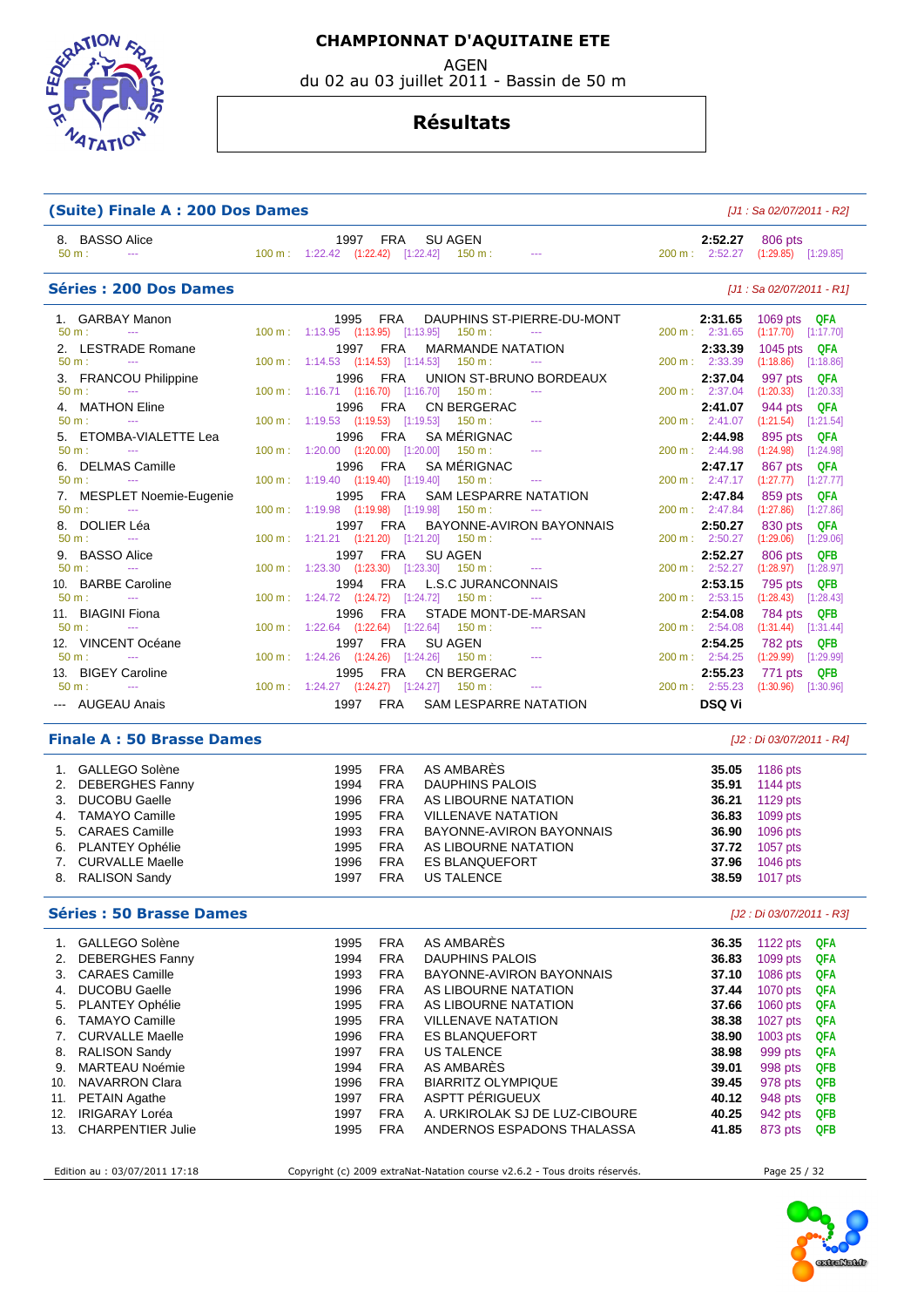**ELECTION**  $47ATV$ 

 **CHAMPIONNAT D'AQUITAINE ETE** 

AGEN

du 02 au 03 juillet 2011 - Bassin de 50 m

#### **Résultats**

| (Suite) Finale A : 200 Dos Dames                                                             | [J1 : Sa 02/07/2011 - R2]                                                                                                                                        |                                                                                                                     |  |  |
|----------------------------------------------------------------------------------------------|------------------------------------------------------------------------------------------------------------------------------------------------------------------|---------------------------------------------------------------------------------------------------------------------|--|--|
| 8. BASSO Alice<br>$50 m$ :<br><b>State State</b>                                             | 1997 FRA<br><b>SU AGEN</b><br>100 m: 1:22.42 (1:22.42) [1:22.42] 150 m: ---                                                                                      | 806 pts<br>2:52.27<br>200 m: 2:52.27<br>$(1:29.85)$ $[1:29.85]$                                                     |  |  |
| Séries: 200 Dos Dames                                                                        |                                                                                                                                                                  | [J1 : Sa 02/07/2011 - R1]                                                                                           |  |  |
| 1. GARBAY Manon<br>$50 \text{ m}$ :<br><b>State State</b><br>2. LESTRADE Romane              | 1995 FRA<br>DAUPHINS ST-PIERRE-DU-MONT<br>100 m: 1:13.95 (1:13.95) [1:13.95] 150 m:<br>1997 FRA<br><b>MARMANDE NATATION</b>                                      | 2:31.65<br>1069 pts QFA<br>200 m: 2:31.65<br>$(1:17.70)$ $[1:17.70]$<br>2:33.39                                     |  |  |
| $50 m$ :<br><b>State State</b><br>3. FRANCOU Philippine                                      | 100 m: 1:14.53 (1:14.53) [1:14.53] 150 m:<br>1996 FRA<br>UNION ST-BRUNO BORDEAUX                                                                                 | 1045 pts QFA<br>200 m: 2:33.39<br>$(1:18.86)$ [1:18.86]<br>2:37.04<br>997 pts QFA                                   |  |  |
| $50 m$ :<br><b>Contractor</b><br>4. MATHON Eline<br>$50 m$ :                                 | 100 m: 1:16.71 (1:16.70) [1:16.70] 150 m:<br>1996 FRA<br><b>CN BERGERAC</b><br>100 m: 1:19.53 (1:19.53) [1:19.53] 150 m:                                         | 200 m: 2:37.04<br>$(1:20.33)$ $[1:20.33]$<br>2:41.07<br>944 pts<br>QFA<br>200 m: 2:41.07<br>$(1:21.54)$ $[1:21.54]$ |  |  |
| 5. ETOMBA-VIALETTE Lea<br>$50 \text{ m}$ :<br>$\sim 100$ and $\sim 100$<br>6. DELMAS Camille | SA MÉRIGNAC<br>1996 FRA<br>100 m: 1:20.00 (1:20.00) [1:20.00] 150 m:<br>SA MÉRIGNAC<br>1996 FRA                                                                  | 2:44.98<br>895 pts<br>QFA<br>$200 \text{ m}$ : $2:44.98$<br>$(1:24.98)$ $[1:24.98]$<br>2:47.17<br>867 pts QFA       |  |  |
| $50 m$ :<br><b>Service</b><br>7. MESPLET Noemie-Eugenie<br>$50 m$ :<br>$\sim$                | 100 m: 1:19.40 (1:19.40) [1:19.40] 150 m:<br><b>SAM LESPARRE NATATION</b><br>1995 FRA<br>100 m: 1:19.98 (1:19.98) [1:19.98] 150 m:                               | 200 m : 2:47.17<br>$(1:27.77)$ [1:27.77]<br>2:47.84<br>859 pts<br>QFA<br>200 m: 2:47.84<br>$(1:27.86)$ $[1:27.86]$  |  |  |
| 8. DOLIER Léa<br>$50 m$ :<br>$\sim$<br>9. BASSO Alice                                        | 1997 FRA<br>BAYONNE-AVIRON BAYONNAIS<br>100 m: 1:21.21 (1:21.20) [1:21.20] 150 m:<br>1997<br><b>FRA</b><br><b>SU AGEN</b>                                        | 2:50.27<br>QFA<br>830 pts<br>200 m: 2:50.27<br>$(1:29.06)$ $[1:29.06]$<br>2:52.27<br>806 pts<br>QFB                 |  |  |
| $50 m$ :<br>$\sim$<br>10. BARBE Caroline<br>$50 m$ :<br>$\sim$                               | 100 m: 1:23.30 (1:23.30) [1:23.30] 150 m:<br><b>State Street</b><br><b>FRA</b><br>L.S.C. JURANCONNAIS<br>1994<br>100 m: 1:24.72 (1:24.72) [1:24.72]<br>$150 m$ : | 200 m : 2:52.27<br>$(1:28.97)$ $[1:28.97]$<br>2:53.15<br>795 pts<br>QFB<br>200 m: 2:53.15<br>$(1:28.43)$ [1:28.43]  |  |  |
| 11. BIAGINI Fiona<br>$50 m$ :<br><b>State State</b>                                          | 1996 FRA<br>STADE MONT-DE-MARSAN<br>1:22.64 (1:22.64) [1:22.64]<br>$150 m$ :<br>100 m:<br>$\sim$ $\sim$ $\sim$                                                   | 784 pts<br>QFB<br>2:54.08<br>$200 \text{ m}$ : 2:54.08<br>$(1:31.44)$ [1:31.44]                                     |  |  |
| 12. VINCENT Océane<br>$50 m$ :<br><b>State Street</b><br>13. BIGEY Caroline                  | 1997 FRA<br><b>SU AGEN</b><br>100 m: 1:24.26 (1:24.26) [1:24.26] 150 m:<br>1995 FRA<br><b>CN BERGERAC</b>                                                        | 782 pts<br><b>QFB</b><br>2:54.25<br>200 m: 2:54.25<br>$(1:29.99)$ $[1:29.99]$<br>2:55.23<br>771 pts QFB             |  |  |
| $50 m$ :<br><b>Service Contracts</b><br>--- AUGEAU Anais                                     | 100 m: 1:24.27 (1:24.27) [1:24.27] 150 m:<br><b>FRA</b><br><b>SAM LESPARRE NATATION</b><br>1997                                                                  | 200 m : 2:55.23<br>$(1:30.96)$ $[1:30.96]$<br><b>DSQ Vi</b>                                                         |  |  |

#### **Finale A : 50 Brasse Dames** [J2 : Di 03/07/2011 - R4]

| 1. | GALLEGO Solène     | 1995 | <b>FRA</b> | AS AMBARÈS                | 35.05 | 1186 pts   |
|----|--------------------|------|------------|---------------------------|-------|------------|
|    | 2. DEBERGHES Fanny | 1994 | <b>FRA</b> | DAUPHINS PALOIS           | 35.91 | 1144 pts   |
|    | 3. DUCOBU Gaelle   | 1996 | <b>FRA</b> | AS LIBOURNE NATATION      | 36.21 | 1129 pts   |
|    | 4. TAMAYO Camille  | 1995 | <b>FRA</b> | <b>VILLENAVE NATATION</b> | 36.83 | 1099 pts   |
|    | 5. CARAES Camille  | 1993 | <b>FRA</b> | BAYONNE-AVIRON BAYONNAIS  | 36.90 | 1096 pts   |
|    | 6. PLANTEY Ophélie | 1995 | <b>FRA</b> | AS LIBOURNE NATATION      | 37.72 | 1057 pts   |
|    | 7. CURVALLE Maelle | 1996 | <b>FRA</b> | <b>ES BLANQUEFORT</b>     | 37.96 | $1046$ pts |
|    | 8. RALISON Sandy   | 1997 | <b>FRA</b> | US TALENCE                | 38.59 | 1017 pts   |

#### **Séries : 50 Brasse Dames** [J2 : Di 03/07/2011 - R3]

| 1.  | GALLEGO Solène           | 1995 | <b>FRA</b> | AS AMBARES                     | 36.35 | 1122 pts   | <b>QFA</b> |
|-----|--------------------------|------|------------|--------------------------------|-------|------------|------------|
| 2.  | DEBERGHES Fanny          | 1994 | <b>FRA</b> | DAUPHINS PALOIS                | 36.83 | 1099 pts   | <b>QFA</b> |
|     | 3. CARAES Camille        | 1993 | <b>FRA</b> | BAYONNE-AVIRON BAYONNAIS       | 37.10 | $1086$ pts | <b>QFA</b> |
| 4.  | <b>DUCOBU Gaelle</b>     | 1996 | <b>FRA</b> | AS LIBOURNE NATATION           | 37.44 | 1070 pts   | <b>QFA</b> |
|     | 5. PLANTEY Ophélie       | 1995 | <b>FRA</b> | AS LIBOURNE NATATION           | 37.66 | 1060 pts   | <b>QFA</b> |
| 6.  | <b>TAMAYO Camille</b>    | 1995 | <b>FRA</b> | <b>VILLENAVE NATATION</b>      | 38.38 | 1027 pts   | <b>QFA</b> |
| 7.  | <b>CURVALLE Maelle</b>   | 1996 | <b>FRA</b> | <b>ES BLANQUEFORT</b>          | 38.90 | $1003$ pts | <b>QFA</b> |
| 8.  | <b>RALISON Sandy</b>     | 1997 | <b>FRA</b> | <b>US TALENCE</b>              | 38.98 | 999 pts    | <b>QFA</b> |
| 9.  | <b>MARTEAU Noémie</b>    | 1994 | <b>FRA</b> | AS AMBARES                     | 39.01 | 998 pts    | <b>QFB</b> |
| 10. | <b>NAVARRON Clara</b>    | 1996 | <b>FRA</b> | <b>BIARRITZ OLYMPIQUE</b>      | 39.45 | 978 pts    | <b>QFB</b> |
| 11. | <b>PETAIN Agathe</b>     | 1997 | <b>FRA</b> | ASPTT PERIGUEUX                | 40.12 | 948 pts    | <b>QFB</b> |
| 12. | <b>IRIGARAY Loréa</b>    | 1997 | <b>FRA</b> | A. URKIROLAK SJ DE LUZ-CIBOURE | 40.25 | 942 pts    | <b>QFB</b> |
| 13. | <b>CHARPENTIER Julie</b> | 1995 | <b>FRA</b> | ANDERNOS ESPADONS THALASSA     | 41.85 | 873 pts    | <b>QFB</b> |
|     |                          |      |            |                                |       |            |            |

Edition au : 03/07/2011 17:18 Copyright (c) 2009 extraNat-Natation course v2.6.2 - Tous droits réservés. Page 25 / 32

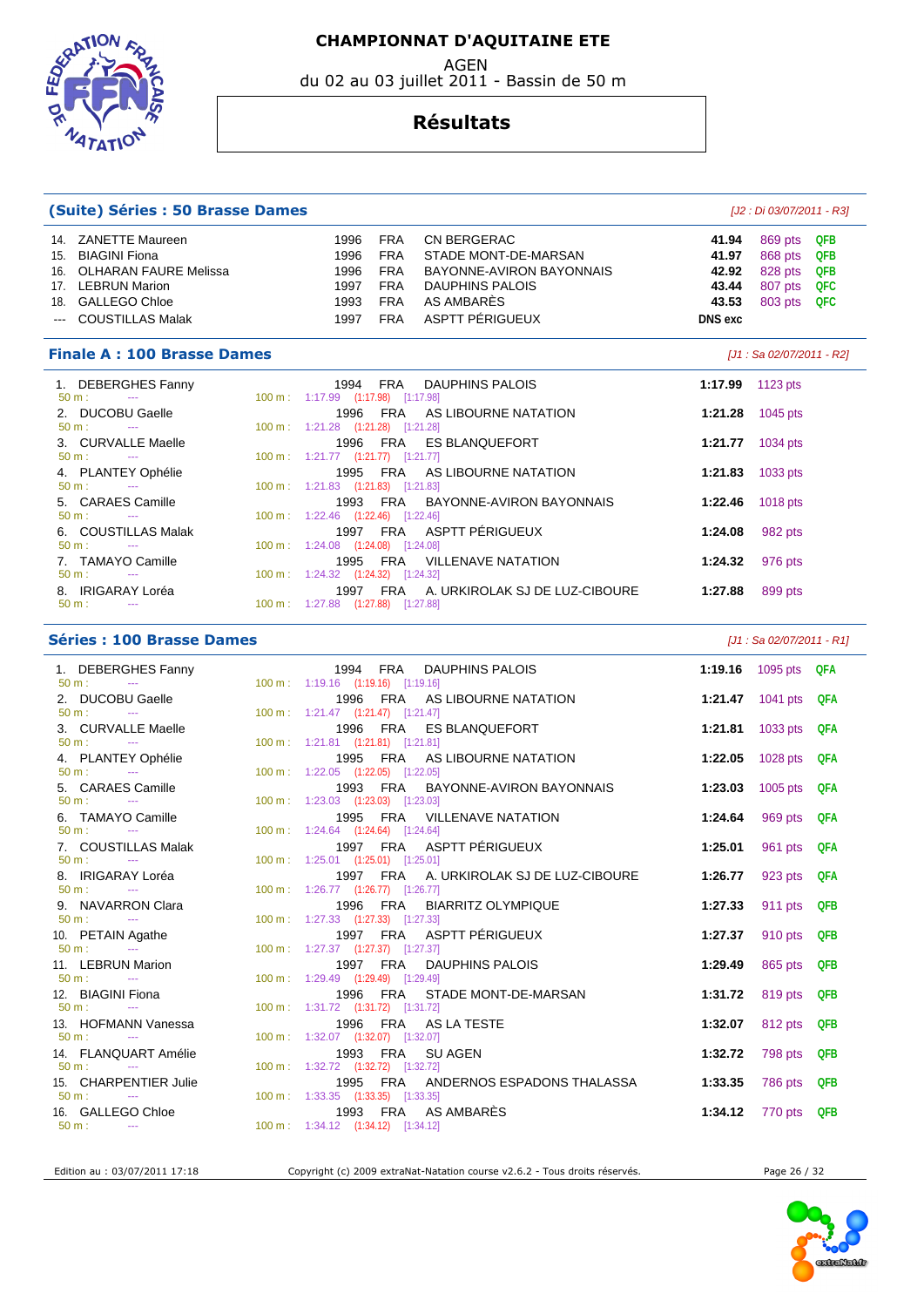AGEN

du 02 au 03 juillet 2011 - Bassin de 50 m



#### **Résultats**

| (Suite) Séries : 50 Brasse Dames                                                                                                           |        |                                                                                              |                                                                                  |                                                                                                                                   |                                                             | [J2 : Di 03/07/2011 - R3]                           |                                               |  |
|--------------------------------------------------------------------------------------------------------------------------------------------|--------|----------------------------------------------------------------------------------------------|----------------------------------------------------------------------------------|-----------------------------------------------------------------------------------------------------------------------------------|-------------------------------------------------------------|-----------------------------------------------------|-----------------------------------------------|--|
| 14. ZANETTE Maureen<br>15. BIAGINI Fiona<br>16. OLHARAN FAURE Melissa<br>17. LEBRUN Marion<br>18. GALLEGO Chloe<br><b>COUSTILLAS Malak</b> |        | 1996<br>1996<br>1996<br>1997<br>1993<br>1997                                                 | <b>FRA</b><br><b>FRA</b><br><b>FRA</b><br><b>FRA</b><br><b>FRA</b><br><b>FRA</b> | <b>CN BERGERAC</b><br>STADE MONT-DE-MARSAN<br>BAYONNE-AVIRON BAYONNAIS<br><b>DAUPHINS PALOIS</b><br>AS AMBARES<br>ASPTT PÉRIGUEUX | 41.94<br>41.97<br>42.92<br>43.44<br>43.53<br><b>DNS</b> exc | 869 pts<br>868 pts<br>828 pts<br>807 pts<br>803 pts | <b>QFB</b><br>QFB<br>QFB<br><b>QFC</b><br>QFC |  |
| <b>Finale A: 100 Brasse Dames</b>                                                                                                          |        |                                                                                              |                                                                                  |                                                                                                                                   |                                                             | [J1 : Sa 02/07/2011 - R2]                           |                                               |  |
| 1. DEBERGHES Fanny<br>$50 m$ :<br>$\sim$<br>2. DUCOBU Gaelle                                                                               |        | 1994<br>100 m: 1:17.99 (1:17.98) [1:17.98]<br>1996                                           | FRA<br>FRA                                                                       | DAUPHINS PALOIS<br>AS LIBOURNE NATATION                                                                                           | 1:17.99<br>1:21.28                                          | 1123 pts                                            |                                               |  |
| $50 m$ :<br>$\sim$<br>3. CURVALLE Maelle                                                                                                   |        | 100 m: 1:21.28 (1:21.28) [1:21.28]<br>1996                                                   | <b>FRA</b>                                                                       | <b>ES BLANQUEFORT</b>                                                                                                             | 1:21.77                                                     | 1045 pts<br>1034 pts                                |                                               |  |
| $50 m$ :<br>$\sim 100$ mass $^{-1}$<br>4. PLANTEY Ophélie<br>$50 m$ :<br>$\sim$                                                            |        | 100 m: 1:21.77 (1:21.77) [1:21.77]<br>1995 FRA<br>100 m: 1:21.83 (1:21.83) [1:21.83]         |                                                                                  | AS LIBOURNE NATATION                                                                                                              | 1:21.83                                                     | 1033 pts                                            |                                               |  |
| 5. CARAES Camille<br>50 m:<br>$\sim$ 0.000 $\mu$                                                                                           |        | 1993<br>100 m: 1:22.46 (1:22.46) [1:22.46]                                                   | <b>FRA</b>                                                                       | BAYONNE-AVIRON BAYONNAIS                                                                                                          | 1:22.46                                                     | 1018 pts                                            |                                               |  |
| 6. COUSTILLAS Malak<br>$50 m$ :                                                                                                            |        | 1997<br>100 m: 1:24.08 (1:24.08) [1:24.08]                                                   | FRA                                                                              | ASPTT PÉRIGUEUX                                                                                                                   | 1:24.08                                                     | 982 pts                                             |                                               |  |
| 7. TAMAYO Camille<br>$50 m$ :<br>$\sim$ $\sim$<br>8. IRIGARAY Loréa<br>50 m:<br>$\sim 100$ mass $^{-1}$                                    |        | 1995<br>100 m: 1:24.32 (1:24.32) [1:24.32]<br>1997 FRA<br>100 m: 1:27.88 (1:27.88) [1:27.88] | <b>FRA</b>                                                                       | <b>VILLENAVE NATATION</b><br>A. URKIROLAK SJ DE LUZ-CIBOURE                                                                       | 1:24.32<br>1:27.88                                          | 976 pts<br>899 pts                                  |                                               |  |
| <b>Séries : 100 Brasse Dames</b>                                                                                                           |        |                                                                                              |                                                                                  |                                                                                                                                   |                                                             | $[J1: Sa 02/07/2011 - R1]$                          |                                               |  |
|                                                                                                                                            |        |                                                                                              |                                                                                  |                                                                                                                                   |                                                             |                                                     |                                               |  |
| 1. DEBERGHES Fanny<br>50 m:<br>$\scriptstyle\cdots$                                                                                        |        | 1994 FRA<br>100 m: 1:19.16 (1:19.16) [1:19.16]                                               |                                                                                  | <b>DAUPHINS PALOIS</b>                                                                                                            | 1:19.16                                                     | 1095 $pts$                                          | QFA                                           |  |
| 2. DUCOBU Gaelle<br>50 m:                                                                                                                  |        | 1996<br>$100 \text{ m}: 1:21.47$ $(1:21.47)$ $[1:21.47]$                                     | FRA                                                                              | AS LIBOURNE NATATION                                                                                                              | 1:21.47                                                     | 1041 pts                                            | QFA                                           |  |
| 3. CURVALLE Maelle<br>50 m:<br>$\sim$ 100 $\pm$<br>4. PLANTEY Ophélie                                                                      |        | 1996<br>100 m: 1:21.81 (1:21.81) [1:21.81]<br>1995                                           | <b>FRA</b><br><b>FRA</b>                                                         | <b>ES BLANQUEFORT</b><br>AS LIBOURNE NATATION                                                                                     | 1:21.81<br>1:22.05                                          | 1033 pts<br>1028 pts                                | QFA<br>QFA                                    |  |
| 50 m:<br>$\sim 100$ mass $^{-1}$<br>5. CARAES Camille<br>$50 m$ :<br>$\sim$                                                                | 100 m: | $1:22.05$ $(1:22.05)$ $[1:22.05]$<br>1993                                                    | <b>FRA</b>                                                                       | BAYONNE-AVIRON BAYONNAIS                                                                                                          | 1:23.03                                                     | 1005 pts                                            | QFA                                           |  |
| 6. TAMAYO Camille<br>$50 m$ :<br><b>Contract Contract</b>                                                                                  |        | 100 m: 1:23.03 (1:23.03) [1:23.03]<br>1995<br>100 m : 1:24.64 (1:24.64) [1:24.64]            | FRA                                                                              | <b>VILLENAVE NATATION</b>                                                                                                         | 1:24.64                                                     | 969 pts                                             | QFA                                           |  |
| 7. COUSTILLAS Malak<br>50 m:<br>$\overline{\phantom{a}}$                                                                                   |        | 1997 FRA<br>100 m: 1:25.01 (1:25.01) [1:25.01]                                               |                                                                                  | ASPTT PÉRIGUEUX                                                                                                                   | 1:25.01                                                     | 961 pts                                             | QFA                                           |  |
| 8. IRIGARAY Loréa<br>$50 m:$ ---<br>9. NAVARRON Clara                                                                                      |        | 100 m: 1:26.77 (1:26.77) [1:26.77]                                                           | 1997 FRA                                                                         | A. URKIROLAK SJ DE LUZ-CIBOURE<br>1996 FRA BIARRITZ OLYMPIQUE                                                                     | 1:26.77<br>1:27.33                                          | 923 pts<br>911 pts                                  | QFA<br>QFB                                    |  |
| 50 m:<br>$\sim$ 100 $\mu$<br>10. PETAIN Agathe<br>$50 m$ :                                                                                 |        | 100 m: 1:27.33 (1:27.33) [1:27.33]<br>1997 FRA                                               |                                                                                  | ASPTT PÉRIGUEUX                                                                                                                   | 1:27.37                                                     | 910 pts                                             | QFB                                           |  |
| $\sim 100$ mass $^{-1}$<br>11. LEBRUN Marion<br>$50 m$ :<br>$\mathbb{Z} \to \mathbb{Z}$                                                    |        | 100 m: 1:27.37 (1:27.37) [1:27.37]<br>1997 FRA<br>100 m: 1:29.49 (1:29.49) [1:29.49]         |                                                                                  | DAUPHINS PALOIS                                                                                                                   | 1:29.49                                                     | 865 pts                                             | <b>QFB</b>                                    |  |
| 12. BIAGINI Fiona<br>50 m:<br>$\sim$ 100 $\mu$<br>13. HOFMANN Vanessa                                                                      |        | 1996<br>100 m: 1:31.72 (1:31.72) [1:31.72]                                                   | FRA                                                                              | STADE MONT-DE-MARSAN<br>1996 FRA AS LA TESTE                                                                                      | 1:31.72<br>1:32.07                                          | 819 pts<br>812 pts QFB                              | <b>QFB</b>                                    |  |

 50 m : --- 100 m : 1:32.72 (1:32.72) [1:32.72] 15. CHARPENTIER Julie 1995 FRA ANDERNOS ESPADONS THALASSA **1:33.35** 786 pts **QFB**  50 m : --- 100 m : 1:33.35 (1:33.35) [1:33.35] 16. GALLEGO Chloe 1993 FRA AS AMBARÈS **1:34.12** 770 pts **QFB**  50 m : --- 100 m : --- 1:34.12 (1:34.12) [1:34.12]

14. FLANQUART Amélie 1993 FRA SU AGEN **1:32.72** 798 pts **QFB** 

Edition au : 03/07/2011 17:18 Copyright (c) 2009 extraNat-Natation course v2.6.2 - Tous droits réservés. Page 26 / 32

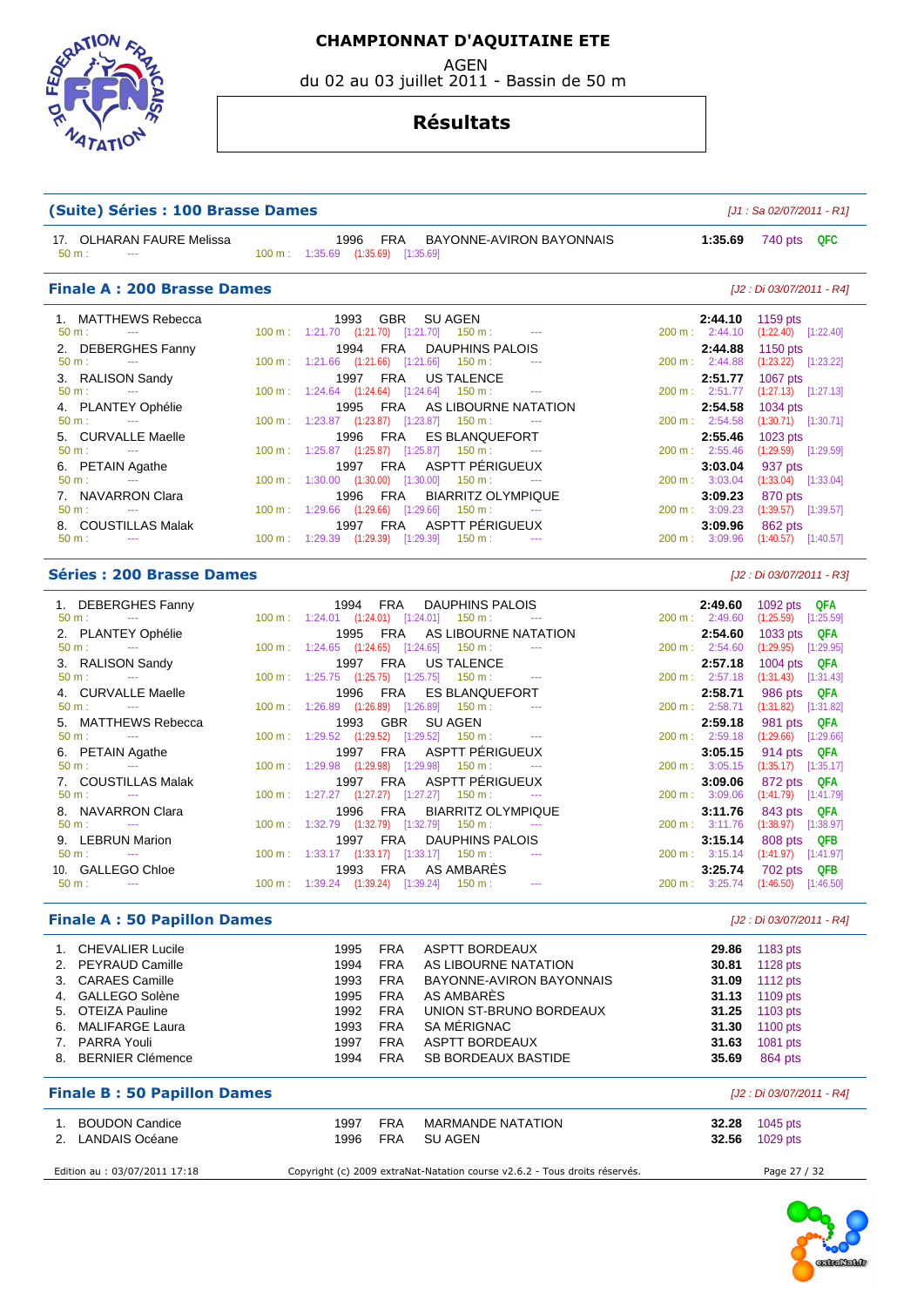EDSTATION  $47AT$ 

2. LANDAIS Océane

#### **CHAMPIONNAT D'AQUITAINE ETE**

AGEN

du 02 au 03 juillet 2011 - Bassin de 50 m

#### **Résultats**

| (Suite) Séries : 100 Brasse Dames                   |                                                                                                            |                |         | $[J1: Sa 02/07/2011 - R1]$                                |     |
|-----------------------------------------------------|------------------------------------------------------------------------------------------------------------|----------------|---------|-----------------------------------------------------------|-----|
| 17. OLHARAN FAURE Melissa<br>50 m:<br>$\sim$ $\sim$ | 1996<br>FRA<br>BAYONNE-AVIRON BAYONNAIS<br>100 m: 1:35.69 (1:35.69) [1:35.69]                              |                | 1:35.69 | 740 pts QFC                                               |     |
| <b>Finale A: 200 Brasse Dames</b>                   |                                                                                                            |                |         | [J2 : Di 03/07/2011 - R4]                                 |     |
| 1. MATTHEWS Rebecca                                 | 1993<br><b>GBR</b><br>SU AGEN                                                                              |                | 2:44.10 | 1159 pts                                                  |     |
| 50 m:<br>$\sim$ $\sim$                              | 100 m: 1:21.70 (1:21.70) [1:21.70] 150 m:<br>$\sim$ $\sim$                                                 | 200 m: 2:44.10 |         | $(1:22.40)$ $[1:22.40]$                                   |     |
| 2. DEBERGHES Fanny                                  | <b>DAUPHINS PALOIS</b><br>1994<br>FRA                                                                      |                | 2:44.88 | 1150 pts                                                  |     |
| $50 m$ :                                            | 100 m : 1:21.66 (1:21.66) [1:21.66]<br>$150 m$ :                                                           | 200 m: 2:44.88 |         | $(1:23.22)$ $[1:23.22]$                                   |     |
| 3. RALISON Sandy<br>50 m:<br>$\cdots$               | <b>FRA</b><br>1997<br>US TALENCE<br>100 m: 1:24.64 (1:24.64) [1:24.64]<br>150 m :<br>$\sim$ $\sim$         | 200 m: 2:51.77 | 2:51.77 | 1067 pts<br>$(1:27.13)$ $[1:27.13]$                       |     |
|                                                     | <b>FRA</b><br>AS LIBOURNE NATATION<br>1995                                                                 |                | 2:54.58 |                                                           |     |
| 4. PLANTEY Ophélie<br>50 m:<br>$\scriptstyle\cdots$ | 100 m : 1:23.87 (1:23.87) [1:23.87]<br>$150 \text{ m}$ :<br>$\sim$ $\sim$                                  | 200 m: 2:54.58 |         | 1034 pts<br>$(1:30.71)$ $[1:30.71]$                       |     |
| 5. CURVALLE Maelle                                  | 1996<br>FRA<br><b>ES BLANQUEFORT</b>                                                                       |                | 2:55.46 | 1023 pts                                                  |     |
| 50 m:                                               | $100 \text{ m}: 1:25.87$ $(1:25.87)$ $[1:25.87]$<br>$150 \text{ m}$ :                                      | 200 m: 2:55.46 |         | $(1:29.59)$ $[1:29.59]$                                   |     |
| 6. PETAIN Agathe                                    | ASPTT PÉRIGUEUX<br><b>FRA</b><br>1997                                                                      |                | 3:03.04 | 937 pts                                                   |     |
| $50 m$ :<br>$\sim$ $\sim$                           | 100 m: 1:30.00 (1:30.00) [1:30.00]<br>150 m:                                                               | 200 m: 3:03.04 |         | $(1:33.04)$ $[1:33.04]$                                   |     |
| 7. NAVARRON Clara                                   | <b>FRA</b><br><b>BIARRITZ OLYMPIQUE</b><br>1996                                                            |                | 3:09.23 | 870 pts                                                   |     |
| 50 m:<br>$\sim$                                     | 100 m: 1:29.66 (1:29.66) [1:29.66]<br>$150 m$ :                                                            | 200 m: 3:09.23 |         | $(1:39.57)$ [1:39.57]                                     |     |
| 8. COUSTILLAS Malak                                 | ASPTT PERIGUEUX<br>1997<br>FRA                                                                             |                | 3:09.96 | 862 pts                                                   |     |
| $50 \text{ m}$ :<br>$\sim$                          | $100 \text{ m}: 1:29.39$ $(1:29.39)$ $[1:29.39]$<br>150 m :                                                | 200 m: 3:09.96 |         | $(1:40.57)$ [1:40.57]                                     |     |
| <b>Séries : 200 Brasse Dames</b>                    |                                                                                                            |                |         | [J2 : Di 03/07/2011 - R3]                                 |     |
| 1. DEBERGHES Fanny                                  | 1994 FRA<br>DAUPHINS PALOIS                                                                                |                | 2:49.60 | 1092 pts QFA                                              |     |
| $50 m$ :                                            | $100 \text{ m}: 1:24.01$ $(1:24.01)$ $[1:24.01]$ $150 \text{ m}:$                                          | 200 m: 2:49.60 |         | $(1:25.59)$ $[1:25.59]$                                   |     |
| 2. PLANTEY Ophélie<br>50 m:<br>$\sim$ $\sim$        | AS LIBOURNE NATATION<br>1995<br><b>FRA</b><br>$100 \text{ m}: 1:24.65$ $(1:24.65)$<br>[1:24.65]<br>150 m : | 200 m: 2:54.60 | 2:54.60 | 1033 pts $QFA$<br>$(1:29.95)$ $[1:29.95]$                 |     |
| 3. RALISON Sandy                                    | <b>FRA</b><br>1997<br>US TALENCE                                                                           |                | 2:57.18 | 1004 pts QFA                                              |     |
| 50 m:                                               | $100 \text{ m}: 1:25.75$ $(1:25.75)$ $[1:25.75]$<br>$150 \text{ m}$ :                                      | 200 m: 2:57.18 |         | $(1:31.43)$ $[1:31.43]$                                   |     |
| 4. CURVALLE Maelle                                  | 1996<br>FRA<br><b>ES BLANQUEFORT</b>                                                                       |                | 2:58.71 | 986 pts QFA                                               |     |
| $50 m$ :<br>$\sim$ $\sim$                           | 100 m : 1:26.89 (1:26.89) [1:26.89]<br>150 m :                                                             | 200 m: 2:58.71 |         | $(1:31.82)$ $[1:31.82]$                                   |     |
| 5. MATTHEWS Rebecca                                 | <b>GBR</b><br><b>SU AGEN</b><br>1993                                                                       |                | 2:59.18 | 981 pts QFA                                               |     |
| 50 m:<br>$\sim$                                     | 100 m: 1:29.52 (1:29.52) [1:29.52]<br>$150 \text{ m}$ :                                                    | 200 m: 2:59.18 |         | $(1:29.66)$ $[1:29.66]$                                   |     |
| 6. PETAIN Agathe                                    | 1997 FRA<br><b>ASPTT PERIGUEUX</b>                                                                         |                | 3:05.15 | 914 pts QFA                                               |     |
| 50 m:                                               | 100 m: 1:29.98 (1:29.98) [1:29.98]<br>150 m:                                                               | 200 m: 3:05.15 |         | $(1:35.17)$ $[1:35.17]$                                   |     |
| 7. COUSTILLAS Malak                                 | ASPTT PÉRIGUEUX<br><b>FRA</b><br>1997                                                                      |                | 3:09.06 | 872 pts QFA                                               |     |
| 50 m:<br>$\sim$                                     | 100 m: 1:27.27 (1:27.27) [1:27.27]<br>$150 m$ :<br>$\sim$                                                  | 200 m: 3:09.06 |         | $(1:41.79)$ $[1:41.79]$                                   |     |
| 8. NAVARRON Clara                                   | <b>FRA</b><br><b>BIARRITZ OLYMPIQUE</b><br>1996                                                            |                | 3:11.76 | 843 pts QFA                                               |     |
| $50 m$ :<br>$\sim$                                  | 100 m: 1:32.79 (1:32.79) [1:32.79] 150 m:                                                                  | 200 m: 3:11.76 |         | $(1:38.97)$ $[1:38.97]$                                   |     |
| 9. LEBRUN Marion<br>50 m:                           | 1997<br><b>FRA</b><br>DAUPHINS PALOIS<br>100 m: 1:33.17 (1:33.17) [1:33.17] 150 m:                         | 200 m: 3:15.14 | 3:15.14 | 808 pts                                                   | QFB |
| 10. GALLEGO Chloe                                   | 1993 FRA AS AMBARES                                                                                        |                |         | $(1:41.97)$ $[1:41.97]$                                   |     |
| 50 m:<br>$\sim$ $\sim$                              | $100 \text{ m}: 1:39.24$ $(1:39.24)$ $[1:39.24]$ $150 \text{ m}:$<br>$\cdots$                              |                |         | 3:25.74 702 pts QFB<br>200 m: 3:25.74 (1:46.50) [1:46.50] |     |
| <b>Finale A: 50 Papillon Dames</b>                  |                                                                                                            |                |         | [J2 : Di 03/07/2011 - R4]                                 |     |
| 1. CHEVALIER Lucile                                 | 1995<br><b>FRA</b><br>ASPTT BORDEAUX                                                                       |                | 29.86   | 1183 pts                                                  |     |
| 2. PEYRAUD Camille                                  | 1994<br><b>FRA</b><br>AS LIBOURNE NATATION                                                                 |                | 30.81   | 1128 pts                                                  |     |
| 3. CARAES Camille                                   | 1993<br><b>FRA</b><br>BAYONNE-AVIRON BAYONNAIS                                                             |                | 31.09   | 1112 pts                                                  |     |
|                                                     |                                                                                                            |                |         |                                                           |     |
| 4. GALLEGO Solène                                   | <b>FRA</b><br>AS AMBARÈS<br>1995                                                                           |                | 31.13   | 1109 pts                                                  |     |

6. MALIFARGE Laura 1993 FRA SA MÉRIGNAC **31.30** 1100 pts

1. BOUDON Candice **1997 FRA MARMANDE NATATION 32.28** 1045 pts<br>2. LANDAIS Océane 1996 FRA SU AGEN **32.56** 1029 pts

Edition au : 03/07/2011 17:18 Copyright (c) 2009 extraNat-Natation course v2.6.2 - Tous droits réservés. Page 27 / 32

**Finale B : 50 Papillon Dames** [J2 : Di 03/07/2011 - R4]

8. BERNIER Clémence **1994 FRA SB BORDEAUX BASTIDE** 35.69

**7. PARRA ASPTT BORDEAUX BASTIDE 1997 FRA ASP ASP ASSESS** 1081 pts 35.69 **864 pts** 

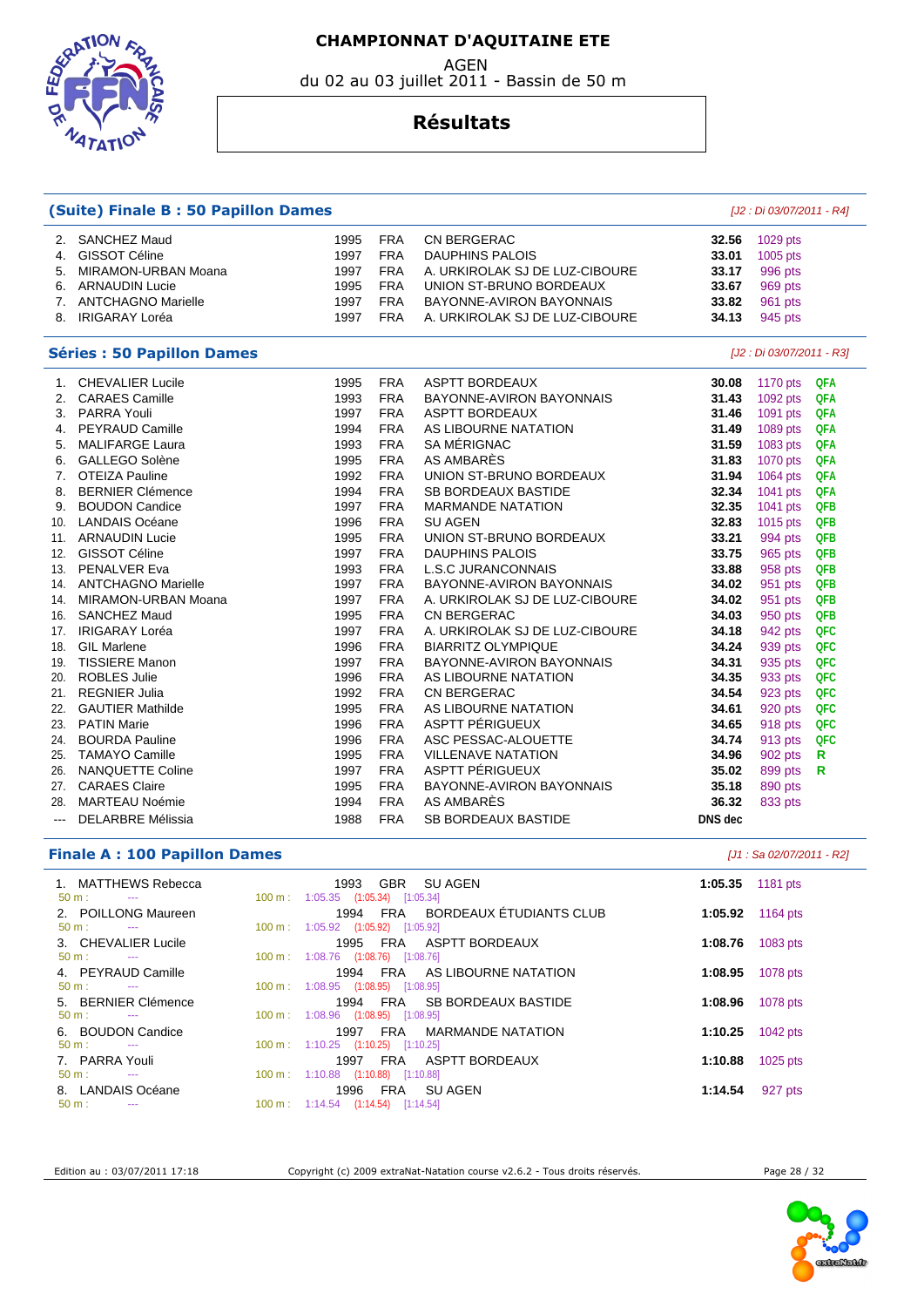AGEN

du 02 au 03 juillet 2011 - Bassin de 50 m



#### **Résultats**

| <b>(Suite) Finale B: 50 Papillon Dames</b> |                                   |      |            |                                | [J2 : Di 03/07/2011 - R4] |                           |            |  |
|--------------------------------------------|-----------------------------------|------|------------|--------------------------------|---------------------------|---------------------------|------------|--|
| 2.                                         | <b>SANCHEZ Maud</b>               | 1995 | <b>FRA</b> | CN BERGERAC                    | 32.56                     | 1029 pts                  |            |  |
| 4.                                         | <b>GISSOT Céline</b>              | 1997 | <b>FRA</b> | <b>DAUPHINS PALOIS</b>         | 33.01                     | 1005 pts                  |            |  |
| 5.                                         | MIRAMON-URBAN Moana               | 1997 | <b>FRA</b> | A. URKIROLAK SJ DE LUZ-CIBOURE | 33.17                     | 996 pts                   |            |  |
| 6.                                         | <b>ARNAUDIN Lucie</b>             | 1995 | <b>FRA</b> | UNION ST-BRUNO BORDEAUX        | 33.67                     | 969 pts                   |            |  |
|                                            | 7. ANTCHAGNO Marielle             | 1997 | <b>FRA</b> | BAYONNE-AVIRON BAYONNAIS       | 33.82                     | 961 pts                   |            |  |
|                                            | 8. IRIGARAY Loréa                 | 1997 | <b>FRA</b> | A. URKIROLAK SJ DE LUZ-CIBOURE | 34.13                     | 945 pts                   |            |  |
|                                            | <b>Séries : 50 Papillon Dames</b> |      |            |                                |                           | [J2 : Di 03/07/2011 - R3] |            |  |
| 1.                                         | <b>CHEVALIER Lucile</b>           | 1995 | <b>FRA</b> | <b>ASPTT BORDEAUX</b>          | 30.08                     | 1170 pts                  | <b>QFA</b> |  |
| 2.                                         | <b>CARAES Camille</b>             | 1993 | <b>FRA</b> | BAYONNE-AVIRON BAYONNAIS       | 31.43                     | 1092 pts                  | QFA        |  |
|                                            | 3. PARRA Youli                    | 1997 | <b>FRA</b> | <b>ASPTT BORDEAUX</b>          | 31.46                     | 1091 pts                  | QFA        |  |
|                                            | 4. PEYRAUD Camille                | 1994 | <b>FRA</b> | AS LIBOURNE NATATION           | 31.49                     | 1089 pts                  | <b>QFA</b> |  |
| 5.                                         | <b>MALIFARGE Laura</b>            | 1993 | <b>FRA</b> | SA MÉRIGNAC                    | 31.59                     | 1083 pts                  | <b>QFA</b> |  |
| 6.                                         | GALLEGO Solène                    | 1995 | <b>FRA</b> | AS AMBARÈS                     | 31.83                     | 1070 pts                  | <b>QFA</b> |  |
| 7.                                         | <b>OTEIZA Pauline</b>             | 1992 | <b>FRA</b> | UNION ST-BRUNO BORDEAUX        | 31.94                     | 1064 pts                  | QFA        |  |
| 8.                                         | <b>BERNIER Clémence</b>           | 1994 | <b>FRA</b> | <b>SB BORDEAUX BASTIDE</b>     | 32.34                     | 1041 pts                  | <b>QFA</b> |  |
| 9.                                         | <b>BOUDON Candice</b>             | 1997 | <b>FRA</b> | <b>MARMANDE NATATION</b>       | 32.35                     | 1041 pts                  | <b>QFB</b> |  |
| 10.                                        | <b>LANDAIS Océane</b>             | 1996 | <b>FRA</b> | <b>SU AGEN</b>                 | 32.83                     | 1015 pts                  | QFB        |  |
| 11.                                        | <b>ARNAUDIN Lucie</b>             | 1995 | <b>FRA</b> | UNION ST-BRUNO BORDEAUX        | 33.21                     | 994 pts                   | QFB        |  |
| 12.                                        | <b>GISSOT Céline</b>              | 1997 | <b>FRA</b> | <b>DAUPHINS PALOIS</b>         | 33.75                     | 965 pts                   | QFB        |  |
| 13.                                        | PENALVER Eva                      | 1993 | <b>FRA</b> | <b>L.S.C JURANCONNAIS</b>      | 33.88                     | 958 pts                   | QFB        |  |
| 14.                                        | <b>ANTCHAGNO Marielle</b>         | 1997 | <b>FRA</b> | BAYONNE-AVIRON BAYONNAIS       | 34.02                     | 951 pts                   | QFB        |  |
| 14.                                        | MIRAMON-URBAN Moana               | 1997 | <b>FRA</b> | A. URKIROLAK SJ DE LUZ-CIBOURE | 34.02                     | 951 pts                   | QFB        |  |
| 16.                                        | <b>SANCHEZ Maud</b>               | 1995 | <b>FRA</b> | CN BERGERAC                    | 34.03                     | 950 pts                   | QFB        |  |
| 17.                                        | <b>IRIGARAY Loréa</b>             | 1997 | <b>FRA</b> | A. URKIROLAK SJ DE LUZ-CIBOURE | 34.18                     | 942 pts                   | QFC        |  |
| 18.                                        | <b>GIL Marlene</b>                | 1996 | <b>FRA</b> | <b>BIARRITZ OLYMPIQUE</b>      | 34.24                     | 939 pts                   | QFC        |  |
| 19.                                        | <b>TISSIERE Manon</b>             | 1997 | <b>FRA</b> | BAYONNE-AVIRON BAYONNAIS       | 34.31                     | 935 pts                   | QFC        |  |
| 20.                                        | <b>ROBLES Julie</b>               | 1996 | <b>FRA</b> | AS LIBOURNE NATATION           | 34.35                     | 933 pts                   | QFC        |  |
|                                            | 21. REGNIER Julia                 | 1992 | <b>FRA</b> | <b>CN BERGERAC</b>             | 34.54                     | 923 pts                   | QFC        |  |
| 22.                                        | <b>GAUTIER Mathilde</b>           | 1995 | <b>FRA</b> | AS LIBOURNE NATATION           | 34.61                     | 920 pts                   | QFC        |  |
| 23.                                        | <b>PATIN Marie</b>                | 1996 | <b>FRA</b> | ASPTT PÉRIGUEUX                | 34.65                     | 918 pts                   | QFC        |  |
| 24.                                        | <b>BOURDA Pauline</b>             | 1996 | <b>FRA</b> | ASC PESSAC-ALOUETTE            | 34.74                     | 913 pts                   | QFC        |  |
| 25.                                        | <b>TAMAYO Camille</b>             | 1995 | <b>FRA</b> | <b>VILLENAVE NATATION</b>      | 34.96                     | 902 pts                   | R          |  |
| 26.                                        | <b>NANQUETTE Coline</b>           | 1997 | <b>FRA</b> | ASPTT PÉRIGUEUX                | 35.02                     | 899 pts                   | R          |  |
| 27.                                        | <b>CARAES Claire</b>              | 1995 | <b>FRA</b> | BAYONNE-AVIRON BAYONNAIS       | 35.18                     | 890 pts                   |            |  |
| 28.                                        | <b>MARTEAU Noémie</b>             | 1994 | <b>FRA</b> | AS AMBARÈS                     | 36.32                     | 833 pts                   |            |  |
| $\qquad \qquad -\qquad -$                  | <b>DELARBRE Mélissia</b>          | 1988 | <b>FRA</b> | <b>SB BORDEAUX BASTIDE</b>     | DNS dec                   |                           |            |  |

#### **Finale A : 100 Papillon Dames** *LM* : Sa 02/07/2011 - R2]

| 1. MATTHEWS Rebecca<br>$50 \text{ m}$ : $-$  | 1993<br>GBR SU AGEN<br>100 m : 1:05.35 (1:05.34) [1:05.34]                        | 1:05.35 1181 pts |                            |
|----------------------------------------------|-----------------------------------------------------------------------------------|------------------|----------------------------|
| 2. POILLONG Maureen<br>$50 \text{ m}$ : $-$  | 1994 FRA BORDEAUX ÉTUDIANTS CLUB<br>100 m: 1:05.92 (1:05.92) [1:05.92]            |                  | 1:05.92 1164 pts           |
| 3. CHEVALIER Lucile                          | FRA ASPTT BORDEAUX<br>1995                                                        | 1:08.76          | 1083 pts                   |
| $50 \text{ m}$ : $-$<br>4. PEYRAUD Camille   | $100 \text{ m}: 1:08.76$ $(1:08.76)$ $[1:08.76]$<br>1994 FRA AS LIBOURNE NATATION | 1:08.95          | 1078 pts                   |
| $50 \text{ m}$ : $-$<br>5. BERNIER Clémence  | 100 m: 1:08.95 (1:08.95) [1:08.95]<br>1994 FRA SB BORDEAUX BASTIDE                |                  | 1:08.96 $1078 \text{ pts}$ |
| $50 \text{ m}$ : $-$<br>6. BOUDON Candice    | 100 m: 1:08.96 (1:08.95) [1:08.95]<br>FRA MARMANDE NATATION<br>1997               |                  | 1:10.25 $1042 \text{ pts}$ |
| $50 \text{ m}$ : $-$<br>7. PARRA Youli       | $100 \text{ m}: 1:10.25$ $(1:10.25)$ $[1:10.25]$<br>1997 FRA ASPTT BORDEAUX       | 1:10.88          | $1025$ pts                 |
| $50 \text{ m}$ : $-$                         | 100 m: 1:10.88 (1:10.88) [1:10.88]                                                |                  |                            |
| 8. LANDAIS Océane<br>50 m :<br>$\sim$ $\sim$ | FRA SUAGEN<br>1996<br>100 m: 1:14.54 (1:14.54) [1:14.54]                          | 1:14.54          | 927 pts                    |

Edition au : 03/07/2011 17:18 Copyright (c) 2009 extraNat-Natation course v2.6.2 - Tous droits réservés. Page 28 / 32

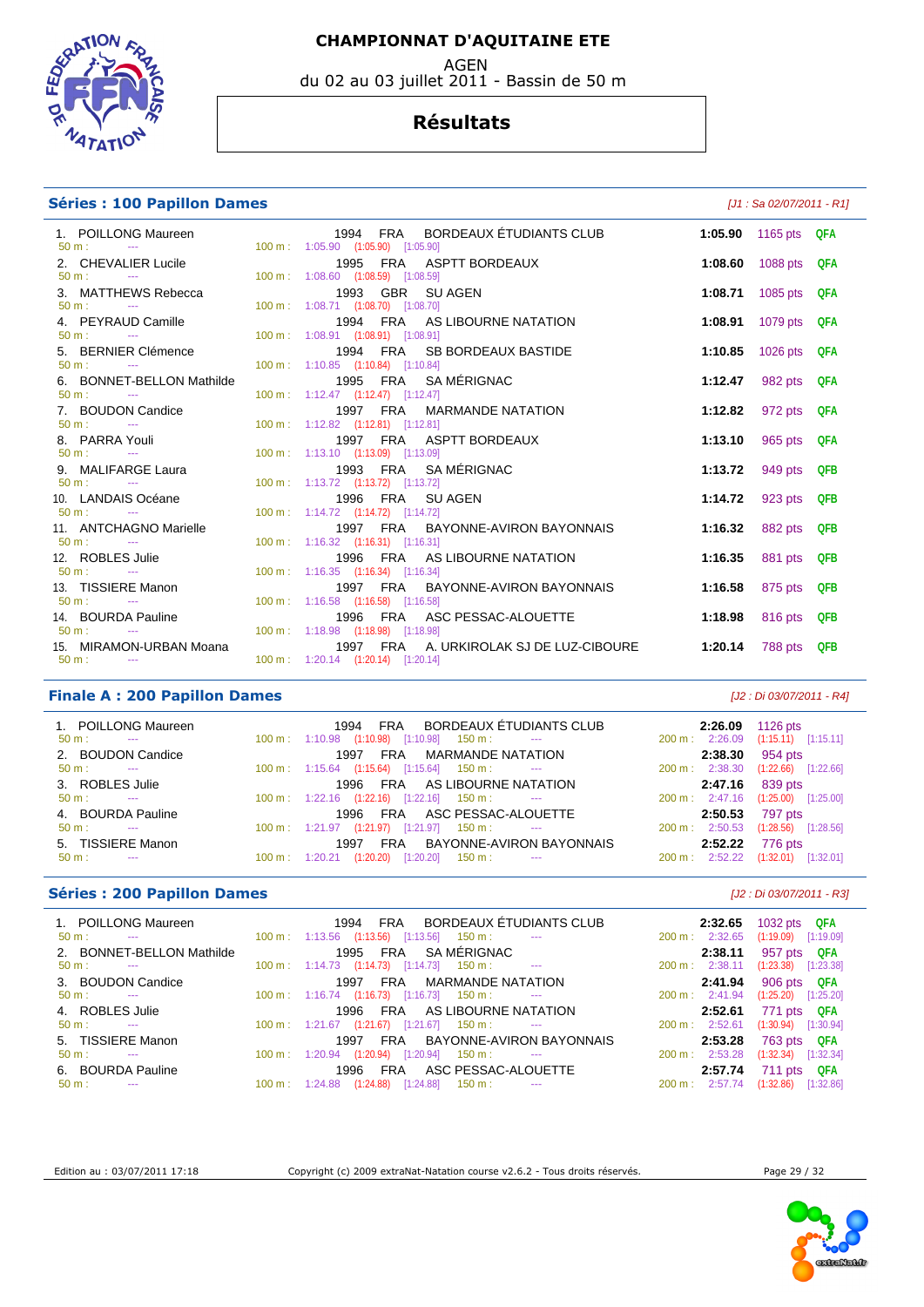

#### AGEN du 02 au 03 juillet 2011 - Bassin de 50 m

#### **Résultats**

#### **Séries : 100 Papillon Dames** *Maximum Dames Maximum Dames**LI1 : Sa 02/07/2011 - R1]*

| 1. POILLONG Maureen                            | 1994 FRA BORDEAUX ETUDIANTS CLUB                                                      | 1:05.90 1165 pts QFA |  |
|------------------------------------------------|---------------------------------------------------------------------------------------|----------------------|--|
| $50 \text{ m}$ : $-$                           | 100 m: 1:05.90 (1:05.90) [1:05.90]                                                    |                      |  |
| 2. CHEVALIER Lucile                            | 1995 FRA ASPTT BORDEAUX                                                               | 1:08.60 1088 pts QFA |  |
| $50 m:$ ---                                    | 100 m: 1:08.60 (1:08.59) [1:08.59]                                                    |                      |  |
| 3. MATTHEWS Rebecca                            | 1993 GBR SUAGEN                                                                       | 1:08.71 1085 pts QFA |  |
| $50 \text{ m}$ : $-$                           | 100 m: 1:08.71 (1:08.70) [1:08.70]                                                    |                      |  |
| 4. PEYRAUD Camille                             | 1994 FRA AS LIBOURNE NATATION                                                         | 1:08.91 1079 pts QFA |  |
| $50 \text{ m}$ : $-$                           | 100 m: 1:08.91 (1:08.91) [1:08.91]                                                    |                      |  |
| 5. BERNIER Clémence                            | 1994 FRA SB BORDEAUX BASTIDE                                                          | 1:10.85 1026 pts QFA |  |
| $50 \text{ m}$ : $-$                           | 100 m: 1:10.85 (1:10.84) [1:10.84]                                                    |                      |  |
| 6. BONNET-BELLON Mathilde                      | 1995 FRA SAMÉRIGNAC                                                                   | 1:12.47 982 pts QFA  |  |
| $50 \text{ m}$ : $\qquad -1$                   | 100 m : 1:12.47 (1:12.47) [1:12.47]                                                   |                      |  |
| 7. BOUDON Candice                              | 1997 FRA MARMANDE NATATION                                                            | 1:12.82 972 pts QFA  |  |
| $50 \text{ m}$ : $-$                           | 100 m: 1:12.82 (1:12.81) [1:12.81]                                                    |                      |  |
| 8. PARRA Youli<br>50 m :         ---           | 1997 FRA ASPTT BORDEAUX                                                               | 1:13.10 965 pts QFA  |  |
|                                                | 100 m: 1:13.10 (1:13.09) [1:13.09]                                                    |                      |  |
| 9. MALIFARGE Laura                             | 1993 FRA SAMÉRIGNAC                                                                   | 1:13.72 949 pts QFB  |  |
| $50 \text{ m}$ : $-$                           | 100 m: 1:13.72 (1:13.72) [1:13.72]                                                    |                      |  |
| 10. LANDAIS Océane<br>$50 \text{ m}$ : $-$     | 1996 FRA SUAGEN                                                                       | 1:14.72 923 pts QFB  |  |
|                                                | 100 m: 1:14.72 (1:14.72) [1:14.72]                                                    |                      |  |
| 11. ANTCHAGNO Marielle<br>$50 \text{ m}$ : $-$ | 1997 FRA BAYONNE-AVIRON BAYONNAIS<br>$100 \text{ m}: 1:16.32$ $(1:16.31)$ $[1:16.31]$ | 1:16.32 882 pts QFB  |  |
|                                                |                                                                                       |                      |  |
| 12. ROBLES Julie<br>$50 \text{ m}$ : $-$       | 1996 FRA AS LIBOURNE NATATION<br>100 m: 1:16.35 (1:16.34) [1:16.34]                   | 1:16.35 881 pts QFB  |  |
| 13. TISSIERE Manon                             | 1997 FRA BAYONNE-AVIRON BAYONNAIS                                                     |                      |  |
| $50 \text{ m}$ : $-$                           | 100 m: 1:16.58 (1:16.58) [1:16.58]                                                    | 1:16.58 875 pts QFB  |  |
| 14. BOURDA Pauline                             |                                                                                       | 1:18.98 816 pts QFB  |  |
| $50 \text{ m}$ : $-$                           | 1996 FRA ASC PESSAC-ALOUETTE<br>100 m: 1:18.98  (1:18.98)  [1:18.98]                  |                      |  |
| 15. MIRAMON-URBAN Moana                        | 1997 FRA A. URKIROLAK SJ DE LUZ-CIBOURE                                               | 1:20.14 788 pts QFB  |  |
| $50 \text{ m}$ : $-$                           | 100 m: 1:20.14 (1:20.14) [1:20.14]                                                    |                      |  |
|                                                |                                                                                       |                      |  |
|                                                |                                                                                       |                      |  |

#### **Finale A : 200 Papillon Dames** [J2 : Di 03/07/2011 - R4]

| 1. POILLONG Maureen<br>$50 \text{ m}$ :<br><b>Service Contracts</b> | FRA BORDEAUX ÉTUDIANTS CLUB<br>1994<br>$(1:10.98)$ $[1:10.98]$ 150 m :<br>$100 \text{ m}: 1:10.98$<br>$\sim$ 1000 $\mu$ | 1126 pts<br>2:26.09<br>$(1:15.11)$ $[1:15.11]$<br>200 m: 2:26.09 |
|---------------------------------------------------------------------|-------------------------------------------------------------------------------------------------------------------------|------------------------------------------------------------------|
| 2. BOUDON Candice                                                   | <b>MARMANDE NATATION</b><br>FRA<br>1997                                                                                 | 954 pts<br>2:38.30                                               |
| $50 \text{ m}$ :<br>$\sim$ $\sim$                                   | $100 \text{ m}$ : $1:15.64$ $(1:15.64)$ $[1:15.64]$ $150 \text{ m}$ :<br>$\sim$ 100 $\sim$ 100 $\sim$                   | $(1:22.66)$ $[1:22.66]$<br>200 m: 2:38.30                        |
| 3. ROBLES Julie                                                     | FRA AS LIBOURNE NATATION<br>1996                                                                                        | 839 pts<br>2:47.16                                               |
| $50 \text{ m}$ :<br>$\sim$                                          | $100 \text{ m}: 1:22.16$ $(1:22.16)$ $[1:22.16]$ $150 \text{ m}:$<br><b>Service</b>                                     | 200 m: 2:47.16 (1:25.00) [1:25.00]                               |
| 4. BOURDA Pauline                                                   | ASC PESSAC-ALOUETTE<br>FRA<br>1996                                                                                      | 2:50.53 797 pts                                                  |
| $50 \text{ m}$ :<br>$\sim$ $\sim$                                   | $100 \text{ m}$ : $1:21.97$ $(1:21.97)$ $[1:21.97]$ $150 \text{ m}$ :<br>$\sim$ $\sim$ $\sim$                           | $(1:28.56)$ $[1:28.56]$<br>$200 \text{ m}: 2:50.53$              |
| 5. TISSIERE Manon                                                   | BAYONNE-AVIRON BAYONNAIS<br><b>FRA</b><br>1997                                                                          | 776 pts<br>2:52.22                                               |
| $50 m$ :<br>$\sim$ $\sim$                                           | (1:20.20)<br>$[1:20.20]$<br>$150 \text{ m}$ :<br>$100 \text{ m}$ : 1:20.21<br>$\sim$                                    | $(1:32.01)$ $[1:32.01]$<br>200 m: 2:52.22                        |

#### **Séries : 200 Papillon Dames** [J2 : Di 03/07/2011 - R3]

| 1. POILLONG Maureen<br>$50 m$ :<br>$\sim$                           |                          | BORDEAUX ÉTUDIANTS CLUB<br><b>FRA</b><br>1994<br>$[1:13.56]$ 150 m :<br>$100 \text{ m}: 1:13.56$ $(1:13.56)$<br>$\sim$ | 2:32.65<br>200 m: 2:32.65 | 1032 pts QFA<br>$(1:19.09)$ $[1:19.09]$   |
|---------------------------------------------------------------------|--------------------------|------------------------------------------------------------------------------------------------------------------------|---------------------------|-------------------------------------------|
| 2. BONNET-BELLON Mathilde<br>$50 \text{ m}$ :<br><b>State State</b> |                          | 1995 FRA SAMÉRIGNAC<br>$100 \text{ m}: 1:14.73$ $(1:14.73)$ $[1:14.73]$ $150 \text{ m}:$<br>$\sim$                     | 2:38.11<br>200 m: 2:38.11 | 957 pts QFA<br>$(1:23.38)$ $[1:23.38]$    |
| 3. BOUDON Candice<br>$50 \text{ m}$ :<br>$- - -$                    |                          | FRA MARMANDE NATATION<br>1997<br>$100 \text{ m}$ : 1:16.74 (1:16.73) [1:16.73] 150 m :                                 | 2:41.94<br>200 m: 2:41.94 | 906 pts<br>QFA<br>$(1:25.20)$ $[1:25.20]$ |
| 4. ROBLES Julie<br>$50 \text{ m}$ :                                 |                          | FRA AS LIBOURNE NATATION<br>1996<br>$100 \text{ m}: 1:21.67$ $(1:21.67)$ $[1:21.67]$ $150 \text{ m}:$                  | 2:52.61<br>200 m: 2:52.61 | 771 pts QFA<br>$(1:30.94)$ $[1:30.94]$    |
| 5. TISSIERE Manon<br>$50 \text{ m}$ :<br>$- - -$                    |                          | FRA BAYONNE-AVIRON BAYONNAIS<br>1997<br>100 m: 1:20.94 (1:20.94) [1:20.94] 150 m:                                      | 2:53.28<br>200 m: 2:53.28 | 763 pts QFA<br>(1:32.34)<br>[1:32.34]     |
| 6. BOURDA Pauline<br>$50 m$ :<br>$- - -$                            | $100 \text{ m}: 1:24.88$ | FRA ASC PESSAC-ALOUETTE<br>1996<br>(1:24.88)<br>[1:24.88]<br>150 m :                                                   | 2:57.74<br>200 m: 2:57.74 | 711 pts<br>QFA<br>(1:32.86)<br>[1:32.86]  |



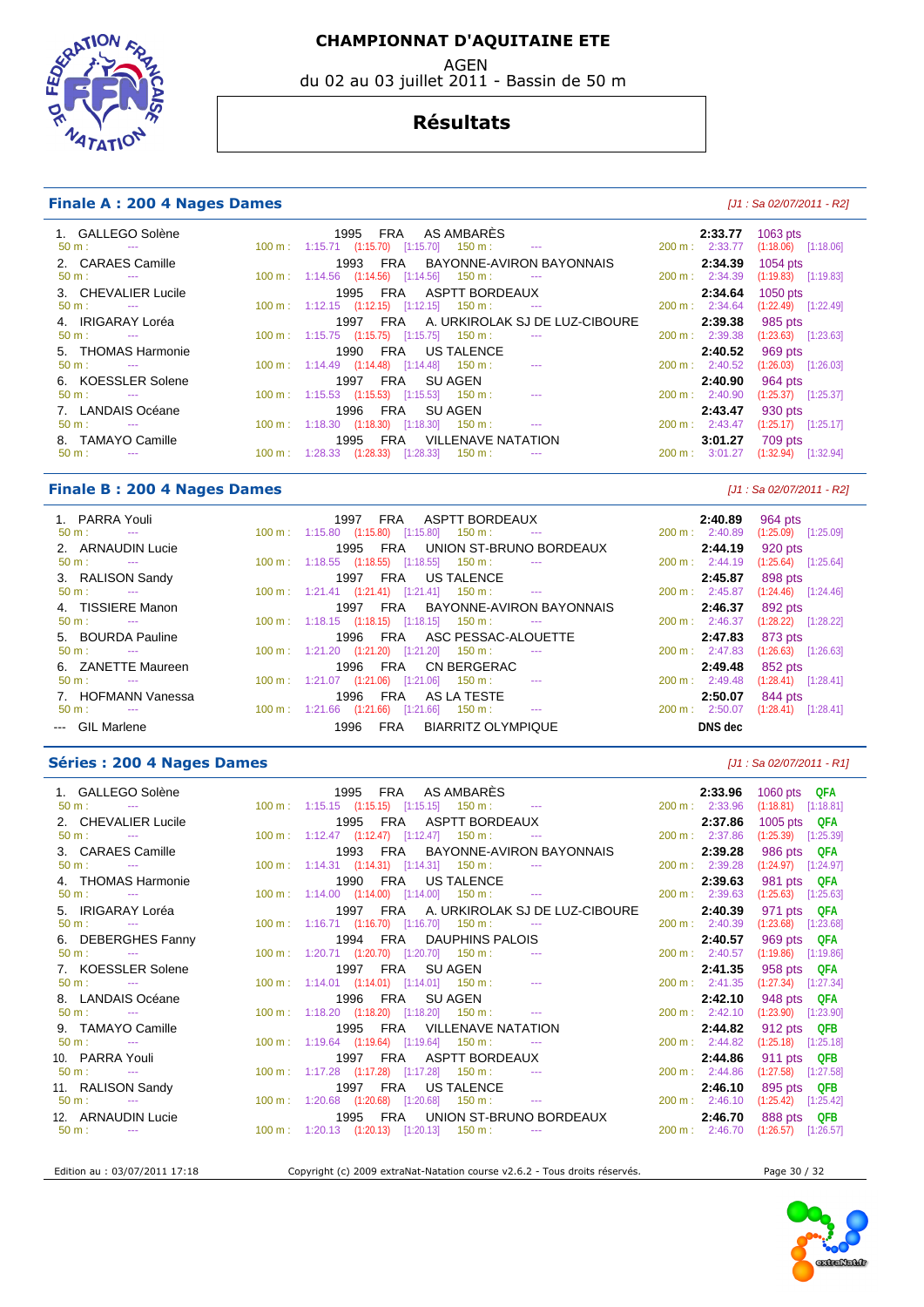AGEN

du 02 au 03 juillet 2011 - Bassin de 50 m

# **EDGRAT**  $47$ AT

#### **Résultats**

#### **Finale A : 200 4 Nages Dames** *LM*  $[J1: Sa 02/07/2011 - R2]$

| 1. GALLEGO Solène<br>$50 \text{ m}$ : $-$   | FRA AS AMBARES<br>1995<br>$100 \text{ m}: 1:15.71$ $(1:15.70)$ $[1:15.70]$ $150 \text{ m}: 1:150 \text{ m}: 1:150 \text{ m}: 1:150 \text{ m}: 1:150 \text{ m}: 1:150 \text{ m}: 1:150 \text{ m}: 1:150 \text{ m}: 1:150 \text{ m}: 1:150 \text{ m}: 1:150 \text{ m}: 1:150 \text{ m}: 1:150 \text{ m}: 1:150 \text{ m}: 1:150 \text{ m}: 1:150 \text{ m}: 1:1$ | 2:33.77<br>200 m : 2:33.77          | 1063 $pts$<br>$(1:18.06)$ [1:18.06] |
|---------------------------------------------|----------------------------------------------------------------------------------------------------------------------------------------------------------------------------------------------------------------------------------------------------------------------------------------------------------------------------------------------------------------|-------------------------------------|-------------------------------------|
| 2. CARAES Camille                           | FRA BAYONNE-AVIRON BAYONNAIS<br>1993                                                                                                                                                                                                                                                                                                                           | 2:34.39                             | $1054$ pts                          |
| $50 \text{ m}$ : $-$<br>3. CHEVALIER Lucile | $100 \text{ m}$ : $1:14.56$ $(1:14.56)$ $[1:14.56]$ $150 \text{ m}$ : ---<br>FRA ASPTT BORDEAUX<br>1995                                                                                                                                                                                                                                                        | 200 m: 2:34.39<br>2:34.64           | $(1:19.83)$ $[1:19.83]$<br>1050 pts |
| $50 \text{ m}$ : $-$                        | $100 \text{ m}: 1:12.15$ $(1:12.15)$ $[1:12.15]$ $150 \text{ m}: 1:12.15$                                                                                                                                                                                                                                                                                      | 200 m: 2:34.64                      | $(1:22.49)$ $[1:22.49]$             |
| 4. IRIGARAY Loréa<br>$50 \text{ m}$ : $-$   | FRA A. URKIROLAK SJ DE LUZ-CIBOURE<br>1997<br>$100 \text{ m}: 1:15.75$ $(1:15.75)$ $[1:15.75]$ $150 \text{ m}:$<br><b>State College State</b>                                                                                                                                                                                                                  | 2:39.38<br>200 m: 2:39.38           | 985 pts<br>$(1:23.63)$ $[1:23.63]$  |
| 5. THOMAS Harmonie                          | 1990 FRA US TALENCE                                                                                                                                                                                                                                                                                                                                            | 2:40.52                             | 969 pts                             |
| $50 \text{ m}$ : $-$<br>6. KOESSLER Solene  | $100 \text{ m}$ : $1:14.49$ $(1:14.48)$ $[1:14.48]$ $150 \text{ m}$ :<br>$\sim$ $\sim$<br>FRA SUAGEN<br>1997                                                                                                                                                                                                                                                   | 200 m: 2:40.52<br>2:40.90           | $(1:26.03)$ $[1:26.03]$<br>964 pts  |
| $50 \text{ m}$ : $-$                        | $100 \text{ m}: 1:15.53$ $(1:15.53)$ $[1:15.53]$ $150 \text{ m}:$<br><b>Service Contracts</b>                                                                                                                                                                                                                                                                  | $200 \text{ m}$ : 2:40.90           | $(1:25.37)$ $[1:25.37]$             |
| 7. LANDAIS Océane<br>$50 \text{ m}$ : $-$   | 1996 FRA SUAGEN<br>$100 \text{ m}$ : $1:18.30$ $(1:18.30)$ $[1:18.30]$ $150 \text{ m}$ : ---                                                                                                                                                                                                                                                                   | 2:43.47<br>200 m: 2:43.47           | 930 pts<br>$(1:25.17)$ [1:25.17]    |
| 8. TAMAYO Camille<br>$50 \text{ m}$ :       | 1995 FRA VILLENAVE NATATION<br>100 m: 1:28.33 (1:28.33) [1:28.33]<br>150 m :                                                                                                                                                                                                                                                                                   | 3:01.27<br>$200 \text{ m}: 3:01.27$ | 709 pts<br>(1:32.94)<br>[1:32.94]   |

#### **Finale B : 200 4 Nages Dames Example 200 1 12 12 12 13 13 14 14 15 16 17 17 18 17 11 18 17 17 18 17 17 18 17 17 18 17 17 18 17 17 18 17 17 18 17 17 18 17 17 18 18 19 10 11 11 12 18 18 19 10 11 11 11 11 11 11 11 11 11 11**

| 1. PARRA Youli<br>$50 \text{ m}$ : $-$       | FRA ASPTT BORDEAUX<br>1997<br>$100 \text{ m}$ : $1:15.80$ $(1:15.80)$ $[1:15.80]$ $150 \text{ m}$ :<br><b>State College</b> | 2:40.89<br>964 pts<br>$200 \text{ m}$ : 2:40.89<br>$(1:25.09)$ $[1:25.09]$ |  |
|----------------------------------------------|-----------------------------------------------------------------------------------------------------------------------------|----------------------------------------------------------------------------|--|
| 2. ARNAUDIN Lucie                            | 1995 FRA UNION ST-BRUNO BORDEAUX                                                                                            | 2:44.19<br>920 pts                                                         |  |
| $50 \text{ m}$ :<br><b>Service Contracts</b> | $100 \text{ m}$ : 1:18.55 (1:18.55) [1:18.55] 150 m :<br>$\sim$ $\sim$                                                      | 200 m: 2:44.19<br>$(1:25.64)$ [1:25.64]                                    |  |
| 3. RALISON Sandy                             | FRA US TALENCE<br>1997                                                                                                      | 2:45.87<br>898 pts                                                         |  |
| $50 \text{ m}$ : $-$                         | $100 \text{ m}: 1:21.41 (1:21.41) [1:21.41] 150 \text{ m}:$ ---                                                             | 200 m: 2:45.87<br>$(1:24.46)$ [1:24.46]                                    |  |
| 4. TISSIERE Manon                            | FRA BAYONNE-AVIRON BAYONNAIS<br>1997                                                                                        | 2:46.37<br>892 pts                                                         |  |
| $50 \text{ m}$ : $-$                         | 100 m: 1:18.15 (1:18.15) [1:18.15] 150 m: ---                                                                               | $200 \text{ m}: 2:46.37$<br>$(1:28.22)$ [1:28.22]                          |  |
| 5. BOURDA Pauline                            | 1996 FRA ASC PESSAC-ALOUETTE                                                                                                | 2:47.83<br>873 pts                                                         |  |
| $50 \text{ m}$ : $-$                         | $100 \text{ m}$ : $1:21.20$ $(1:21.20)$ $[1:21.20]$ $150 \text{ m}$ :                                                       | $200 \text{ m}: 2:47.83$<br>$(1:26.63)$ $[1:26.63]$                        |  |
| 6. ZANETTE Maureen                           | 1996 FRA CN BERGERAC                                                                                                        | 2:49.48<br>852 pts                                                         |  |
| $50 \text{ m}$ :                             | $100 \text{ m}$ : $1:21.07$ $(1:21.06)$ $[1:21.06]$ $150 \text{ m}$ :<br>$\sim$ $\sim$                                      | 200 m: 2:49.48<br>$(1:28.41)$ $[1:28.41]$                                  |  |
| 7. HOFMANN Vanessa                           | FRA AS LA TESTE<br>1996                                                                                                     | 2:50.07<br>844 pts                                                         |  |
| $50 \text{ m}$ : $-$                         | $100 \text{ m}: 1:21.66$ $(1:21.66)$ $[1:21.66]$ $150 \text{ m}:$<br>$\sim$                                                 | 200 m: 2:50.07<br>$(1:28.41)$ $[1:28.41]$                                  |  |
| --- GIL Marlene                              | BIARRITZ OLYMPIQUE<br>1996<br><b>FRA</b>                                                                                    | DNS dec                                                                    |  |

#### **Séries : 200 4 Nages Dames** *Dames LI1 : Sa 02/07/2011 - R1]*

| 1. GALLEGO Solène              | 1995 FRA ASAMBARES                                                                                                                                                                                                                                                                                                                              |  |                             |                                         |                          | 2:33.96 1060 pts QFA               |
|--------------------------------|-------------------------------------------------------------------------------------------------------------------------------------------------------------------------------------------------------------------------------------------------------------------------------------------------------------------------------------------------|--|-----------------------------|-----------------------------------------|--------------------------|------------------------------------|
| $50 \text{ m}$ : $\frac{1}{2}$ | 100 m: 1:15.15 (1:15.15) [1:15.15] 150 m: ---                                                                                                                                                                                                                                                                                                   |  |                             |                                         |                          | 200 m: 2:33.96 (1:18.81) [1:18.81] |
| 2. CHEVALIER Lucile            |                                                                                                                                                                                                                                                                                                                                                 |  |                             | 1995 FRA ASPTT BORDEAUX                 | 2:37.86                  | 1005 pts $QFA$                     |
| $50 \text{ m}$ : $-$           | $100 \text{ m}: 1:12.47 \quad (1:12.47) \quad [1:12.47] \quad 150 \text{ m}: \quad \cdots$                                                                                                                                                                                                                                                      |  |                             |                                         | 200 m : 2:37.86          | $(1:25.39)$ $[1:25.39]$            |
| 3. CARAES Camille              |                                                                                                                                                                                                                                                                                                                                                 |  |                             | 1993 FRA BAYONNE-AVIRON BAYONNAIS       | 2:39.28                  | 986 pts QFA                        |
| $50 m:$ ---                    | $100 \text{ m}$ : 1:14.31 (1:14.31) [1:14.31] 150 m : ---                                                                                                                                                                                                                                                                                       |  |                             |                                         | 200 m: 2:39.28           | $(1:24.97)$ $[1:24.97]$            |
| 4. THOMAS Harmonie             |                                                                                                                                                                                                                                                                                                                                                 |  | 1990 FRA US TALENCE         |                                         | 2:39.63                  | 981 pts QFA                        |
| $50 \text{ m}$ : $\cdots$      | $100 \text{ m}: 1:14.00$ $(1:14.00)$ $[1:14.00]$ $150 \text{ m}: 1:14.00$                                                                                                                                                                                                                                                                       |  |                             |                                         | 200 m: 2:39.63           | $(1:25.63)$ $[1:25.63]$            |
| 5. IRIGARAY Loréa              |                                                                                                                                                                                                                                                                                                                                                 |  |                             | 1997 FRA A. URKIROLAK SJ DE LUZ-CIBOURE | 2:40.39                  | 971 pts QFA                        |
| $50 m:$ $\cdots$               | $100 \text{ m}: 1:16.71$ $(1:16.70)$ $[1:16.70]$ $150 \text{ m}: 1:16.71$                                                                                                                                                                                                                                                                       |  |                             |                                         | $200 \text{ m}: 2:40.39$ | $(1:23.68)$ $[1:23.68]$            |
| 6. DEBERGHES Fanny             |                                                                                                                                                                                                                                                                                                                                                 |  |                             | 1994 FRA DAUPHINS PALOIS                | 2:40.57                  | 969 pts QFA                        |
| $50 m$ : $\qquad -1$           | $100 \text{ m}: 1:20.71$ $(1:20.70)$ $[1:20.70]$ $150 \text{ m}: 1:20 \text{ m}: 1:20 \text{ m}: 1:20 \text{ m}: 1:20 \text{ m}: 1:20 \text{ m}: 1:20 \text{ m}: 1:20 \text{ m}: 1:20 \text{ m}: 1:20 \text{ m}: 1:20 \text{ m}: 1:20 \text{ m}: 1:20 \text{ m}: 1:20 \text{ m}: 1:20 \text{ m}: 1:20 \text{ m}: 1:20 \text{ m}: 1:20 \text{ m$ |  |                             |                                         | 200 m: 2:40.57           | $(1:19.86)$ $[1:19.86]$            |
| 7. KOESSLER Solene             | 1997 FRA SUAGEN                                                                                                                                                                                                                                                                                                                                 |  |                             |                                         | 2:41.35                  | 958 pts QFA                        |
| $50 m:$ $\cdots$               | 100 m: 1:14.01 (1:14.01) [1:14.01] 150 m: ---                                                                                                                                                                                                                                                                                                   |  |                             |                                         |                          | 200 m: 2:41.35 (1:27.34) [1:27.34] |
| 8. LANDAIS Océane              |                                                                                                                                                                                                                                                                                                                                                 |  | 1996 FRA SUAGEN             |                                         | 2:42.10                  | 948 pts QFA                        |
| $50 m:$ ---                    | $100 \text{ m}: 1:18.20$ $(1:18.20)$ $[1:18.20]$ $150 \text{ m}: 1:18.20$                                                                                                                                                                                                                                                                       |  |                             |                                         | $200 \text{ m}: 2:42.10$ | $(1:23.90)$ $[1:23.90]$            |
| 9. TAMAYO Camille              |                                                                                                                                                                                                                                                                                                                                                 |  | 1995 FRA VILLENAVE NATATION |                                         | 2:44.82                  | 912 pts QFB                        |
| $50 m:$ ---                    | 100 m: 1:19.64 (1:19.64) [1:19.64] 150 m: ---                                                                                                                                                                                                                                                                                                   |  |                             |                                         |                          | 200 m: 2:44.82 (1:25.18) [1:25.18] |
| 10. PARRA Youli                |                                                                                                                                                                                                                                                                                                                                                 |  | 1997 FRA ASPTT BORDEAUX     |                                         | 2:44.86                  | 911 pts QFB                        |
| $50 m:$ ---                    | 100 m: 1:17.28 (1:17.28) [1:17.28] 150 m: ---                                                                                                                                                                                                                                                                                                   |  |                             |                                         | 200 m: 2:44.86           | $(1:27.58)$ [1:27.58]              |
| 11. RALISON Sandy              |                                                                                                                                                                                                                                                                                                                                                 |  | 1997 FRA US TALENCE         |                                         | 2:46.10                  | 895 pts QFB                        |
| $50 m:$ $\cdots$               | 100 m: 1:20.68 (1:20.68) [1:20.68] 150 m: ---                                                                                                                                                                                                                                                                                                   |  |                             |                                         | 200 m : 2:46.10          | $(1:25.42)$ $[1:25.42]$            |
| 12. ARNAUDIN Lucie             |                                                                                                                                                                                                                                                                                                                                                 |  |                             | 1995 FRA UNION ST-BRUNO BORDEAUX        | 2:46.70                  | 888 pts QFB                        |
| $50 m:$ ---                    | $100 \text{ m}: 1:20.13$ $(1:20.13)$ $[1:20.13]$ $150 \text{ m}:$ ---                                                                                                                                                                                                                                                                           |  |                             |                                         |                          | 200 m: 2:46.70 (1:26.57) [1:26.57] |
|                                |                                                                                                                                                                                                                                                                                                                                                 |  |                             |                                         |                          |                                    |

Edition au : 03/07/2011 17:18 Copyright (c) 2009 extraNat-Natation course v2.6.2 - Tous droits réservés. Page 30 / 32

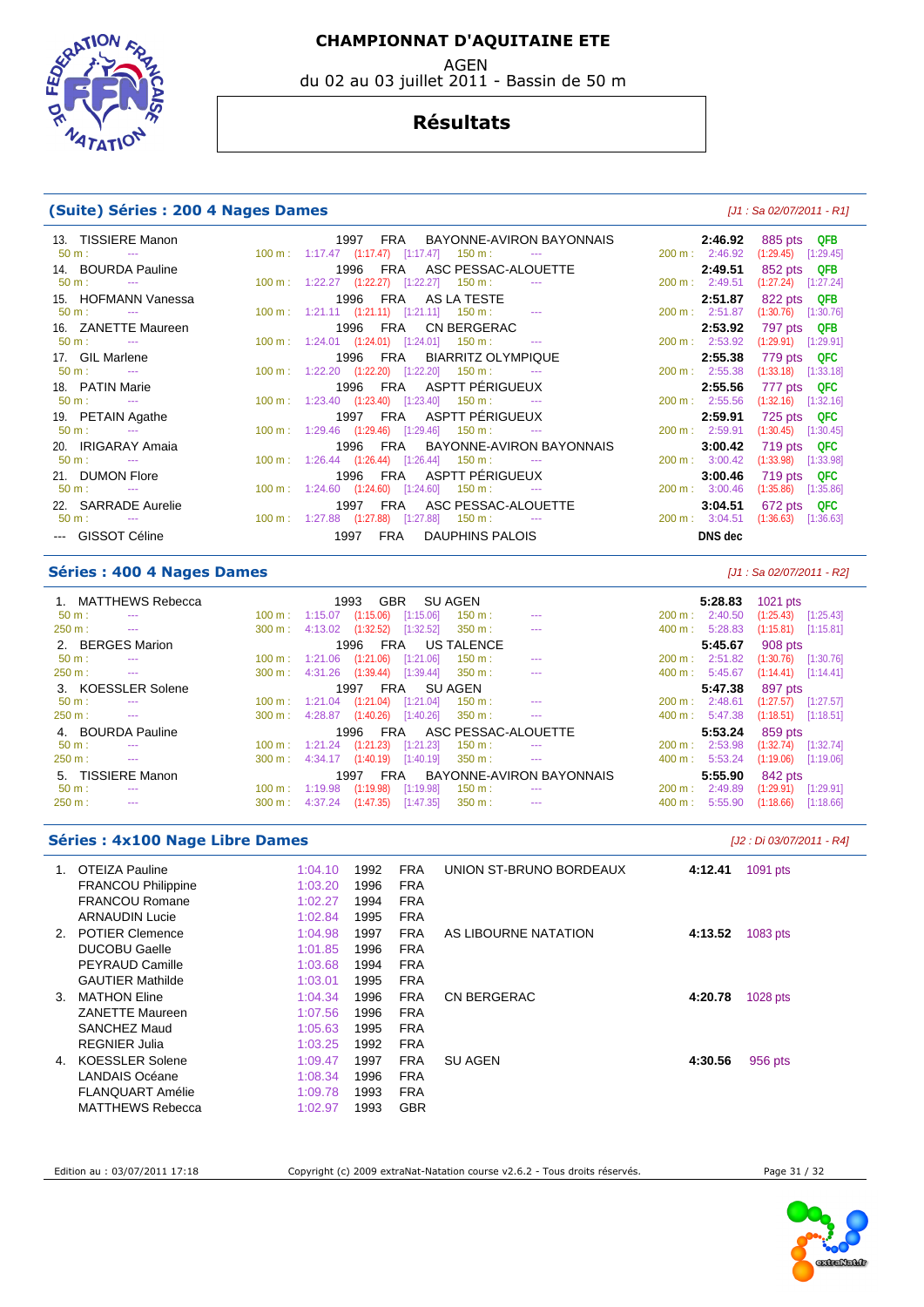AGEN

du 02 au 03 juillet 2011 - Bassin de 50 m

# **SPARTIO**  $47$ ATI

#### **Résultats**

#### **(Suite) Séries : 200 4 Nages Dames** [J1 : Sa 02/07/2011 - R1]

| 13. TISSIERE Manon<br>$50 \text{ m}$ : ---  |  | $100 \text{ m}: 1:17.47$ $(1:17.47)$ $[1:17.47]$ $150 \text{ m}: 1:17.47$                                 | 1997 FRA BAYONNE-AVIRON BAYONNAIS |                           | <b>2:46.92</b> 885 pts QFB<br>200 m: 2:46.92 (1:29.45) [1:29.45] |
|---------------------------------------------|--|-----------------------------------------------------------------------------------------------------------|-----------------------------------|---------------------------|------------------------------------------------------------------|
| 14. BOURDA Pauline<br>$50 \text{ m}$ : $-$  |  | 1996 FRA ASC PESSAC-ALOUETTE<br>100 m : 1:22.27 (1:22.27) [1:22.27] 150 m : --                            |                                   | 2:49.51<br>200 m: 2:49.51 | 852 pts QFB<br>$(1:27.24)$ $[1:27.24]$                           |
| 15. HOFMANN Vanessa<br>$50 \text{ m}$ : $-$ |  | 1996 FRA AS LA TESTE<br>$100 \text{ m}$ : 1:21.11 (1:21.11) [1:21.11] 150 m : ---                         |                                   | 2:51.87<br>200 m: 2:51.87 | 822 pts QFB<br>$(1:30.76)$ $[1:30.76]$                           |
| 16. ZANETTE Maureen<br>$50 \text{ m}$ : $-$ |  | 1996 FRA CN BERGERAC<br>$100 \text{ m}: 1:24.01$ $(1:24.01)$ $[1:24.01]$ $150 \text{ m}:$ ---             |                                   | 2:53.92<br>200 m: 2:53.92 | 797 pts QFB<br>$(1:29.91)$ $[1:29.91]$                           |
| 17. GIL Marlene<br>$50 \text{ m}$ : $-$     |  | 1996 FRA BIARRITZ OLYMPIQUE<br>$100 \text{ m}: 1:22.20$ $(1:22.20)$ $[1:22.20]$ $150 \text{ m}:$ ---      |                                   | 2:55.38<br>200 m: 2:55.38 | 779 pts QFC<br>$(1:33.18)$ $[1:33.18]$                           |
| 18. PATIN Marie<br>$50 \text{ m}$ : $-$     |  | 1996 FRA ASPTT PÉRIGUEUX<br>$100 \text{ m}: 1:23.40$ $(1:23.40)$ $[1:23.40]$ $150 \text{ m}:$ ---         |                                   | 2:55.56<br>200 m: 2:55.56 | 777 pts QFC<br>$(1:32.16)$ $[1:32.16]$                           |
| 19. PETAIN Agathe<br>$50 \text{ m}$ : $-$   |  | 1997 FRA ASPTT PÉRIGUEUX<br>$100 \text{ m}$ : $1:29.46$ $(1:29.46)$ $[1:29.46]$ $150 \text{ m}$ : ---     |                                   | 2:59.91<br>200 m: 2:59.91 | 725 pts QFC<br>$(1:30.45)$ [1:30.45]                             |
| 20. IRIGARAY Amaia<br>$50 m:$ $\cdots$      |  | 1996 FRA BAYONNE-AVIRON BAYONNAIS<br>100 m: 1:26.44 (1:26.44) [1:26.44] 150 m: ---                        |                                   | 3:00.42<br>200 m: 3:00.42 | 719 pts QFC<br>$(1:33.98)$ $[1:33.98]$                           |
| 21. DUMON Flore<br>$50 \text{ m}$ : $-$     |  | 1996 FRA ASPTT PÉRIGUEUX<br>$100 \text{ m}$ : $1:24.60$ $(1:24.60)$ $[1:24.60]$ $150 \text{ m}$ : ---     |                                   | 3:00.46<br>200 m: 3:00.46 | 719 pts QFC<br>$(1:35.86)$ $[1:35.86]$                           |
| 22. SARRADE Aurelie<br>$50 \text{ m}$ : $-$ |  | 1997 FRA ASC PESSAC-ALOUETTE<br>$100 \text{ m}: 1:27.88$ $(1:27.88)$ $[1:27.88]$ $150 \text{ m}: 1:27.88$ |                                   | 3:04.51<br>200 m: 3:04.51 | 672 pts QFC<br>$(1:36.63)$ $[1:36.63]$                           |
| --- GISSOT Céline                           |  | 1997 FRA DAUPHINS PALOIS                                                                                  |                                   | DNS dec                   |                                                                  |

#### **Séries : 400 4 Nages Dames Contract Contract Contract Contract Contract Contract Contract Contract Contract Contract Contract Contract Contract Contract Contract Contract Contract Contract Contract Contract Contract Con**

| 1. MATTHEWS Rebecca<br>$50 m$ :<br>$250 m$ :<br>$- - -$ | $100 \text{ m}$ :<br>300 m: | 1:15.07<br>4:13.02        | <b>GBR</b><br>1993<br>(1:15.06)<br>(1:32.52) | [1:15.06]<br>[1:32.52]  | SU AGEN<br>$150 \text{ m}$ :<br>350 m: | $\frac{1}{2}$<br>---     | 200 m:<br>400 m : | 5:28.83<br>2:40.50<br>5:28.83 | 1021 pts<br>(1:25.43) | [1:25.43]<br>$(1:15.81)$ [1:15.81] |
|---------------------------------------------------------|-----------------------------|---------------------------|----------------------------------------------|-------------------------|----------------------------------------|--------------------------|-------------------|-------------------------------|-----------------------|------------------------------------|
| 2. BERGES Marion                                        |                             |                           | <b>FRA</b><br>1996                           |                         | US TALENCE                             |                          |                   | 5:45.67                       | 908 pts               |                                    |
| $50 m$ :                                                | $100 \text{ m}$ :           | 1:21.06                   | (1:21.06)                                    | [1:21.06]               | $150 m$ :                              | $\sim$ $\sim$            | 200 m:            | 2:51.82                       | (1:30.76)             | [1:30.76]                          |
| 250 m:<br>$\sim$ $\sim$                                 | $300 \text{ m}$ :           | 4:31.26                   | (1:39.44)                                    | [1:39.44]               | $350 \text{ m}$ :                      | $\cdots$                 | $400 \text{ m}$ : | 5:45.67                       | (1:14.41)             | [1:14.41]                          |
| 3. KOESSLER Solene                                      |                             |                           | <b>FRA</b><br>1997                           |                         | <b>SU AGEN</b>                         |                          |                   | 5:47.38                       | 897 pts               |                                    |
| $50 m$ :<br>---                                         | $100 \text{ m}$ :           | 1:21.04                   | (1:21.04)                                    | [1:21.04]               | $150 \text{ m}$ :                      | $\frac{1}{2}$            | 200 m:            | 2:48.61                       | (1:27.57)             | [1:27.57]                          |
| 250 m:<br>$- - -$                                       | $300 \text{ m}$ :           | 4:28.87                   | (1:40.26)                                    | [1:40.26]               | $350 \text{ m}$ :                      | $\cdots$                 |                   | $400 \text{ m}$ : $5:47.38$   |                       | $(1:18.51)$ $[1:18.51]$            |
| 4. BOURDA Pauline                                       |                             |                           | 1996                                         | FRA ASC PESSAC-ALOUETTE |                                        | 5:53.24                  | 859 pts           |                               |                       |                                    |
| $50 m$ :<br>---                                         |                             | $100 \text{ m}$ : 1:21.24 | (1:21.23)                                    | [1:21.23]               | $150 \text{ m}$ :                      | $- - -$                  | 200 m:            | 2:53.98                       | (1:32.74)             | [1:32.74]                          |
| 250 m:<br>---                                           | $300 \text{ m}$ :           |                           | 4:34.17 (1:40.19)                            | [1:40.19]               | $350 \text{ m}$ :                      | $\sim$ $\sim$ $\sim$     | 400 m :           | 5:53.24                       | (1:19.06)             | [1:19.06]                          |
| 5. TISSIERE Manon                                       |                             |                           | <b>FRA</b><br>1997                           |                         |                                        | BAYONNE-AVIRON BAYONNAIS |                   | 5:55.90                       | 842 pts               |                                    |
| $50 \text{ m}$ :<br>---                                 | $100 \text{ m}$ :           | 1:19.98                   | (1:19.98)                                    | [1:19.98]               | $150 m$ :                              | ---                      | 200 m:            | 2:49.89                       | (1:29.91)             | [1:29.91]                          |
| 250 m:<br>$- - -$                                       | 300 m:                      | 4:37.24                   | (1:47.35)                                    | [1:47.35]               | $350 \text{ m}$ :                      | $\cdots$                 | 400 m:            | 5:55.90                       | (1:18.66)             | [1:18.66]                          |

#### **Séries : 4x100 Nage Libre Dames** [J2 : Di 03/07/2011 - R4]

| 1.          | <b>OTEIZA Pauline</b>     | 1:04.10 | 1992 | <b>FRA</b> | UNION ST-BRUNO BORDEAUX | 4:12.41 | 1091 pts |
|-------------|---------------------------|---------|------|------------|-------------------------|---------|----------|
|             | <b>FRANCOU Philippine</b> | 1:03.20 | 1996 | <b>FRA</b> |                         |         |          |
|             | <b>FRANCOU Romane</b>     | 1:02.27 | 1994 | <b>FRA</b> |                         |         |          |
|             | <b>ARNAUDIN Lucie</b>     | 1:02.84 | 1995 | <b>FRA</b> |                         |         |          |
| $2^{\circ}$ | <b>POTIER Clemence</b>    | 1:04.98 | 1997 | <b>FRA</b> | AS LIBOURNE NATATION    | 4:13.52 | 1083 pts |
|             | <b>DUCOBU Gaelle</b>      | 1:01.85 | 1996 | <b>FRA</b> |                         |         |          |
|             | <b>PEYRAUD Camille</b>    | 1:03.68 | 1994 | <b>FRA</b> |                         |         |          |
|             | <b>GAUTIER Mathilde</b>   | 1:03.01 | 1995 | <b>FRA</b> |                         |         |          |
| $3_{-}$     | <b>MATHON Eline</b>       | 1:04.34 | 1996 | <b>FRA</b> | CN BERGERAC             | 4:20.78 | 1028 pts |
|             | <b>ZANETTE Maureen</b>    | 1:07.56 | 1996 | <b>FRA</b> |                         |         |          |
|             | SANCHEZ Maud              | 1:05.63 | 1995 | <b>FRA</b> |                         |         |          |
|             | <b>REGNIER Julia</b>      | 1:03.25 | 1992 | <b>FRA</b> |                         |         |          |
| 4.          | <b>KOESSLER Solene</b>    | 1:09.47 | 1997 | <b>FRA</b> | <b>SU AGEN</b>          | 4:30.56 | 956 pts  |
|             | <b>LANDAIS Océane</b>     | 1:08.34 | 1996 | <b>FRA</b> |                         |         |          |
|             | <b>FLANQUART Amélie</b>   | 1:09.78 | 1993 | <b>FRA</b> |                         |         |          |
|             | <b>MATTHEWS Rebecca</b>   | 1:02.97 | 1993 | <b>GBR</b> |                         |         |          |